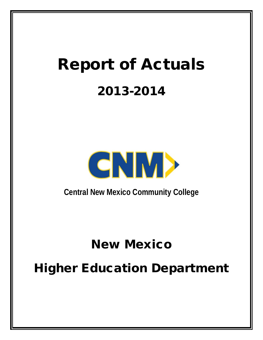# Report of Actuals 2013-2014



**Central New Mexico Community College**

# New Mexico

# Higher Education Department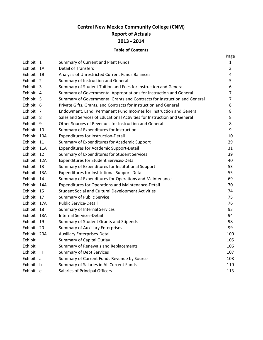# **Central New Mexico Community College (CNM) Report of Actuals 2013 - 2014**

### **Table of Contents**

|             |                |                                                                          | Page |
|-------------|----------------|--------------------------------------------------------------------------|------|
| Exhibit 1   |                | Summary of Current and Plant Funds                                       | 1    |
| Exhibit     | - 1A           | <b>Detail of Transfers</b>                                               | 3    |
| Exhibit     | 1B             | Analysis of Unrestricted Current Funds Balances                          | 4    |
| Exhibit     | $\overline{2}$ | Summary of Instruction and General                                       | 5    |
| Exhibit 3   |                | Summary of Student Tuition and Fees for Instruction and General          | 6    |
| Exhibit 4   |                | Summary of Governmental Appropriations for Instruction and General       | 7    |
| Exhibit 5   |                | Summary of Governmental Grants and Contracts for Instruction and General | 7    |
| Exhibit 6   |                | Private Gifts, Grants, and Contracts for Instruction and General         | 8    |
| Exhibit     | - 7            | Endowment, Land, Permanent Fund Incomes for Instruction and General      | 8    |
| Exhibit 8   |                | Sales and Services of Educational Activities for Instruction and General | 8    |
| Exhibit 9   |                | Other Sources of Revenues for Instruction and General                    | 8    |
| Exhibit 10  |                | Summary of Expenditures for Instruction                                  | 9    |
| Exhibit 10A |                | Expenditures for Instruction-Detail                                      | 10   |
| Exhibit     | 11             | Summary of Expenditures for Academic Support                             | 29   |
| Exhibit     | 11A            | <b>Expenditures for Academic Support-Detail</b>                          | 31   |
| Exhibit 12  |                | Summary of Expenditures for Student Services                             | 39   |
| Exhibit 12A |                | <b>Expenditures for Student Services-Detail</b>                          | 40   |
| Exhibit 13  |                | Summary of Expenditures for Institutional Support                        | 53   |
| Exhibit 13A |                | Expenditures for Institutional Support-Detail                            | 55   |
| Exhibit     | 14             | Summary of Expenditures for Operations and Maintenance                   | 69   |
| Exhibit     | 14A            | Expenditures for Operations and Maintenance-Detail                       | 70   |
| Exhibit 15  |                | Student Social and Cultural Development Activities                       | 74   |
| Exhibit 17  |                | <b>Summary of Public Service</b>                                         | 75   |
| Exhibit 17A |                | <b>Public Service-Detail</b>                                             | 76   |
| Exhibit     | 18             | <b>Summary of Internal Services</b>                                      | 93   |
| Exhibit     | 18A            | <b>Internal Services-Detail</b>                                          | 94   |
| Exhibit     | - 19           | Summary of Student Grants and Stipends                                   | 98   |
| Exhibit 20  |                | <b>Summary of Auxiliary Enterprises</b>                                  | 99   |
| Exhibit 20A |                | <b>Auxiliary Enterprises-Detail</b>                                      | 100  |
| Exhibit I   |                | Summary of Capital Outlay                                                | 105  |
| Exhibit II  |                | Summary of Renewals and Replacements                                     | 106  |
| Exhibit III |                | <b>Summary of Debt Services</b>                                          | 107  |
| Exhibit a   |                | Summary of Current Funds Revenue by Source                               | 108  |
| Exhibit b   |                | Summary of Salaries in All Current Funds                                 | 110  |
| Exhibit e   |                | Salaries of Principal Officers                                           | 113  |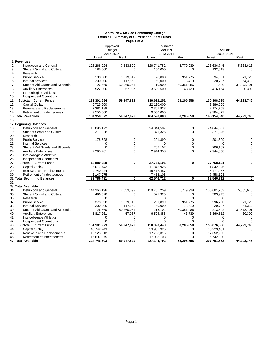#### **Central New Mexico Community College Exhibit 1- Summary of Current and Plant Funds Page 1 of 2**

|                |                                    | Approved      |                         | Estimated   |                         |             |                         |
|----------------|------------------------------------|---------------|-------------------------|-------------|-------------------------|-------------|-------------------------|
|                |                                    | <b>Budget</b> |                         | Actuals     |                         | Actuals     |                         |
|                |                                    | 2013-2014     |                         | 2013-2014   |                         | 2013-2014   |                         |
|                |                                    | Unrest.       | Rest.                   | Unrest.     | Rest.                   | Unrest.     | Rest.                   |
|                | 1 Revenues                         |               |                         |             |                         |             |                         |
| $\overline{2}$ | Instruction and General            | 128,268,024   | 7,833,599               | 126,741,752 | 6,779,939               | 126,636,745 | 5,663,616               |
| 3              | <b>Student Social and Cultural</b> | 185,000       | 0                       | 150,000     | $\Omega$                | 132,618     | $\Omega$                |
| 4              | Research                           |               |                         |             |                         |             |                         |
| 5              | <b>Public Service</b>              | 100,000       | 1,679,519               | 90,000      | 951,775                 | 94,881      | 671,725                 |
| 6              | <b>Internal Services</b>           | 200,000       | 117,560                 | 50,000      | 78,419                  | 20,797      | 54,312                  |
| $\overline{7}$ | Student Aid Grants and Stipends    | 26,660        | 50,260,064              | 10,000      | 50,351,986              | 7,500       | 37,873,701              |
| 8              | <b>Auxiliary Enterprises</b>       | 3,522,000     | 57,087                  | 3,580,500   | 43,739                  | 3,416,154   | 30,392                  |
| 9              | Intercollegiate Athletics          |               |                         |             |                         |             |                         |
| 10             | Independent Operations             |               |                         |             |                         |             |                         |
| 11             | Subtotal - Current Funds           | 132,301,684   | 59,947,829              | 130,622,252 | 58,205,858              | 130,308,695 | 44,293,746              |
| 12             | Capital Outlay                     | 40,725,000    |                         | 22,120,000  |                         | 3,386,505   |                         |
| 13             | Renewals and Replacements          | 2,383,188     |                         | 2,305,828   |                         | 2,174,768   |                         |
| 14             | Retirement of Indebtedness         | 9,550,000     |                         | 9,550,000   |                         | 9,284,872   |                         |
|                | 15 Total Revenues                  | 184,959,872   | 59,947,829              | 164,598,080 | 58,205,858              | 145,154,840 | 44,293,746              |
| 16             |                                    |               |                         |             |                         |             |                         |
|                | 17 Beginning Balances              |               |                         |             |                         |             |                         |
| 18             | Instruction and General            | 16,095,172    | 0                       | 24,044,507  | $\mathbf 0$             | 24,044,507  | 0                       |
| 19             | <b>Student Social and Cultural</b> | 311,328       | $\mathbf 0$             | 371,325     | $\mathbf 0$             | 371,325     | $\Omega$                |
| 20             | Research                           |               |                         |             |                         |             |                         |
| 21             | <b>Public Service</b>              | 178,528       | 0                       | 201,899     | $\mathbf 0$             | 201,899     | 0                       |
| 22             | <b>Internal Services</b>           | $\Omega$      | $\Omega$                | $\Omega$    | $\Omega$                | $\Omega$    | $\Omega$                |
| 23             | Student Aid Grants and Stipends    | $\Omega$      | $\mathbf 0$             | 206,102     | $\mathbf 0$             | 206,102     | $\mathbf 0$             |
| 24             | <b>Auxiliary Enterprises</b>       | 2,295,261     | $\mathbf 0$             | 2,944,358   | $\mathbf 0$             | 2,944,358   | $\Omega$                |
| 25             | Intercollegiate Athletics          |               |                         |             |                         |             |                         |
| 26             | Independent Operations             |               |                         |             |                         |             |                         |
| 27             | Subtotal - Current Funds           | 18,880,289    | $\overline{\mathbf{0}}$ | 27,768,191  | $\overline{\mathbf{0}}$ | 27,768,191  | $\overline{\mathbf{0}}$ |
| 28             | Capital Outlay                     | 5,017,743     |                         | 11,842,926  |                         | 11,842,926  |                         |
| 29             | Renewals and Replacements          | 9,740,424     |                         | 15,477,487  |                         | 15,477,487  |                         |
| 30             | Retirement of Indebtedness         | 6,147,975     |                         | 7,458,108   |                         | 7,458,108   |                         |
|                | 31 Total Beginning Balances        | 39,786,431    | $\overline{0}$          | 62,546,712  | $\overline{\mathbf{0}}$ | 62,546,712  | $\overline{\mathbf{0}}$ |
| 32             |                                    |               |                         |             |                         |             |                         |
|                | 33 Total Available                 |               |                         |             |                         |             |                         |
| 34             | Instruction and General            | 144,363,196   | 7,833,599               | 150,786,259 | 6,779,939               | 150,681,252 | 5,663,616               |
| 35             | <b>Student Social and Cultural</b> | 496,328       | 0                       | 521,325     | $\Omega$                | 503,943     | $\Omega$                |
| 36             | Research                           | 0             | $\overline{0}$          | 0           | $\Omega$                | $\Omega$    | $\Omega$                |
|                |                                    |               |                         |             |                         |             |                         |
| 37             | <b>Public Service</b>              | 278,528       | 1,679,519               | 291,899     | 951,775                 | 296,780     | 671,725                 |
| 38             | <b>Internal Services</b>           | 200,000       | 117,560                 | 50,000      | 78,419                  | 20,797      | 54,312                  |
| 39             | Student Aid Grants and Stipends    | 26,660        | 50,260,064              | 216,102     | 50,351,986              | 213,602     | 37,873,701              |
| 40             | <b>Auxiliary Enterprises</b>       | 5,817,261     | 57,087                  | 6,524,858   | 43,739                  | 6,360,512   | 30,392                  |
| 41             | Intercollegiate Athletics          | 0             | 0                       | 0           | 0                       | 0           | $\Omega$                |
| 42             | <b>Independent Operations</b>      | $\Omega$      | $\overline{0}$          | $\Omega$    | $\Omega$                | $\Omega$    | $\mathbf 0$             |
| 43             | Subtotal - Current Funds           | 151,181,973   | 59,947,829              | 158,390,443 | 58,205,858              | 158,076,886 | 44,293,746              |
| 44             | Capital Outlay                     | 45,742,743    | $\mathbf 0$             | 33,962,926  | $\mathbf 0$             | 15,229,431  | 0                       |
| 45             | <b>Renewals and Replacements</b>   | 12,123,612    | 0                       | 17,783,315  | 0                       | 17,652,255  | $\Omega$                |
| 46             | Retirement of Indebtedness         | 15,697,975    | 0                       | 17,008,108  | $\Omega$                | 16,742,980  | $\mathbf 0$             |
|                | 47 Total Available                 | 224.746.303   | 59.947.829              | 227,144,792 | 58.205.858              | 207,701,552 | 44.293.746              |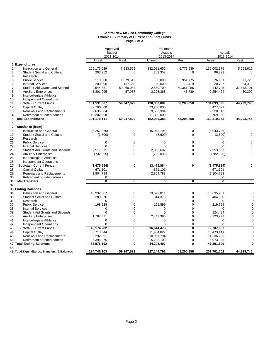#### **Central New Mexico Community College Exhibit 1- Summary of Current and Plant Funds Page 2 of 2**

|                |                                              | Approved                   |                         | Estimated               |                         |                      |                         |
|----------------|----------------------------------------------|----------------------------|-------------------------|-------------------------|-------------------------|----------------------|-------------------------|
|                |                                              | <b>Budget</b><br>2013-2014 | Actuals<br>2013-2014    |                         |                         | Actuals<br>2013-2014 |                         |
|                |                                              | Unrest.                    | Rest.                   | Unrest.                 | Rest.                   | Unrest.              | Rest.                   |
|                | 1 Expenditures                               |                            |                         |                         |                         |                      |                         |
| $\overline{2}$ | <b>Instruction and General</b>               | 125, 173, 029              | 7,833,599               | 132,051,652             | 6,779,939               | 130,002,175          | 5,663,616               |
| 3              | <b>Student Social and Cultural</b>           | 203,352                    | $\Omega$                | 203,352                 | 0                       | 96,293               |                         |
| 4              | Research                                     |                            |                         |                         |                         |                      |                         |
| 5              | <b>Public Service</b>                        | 110,000                    | 1,679,519               | 130,000                 | 951,775                 | 76,981               | 671,725                 |
| 6              | <b>Internal Services</b>                     | 200,000                    | 117,560                 | 50,000                  | 78,419                  | 20,797               | 54,312                  |
| $\overline{7}$ | <b>Student Aid Grants and Stipends</b>       | 2,544,331                  | 50,260,064              | 2,569,709               | 50,351,986              | 2,442,725            | 37,873,701              |
| 8              | <b>Auxiliary Enterprises</b>                 | 3,301,095                  | 57,087                  | 3,295,368               | 43,739                  | 2,254,424            | 30,392                  |
| 9              | Intercollegiate Athletics                    |                            |                         |                         |                         |                      |                         |
| 10             | <b>Independent Operations</b>                |                            |                         |                         |                         |                      |                         |
| 11             | Subtotal - Current Funds                     | 131,531,807                | 59,947,829              | 138,300,081             | 58,205,858              | 134,893,395          | 44,293,746              |
| 12             | Capital Outlay                               | 39,700,000                 |                         | 23,200,000              |                         | 5,427,091            |                         |
| 13             | Renewals and Replacements                    | 9,636,304                  |                         | 9,636,304               |                         | 9,220,812            |                         |
| 14             | Retirement of Indebtedness                   | 10,302,000                 |                         | 11,800,000              |                         | 10,769,055           |                         |
|                | 15 Total Expenditures                        | 191,170,111                | 59,947,829              | 182,936,385             | 58,205,858              | 160,310,353          | 44,293,746              |
| 16             |                                              |                            |                         |                         |                         |                      |                         |
|                | 17 Transfer to (from)                        |                            |                         |                         |                         |                      |                         |
| 18             | Instruction and General                      | (5,257,860)                | 0                       | (5,043,796)             | 0                       | (5,043,796)          | 0                       |
| 19             | <b>Student Social and Cultural</b>           | (3,600)                    | 0                       | (3,600)                 | 0                       | (3,600)              | $\mathbf 0$             |
| 20             | Research                                     |                            |                         |                         |                         |                      |                         |
| 21             | <b>Public Service</b>                        | $\mathbf 0$                | 0                       | $\mathbf 0$             | $\mathbf 0$             | 0                    | $\mathbf 0$             |
| 22             | <b>Internal Services</b>                     | $\Omega$                   | 0                       | $\Omega$                | $\mathbf 0$             | $\Omega$             | $\mathbf 0$             |
| 23             | Student Aid Grants and Stipends              | 2,517,671                  | 0                       | 2,353,607               | $\overline{0}$          | 2,353,607            | $\mathbf 0$             |
| 24             | <b>Auxiliary Enterprises</b>                 | (732,095)                  | 0                       | (782, 095)              | 0                       | (782, 095)           | 0                       |
| 25             | Intercollegiate Athletics                    |                            |                         |                         |                         |                      |                         |
| 26             | <b>Independent Operations</b>                |                            |                         |                         |                         |                      |                         |
| 27             | Subtotal - Current Funds                     | (3,475,884)                | $\overline{\mathbf{0}}$ | (3,475,884)             | $\overline{\mathbf{0}}$ | (3,475,884)          | $\overline{0}$          |
| 28             | Capital Outlay                               | 671,101                    |                         | 671,101                 |                         | 671,101              |                         |
| 29             | Renewals and Replacements                    | 2,804,783                  |                         | 2,804,783               |                         | 2,804,783            |                         |
| 30             | Retirement of Indebtedness                   | 0                          |                         | 0                       |                         | 0                    |                         |
|                | 31 Total Transfers                           | $\overline{\mathbf{0}}$    | $\overline{\mathbf{0}}$ | $\overline{\mathbf{0}}$ | $\overline{\mathbf{0}}$ | $\bf{0}$             | $\overline{\mathbf{0}}$ |
| 32             |                                              |                            |                         |                         |                         |                      |                         |
|                | 33 Ending Balances                           |                            |                         |                         |                         |                      |                         |
| 34             | <b>Instruction and General</b>               | 13,932,307                 | $\overline{0}$          | 13.690.811              | 0                       | 15,635,281           | $\Omega$                |
| 35             | <b>Student Social and Cultural</b>           | 289,376                    | 0                       | 314,373                 | 0                       | 404,050              | $\Omega$                |
| 36             | Research                                     | $\Omega$                   | 0                       | 0                       | $\mathbf 0$             | 0                    | 0                       |
| 37             | <b>Public Service</b>                        | 168,528                    | $\overline{0}$          | 161,899                 | $\mathbf 0$             | 219,799              | $\Omega$                |
| 38             | <b>Internal Services</b>                     | 0                          | $\Omega$                | $\Omega$                | 0                       | $\Omega$             | $\Omega$                |
| 39             | <b>Student Aid Grants and Stipends</b>       | $\Omega$                   | $\overline{0}$          | $\Omega$                | $\overline{0}$          | 124,484              | $\Omega$                |
| 40             | <b>Auxiliary Enterprises</b>                 | 1,784,071                  | 0                       | 2,447,395               | $\overline{0}$          | 3,323,993            | $\Omega$                |
| 41             | Intercollegiate Athletics                    | 0                          | $\overline{0}$          | $\Omega$                | 0                       | $\Omega$             | 0                       |
| 42             | Independent Operations                       | $\Omega$                   | 0                       | $\Omega$                | 0                       | $\Omega$             | $\mathbf 0$             |
| 43             | Subtotal - Current Funds                     | 16,174,282                 | 0                       | 16,614,478              | 0                       | 19,707,607           | 0                       |
| 44             | Capital Outlay                               | 6,713,844                  | 0                       | 11,434,027              | 0                       | 10,473,441           | $\mathbf 0$             |
| 45             | Renewals and Replacements                    | 5,292,091                  | $\overline{0}$          | 10,951,794              | 0                       | 11,236,226           | $\mathbf 0$             |
| 46             | Retirement of Indebtedness                   | 5,395,975                  | 0                       | 5,208,108               | 0                       | 5,973,925            | 0                       |
|                | 47 Total Ending Balances                     | 33,576,192                 | $\overline{\mathbf{0}}$ | 44,208,407              | Ō                       | 47,391,199           | $\overline{\mathbf{0}}$ |
| 48             |                                              |                            |                         |                         |                         |                      |                         |
|                | 49 Total Expenditures, Transfers, & Balances | 224,746,303                | 59,947,829              | 227, 144, 792           | 58,205,858              | 207,701,552          | 44,293,746              |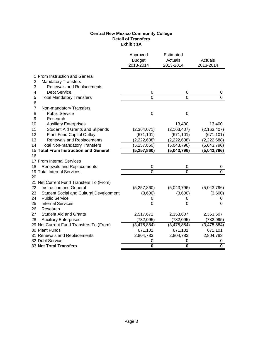## **Central New Mexico Community College Detail of Transfers Exhibit 1A**

|                                                 | Approved<br><b>Budget</b><br>2013-2014 | Estimated<br>Actuals<br>2013-2014 | Actuals<br>2013-2014         |
|-------------------------------------------------|----------------------------------------|-----------------------------------|------------------------------|
| 1 From Instruction and General                  |                                        |                                   |                              |
| <b>Mandatory Transfers</b><br>2                 |                                        |                                   |                              |
| 3<br>Renewals and Replacements                  |                                        |                                   |                              |
| <b>Debt Service</b><br>4                        | 0                                      | 0                                 | 0                            |
| 5<br><b>Total Mandatory Transfers</b><br>6      | $\overline{0}$                         | $\mathbf 0$                       | $\Omega$                     |
| 7<br>Non-mandatory Transfers                    |                                        |                                   |                              |
| <b>Public Service</b><br>8                      | $\mathbf 0$                            | $\boldsymbol{0}$                  |                              |
| 9<br>Research                                   |                                        |                                   |                              |
| <b>Auxiliary Enterprises</b><br>10              |                                        | 13,400                            | 13,400                       |
| 11<br><b>Student Aid Grants and Stipends</b>    | (2,364,071)                            | (2, 163, 407)                     | (2, 163, 407)                |
| 12<br>Plant Fund Capital Outlay                 | (671, 101)                             | (671, 101)                        | (671, 101)                   |
| 13<br>Renewals and Replacements                 | (2,222,688)                            | (2,222,688)                       | (2,222,688)                  |
| <b>Total Non-mandatory Transfers</b><br>14      | (5,257,860)                            | (5,043,796)                       | (5,043,796)                  |
| 15 Total From Instruction and General           | (5, 257, 860)                          | (5,043,796)                       | (5,043,796)                  |
| 16                                              |                                        |                                   |                              |
| 17 From Internal Services                       |                                        |                                   |                              |
| Renewals and Replacements<br>18                 | 0                                      | 0                                 | 0                            |
| 19 Total Internal Services                      | $\overline{0}$                         | $\mathbf 0$                       | $\Omega$                     |
| 20                                              |                                        |                                   |                              |
| 21 Net Current Fund Transfers To (From)         |                                        |                                   |                              |
| 22<br><b>Instruction and General</b>            | (5,257,860)                            | (5,043,796)                       | (5,043,796)                  |
| 23<br>Student Social and Cultural Development   | (3,600)                                | (3,600)                           | (3,600)                      |
| 24<br><b>Public Service</b>                     | 0                                      | 0                                 | 0                            |
| 25<br><b>Internal Services</b>                  | 0                                      | 0                                 | $\Omega$                     |
| 26<br>Research                                  |                                        |                                   |                              |
| 27<br><b>Student Aid and Grants</b>             | 2,517,671                              | 2,353,607                         | 2,353,607                    |
| 28<br><b>Auxiliary Enterprises</b>              | (732, 095)                             | (782, 095)                        | (782, 095)                   |
| 29 Net Current Fund Transfers To (From)         | (3,475,884)                            | (3,475,884)                       | (3,475,884)                  |
| 30 Plant Funds                                  | 671,101                                | 671,101                           | 671,101                      |
| 31 Renewals and Replacements<br>32 Debt Service | 2,804,783                              | 2,804,783                         | 2,804,783                    |
| <b>33 Net Total Transfers</b>                   | 0<br>$\overline{\mathbf{0}}$           | 0<br>$\overline{\mathbf{0}}$      | 0<br>$\overline{\mathbf{0}}$ |
|                                                 |                                        |                                   |                              |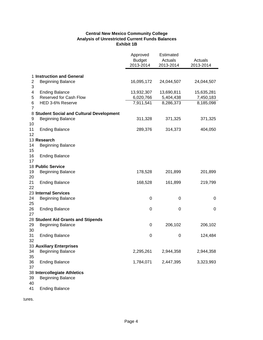# **Central New Mexico Community College Analysis of Unrestricted Current Funds Balances Exhibit 1B**

|                |                                                 | Approved<br><b>Budget</b><br>2013-2014 | Estimated<br>Actuals<br>2013-2014 | Actuals<br>2013-2014   |
|----------------|-------------------------------------------------|----------------------------------------|-----------------------------------|------------------------|
|                |                                                 |                                        |                                   |                        |
|                | 1 Instruction and General                       |                                        |                                   |                        |
| $\overline{c}$ | <b>Beginning Balance</b>                        | 16,095,172                             | 24,044,507                        | 24,044,507             |
| 3<br>4         |                                                 | 13,932,307                             | 13,690,811                        |                        |
| 5              | <b>Ending Balance</b><br>Reserved for Cash Flow | 6,020,766                              | 5,404,438                         | 15,635,281             |
| 6              | HED 3-6% Reserve                                | 7,911,541                              | 8,286,373                         | 7,450,183<br>8,185,098 |
| $\overline{7}$ |                                                 |                                        |                                   |                        |
|                | 8 Student Social and Cultural Development       |                                        |                                   |                        |
| 9              | <b>Beginning Balance</b>                        | 311,328                                | 371,325                           | 371,325                |
| 10             |                                                 |                                        |                                   |                        |
| 11             | <b>Ending Balance</b>                           | 289,376                                | 314,373                           | 404,050                |
| 12             |                                                 |                                        |                                   |                        |
|                | 13 Research                                     |                                        |                                   |                        |
| 14             | <b>Beginning Balance</b>                        |                                        |                                   |                        |
| 15             |                                                 |                                        |                                   |                        |
| 16             | <b>Ending Balance</b>                           |                                        |                                   |                        |
| 17             |                                                 |                                        |                                   |                        |
|                | 18 Public Service                               |                                        |                                   |                        |
| 19             | <b>Beginning Balance</b>                        | 178,528                                | 201,899                           | 201,899                |
| 20<br>21       | <b>Ending Balance</b>                           | 168,528                                | 161,899                           | 219,799                |
| 22             |                                                 |                                        |                                   |                        |
|                | 23 Internal Services                            |                                        |                                   |                        |
| 24             | <b>Beginning Balance</b>                        | 0                                      | 0                                 | 0                      |
| 25             |                                                 |                                        |                                   |                        |
| 26             | <b>Ending Balance</b>                           | 0                                      | 0                                 | 0                      |
| 27             |                                                 |                                        |                                   |                        |
|                | 28 Student Aid Grants and Stipends              |                                        |                                   |                        |
| 29             | <b>Beginning Balance</b>                        | 0                                      | 206,102                           | 206,102                |
| 30             |                                                 |                                        |                                   |                        |
| 31             | <b>Ending Balance</b>                           | 0                                      | 0                                 | 124,484                |
| 32             |                                                 |                                        |                                   |                        |
|                | 33 Auxiliary Enterprises                        |                                        |                                   |                        |
| 34<br>35       | <b>Beginning Balance</b>                        | 2,295,261                              | 2,944,358                         | 2,944,358              |
| 36             | <b>Ending Balance</b>                           | 1,784,071                              | 2,447,395                         | 3,323,993              |
| 37             |                                                 |                                        |                                   |                        |
|                | 38 Intercollegiate Athletics                    |                                        |                                   |                        |
| 39             | <b>Beginning Balance</b>                        |                                        |                                   |                        |
| 40             |                                                 |                                        |                                   |                        |
| 41             | <b>Ending Balance</b>                           |                                        |                                   |                        |

tures.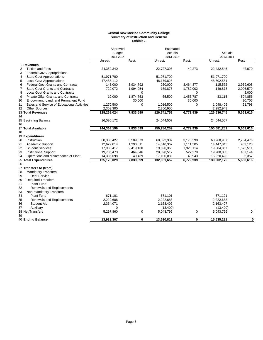#### **Central New Mexico Community College Summary of Instruction and General Exhibit 2**

|                |                                             | Approved             |             | Estimated            |                  | Actuals              |             |  |
|----------------|---------------------------------------------|----------------------|-------------|----------------------|------------------|----------------------|-------------|--|
|                |                                             | <b>Budget</b>        |             | Actuals              |                  |                      |             |  |
|                |                                             | 2013-2014<br>Unrest. | Rest.       | 2013-2014<br>Unrest. | Rest.            | 2013-2014<br>Unrest. | Rest.       |  |
| 1 Revenues     |                                             |                      |             |                      |                  |                      |             |  |
| $\overline{2}$ | <b>Tuition and Fees</b>                     | 24,352,340           |             | 22,727,396           | 49,273           | 22,432,545           | 42,070      |  |
| 3              | <b>Federal Govt Appropriations</b>          |                      |             |                      |                  |                      |             |  |
| $\overline{4}$ | <b>State Govt Appropriations</b>            | 51,971,700           |             | 51,971,700           |                  | 51,971,700           |             |  |
| 5              | <b>Local Govt Appropriations</b>            | 47,486,112           |             | 48,179,828           |                  | 48,602,581           |             |  |
| 6              | <b>Federal Govt Grants and Contracts</b>    | 145,000              | 3,934,792   | 260,000              | 3,464,877        | 115,572              | 2,969,608   |  |
| $\overline{7}$ | <b>State Govt Grants and Contracts</b>      | 729,072              | 1,994,054   | 169,878              | 1,782,002        | 149,878              | 2,096,579   |  |
| 8              | Local Govt Grants and Contracts             |                      | $\Omega$    |                      | 0                |                      | 8,000       |  |
| 9              | Private Gifts, Grants, and Contracts        | 10,000               | 1,874,753   | 65,500               | 1,453,787        | 33,115               | 504,856     |  |
| 10             | Endowment, Land, and Permanent Fund         |                      | 30,000      |                      | 30,000           |                      | 20,705      |  |
| 11             | Sales and Service of Educational Activities | 1,270,500            | $\mathbf 0$ | 1,016,500            | 0                | 1,048,406            | 21,798      |  |
| 12             | <b>Other Sources</b>                        | 2,303,300            |             | 2,350,950            |                  | 2,282,948            |             |  |
|                | 13 Total Revenues                           | 128,268,024          | 7,833,599   | 126,741,752          | 6,779,939        | 126,636,745          | 5,663,616   |  |
| 14             |                                             |                      |             |                      |                  |                      |             |  |
|                | 15 Beginning Balance                        | 16,095,172           |             | 24,044,507           |                  | 24,044,507           |             |  |
| 16             |                                             |                      |             |                      |                  |                      |             |  |
|                | 17 Total Available                          | 144,363,196          | 7,833,599   | 150,786,259          | 6,779,939        | 150,681,252          | 5,663,616   |  |
| 18             |                                             |                      |             |                      |                  |                      |             |  |
|                | 19 Expenditures                             |                      |             |                      |                  |                      |             |  |
| 20             | Instruction                                 | 60,385,427           | 3,509,573   | 60,322,332           | 3,175,298        | 60,268,957           | 2,764,476   |  |
| 21             | Academic Support                            | 12,629,014           | 1,390,811   | 14,610,362           | 1,111,305        | 14,447,845           | 909,128     |  |
| 22             | <b>Student Services</b>                     | 17,983,417           | 2,419,430   | 19,690,363           | 1,925,114        | 19,084,857           | 1,576,511   |  |
| 23             | <b>Institutional Support</b>                | 19,788,473           | 464,346     | 20,328,512           | 527,279          | 19,280,088           | 407,144     |  |
| 24             | Operations and Maintenance of Plant         | 14,386,698           | 49,439      | 17,100,083           | 40,943           | 16,920,428           | 6,357       |  |
|                | 25 Total Expenditures                       | 125,173,029          | 7,833,599   | 132,051,652          | 6,779,939        | 130,002,175          | 5,663,616   |  |
| 26             |                                             |                      |             |                      |                  |                      |             |  |
|                | 27 Transfers to (from)                      |                      |             |                      |                  |                      |             |  |
| 28             | <b>Mandatory Transfers</b>                  |                      |             |                      |                  |                      |             |  |
| 29             | <b>Debt Service</b>                         |                      |             |                      |                  |                      |             |  |
| 30             | <b>Required Transfers</b>                   |                      |             |                      |                  |                      |             |  |
| 31             | Plant Fund                                  |                      |             |                      |                  |                      |             |  |
| 32             | Renewals and Replacements                   |                      |             |                      |                  |                      |             |  |
| 33             | Non-mandatory Transfers                     |                      |             |                      |                  |                      |             |  |
| 34             | <b>Plant Fund</b>                           | 671,101              |             | 671,101              |                  | 671,101              |             |  |
| 35             | Renewals and Replacements                   | 2,222,688            |             | 2,222,688            |                  | 2,222,688            |             |  |
| 36             | <b>Student Aid</b>                          | 2,364,071            |             | 2,163,407            |                  | 2,163,407            |             |  |
| 37             | Auxiliary                                   | 0                    |             | (13,400)             |                  | (13, 400)            |             |  |
|                | 38 Net Transfers                            | 5,257,860            | 0           | 5,043,796            | $\boldsymbol{0}$ | 5,043,796            | $\mathbf 0$ |  |
| 39             |                                             |                      |             |                      |                  |                      |             |  |
|                | 40 Ending Balance                           | 13,932,307           | 0           | 13,690,811           | 0                | 15,635,281           | $\mathbf 0$ |  |
|                |                                             |                      |             |                      |                  |                      |             |  |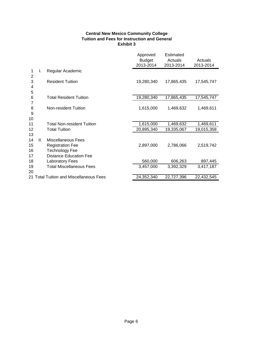## **Central New Mexico Community College Tuition and Fees for Instruction and General Exhibit 3**

|                            |                                                                                                                | Approved<br><b>Budget</b><br>2013-2014 | Estimated<br>Actuals<br>2013-2014 | Actuals<br>2013-2014 |
|----------------------------|----------------------------------------------------------------------------------------------------------------|----------------------------------------|-----------------------------------|----------------------|
| 1<br>I.<br>2               | Regular Academic                                                                                               |                                        |                                   |                      |
| 3<br>4<br>5                | <b>Resident Tuition</b>                                                                                        | 19,280,340                             | 17,865,435                        | 17,545,747           |
| 6                          | <b>Total Resident Tuition</b>                                                                                  | 19,280,340                             | 17,865,435                        | 17,545,747           |
| 7<br>8<br>9<br>10          | Non-resident Tuition                                                                                           | 1,615,000                              | 1,469,632                         | 1,469,611            |
| 11                         | <b>Total Non-resident Tuition</b>                                                                              | 1,615,000                              | 1,469,632                         | 1,469,611            |
| 12<br>13                   | <b>Total Tuition</b>                                                                                           | 20,895,340                             | 19,335,067                        | 19,015,358           |
| 14<br>Ш.<br>15<br>16<br>17 | <b>Miscellaneous Fees</b><br><b>Registration Fee</b><br><b>Technology Fee</b><br><b>Distance Education Fee</b> | 2,897,000                              | 2,786,066                         | 2,519,742            |
| 18                         | <b>Laboratory Fees</b>                                                                                         | 560,000                                | 606,263                           | 897,445              |
| 19<br>20                   | <b>Total Miscellaneous Fees</b>                                                                                | 3,457,000                              | 3,392,329                         | 3,417,187            |
|                            | 21 Total Tuition and Miscellaneous Fees                                                                        | 24,352,340                             | 22,727,396                        | 22,432,545           |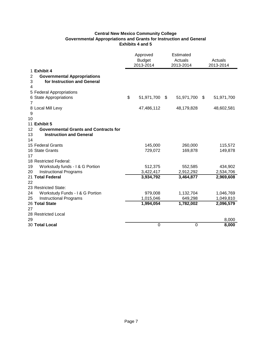# **Central New Mexico Community College Governmental Appropriations and Grants for Instruction and General Exhibits 4 and 5**

|         |                                              | Approved                   | Estimated            |            |                      |  |
|---------|----------------------------------------------|----------------------------|----------------------|------------|----------------------|--|
|         |                                              | <b>Budget</b><br>2013-2014 | Actuals<br>2013-2014 |            | Actuals<br>2013-2014 |  |
|         | 1 Exhibit 4                                  |                            |                      |            |                      |  |
| 2       | <b>Governmental Appropriations</b>           |                            |                      |            |                      |  |
| 3       | for Instruction and General                  |                            |                      |            |                      |  |
| 4       |                                              |                            |                      |            |                      |  |
|         | 5 Federal Appropriations                     |                            |                      |            |                      |  |
|         | 6 State Appropriations                       | \$<br>51,971,700           | \$                   | 51,971,700 | \$<br>51,971,700     |  |
| 7       |                                              |                            |                      |            |                      |  |
|         | 8 Local Mill Levy                            | 47,486,112                 |                      | 48,179,828 | 48,602,581           |  |
| 9<br>10 |                                              |                            |                      |            |                      |  |
|         | 11 Exhibit 5                                 |                            |                      |            |                      |  |
| 12      | <b>Governmental Grants and Contracts for</b> |                            |                      |            |                      |  |
| 13      | <b>Instruction and General</b>               |                            |                      |            |                      |  |
| 14      |                                              |                            |                      |            |                      |  |
|         | 15 Federal Grants                            | 145,000                    |                      | 260,000    | 115,572              |  |
|         | 16 State Grants                              | 729,072                    |                      | 169,878    | 149,878              |  |
| 17      |                                              |                            |                      |            |                      |  |
|         | 18 Restricted Federal:                       |                            |                      |            |                      |  |
| 19      | Workstudy funds - I & G Portion              | 512,375                    |                      | 552,585    | 434,902              |  |
| 20      | <b>Instructional Programs</b>                | 3,422,417                  |                      | 2,912,292  | 2,534,706            |  |
|         | 21 Total Federal                             | 3,934,792                  |                      | 3,464,877  | 2,969,608            |  |
| 22      |                                              |                            |                      |            |                      |  |
|         | 23 Restricted State:                         |                            |                      |            |                      |  |
| 24      | Workstudy Funds - I & G Portion              | 979,008                    |                      | 1,132,704  | 1,046,769            |  |
| 25      | <b>Instructional Programs</b>                | 1,015,046                  |                      | 649,298    | 1,049,810            |  |
|         | 26 Total State                               | 1,994,054                  |                      | 1,782,002  | 2,096,579            |  |
| 27      |                                              |                            |                      |            |                      |  |
| 29      | 28 Restricted Local                          |                            |                      |            |                      |  |
|         | 30 Total Local                               | $\mathbf 0$                |                      | $\pmb{0}$  | 8,000<br>8,000       |  |
|         |                                              |                            |                      |            |                      |  |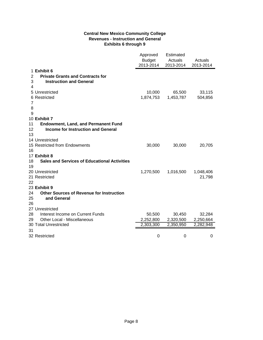# **Central New Mexico Community College Revenues - Instruction and General Exhibits 6 through 9**

|                       |                                                     | Approved<br><b>Budget</b><br>2013-2014 | Estimated<br>Actuals<br>2013-2014 | Actuals<br>2013-2014 |
|-----------------------|-----------------------------------------------------|----------------------------------------|-----------------------------------|----------------------|
| 1 Exhibit 6           |                                                     |                                        |                                   |                      |
| 2                     | <b>Private Grants and Contracts for</b>             |                                        |                                   |                      |
| 3                     | <b>Instruction and General</b>                      |                                        |                                   |                      |
| 4                     |                                                     |                                        |                                   |                      |
| 5 Unrestricted        |                                                     | 10,000                                 | 65,500                            | 33,115               |
| 6 Restricted          |                                                     | 1,874,753                              | 1,453,787                         | 504,856              |
| $\overline{7}$        |                                                     |                                        |                                   |                      |
| 8                     |                                                     |                                        |                                   |                      |
| 9                     |                                                     |                                        |                                   |                      |
| 10 Exhibit 7          |                                                     |                                        |                                   |                      |
| 11                    | <b>Endowment, Land, and Permanent Fund</b>          |                                        |                                   |                      |
| 12                    | <b>Income for Instruction and General</b>           |                                        |                                   |                      |
| 13                    |                                                     |                                        |                                   |                      |
| 14 Unrestricted       |                                                     |                                        |                                   |                      |
|                       | 15 Restricted from Endowments                       | 30,000                                 | 30,000                            | 20,705               |
| 16                    |                                                     |                                        |                                   |                      |
| 17 Exhibit 8          |                                                     |                                        |                                   |                      |
| 18                    | <b>Sales and Services of Educational Activities</b> |                                        |                                   |                      |
| 19                    |                                                     |                                        |                                   |                      |
| 20 Unrestricted       |                                                     | 1,270,500                              | 1,016,500                         | 1,048,406            |
| 21 Restricted         |                                                     |                                        |                                   | 21,798               |
| 22                    |                                                     |                                        |                                   |                      |
| 23 Exhibit 9          |                                                     |                                        |                                   |                      |
| 24                    | <b>Other Sources of Revenue for Instruction</b>     |                                        |                                   |                      |
| 25                    | and General                                         |                                        |                                   |                      |
| 26                    |                                                     |                                        |                                   |                      |
| 27 Unrestricted       |                                                     |                                        |                                   |                      |
| 28                    | Interest Income on Current Funds                    | 50,500                                 | 30,450                            | 32,284               |
| 29                    | Other Local - Miscellaneous                         | 2,252,800                              | 2,320,500                         | 2,250,664            |
| 30 Total Unrestricted |                                                     | 2,303,300                              | 2,350,950                         | 2,282,948            |
| 31                    |                                                     |                                        |                                   |                      |
| 32 Restricted         |                                                     | 0                                      | 0                                 | 0                    |
|                       |                                                     |                                        |                                   |                      |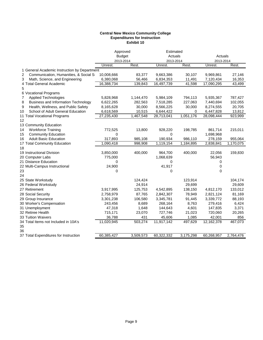#### **Central New Mexico Community College Expenditures for Instruction Exhibit 10**

| <b>Budget</b><br>Actuals<br>Actuals<br>2013-2014<br>2013-2014<br>2013-2014<br>Rest.<br>Rest.<br>Unrest.<br>Rest.<br>Unrest.<br>Unrest.<br>1 General Academic Instruction by Department<br>Communication, Humanities, & Social S<br>2<br>10,008,666<br>83,377<br>9,663,386<br>30,107<br>9,969,861<br>27,146<br>3<br>Math, Science, and Engineering<br>7,120,434<br>6,380,068<br>56,466<br>6,834,353<br>11,491<br>16,353<br>4 Total General Academic<br>16,388,734<br>16,497,739<br>41,598<br>43,499<br>139,843<br>17,090,295<br>5<br>6 Vocational Programs<br><b>Applied Technologies</b><br>5,828,968<br>1,144,470<br>5,984,109<br>794,113<br>5,935,367<br>787,427<br>7<br>Business and Information Technology<br>6,622,265<br>282,563<br>7,518,285<br>227,063<br>7,440,694<br>102,055<br>8<br>Health, Wellness, and Public Safety<br>30,000<br>30,000<br>20,705<br>9<br>8,165,628<br>8,566,225<br>8,274,555<br>School of Adult General Education<br>6,618,569<br>10,515<br>6,644,422<br>13,812<br>0<br>6,447,828<br>27,235,430<br>1,467,548<br>28,713,041<br>1,051,176<br>28,098,444<br>923,999<br>12<br>13 Community Education<br><b>Workforce Training</b><br>13,800<br>198,785<br>861,714<br>14<br>772,525<br>928,220<br>215,011<br><b>Community Education</b><br>1,698,968<br>15<br>0<br>0<br><b>Adult Basic Education</b><br>317,893<br>190,934<br>985,108<br>986,110<br>278,159<br>955,064<br>17 Total Community Education<br>1,090,418<br>998,908<br>1,119,154<br>1,184,895<br>2,838,841<br>1,170,075<br>19 Instructional Division<br>3,850,000<br>400,000<br>964,700<br>400,000<br>22,056<br>159,830<br>20 Computer Labs<br>1,068,639<br>56,943<br>775,000<br>21 Distance Education<br>0<br>0<br>0<br>24,900<br>41,917<br>22 Multi-Campus Instructional<br>0<br>$\mathbf 0$<br>0<br>0<br>124,424<br>123,914<br>104,174<br>24,914<br>29,699<br>29,609<br>125,753<br>138,150<br>133,012<br>3,917,995<br>4,542,895<br>4,812,170<br>2,758,979<br>87,765<br>2,842,307<br>78,949<br>2,821,124<br>81,169<br>3,339,772<br>3,301,238<br>106,580<br>3,345,781<br>91,445<br>88,193<br>8,689<br>268,164<br>8,763<br>279,416<br>6,424<br>243,456<br>3,371<br>47,318<br>1,648<br>144,643<br>4,601<br>147,835<br>715,171<br>23,070<br>727,746<br>21,023<br>720,060<br>20,265<br>36,788<br>431<br>45,606<br>1,085<br>42,001<br>856<br>11,917,142<br>11,020,945<br>503,274<br>497,629<br>12,162,378<br>467,073<br>60,385,427<br>3,509,573<br>60,322,332<br>3,175,298<br>60,268,957<br>2,764,476 |                                       | Approved |  | Estimated |  |  |
|-----------------------------------------------------------------------------------------------------------------------------------------------------------------------------------------------------------------------------------------------------------------------------------------------------------------------------------------------------------------------------------------------------------------------------------------------------------------------------------------------------------------------------------------------------------------------------------------------------------------------------------------------------------------------------------------------------------------------------------------------------------------------------------------------------------------------------------------------------------------------------------------------------------------------------------------------------------------------------------------------------------------------------------------------------------------------------------------------------------------------------------------------------------------------------------------------------------------------------------------------------------------------------------------------------------------------------------------------------------------------------------------------------------------------------------------------------------------------------------------------------------------------------------------------------------------------------------------------------------------------------------------------------------------------------------------------------------------------------------------------------------------------------------------------------------------------------------------------------------------------------------------------------------------------------------------------------------------------------------------------------------------------------------------------------------------------------------------------------------------------------------------------------------------------------------------------------------------------------------------------------------------------------------------------------------------------------------------------------------------------------------------------------------------------------------------------------------------------------------------|---------------------------------------|----------|--|-----------|--|--|
|                                                                                                                                                                                                                                                                                                                                                                                                                                                                                                                                                                                                                                                                                                                                                                                                                                                                                                                                                                                                                                                                                                                                                                                                                                                                                                                                                                                                                                                                                                                                                                                                                                                                                                                                                                                                                                                                                                                                                                                                                                                                                                                                                                                                                                                                                                                                                                                                                                                                                         |                                       |          |  |           |  |  |
|                                                                                                                                                                                                                                                                                                                                                                                                                                                                                                                                                                                                                                                                                                                                                                                                                                                                                                                                                                                                                                                                                                                                                                                                                                                                                                                                                                                                                                                                                                                                                                                                                                                                                                                                                                                                                                                                                                                                                                                                                                                                                                                                                                                                                                                                                                                                                                                                                                                                                         |                                       |          |  |           |  |  |
|                                                                                                                                                                                                                                                                                                                                                                                                                                                                                                                                                                                                                                                                                                                                                                                                                                                                                                                                                                                                                                                                                                                                                                                                                                                                                                                                                                                                                                                                                                                                                                                                                                                                                                                                                                                                                                                                                                                                                                                                                                                                                                                                                                                                                                                                                                                                                                                                                                                                                         |                                       |          |  |           |  |  |
|                                                                                                                                                                                                                                                                                                                                                                                                                                                                                                                                                                                                                                                                                                                                                                                                                                                                                                                                                                                                                                                                                                                                                                                                                                                                                                                                                                                                                                                                                                                                                                                                                                                                                                                                                                                                                                                                                                                                                                                                                                                                                                                                                                                                                                                                                                                                                                                                                                                                                         |                                       |          |  |           |  |  |
|                                                                                                                                                                                                                                                                                                                                                                                                                                                                                                                                                                                                                                                                                                                                                                                                                                                                                                                                                                                                                                                                                                                                                                                                                                                                                                                                                                                                                                                                                                                                                                                                                                                                                                                                                                                                                                                                                                                                                                                                                                                                                                                                                                                                                                                                                                                                                                                                                                                                                         |                                       |          |  |           |  |  |
|                                                                                                                                                                                                                                                                                                                                                                                                                                                                                                                                                                                                                                                                                                                                                                                                                                                                                                                                                                                                                                                                                                                                                                                                                                                                                                                                                                                                                                                                                                                                                                                                                                                                                                                                                                                                                                                                                                                                                                                                                                                                                                                                                                                                                                                                                                                                                                                                                                                                                         |                                       |          |  |           |  |  |
|                                                                                                                                                                                                                                                                                                                                                                                                                                                                                                                                                                                                                                                                                                                                                                                                                                                                                                                                                                                                                                                                                                                                                                                                                                                                                                                                                                                                                                                                                                                                                                                                                                                                                                                                                                                                                                                                                                                                                                                                                                                                                                                                                                                                                                                                                                                                                                                                                                                                                         |                                       |          |  |           |  |  |
|                                                                                                                                                                                                                                                                                                                                                                                                                                                                                                                                                                                                                                                                                                                                                                                                                                                                                                                                                                                                                                                                                                                                                                                                                                                                                                                                                                                                                                                                                                                                                                                                                                                                                                                                                                                                                                                                                                                                                                                                                                                                                                                                                                                                                                                                                                                                                                                                                                                                                         |                                       |          |  |           |  |  |
|                                                                                                                                                                                                                                                                                                                                                                                                                                                                                                                                                                                                                                                                                                                                                                                                                                                                                                                                                                                                                                                                                                                                                                                                                                                                                                                                                                                                                                                                                                                                                                                                                                                                                                                                                                                                                                                                                                                                                                                                                                                                                                                                                                                                                                                                                                                                                                                                                                                                                         |                                       |          |  |           |  |  |
|                                                                                                                                                                                                                                                                                                                                                                                                                                                                                                                                                                                                                                                                                                                                                                                                                                                                                                                                                                                                                                                                                                                                                                                                                                                                                                                                                                                                                                                                                                                                                                                                                                                                                                                                                                                                                                                                                                                                                                                                                                                                                                                                                                                                                                                                                                                                                                                                                                                                                         |                                       |          |  |           |  |  |
|                                                                                                                                                                                                                                                                                                                                                                                                                                                                                                                                                                                                                                                                                                                                                                                                                                                                                                                                                                                                                                                                                                                                                                                                                                                                                                                                                                                                                                                                                                                                                                                                                                                                                                                                                                                                                                                                                                                                                                                                                                                                                                                                                                                                                                                                                                                                                                                                                                                                                         |                                       |          |  |           |  |  |
|                                                                                                                                                                                                                                                                                                                                                                                                                                                                                                                                                                                                                                                                                                                                                                                                                                                                                                                                                                                                                                                                                                                                                                                                                                                                                                                                                                                                                                                                                                                                                                                                                                                                                                                                                                                                                                                                                                                                                                                                                                                                                                                                                                                                                                                                                                                                                                                                                                                                                         |                                       |          |  |           |  |  |
|                                                                                                                                                                                                                                                                                                                                                                                                                                                                                                                                                                                                                                                                                                                                                                                                                                                                                                                                                                                                                                                                                                                                                                                                                                                                                                                                                                                                                                                                                                                                                                                                                                                                                                                                                                                                                                                                                                                                                                                                                                                                                                                                                                                                                                                                                                                                                                                                                                                                                         | 10                                    |          |  |           |  |  |
|                                                                                                                                                                                                                                                                                                                                                                                                                                                                                                                                                                                                                                                                                                                                                                                                                                                                                                                                                                                                                                                                                                                                                                                                                                                                                                                                                                                                                                                                                                                                                                                                                                                                                                                                                                                                                                                                                                                                                                                                                                                                                                                                                                                                                                                                                                                                                                                                                                                                                         | 11 Total Vocational Programs          |          |  |           |  |  |
|                                                                                                                                                                                                                                                                                                                                                                                                                                                                                                                                                                                                                                                                                                                                                                                                                                                                                                                                                                                                                                                                                                                                                                                                                                                                                                                                                                                                                                                                                                                                                                                                                                                                                                                                                                                                                                                                                                                                                                                                                                                                                                                                                                                                                                                                                                                                                                                                                                                                                         |                                       |          |  |           |  |  |
|                                                                                                                                                                                                                                                                                                                                                                                                                                                                                                                                                                                                                                                                                                                                                                                                                                                                                                                                                                                                                                                                                                                                                                                                                                                                                                                                                                                                                                                                                                                                                                                                                                                                                                                                                                                                                                                                                                                                                                                                                                                                                                                                                                                                                                                                                                                                                                                                                                                                                         |                                       |          |  |           |  |  |
|                                                                                                                                                                                                                                                                                                                                                                                                                                                                                                                                                                                                                                                                                                                                                                                                                                                                                                                                                                                                                                                                                                                                                                                                                                                                                                                                                                                                                                                                                                                                                                                                                                                                                                                                                                                                                                                                                                                                                                                                                                                                                                                                                                                                                                                                                                                                                                                                                                                                                         |                                       |          |  |           |  |  |
|                                                                                                                                                                                                                                                                                                                                                                                                                                                                                                                                                                                                                                                                                                                                                                                                                                                                                                                                                                                                                                                                                                                                                                                                                                                                                                                                                                                                                                                                                                                                                                                                                                                                                                                                                                                                                                                                                                                                                                                                                                                                                                                                                                                                                                                                                                                                                                                                                                                                                         |                                       |          |  |           |  |  |
|                                                                                                                                                                                                                                                                                                                                                                                                                                                                                                                                                                                                                                                                                                                                                                                                                                                                                                                                                                                                                                                                                                                                                                                                                                                                                                                                                                                                                                                                                                                                                                                                                                                                                                                                                                                                                                                                                                                                                                                                                                                                                                                                                                                                                                                                                                                                                                                                                                                                                         | 16                                    |          |  |           |  |  |
|                                                                                                                                                                                                                                                                                                                                                                                                                                                                                                                                                                                                                                                                                                                                                                                                                                                                                                                                                                                                                                                                                                                                                                                                                                                                                                                                                                                                                                                                                                                                                                                                                                                                                                                                                                                                                                                                                                                                                                                                                                                                                                                                                                                                                                                                                                                                                                                                                                                                                         |                                       |          |  |           |  |  |
|                                                                                                                                                                                                                                                                                                                                                                                                                                                                                                                                                                                                                                                                                                                                                                                                                                                                                                                                                                                                                                                                                                                                                                                                                                                                                                                                                                                                                                                                                                                                                                                                                                                                                                                                                                                                                                                                                                                                                                                                                                                                                                                                                                                                                                                                                                                                                                                                                                                                                         | 18                                    |          |  |           |  |  |
|                                                                                                                                                                                                                                                                                                                                                                                                                                                                                                                                                                                                                                                                                                                                                                                                                                                                                                                                                                                                                                                                                                                                                                                                                                                                                                                                                                                                                                                                                                                                                                                                                                                                                                                                                                                                                                                                                                                                                                                                                                                                                                                                                                                                                                                                                                                                                                                                                                                                                         |                                       |          |  |           |  |  |
|                                                                                                                                                                                                                                                                                                                                                                                                                                                                                                                                                                                                                                                                                                                                                                                                                                                                                                                                                                                                                                                                                                                                                                                                                                                                                                                                                                                                                                                                                                                                                                                                                                                                                                                                                                                                                                                                                                                                                                                                                                                                                                                                                                                                                                                                                                                                                                                                                                                                                         |                                       |          |  |           |  |  |
|                                                                                                                                                                                                                                                                                                                                                                                                                                                                                                                                                                                                                                                                                                                                                                                                                                                                                                                                                                                                                                                                                                                                                                                                                                                                                                                                                                                                                                                                                                                                                                                                                                                                                                                                                                                                                                                                                                                                                                                                                                                                                                                                                                                                                                                                                                                                                                                                                                                                                         |                                       |          |  |           |  |  |
|                                                                                                                                                                                                                                                                                                                                                                                                                                                                                                                                                                                                                                                                                                                                                                                                                                                                                                                                                                                                                                                                                                                                                                                                                                                                                                                                                                                                                                                                                                                                                                                                                                                                                                                                                                                                                                                                                                                                                                                                                                                                                                                                                                                                                                                                                                                                                                                                                                                                                         |                                       |          |  |           |  |  |
|                                                                                                                                                                                                                                                                                                                                                                                                                                                                                                                                                                                                                                                                                                                                                                                                                                                                                                                                                                                                                                                                                                                                                                                                                                                                                                                                                                                                                                                                                                                                                                                                                                                                                                                                                                                                                                                                                                                                                                                                                                                                                                                                                                                                                                                                                                                                                                                                                                                                                         | 23                                    |          |  |           |  |  |
|                                                                                                                                                                                                                                                                                                                                                                                                                                                                                                                                                                                                                                                                                                                                                                                                                                                                                                                                                                                                                                                                                                                                                                                                                                                                                                                                                                                                                                                                                                                                                                                                                                                                                                                                                                                                                                                                                                                                                                                                                                                                                                                                                                                                                                                                                                                                                                                                                                                                                         | 24                                    |          |  |           |  |  |
|                                                                                                                                                                                                                                                                                                                                                                                                                                                                                                                                                                                                                                                                                                                                                                                                                                                                                                                                                                                                                                                                                                                                                                                                                                                                                                                                                                                                                                                                                                                                                                                                                                                                                                                                                                                                                                                                                                                                                                                                                                                                                                                                                                                                                                                                                                                                                                                                                                                                                         | 25 State Workstudy                    |          |  |           |  |  |
|                                                                                                                                                                                                                                                                                                                                                                                                                                                                                                                                                                                                                                                                                                                                                                                                                                                                                                                                                                                                                                                                                                                                                                                                                                                                                                                                                                                                                                                                                                                                                                                                                                                                                                                                                                                                                                                                                                                                                                                                                                                                                                                                                                                                                                                                                                                                                                                                                                                                                         | 26 Federal Workstudy                  |          |  |           |  |  |
|                                                                                                                                                                                                                                                                                                                                                                                                                                                                                                                                                                                                                                                                                                                                                                                                                                                                                                                                                                                                                                                                                                                                                                                                                                                                                                                                                                                                                                                                                                                                                                                                                                                                                                                                                                                                                                                                                                                                                                                                                                                                                                                                                                                                                                                                                                                                                                                                                                                                                         | 27 Retirement                         |          |  |           |  |  |
|                                                                                                                                                                                                                                                                                                                                                                                                                                                                                                                                                                                                                                                                                                                                                                                                                                                                                                                                                                                                                                                                                                                                                                                                                                                                                                                                                                                                                                                                                                                                                                                                                                                                                                                                                                                                                                                                                                                                                                                                                                                                                                                                                                                                                                                                                                                                                                                                                                                                                         | 28 Social Security                    |          |  |           |  |  |
|                                                                                                                                                                                                                                                                                                                                                                                                                                                                                                                                                                                                                                                                                                                                                                                                                                                                                                                                                                                                                                                                                                                                                                                                                                                                                                                                                                                                                                                                                                                                                                                                                                                                                                                                                                                                                                                                                                                                                                                                                                                                                                                                                                                                                                                                                                                                                                                                                                                                                         | 29 Group Insurance                    |          |  |           |  |  |
|                                                                                                                                                                                                                                                                                                                                                                                                                                                                                                                                                                                                                                                                                                                                                                                                                                                                                                                                                                                                                                                                                                                                                                                                                                                                                                                                                                                                                                                                                                                                                                                                                                                                                                                                                                                                                                                                                                                                                                                                                                                                                                                                                                                                                                                                                                                                                                                                                                                                                         | 30 Worker's Compensation              |          |  |           |  |  |
|                                                                                                                                                                                                                                                                                                                                                                                                                                                                                                                                                                                                                                                                                                                                                                                                                                                                                                                                                                                                                                                                                                                                                                                                                                                                                                                                                                                                                                                                                                                                                                                                                                                                                                                                                                                                                                                                                                                                                                                                                                                                                                                                                                                                                                                                                                                                                                                                                                                                                         | 31 Unemployment                       |          |  |           |  |  |
|                                                                                                                                                                                                                                                                                                                                                                                                                                                                                                                                                                                                                                                                                                                                                                                                                                                                                                                                                                                                                                                                                                                                                                                                                                                                                                                                                                                                                                                                                                                                                                                                                                                                                                                                                                                                                                                                                                                                                                                                                                                                                                                                                                                                                                                                                                                                                                                                                                                                                         | 32 Retiree Health                     |          |  |           |  |  |
|                                                                                                                                                                                                                                                                                                                                                                                                                                                                                                                                                                                                                                                                                                                                                                                                                                                                                                                                                                                                                                                                                                                                                                                                                                                                                                                                                                                                                                                                                                                                                                                                                                                                                                                                                                                                                                                                                                                                                                                                                                                                                                                                                                                                                                                                                                                                                                                                                                                                                         | 33 Tuition Waivers                    |          |  |           |  |  |
|                                                                                                                                                                                                                                                                                                                                                                                                                                                                                                                                                                                                                                                                                                                                                                                                                                                                                                                                                                                                                                                                                                                                                                                                                                                                                                                                                                                                                                                                                                                                                                                                                                                                                                                                                                                                                                                                                                                                                                                                                                                                                                                                                                                                                                                                                                                                                                                                                                                                                         | 34 Total Items not Included in 10A's  |          |  |           |  |  |
|                                                                                                                                                                                                                                                                                                                                                                                                                                                                                                                                                                                                                                                                                                                                                                                                                                                                                                                                                                                                                                                                                                                                                                                                                                                                                                                                                                                                                                                                                                                                                                                                                                                                                                                                                                                                                                                                                                                                                                                                                                                                                                                                                                                                                                                                                                                                                                                                                                                                                         | 35                                    |          |  |           |  |  |
|                                                                                                                                                                                                                                                                                                                                                                                                                                                                                                                                                                                                                                                                                                                                                                                                                                                                                                                                                                                                                                                                                                                                                                                                                                                                                                                                                                                                                                                                                                                                                                                                                                                                                                                                                                                                                                                                                                                                                                                                                                                                                                                                                                                                                                                                                                                                                                                                                                                                                         | 36                                    |          |  |           |  |  |
|                                                                                                                                                                                                                                                                                                                                                                                                                                                                                                                                                                                                                                                                                                                                                                                                                                                                                                                                                                                                                                                                                                                                                                                                                                                                                                                                                                                                                                                                                                                                                                                                                                                                                                                                                                                                                                                                                                                                                                                                                                                                                                                                                                                                                                                                                                                                                                                                                                                                                         | 37 Total Expenditures for Instruction |          |  |           |  |  |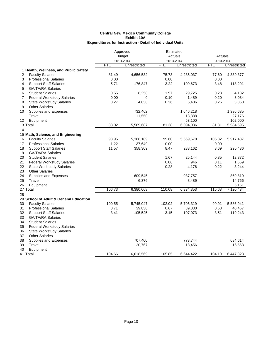|                                         | Approved   |               | Estimated  |              |                      |              |
|-----------------------------------------|------------|---------------|------------|--------------|----------------------|--------------|
|                                         |            | <b>Budget</b> | Actuals    |              | Actuals<br>2013-2014 |              |
|                                         |            | 2013-2014     | 2013-2014  |              |                      |              |
|                                         | <b>FTE</b> | Unrestricted  | <b>FTE</b> | Unrestricted | <b>FTE</b>           | Unrestricted |
| 1 Health, Wellness, and Public Safety   |            |               |            |              |                      |              |
| 2<br><b>Faculty Salaries</b>            | 81.49      | 4,656,532     | 75.73      | 4,235,037    | 77.60                | 4,339,377    |
| <b>Professional Salaries</b><br>3       | 0.00       |               | 0.00       |              | 0.00                 |              |
| 4<br><b>Support Staff Salaries</b>      | 5.71       | 176,847       | 3.22       | 109,673      | 3.48                 | 118,291      |
| 5<br><b>GA/TA/RA Salaries</b>           |            |               |            |              |                      |              |
| <b>Student Salaries</b><br>6            | 0.55       | 8,258         | 1.97       | 29,725       | 0.28                 | 4,182        |
| <b>Federal Workstudy Salaries</b><br>7  | 0.00       | 0             | 0.10       | 1,489        | 0.20                 | 3,034        |
| 8<br><b>State Workstudy Salaries</b>    | 0.27       | 4,038         | 0.36       | 5,406        | 0.26                 | 3,850        |
| <b>Other Salaries</b><br>9              |            |               |            |              |                      |              |
| 10<br>Supplies and Expenses             |            | 732,462       |            | 1,646,218    |                      | 1,386,685    |
| 11<br>Travel                            |            | 11,550        |            | 13,388       |                      | 27,176       |
| 12<br>Equipment                         |            |               |            | 53,100       |                      | 102,000      |
| 13 Total                                | 88.02      | 5,589,687     | 81.38      | 6,094,036    | 81.81                | 5,984,595    |
| 14                                      |            |               |            |              |                      |              |
| 15 Math, Science, and Engineering       |            |               |            |              |                      |              |
| <b>Faculty Salaries</b><br>16           | 93.95      | 5,368,189     | 99.60      | 5,569,679    | 105.82               | 5,917,487    |
| 17<br><b>Professional Salaries</b>      | 1.22       | 37,649        | 0.00       |              | 0.00                 |              |
| <b>Support Staff Salaries</b><br>18     | 11.57      | 358,309       | 8.47       | 288,162      | 8.69                 | 295,436      |
| 19<br><b>GA/TA/RA Salaries</b>          |            |               |            |              |                      |              |
| 20<br><b>Student Salaries</b>           |            |               | 1.67       | 25,144       | 0.85                 | 12,872       |
| 21<br><b>Federal Workstudy Salaries</b> |            |               | 0.06       | 946          | 0.11                 | 1,659        |
| 22<br><b>State Workstudy Salaries</b>   |            |               | 0.28       | 4,176        | 0.22                 | 3,244        |
| 23<br><b>Other Salaries</b>             |            |               |            |              |                      |              |
| 24<br>Supplies and Expenses             |            | 609,545       |            | 937,757      |                      | 869,819      |
| 25<br>Travel                            |            | 6,376         |            | 8,489        |                      | 14,766       |
| 26<br>Equipment                         |            |               |            |              |                      | 5,151        |
| 27 Total                                | 106.73     | 6,380,068     | 110.08     | 6,834,353    | 115.68               | 7,120,434    |
| 28                                      |            |               |            |              |                      |              |
| 29 School of Adult & General Education  |            |               |            |              |                      |              |
| 30<br><b>Faculty Salaries</b>           | 100.55     | 5,745,047     | 102.02     | 5,705,319    | 99.91                | 5,586,941    |
| 31                                      | 0.71       | 39,830        | 0.67       | 39,830       | 0.68                 | 40,467       |
| <b>Professional Salaries</b>            | 3.41       |               | 3.15       |              |                      |              |
| 32<br><b>Support Staff Salaries</b>     |            | 105,525       |            | 107,073      | 3.51                 | 119,243      |
| 33<br><b>GA/TA/RA Salaries</b>          |            |               |            |              |                      |              |
| 34<br><b>Student Salaries</b>           |            |               |            |              |                      |              |
| 35<br><b>Federal Workstudy Salaries</b> |            |               |            |              |                      |              |
| 36<br><b>State Workstudy Salaries</b>   |            |               |            |              |                      |              |
| 37<br><b>Other Salaries</b>             |            |               |            |              |                      |              |
| Supplies and Expenses<br>38             |            | 707,400       |            | 773,744      |                      | 684,614      |
| 39<br>Travel                            |            | 20,767        |            | 18,456       |                      | 16,563       |
| 40<br>Equipment                         |            |               |            |              |                      |              |
| 41 Total                                | 104.66     | 6,618,569     | 105.85     | 6,644,422    | 104.10               | 6,447,828    |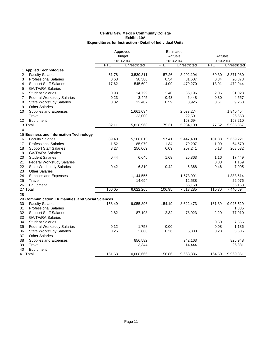|                                                   |            | Approved      | Estimated  |              |            |              |  |
|---------------------------------------------------|------------|---------------|------------|--------------|------------|--------------|--|
|                                                   |            | <b>Budget</b> | Actuals    |              | Actuals    |              |  |
|                                                   |            | 2013-2014     | 2013-2014  |              |            | 2013-2014    |  |
|                                                   | <b>FTE</b> | Unrestricted  | <b>FTE</b> | Unrestricted | <b>FTE</b> | Unrestricted |  |
| 1 Applied Technologies                            |            |               |            |              |            |              |  |
| 2<br><b>Faculty Salaries</b>                      | 61.78      | 3,530,311     | 57.26      | 3,202,194    | 60.30      | 3,371,980    |  |
| 3<br><b>Professional Salaries</b>                 | 0.68       | 38,380        | 0.54       | 31,607       | 0.34       | 20,373       |  |
| <b>Support Staff Salaries</b><br>4                | 17.62      | 545,602       | 14.09      | 479,270      | 13.91      | 472,944      |  |
| 5<br><b>GA/TA/RA Salaries</b>                     |            |               |            |              |            |              |  |
| <b>Student Salaries</b><br>6                      | 0.98       | 14,729        | 2.40       | 36,196       | 2.06       | 31,023       |  |
| 7<br><b>Federal Workstudy Salaries</b>            | 0.23       | 3,445         | 0.43       | 6,448        | 0.30       | 4,557        |  |
| 8<br><b>State Workstudy Salaries</b>              | 0.82       | 12,407        | 0.59       | 8,925        | 0.61       | 9,268        |  |
| 9<br><b>Other Salaries</b>                        |            |               |            |              |            |              |  |
| Supplies and Expenses<br>10                       |            | 1,661,094     |            | 2,033,274    |            | 1,840,454    |  |
| 11<br>Travel                                      |            | 23,000        |            | 22,501       |            | 26,558       |  |
| 12<br>Equipment                                   |            |               |            | 163,694      |            | 158,210      |  |
| 13 Total                                          | 82.11      | 5,828,968     | 75.31      | 5,984,109    | 77.52      | 5,935,367    |  |
| 14                                                |            |               |            |              |            |              |  |
| 15 Business and Information Technology            |            |               |            |              |            |              |  |
| 16<br><b>Faculty Salaries</b>                     | 89.40      | 5,108,013     | 97.41      | 5,447,409    | 101.38     | 5,669,221    |  |
| <b>Professional Salaries</b><br>17                | 1.52       | 85,979        | 1.34       | 79,207       | 1.09       | 64,570       |  |
| 18<br><b>Support Staff Salaries</b>               | 8.27       | 256,069       | 6.09       | 207,241      | 6.13       | 208,532      |  |
| 19<br><b>GA/TA/RA Salaries</b>                    |            |               |            |              |            |              |  |
| 20<br><b>Student Salaries</b>                     | 0.44       | 6,645         | 1.68       | 25,363       | 1.16       | 17,449       |  |
| 21<br><b>Federal Workstudy Salaries</b>           |            |               |            |              | 0.08       | 1,159        |  |
| 22<br><b>State Workstudy Salaries</b>             | 0.42       | 6,310         | 0.42       | 6,368        | 0.46       | 7,005        |  |
| 23<br><b>Other Salaries</b>                       |            |               |            |              |            |              |  |
| 24<br>Supplies and Expenses                       |            | 1,144,555     |            | 1,673,991    |            | 1,383,614    |  |
| 25<br>Travel                                      |            | 14,694        |            | 12,538       |            | 22,976       |  |
| 26<br>Equipment                                   |            |               |            | 66,168       |            | 66,168       |  |
| 27 Total                                          | 100.05     | 6,622,265     | 106.95     | 7,518,285    | 110.30     | 7,440,694    |  |
| 28                                                |            |               |            |              |            |              |  |
| 29 Communication, Humanities, and Social Sciences |            |               |            |              |            |              |  |
| 30<br><b>Faculty Salaries</b>                     | 158.49     | 9,055,896     | 154.19     | 8,622,473    | 161.39     | 9,025,529    |  |
| <b>Professional Salaries</b><br>31                |            |               |            |              |            | 1,885        |  |
| 32<br><b>Support Staff Salaries</b>               | 2.82       | 87,198        | 2.32       | 78,923       | 2.29       | 77,910       |  |
| <b>GA/TA/RA Salaries</b><br>33                    |            |               |            |              |            |              |  |
| 34<br><b>Student Salaries</b>                     |            |               |            |              | 0.50       | 7,566        |  |
| 35<br><b>Federal Workstudy Salaries</b>           | 0.12       | 1,758         | 0.00       |              | 0.08       | 1,186        |  |
| 36<br><b>State Workstudy Salaries</b>             | 0.26       | 3,888         | 0.36       | 5,383        | 0.23       | 3,506        |  |
| <b>Other Salaries</b><br>37                       |            |               |            |              |            |              |  |
| 38<br>Supplies and Expenses                       |            | 856,582       |            | 942,163      |            | 825,948      |  |
| Travel<br>39                                      |            | 3,344         |            | 14,444       |            | 26,331       |  |
| 40<br>Equipment                                   |            |               |            |              |            |              |  |
| 41 Total                                          | 161.68     | 10,008,666    | 156.86     | 9,663,386    | 164.50     | 9,969,861    |  |
|                                                   |            |               |            |              |            |              |  |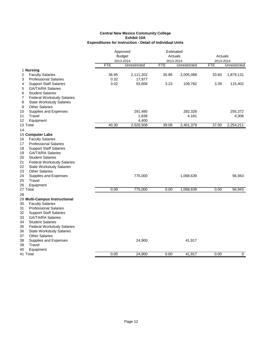|                                           | Approved<br><b>Budget</b> |              | Estimated  |              |            |              |
|-------------------------------------------|---------------------------|--------------|------------|--------------|------------|--------------|
|                                           |                           |              | Actuals    |              | Actuals    |              |
|                                           |                           | 2013-2014    | 2013-2014  |              | 2013-2014  |              |
|                                           | <b>FTE</b>                | Unrestricted | <b>FTE</b> | Unrestricted | <b>FTE</b> | Unrestricted |
| 1 Nursing                                 |                           |              |            |              |            |              |
| <b>Faculty Salaries</b><br>2              | 36.95                     | 2,111,202    | 35.86      | 2,005,088    | 33.60      | 1,879,131    |
| 3<br><b>Professional Salaries</b>         | 0.32                      | 17,977       |            |              |            |              |
| <b>Support Staff Salaries</b><br>4        | 3.02                      | 93,606       | 3.23       | 109,782      | 3.39       | 115,402      |
| 5<br><b>GA/TA/RA Salaries</b>             |                           |              |            |              |            |              |
| 6<br><b>Student Salaries</b>              |                           |              |            |              |            |              |
| <b>Federal Workstudy Salaries</b><br>7    |                           |              |            |              |            |              |
| 8<br><b>State Workstudy Salaries</b>      |                           |              |            |              |            |              |
| 9<br><b>Other Salaries</b>                |                           |              |            |              |            |              |
| Supplies and Expenses<br>10               |                           | 291,485      |            | 282,328      |            | 255,372      |
| Travel<br>11                              |                           | 1,838        |            | 4,181        |            | 4,306        |
| 12<br>Equipment                           |                           | 4,400        |            |              |            |              |
| 13 Total                                  | 40.30                     | 2,520,508    | 39.08      | 2,401,379    | 37.00      | 2,254,211    |
| 14                                        |                           |              |            |              |            |              |
| 15 Computer Labs                          |                           |              |            |              |            |              |
| <b>Faculty Salaries</b><br>16             |                           |              |            |              |            |              |
| <b>Professional Salaries</b><br>17        |                           |              |            |              |            |              |
| <b>Support Staff Salaries</b><br>18       |                           |              |            |              |            |              |
| <b>GA/TA/RA Salaries</b><br>19            |                           |              |            |              |            |              |
| <b>Student Salaries</b><br>20             |                           |              |            |              |            |              |
| 21<br><b>Federal Workstudy Salaries</b>   |                           |              |            |              |            |              |
| 22<br><b>State Workstudy Salaries</b>     |                           |              |            |              |            |              |
| 23<br><b>Other Salaries</b>               |                           |              |            |              |            |              |
| 24<br>Supplies and Expenses               |                           | 775,000      |            | 1,068,639    |            | 56,943       |
| 25<br>Travel                              |                           |              |            |              |            |              |
| Equipment<br>26                           |                           |              |            |              |            |              |
| 27 Total                                  | 0.00                      | 775,000      | 0.00       | 1,068,639    | 0.00       | 56,943       |
| 28                                        |                           |              |            |              |            |              |
| 29 Multi-Campus Instructional             |                           |              |            |              |            |              |
| 30<br><b>Faculty Salaries</b>             |                           |              |            |              |            |              |
| <b>Professional Salaries</b>              |                           |              |            |              |            |              |
| 31<br>32<br><b>Support Staff Salaries</b> |                           |              |            |              |            |              |
|                                           |                           |              |            |              |            |              |
| 33<br><b>GA/TA/RA Salaries</b>            |                           |              |            |              |            |              |
| 34<br><b>Student Salaries</b>             |                           |              |            |              |            |              |
| <b>Federal Workstudy Salaries</b><br>35   |                           |              |            |              |            |              |
| 36<br><b>State Workstudy Salaries</b>     |                           |              |            |              |            |              |
| <b>Other Salaries</b><br>37               |                           |              |            |              |            |              |
| 38<br>Supplies and Expenses               |                           | 24,900       |            | 41,917       |            |              |
| Travel<br>39                              |                           |              |            |              |            |              |
| 40<br>Equipment                           |                           |              |            |              |            |              |
| 41 Total                                  | 0.00                      | 24,900       | 0.00       | 41,917       | 0.00       | $\mathbf 0$  |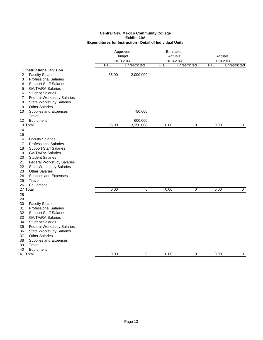|                                                                                                                                                                                                                                                                                                                                                                                            | Approved<br><b>Budget</b><br>2013-2014 |                      | Estimated<br>Actuals<br>2013-2014 |                | Actuals<br>2013-2014 |                |
|--------------------------------------------------------------------------------------------------------------------------------------------------------------------------------------------------------------------------------------------------------------------------------------------------------------------------------------------------------------------------------------------|----------------------------------------|----------------------|-----------------------------------|----------------|----------------------|----------------|
|                                                                                                                                                                                                                                                                                                                                                                                            | <b>FTE</b>                             | Unrestricted         | <b>FTE</b>                        | Unrestricted   | <b>FTE</b>           | Unrestricted   |
| 1 Instructional Division<br><b>Faculty Salaries</b><br>2<br><b>Professional Salaries</b><br>3<br><b>Support Staff Salaries</b><br>4<br>5<br><b>GA/TA/RA Salaries</b>                                                                                                                                                                                                                       | 35.00                                  | 2,000,000            |                                   |                |                      |                |
| <b>Student Salaries</b><br>6<br>7<br><b>Federal Workstudy Salaries</b><br>8<br><b>State Workstudy Salaries</b><br><b>Other Salaries</b><br>9<br>Supplies and Expenses<br>10                                                                                                                                                                                                                |                                        | 750,000              |                                   |                |                      |                |
| Travel<br>11                                                                                                                                                                                                                                                                                                                                                                               |                                        |                      |                                   |                |                      |                |
| 12<br>Equipment<br>13 Total                                                                                                                                                                                                                                                                                                                                                                | 35.00                                  | 600,000<br>3,350,000 | 0.00                              | $\overline{0}$ | 0.00                 | 0              |
| 14<br>15<br>16<br><b>Faculty Salaries</b><br><b>Professional Salaries</b><br>17<br>18<br><b>Support Staff Salaries</b><br><b>GA/TA/RA Salaries</b><br>19<br><b>Student Salaries</b><br>20<br>21<br><b>Federal Workstudy Salaries</b><br>22<br><b>State Workstudy Salaries</b><br>23<br><b>Other Salaries</b><br>24<br>Supplies and Expenses<br>25<br>Travel<br>26<br>Equipment<br>27 Total | 0.00                                   | $\overline{0}$       | 0.00                              | $\overline{0}$ | 0.00                 | $\overline{0}$ |
| 28<br>29<br><b>Faculty Salaries</b><br>30<br><b>Professional Salaries</b><br>31<br>32<br><b>Support Staff Salaries</b><br>33<br><b>GA/TA/RA Salaries</b><br><b>Student Salaries</b><br>34<br><b>Federal Workstudy Salaries</b><br>35<br><b>State Workstudy Salaries</b><br>36<br><b>Other Salaries</b><br>37<br>38<br>Supplies and Expenses<br>Travel<br>39<br>Equipment<br>40             |                                        |                      |                                   |                |                      |                |
| 41 Total                                                                                                                                                                                                                                                                                                                                                                                   | 0.00                                   | 0                    | 0.00                              | 0              | 0.00                 | 0              |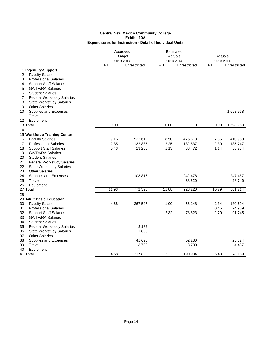|                                                         | Approved<br><b>Budget</b><br>2013-2014 |                   | Estimated<br>Actuals<br>2013-2014 |                   | Actuals<br>2013-2014 |                   |
|---------------------------------------------------------|----------------------------------------|-------------------|-----------------------------------|-------------------|----------------------|-------------------|
|                                                         | <b>FTE</b>                             | Unrestricted      | <b>FTE</b>                        | Unrestricted      | <b>FTE</b>           | Unrestricted      |
| 1 Ingenuity-Support                                     |                                        |                   |                                   |                   |                      |                   |
| <b>Faculty Salaries</b><br>2                            |                                        |                   |                                   |                   |                      |                   |
| <b>Professional Salaries</b><br>3                       |                                        |                   |                                   |                   |                      |                   |
| 4<br><b>Support Staff Salaries</b>                      |                                        |                   |                                   |                   |                      |                   |
| 5<br><b>GA/TA/RA Salaries</b>                           |                                        |                   |                                   |                   |                      |                   |
| 6<br><b>Student Salaries</b>                            |                                        |                   |                                   |                   |                      |                   |
| 7<br><b>Federal Workstudy Salaries</b>                  |                                        |                   |                                   |                   |                      |                   |
| 8<br><b>State Workstudy Salaries</b>                    |                                        |                   |                                   |                   |                      |                   |
| 9<br><b>Other Salaries</b>                              |                                        |                   |                                   |                   |                      |                   |
| 10<br>Supplies and Expenses                             |                                        |                   |                                   |                   |                      | 1,698,968         |
| Travel<br>11                                            |                                        |                   |                                   |                   |                      |                   |
| 12<br>Equipment<br>13 Total                             | 0.00                                   | 0                 | 0.00                              | $\overline{0}$    | 0.00                 | 1,698,968         |
|                                                         |                                        |                   |                                   |                   |                      |                   |
| 14                                                      |                                        |                   |                                   |                   |                      |                   |
| 15 Workforce Training Center<br><b>Faculty Salaries</b> | 9.15                                   | 522,612           | 8.50                              | 475,613           | 7.35                 | 410,950           |
| 16<br><b>Professional Salaries</b><br>17                | 2.35                                   |                   | 2.25                              |                   | 2.30                 |                   |
| 18<br><b>Support Staff Salaries</b>                     | 0.43                                   | 132,837<br>13,260 | 1.13                              | 132,837<br>38,472 | 1.14                 | 135,747<br>38,784 |
| 19<br><b>GA/TA/RA Salaries</b>                          |                                        |                   |                                   |                   |                      |                   |
| <b>Student Salaries</b><br>20                           |                                        |                   |                                   |                   |                      |                   |
| 21<br><b>Federal Workstudy Salaries</b>                 |                                        |                   |                                   |                   |                      |                   |
| 22<br><b>State Workstudy Salaries</b>                   |                                        |                   |                                   |                   |                      |                   |
| 23<br><b>Other Salaries</b>                             |                                        |                   |                                   |                   |                      |                   |
| 24<br>Supplies and Expenses                             |                                        | 103,816           |                                   | 242,478           |                      | 247,487           |
| 25<br>Travel                                            |                                        |                   |                                   | 38,820            |                      | 28,746            |
| 26<br>Equipment                                         |                                        |                   |                                   |                   |                      |                   |
| 27 Total                                                | 11.93                                  | 772,525           | 11.88                             | 928,220           | 10.79                | 861,714           |
| 28                                                      |                                        |                   |                                   |                   |                      |                   |
| 29 Adult Basic Education                                |                                        |                   |                                   |                   |                      |                   |
| 30<br><b>Faculty Salaries</b>                           | 4.68                                   | 267,547           | 1.00                              | 56,148            | 2.34                 | 130,694           |
| 31<br><b>Professional Salaries</b>                      |                                        |                   |                                   |                   | 0.45                 | 24,959            |
| 32<br><b>Support Staff Salaries</b>                     |                                        |                   | 2.32                              | 78,823            | 2.70                 | 91,745            |
| 33<br>GA/TA/RA Salaries                                 |                                        |                   |                                   |                   |                      |                   |
| 34<br><b>Student Salaries</b>                           |                                        |                   |                                   |                   |                      |                   |
| <b>Federal Workstudy Salaries</b><br>35                 |                                        | 3,182             |                                   |                   |                      |                   |
| 36<br><b>State Workstudy Salaries</b>                   |                                        | 1,806             |                                   |                   |                      |                   |
| 37<br><b>Other Salaries</b>                             |                                        |                   |                                   |                   |                      |                   |
| 38<br>Supplies and Expenses                             |                                        | 41,625            |                                   | 52,230            |                      | 26,324            |
| 39<br>Travel                                            |                                        | 3,733             |                                   | 3,733             |                      | 4,437             |
| 40<br>Equipment                                         |                                        |                   |                                   |                   |                      |                   |
| 41 Total                                                | 4.68                                   | 317,893           | 3.32                              | 190,934           | 5.48                 | 278.159           |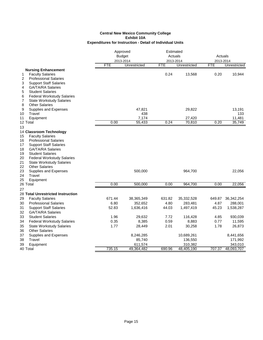|                                                                                                                                                                                                                                                                                                                                                                                                     | Approved<br><b>Budget</b><br>2013-2014 |              |        | Estimated<br>Actuals<br>2013-2014 |            | Actuals<br>2013-2014 |  |
|-----------------------------------------------------------------------------------------------------------------------------------------------------------------------------------------------------------------------------------------------------------------------------------------------------------------------------------------------------------------------------------------------------|----------------------------------------|--------------|--------|-----------------------------------|------------|----------------------|--|
|                                                                                                                                                                                                                                                                                                                                                                                                     | <b>FTE</b>                             | Unrestricted | FTE    | Unrestricted                      | <b>FTE</b> | Unrestricted         |  |
| <b>Nursing Enhancement</b><br><b>Faculty Salaries</b><br>1<br>2<br><b>Professional Salaries</b><br>3<br><b>Support Staff Salaries</b><br>4<br><b>GA/TA/RA Salaries</b>                                                                                                                                                                                                                              |                                        |              | 0.24   | 13,568                            | 0.20       | 10,944               |  |
| 5<br><b>Student Salaries</b><br>6<br><b>Federal Workstudy Salaries</b><br>7<br><b>State Workstudy Salaries</b><br>8<br><b>Other Salaries</b>                                                                                                                                                                                                                                                        |                                        |              |        |                                   |            |                      |  |
| 9<br>Supplies and Expenses                                                                                                                                                                                                                                                                                                                                                                          |                                        | 47,821       |        | 29,822                            |            | 13,191               |  |
| Travel<br>10                                                                                                                                                                                                                                                                                                                                                                                        |                                        | 438          |        |                                   |            | 133                  |  |
| Equipment<br>11                                                                                                                                                                                                                                                                                                                                                                                     |                                        | 7,174        |        | 27,420                            |            | 11,481               |  |
| 12 Total                                                                                                                                                                                                                                                                                                                                                                                            | 0.00                                   | 55,433       | 0.24   | 70,810                            | 0.20       | 35,749               |  |
| 13<br>14 Classroom Technology<br><b>Faculty Salaries</b><br>15<br><b>Professional Salaries</b><br>16<br>17<br><b>Support Staff Salaries</b><br><b>GA/TA/RA Salaries</b><br>18<br>19<br><b>Student Salaries</b><br><b>Federal Workstudy Salaries</b><br>20<br>21<br><b>State Workstudy Salaries</b><br>22<br><b>Other Salaries</b><br>23<br>Supplies and Expenses<br>24<br>Travel<br>25<br>Equipment |                                        | 500,000      |        | 964,700                           |            | 22,056               |  |
| 26 Total                                                                                                                                                                                                                                                                                                                                                                                            | 0.00                                   | 500,000      | 0.00   | 964,700                           | 0.00       | 22,056               |  |
| 27<br>28 Total Unrestricted Instruction                                                                                                                                                                                                                                                                                                                                                             |                                        |              |        |                                   |            |                      |  |
| 29<br><b>Faculty Salaries</b>                                                                                                                                                                                                                                                                                                                                                                       | 671.44                                 | 38,365,349   | 631.82 | 35,332,528                        | 649.87     | 36, 342, 254         |  |
| <b>Professional Salaries</b><br>30                                                                                                                                                                                                                                                                                                                                                                  | 6.80                                   | 352,652      | 4.80   | 283,481                           | 4.87       | 288,001              |  |
| 31<br><b>Support Staff Salaries</b>                                                                                                                                                                                                                                                                                                                                                                 | 52.83                                  | 1,636,416    | 44.03  | 1,497,419                         | 45.23      | 1,538,287            |  |
| 32<br><b>GA/TA/RA Salaries</b>                                                                                                                                                                                                                                                                                                                                                                      |                                        |              |        |                                   |            |                      |  |
| 33<br><b>Student Salaries</b>                                                                                                                                                                                                                                                                                                                                                                       | 1.96                                   | 29,632       | 7.72   | 116,428                           | 4.85       | 930,039              |  |
| 34<br><b>Federal Workstudy Salaries</b>                                                                                                                                                                                                                                                                                                                                                             | 0.35                                   | 8,385        | 0.59   | 8,883                             | 0.77       | 11,595               |  |
| 35<br><b>State Workstudy Salaries</b>                                                                                                                                                                                                                                                                                                                                                               | 1.77                                   | 28,449       | 2.01   | 30,258                            | 1.78       | 26,873               |  |
| <b>Other Salaries</b><br>36                                                                                                                                                                                                                                                                                                                                                                         |                                        |              |        |                                   |            |                      |  |
| 37<br>Supplies and Expenses                                                                                                                                                                                                                                                                                                                                                                         |                                        | 8,246,285    |        | 10,689,261                        |            | 8,441,656            |  |
| 38<br>Travel                                                                                                                                                                                                                                                                                                                                                                                        |                                        | 85,740       |        | 136,550                           |            | 171,992              |  |
| 39<br>Equipment                                                                                                                                                                                                                                                                                                                                                                                     |                                        | 611,574      |        | 310,382                           |            | 343,010              |  |
| 40 Total                                                                                                                                                                                                                                                                                                                                                                                            | 735.15                                 | 49,364,482   | 690.96 | 48,405,190                        | 707.37     | 48,093,707           |  |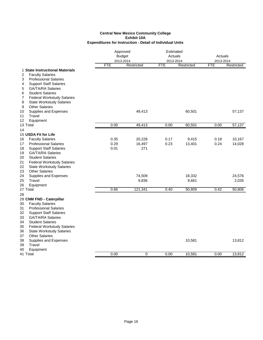|                                         | Approved                   |            | Estimated            |            |                      |            |
|-----------------------------------------|----------------------------|------------|----------------------|------------|----------------------|------------|
|                                         | <b>Budget</b><br>2013-2014 |            | Actuals<br>2013-2014 |            | Actuals<br>2013-2014 |            |
|                                         |                            |            |                      |            |                      |            |
|                                         | <b>FTE</b>                 | Restricted | <b>FTE</b>           | Restricted | FTE                  | Restricted |
| 1 State Instructional Materials         |                            |            |                      |            |                      |            |
| <b>Faculty Salaries</b><br>2            |                            |            |                      |            |                      |            |
| <b>Professional Salaries</b><br>3       |                            |            |                      |            |                      |            |
| 4<br><b>Support Staff Salaries</b>      |                            |            |                      |            |                      |            |
| <b>GA/TA/RA Salaries</b><br>5           |                            |            |                      |            |                      |            |
| 6<br><b>Student Salaries</b>            |                            |            |                      |            |                      |            |
| <b>Federal Workstudy Salaries</b><br>7  |                            |            |                      |            |                      |            |
| 8<br><b>State Workstudy Salaries</b>    |                            |            |                      |            |                      |            |
| <b>Other Salaries</b><br>9              |                            |            |                      |            |                      |            |
| 10<br>Supplies and Expenses             |                            | 49,413     |                      | 60,501     |                      | 57,137     |
| Travel<br>11                            |                            |            |                      |            |                      |            |
| 12<br>Equipment                         |                            |            |                      |            |                      |            |
| 13 Total                                | 0.00                       | 49,413     | 0.00                 | 60,501     | 0.00                 | 57,137     |
| 14                                      |                            |            |                      |            |                      |            |
| 15 USDA Fit for Life                    |                            |            |                      |            |                      |            |
| 16<br><b>Faculty Salaries</b>           | 0.35                       | 20,228     | 0.17                 | 9,415      | 0.18                 | 10,167     |
| <b>Professional Salaries</b><br>17      | 0.29                       | 16,497     | 0.23                 | 13,401     | 0.24                 | 14,028     |
| 18<br><b>Support Staff Salaries</b>     | 0.01                       | 271        |                      |            |                      |            |
| <b>GA/TA/RA Salaries</b><br>19          |                            |            |                      |            |                      |            |
| <b>Student Salaries</b><br>20           |                            |            |                      |            |                      |            |
| 21<br><b>Federal Workstudy Salaries</b> |                            |            |                      |            |                      |            |
| 22<br><b>State Workstudy Salaries</b>   |                            |            |                      |            |                      |            |
| <b>Other Salaries</b><br>23             |                            |            |                      |            |                      |            |
| 24<br>Supplies and Expenses             |                            | 74,509     |                      | 18,332     |                      | 24,576     |
| 25<br>Travel                            |                            | 9,836      |                      | 9,661      |                      | 2,035      |
| 26<br>Equipment                         |                            |            |                      |            |                      |            |
| 27 Total                                | 0.66                       | 121,341    | 0.40                 | 50,809     | 0.42                 | 50,806     |
| 28                                      |                            |            |                      |            |                      |            |
| 29 CNM FND - Caterpillar                |                            |            |                      |            |                      |            |
| <b>Faculty Salaries</b><br>30           |                            |            |                      |            |                      |            |
| 31<br><b>Professional Salaries</b>      |                            |            |                      |            |                      |            |
| 32<br><b>Support Staff Salaries</b>     |                            |            |                      |            |                      |            |
| 33<br><b>GA/TA/RA Salaries</b>          |                            |            |                      |            |                      |            |
| 34<br><b>Student Salaries</b>           |                            |            |                      |            |                      |            |
| 35<br><b>Federal Workstudy Salaries</b> |                            |            |                      |            |                      |            |
| 36<br><b>State Workstudy Salaries</b>   |                            |            |                      |            |                      |            |
| <b>Other Salaries</b><br>37             |                            |            |                      |            |                      |            |
| 38<br>Supplies and Expenses             |                            |            |                      | 10,581     |                      | 13,812     |
| 39<br>Travel                            |                            |            |                      |            |                      |            |
| 40<br>Equipment                         |                            |            |                      |            |                      |            |
| 41 Total                                | 0.00                       | 0          | 0.00                 | 10,581     | 0.00                 | 13,812     |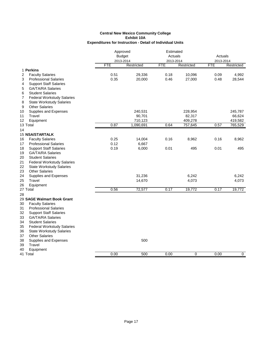|                                         | Approved<br><b>Budget</b> |            | Estimated<br>Actuals |            | Actuals    |             |  |
|-----------------------------------------|---------------------------|------------|----------------------|------------|------------|-------------|--|
|                                         |                           | 2013-2014  |                      | 2013-2014  |            | 2013-2014   |  |
|                                         | <b>FTE</b>                | Restricted | FTE                  | Restricted | <b>FTE</b> | Restricted  |  |
| 1 Perkins                               |                           |            |                      |            |            |             |  |
| 2<br><b>Faculty Salaries</b>            | 0.51                      | 29,336     | 0.18                 | 10,096     | 0.09       | 4,992       |  |
| <b>Professional Salaries</b><br>3       | 0.35                      | 20,000     | 0.46                 | 27,000     | 0.48       | 28,544      |  |
| <b>Support Staff Salaries</b><br>4      |                           |            |                      |            |            |             |  |
| <b>GA/TA/RA Salaries</b><br>5           |                           |            |                      |            |            |             |  |
| <b>Student Salaries</b><br>6            |                           |            |                      |            |            |             |  |
| 7<br><b>Federal Workstudy Salaries</b>  |                           |            |                      |            |            |             |  |
| 8<br><b>State Workstudy Salaries</b>    |                           |            |                      |            |            |             |  |
| <b>Other Salaries</b><br>9              |                           |            |                      |            |            |             |  |
| 10<br>Supplies and Expenses             |                           | 240,531    |                      | 228,954    |            | 245,787     |  |
| 11<br>Travel                            |                           | 90,701     |                      | 82,317     |            | 66,624      |  |
| 12<br>Equipment                         |                           | 710,123    |                      | 409,278    |            | 419,582     |  |
| 13 Total                                | 0.87                      | 1,090,691  | 0.64                 | 757,645    | 0.57       | 765,529     |  |
| 14                                      |                           |            |                      |            |            |             |  |
| 15 NSA/STARTALK                         |                           |            |                      |            |            |             |  |
| <b>Faculty Salaries</b><br>16           | 0.25                      | 14,004     | 0.16                 | 8,962      | 0.16       | 8,962       |  |
| <b>Professional Salaries</b><br>17      | 0.12                      | 6,667      |                      |            |            |             |  |
| 18<br><b>Support Staff Salaries</b>     | 0.19                      | 6,000      | 0.01                 | 495        | 0.01       | 495         |  |
| <b>GA/TA/RA Salaries</b><br>19          |                           |            |                      |            |            |             |  |
| 20<br><b>Student Salaries</b>           |                           |            |                      |            |            |             |  |
| 21<br><b>Federal Workstudy Salaries</b> |                           |            |                      |            |            |             |  |
| 22<br><b>State Workstudy Salaries</b>   |                           |            |                      |            |            |             |  |
| 23<br><b>Other Salaries</b>             |                           |            |                      |            |            |             |  |
| 24<br>Supplies and Expenses             |                           | 31,236     |                      | 6,242      |            | 6,242       |  |
| 25<br>Travel<br>26                      |                           | 14,670     |                      | 4,073      |            | 4,073       |  |
| Equipment<br>27 Total                   | 0.56                      | 72,577     | 0.17                 | 19,772     | 0.17       | 19,772      |  |
|                                         |                           |            |                      |            |            |             |  |
| 28<br>29 SAGE Walmart Book Grant        |                           |            |                      |            |            |             |  |
| 30<br><b>Faculty Salaries</b>           |                           |            |                      |            |            |             |  |
| 31<br><b>Professional Salaries</b>      |                           |            |                      |            |            |             |  |
| 32<br><b>Support Staff Salaries</b>     |                           |            |                      |            |            |             |  |
| 33<br><b>GA/TA/RA Salaries</b>          |                           |            |                      |            |            |             |  |
| 34<br><b>Student Salaries</b>           |                           |            |                      |            |            |             |  |
| 35<br><b>Federal Workstudy Salaries</b> |                           |            |                      |            |            |             |  |
| 36<br><b>State Workstudy Salaries</b>   |                           |            |                      |            |            |             |  |
| <b>Other Salaries</b><br>37             |                           |            |                      |            |            |             |  |
| 38<br>Supplies and Expenses             |                           | 500        |                      |            |            |             |  |
| 39<br>Travel                            |                           |            |                      |            |            |             |  |
| 40<br>Equipment                         |                           |            |                      |            |            |             |  |
| 41 Total                                | 0.00                      | 500        | 0.00                 | 0          | 0.00       | $\mathbf 0$ |  |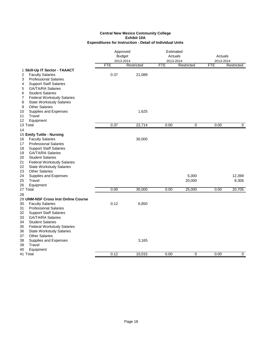|                                                                                                          | Approved<br><b>Budget</b><br>2013-2014 |            | Estimated<br>Actuals<br>2013-2014 |            | Actuals<br>2013-2014 |                |
|----------------------------------------------------------------------------------------------------------|----------------------------------------|------------|-----------------------------------|------------|----------------------|----------------|
|                                                                                                          | <b>FTE</b>                             | Restricted | <b>FTE</b>                        | Restricted | <b>FTE</b>           | Restricted     |
| 1 Skill-Up IT Sector - TAAACT<br>2<br><b>Faculty Salaries</b>                                            | 0.37                                   | 21,089     |                                   |            |                      |                |
| 3<br><b>Professional Salaries</b><br><b>Support Staff Salaries</b><br>4<br>5<br><b>GA/TA/RA Salaries</b> |                                        |            |                                   |            |                      |                |
| <b>Student Salaries</b><br>6<br><b>Federal Workstudy Salaries</b><br>7                                   |                                        |            |                                   |            |                      |                |
| 8<br><b>State Workstudy Salaries</b><br><b>Other Salaries</b><br>9<br>10                                 |                                        | 1,625      |                                   |            |                      |                |
| Supplies and Expenses<br>Travel<br>11<br>Equipment<br>12                                                 |                                        |            |                                   |            |                      |                |
| 13 Total                                                                                                 | 0.37                                   | 22,714     | 0.00                              | 0          | 0.00                 | $\overline{0}$ |
| 14                                                                                                       |                                        |            |                                   |            |                      |                |
| 15 Emily Tuttle - Nursing<br><b>Faculty Salaries</b><br>16                                               |                                        | 30,000     |                                   |            |                      |                |
| <b>Professional Salaries</b><br>17<br>18<br><b>Support Staff Salaries</b>                                |                                        |            |                                   |            |                      |                |
| <b>GA/TA/RA Salaries</b><br>19<br><b>Student Salaries</b><br>20                                          |                                        |            |                                   |            |                      |                |
| 21<br><b>Federal Workstudy Salaries</b>                                                                  |                                        |            |                                   |            |                      |                |
| 22<br><b>State Workstudy Salaries</b><br><b>Other Salaries</b><br>23                                     |                                        |            |                                   |            |                      |                |
| 24<br>Supplies and Expenses                                                                              |                                        |            |                                   | 5,000      |                      | 12,399         |
| 25<br>Travel                                                                                             |                                        |            |                                   | 20,000     |                      | 8,306          |
| 26<br>Equipment                                                                                          |                                        |            |                                   |            |                      |                |
| 27 Total<br>28                                                                                           | 0.00                                   | 30,000     | 0.00                              | 25,000     | 0.00                 | 20,705         |
| 29 UNM-NSF Cross Inst Online Course                                                                      |                                        |            |                                   |            |                      |                |
| <b>Faculty Salaries</b><br>30<br>31<br><b>Professional Salaries</b>                                      | 0.12                                   | 6,850      |                                   |            |                      |                |
| 32<br><b>Support Staff Salaries</b><br><b>GA/TA/RA Salaries</b>                                          |                                        |            |                                   |            |                      |                |
| 33<br><b>Student Salaries</b><br>34                                                                      |                                        |            |                                   |            |                      |                |
| <b>Federal Workstudy Salaries</b><br>35<br>36<br><b>State Workstudy Salaries</b>                         |                                        |            |                                   |            |                      |                |
| <b>Other Salaries</b><br>37                                                                              |                                        |            |                                   |            |                      |                |
| 38<br>Supplies and Expenses<br>39<br>Travel                                                              |                                        | 3,165      |                                   |            |                      |                |
| 40<br>Equipment                                                                                          |                                        |            |                                   |            |                      |                |
| 41 Total                                                                                                 | 0.12                                   | 10,015     | 0.00                              | 0          | 0.00                 | $\mathbf 0$    |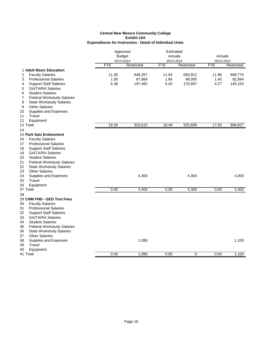|                                         | Approved<br><b>Budget</b><br>2013-2014 |            | Estimated<br>Actuals |            | Actuals   |            |
|-----------------------------------------|----------------------------------------|------------|----------------------|------------|-----------|------------|
|                                         |                                        |            | 2013-2014            |            | 2013-2014 |            |
|                                         | FTE                                    | Restricted | <b>FTE</b>           | Restricted | FTE       | Restricted |
| 1 Adult Basic Education                 |                                        |            |                      |            |           |            |
| 2<br><b>Faculty Salaries</b>            | 11.35                                  | 648,257    | 11.64                | 650,912    | 11.96     | 668,770    |
| 3<br><b>Professional Salaries</b>       | 1.56                                   | 87,866     | 1.66                 | 98,000     | 1.40      | 82,894     |
| <b>Support Staff Salaries</b><br>4      | 6.38                                   | 197,492    | 5.20                 | 176,697    | 4.27      | 145,163    |
| <b>GA/TA/RA Salaries</b><br>5           |                                        |            |                      |            |           |            |
| 6<br><b>Student Salaries</b>            |                                        |            |                      |            |           |            |
| 7<br><b>Federal Workstudy Salaries</b>  |                                        |            |                      |            |           |            |
| 8<br><b>State Workstudy Salaries</b>    |                                        |            |                      |            |           |            |
| 9<br><b>Other Salaries</b>              |                                        |            |                      |            |           |            |
| 10<br>Supplies and Expenses             |                                        |            |                      |            |           |            |
| Travel<br>11                            |                                        |            |                      |            |           |            |
| Equipment<br>12                         |                                        |            |                      |            |           |            |
| 13 Total                                | 19.28                                  | 933,615    | 18.49                | 925,609    | 17.63     | 896,827    |
| 14                                      |                                        |            |                      |            |           |            |
| 15 Park Saiz Endowment                  |                                        |            |                      |            |           |            |
| <b>Faculty Salaries</b><br>16           |                                        |            |                      |            |           |            |
| <b>Professional Salaries</b><br>17      |                                        |            |                      |            |           |            |
| 18<br><b>Support Staff Salaries</b>     |                                        |            |                      |            |           |            |
| 19<br><b>GA/TA/RA Salaries</b>          |                                        |            |                      |            |           |            |
| <b>Student Salaries</b><br>20           |                                        |            |                      |            |           |            |
| 21<br><b>Federal Workstudy Salaries</b> |                                        |            |                      |            |           |            |
| 22<br><b>State Workstudy Salaries</b>   |                                        |            |                      |            |           |            |
| <b>Other Salaries</b><br>23             |                                        |            |                      |            |           |            |
| 24<br>Supplies and Expenses             |                                        | 4,400      |                      | 4,300      |           | 4,300      |
| 25<br>Travel                            |                                        |            |                      |            |           |            |
| 26<br>Equipment                         |                                        |            |                      |            |           |            |
| 27 Total                                | 0.00                                   | 4,400      | 0.00                 | 4,300      | 0.00      | 4,300      |
| 28                                      |                                        |            |                      |            |           |            |
| 29 CNM FND - GED Test Fees              |                                        |            |                      |            |           |            |
| <b>Faculty Salaries</b><br>30           |                                        |            |                      |            |           |            |
| 31<br><b>Professional Salaries</b>      |                                        |            |                      |            |           |            |
| 32<br><b>Support Staff Salaries</b>     |                                        |            |                      |            |           |            |
| 33<br><b>GA/TA/RA Salaries</b>          |                                        |            |                      |            |           |            |
| <b>Student Salaries</b><br>34           |                                        |            |                      |            |           |            |
| 35<br><b>Federal Workstudy Salaries</b> |                                        |            |                      |            |           |            |
| 36<br><b>State Workstudy Salaries</b>   |                                        |            |                      |            |           |            |
| <b>Other Salaries</b><br>37             |                                        |            |                      |            |           |            |
| 38<br>Supplies and Expenses             |                                        | 1,080      |                      |            |           | 1,100      |
| 39<br>Travel                            |                                        |            |                      |            |           |            |
| 40<br>Equipment                         |                                        |            |                      |            |           |            |
| 41 Total                                | 0.00                                   | 1,080      | 0.00                 | 0          | 0.00      | 1,100      |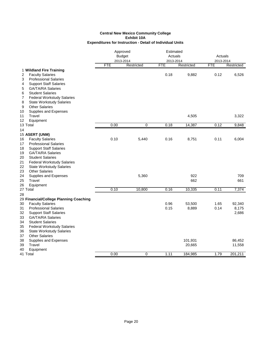|                                         | Approved      |            | Estimated  |            |            |            |
|-----------------------------------------|---------------|------------|------------|------------|------------|------------|
|                                         | <b>Budget</b> |            | Actuals    |            | Actuals    |            |
|                                         | 2013-2014     |            | 2013-2014  |            | 2013-2014  |            |
|                                         | <b>FTE</b>    | Restricted | <b>FTE</b> | Restricted | <b>FTE</b> | Restricted |
| 1 Wildland Fire Training                |               |            |            |            |            |            |
| 2<br><b>Faculty Salaries</b>            |               |            | 0.18       | 9,882      | 0.12       | 6,526      |
| 3<br><b>Professional Salaries</b>       |               |            |            |            |            |            |
| <b>Support Staff Salaries</b><br>4      |               |            |            |            |            |            |
| <b>GA/TA/RA Salaries</b><br>5           |               |            |            |            |            |            |
| 6<br><b>Student Salaries</b>            |               |            |            |            |            |            |
| <b>Federal Workstudy Salaries</b><br>7  |               |            |            |            |            |            |
| 8<br><b>State Workstudy Salaries</b>    |               |            |            |            |            |            |
| 9<br><b>Other Salaries</b>              |               |            |            |            |            |            |
| Supplies and Expenses<br>10             |               |            |            |            |            |            |
| Travel<br>11                            |               |            |            | 4,505      |            | 3,322      |
| 12<br>Equipment                         |               |            |            |            |            |            |
| 13 Total                                | 0.00          | 0          | 0.18       | 14,387     | 0.12       | 9,848      |
| 14                                      |               |            |            |            |            |            |
| 15 ASERT (UNM)                          |               |            |            |            |            |            |
| <b>Faculty Salaries</b><br>16           | 0.10          | 5,440      | 0.16       | 8,751      | 0.11       | 6,004      |
| <b>Professional Salaries</b><br>17      |               |            |            |            |            |            |
| 18<br><b>Support Staff Salaries</b>     |               |            |            |            |            |            |
| 19<br><b>GA/TA/RA Salaries</b>          |               |            |            |            |            |            |
| 20<br><b>Student Salaries</b>           |               |            |            |            |            |            |
| 21<br><b>Federal Workstudy Salaries</b> |               |            |            |            |            |            |
| 22<br><b>State Workstudy Salaries</b>   |               |            |            |            |            |            |
| <b>Other Salaries</b><br>23             |               |            |            |            |            |            |
| 24<br>Supplies and Expenses             |               | 5,360      |            | 922        |            | 709        |
| Travel<br>25                            |               |            |            | 662        |            | 661        |
| 26<br>Equipment                         |               |            |            |            |            |            |
| 27 Total                                | 0.10          | 10,800     | 0.16       | 10,335     | 0.11       | 7,374      |
| 28                                      |               |            |            |            |            |            |
| 29 Financial/College Planning Coaching  |               |            |            |            |            |            |
| 30<br><b>Faculty Salaries</b>           |               |            | 0.96       | 53,500     | 1.65       | 92,340     |
| 31<br><b>Professional Salaries</b>      |               |            | 0.15       | 8,889      | 0.14       | 8,175      |
| 32<br><b>Support Staff Salaries</b>     |               |            |            |            |            | 2,686      |
| 33<br><b>GA/TA/RA Salaries</b>          |               |            |            |            |            |            |
| 34<br><b>Student Salaries</b>           |               |            |            |            |            |            |
| 35<br><b>Federal Workstudy Salaries</b> |               |            |            |            |            |            |
| 36<br><b>State Workstudy Salaries</b>   |               |            |            |            |            |            |
| <b>Other Salaries</b><br>37             |               |            |            |            |            |            |
| Supplies and Expenses<br>38             |               |            |            | 101,931    |            | 86,452     |
| 39<br>Travel                            |               |            |            | 20,665     |            | 11,558     |
| 40<br>Equipment                         |               |            |            |            |            |            |
| 41 Total                                | 0.00          | 0          | 1.11       | 184,985    | 1.79       | 201,211    |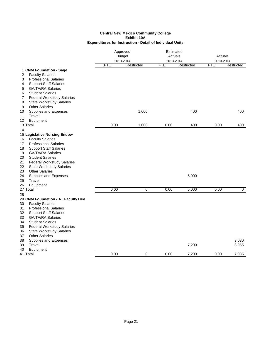|                                                                            |            | Approved<br><b>Budget</b><br>2013-2014 |            | Estimated<br>Actuals<br>2013-2014 |            | Actuals<br>2013-2014 |  |
|----------------------------------------------------------------------------|------------|----------------------------------------|------------|-----------------------------------|------------|----------------------|--|
|                                                                            | <b>FTE</b> | Restricted                             | <b>FTE</b> | Restricted                        | <b>FTE</b> | Restricted           |  |
| 1 CNM Foundation - Sage                                                    |            |                                        |            |                                   |            |                      |  |
| <b>Faculty Salaries</b><br>2                                               |            |                                        |            |                                   |            |                      |  |
| <b>Professional Salaries</b><br>3                                          |            |                                        |            |                                   |            |                      |  |
| <b>Support Staff Salaries</b><br>4                                         |            |                                        |            |                                   |            |                      |  |
| 5<br><b>GA/TA/RA Salaries</b>                                              |            |                                        |            |                                   |            |                      |  |
| 6<br><b>Student Salaries</b>                                               |            |                                        |            |                                   |            |                      |  |
| 7<br><b>Federal Workstudy Salaries</b>                                     |            |                                        |            |                                   |            |                      |  |
| 8<br><b>State Workstudy Salaries</b>                                       |            |                                        |            |                                   |            |                      |  |
| <b>Other Salaries</b><br>9                                                 |            |                                        |            |                                   |            |                      |  |
| Supplies and Expenses<br>10                                                |            | 1,000                                  |            | 400                               |            | 400                  |  |
| Travel<br>11                                                               |            |                                        |            |                                   |            |                      |  |
| 12<br>Equipment<br>13 Total                                                | 0.00       | 1,000                                  | 0.00       | 400                               | 0.00       | 400                  |  |
| 14                                                                         |            |                                        |            |                                   |            |                      |  |
| 15 Legislative Nursing Endow                                               |            |                                        |            |                                   |            |                      |  |
| <b>Faculty Salaries</b><br>16                                              |            |                                        |            |                                   |            |                      |  |
| <b>Professional Salaries</b><br>17                                         |            |                                        |            |                                   |            |                      |  |
| <b>Support Staff Salaries</b><br>18                                        |            |                                        |            |                                   |            |                      |  |
| <b>GA/TA/RA Salaries</b><br>19                                             |            |                                        |            |                                   |            |                      |  |
| <b>Student Salaries</b><br>20                                              |            |                                        |            |                                   |            |                      |  |
| 21<br><b>Federal Workstudy Salaries</b>                                    |            |                                        |            |                                   |            |                      |  |
| 22<br><b>State Workstudy Salaries</b>                                      |            |                                        |            |                                   |            |                      |  |
| 23<br><b>Other Salaries</b>                                                |            |                                        |            |                                   |            |                      |  |
| 24<br>Supplies and Expenses                                                |            |                                        |            | 5,000                             |            |                      |  |
| 25<br>Travel                                                               |            |                                        |            |                                   |            |                      |  |
| 26<br>Equipment                                                            |            |                                        |            |                                   |            |                      |  |
| 27 Total                                                                   | 0.00       | $\overline{0}$                         | 0.00       | 5,000                             | 0.00       | $\overline{0}$       |  |
| 28                                                                         |            |                                        |            |                                   |            |                      |  |
| 29 CNM Foundation - AT Faculty Dev                                         |            |                                        |            |                                   |            |                      |  |
| <b>Faculty Salaries</b><br>30                                              |            |                                        |            |                                   |            |                      |  |
| <b>Professional Salaries</b><br>31                                         |            |                                        |            |                                   |            |                      |  |
| 32<br><b>Support Staff Salaries</b>                                        |            |                                        |            |                                   |            |                      |  |
| 33<br><b>GA/TA/RA Salaries</b>                                             |            |                                        |            |                                   |            |                      |  |
| <b>Student Salaries</b><br>34                                              |            |                                        |            |                                   |            |                      |  |
| <b>Federal Workstudy Salaries</b><br>35<br><b>State Workstudy Salaries</b> |            |                                        |            |                                   |            |                      |  |
| 36<br><b>Other Salaries</b>                                                |            |                                        |            |                                   |            |                      |  |
| 37<br>38                                                                   |            |                                        |            |                                   |            | 3,080                |  |
| Supplies and Expenses<br>Travel<br>39                                      |            |                                        |            | 7,200                             |            | 3,955                |  |
| Equipment<br>40                                                            |            |                                        |            |                                   |            |                      |  |
| 41 Total                                                                   | 0.00       | 0                                      | 0.00       | 7.200                             | 0.00       | 7,035                |  |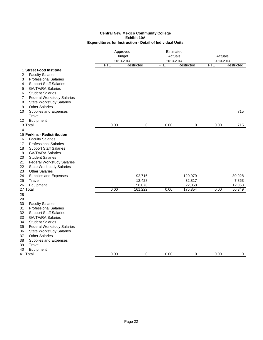|                                                               | Approved<br><b>Budget</b><br>2013-2014 |            | Estimated<br>Actuals<br>2013-2014 |                | Actuals<br>2013-2014 |                  |
|---------------------------------------------------------------|----------------------------------------|------------|-----------------------------------|----------------|----------------------|------------------|
|                                                               | FTE                                    | Restricted | <b>FTE</b>                        | Restricted     | <b>FTE</b>           | Restricted       |
| 1 Street Food Institute                                       |                                        |            |                                   |                |                      |                  |
| <b>Faculty Salaries</b><br>2                                  |                                        |            |                                   |                |                      |                  |
| <b>Professional Salaries</b><br>3                             |                                        |            |                                   |                |                      |                  |
| <b>Support Staff Salaries</b><br>4                            |                                        |            |                                   |                |                      |                  |
| 5<br><b>GA/TA/RA Salaries</b><br><b>Student Salaries</b><br>6 |                                        |            |                                   |                |                      |                  |
| 7<br><b>Federal Workstudy Salaries</b>                        |                                        |            |                                   |                |                      |                  |
| 8<br><b>State Workstudy Salaries</b>                          |                                        |            |                                   |                |                      |                  |
| <b>Other Salaries</b><br>9                                    |                                        |            |                                   |                |                      |                  |
| Supplies and Expenses<br>10                                   |                                        |            |                                   |                |                      | 715              |
| Travel<br>11                                                  |                                        |            |                                   |                |                      |                  |
| Equipment<br>12                                               |                                        |            |                                   |                |                      |                  |
| 13 Total                                                      | 0.00                                   | 0          | 0.00                              | $\overline{0}$ | 0.00                 | 715              |
| 14                                                            |                                        |            |                                   |                |                      |                  |
| 15 Perkins - Redistribution                                   |                                        |            |                                   |                |                      |                  |
| <b>Faculty Salaries</b><br>16                                 |                                        |            |                                   |                |                      |                  |
| <b>Professional Salaries</b><br>17                            |                                        |            |                                   |                |                      |                  |
| <b>Support Staff Salaries</b><br>18                           |                                        |            |                                   |                |                      |                  |
| <b>GA/TA/RA Salaries</b><br>19                                |                                        |            |                                   |                |                      |                  |
| <b>Student Salaries</b><br>20                                 |                                        |            |                                   |                |                      |                  |
| 21<br><b>Federal Workstudy Salaries</b>                       |                                        |            |                                   |                |                      |                  |
| 22<br><b>State Workstudy Salaries</b>                         |                                        |            |                                   |                |                      |                  |
| 23<br><b>Other Salaries</b>                                   |                                        |            |                                   |                |                      |                  |
| 24<br>Supplies and Expenses                                   |                                        | 92,716     |                                   | 120,979        |                      | 30,928           |
| 25<br>Travel                                                  |                                        | 12,428     |                                   | 32,817         |                      | 7,863            |
| 26<br>Equipment                                               | 0.00                                   | 56,078     | 0.00                              | 22,058         | 0.00                 | 12,058<br>50,849 |
| 27 Total                                                      |                                        | 161,222    |                                   | 175,854        |                      |                  |
| 28                                                            |                                        |            |                                   |                |                      |                  |
| 29<br><b>Faculty Salaries</b><br>30                           |                                        |            |                                   |                |                      |                  |
| 31<br><b>Professional Salaries</b>                            |                                        |            |                                   |                |                      |                  |
| 32<br><b>Support Staff Salaries</b>                           |                                        |            |                                   |                |                      |                  |
| 33<br><b>GA/TA/RA Salaries</b>                                |                                        |            |                                   |                |                      |                  |
| 34<br><b>Student Salaries</b>                                 |                                        |            |                                   |                |                      |                  |
| <b>Federal Workstudy Salaries</b><br>35                       |                                        |            |                                   |                |                      |                  |
| 36<br><b>State Workstudy Salaries</b>                         |                                        |            |                                   |                |                      |                  |
| <b>Other Salaries</b><br>37                                   |                                        |            |                                   |                |                      |                  |
| 38<br>Supplies and Expenses                                   |                                        |            |                                   |                |                      |                  |
| 39<br>Travel                                                  |                                        |            |                                   |                |                      |                  |
| Equipment<br>40                                               |                                        |            |                                   |                |                      |                  |
| 41 Total                                                      | 0.00                                   | 0          | 0.00                              | 0              | 0.00                 | $\mathbf 0$      |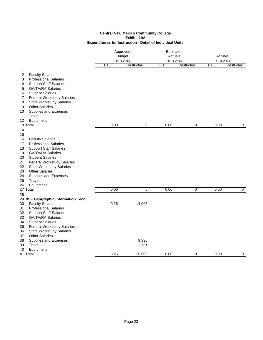|                                                                                                                                                                                                                                                                                                                                                                                                                 | Approved<br><b>Budget</b><br>2013-2014 |                          | Estimated<br>Actuals<br>2013-2014 |                | Actuals<br>2013-2014 |                |
|-----------------------------------------------------------------------------------------------------------------------------------------------------------------------------------------------------------------------------------------------------------------------------------------------------------------------------------------------------------------------------------------------------------------|----------------------------------------|--------------------------|-----------------------------------|----------------|----------------------|----------------|
|                                                                                                                                                                                                                                                                                                                                                                                                                 | <b>FTE</b>                             | Restricted               | FTE                               | Restricted     | FTE                  | Restricted     |
| $\mathbf 1$<br><b>Faculty Salaries</b><br>2<br><b>Professional Salaries</b><br>3<br><b>Support Staff Salaries</b><br>4<br><b>GA/TA/RA Salaries</b><br>5<br><b>Student Salaries</b><br>6<br><b>Federal Workstudy Salaries</b><br>7                                                                                                                                                                               |                                        |                          |                                   |                |                      |                |
| <b>State Workstudy Salaries</b><br>8<br><b>Other Salaries</b><br>9<br>10<br>Supplies and Expenses<br>Travel<br>11<br>12<br>Equipment                                                                                                                                                                                                                                                                            |                                        |                          |                                   |                |                      |                |
| 13 Total                                                                                                                                                                                                                                                                                                                                                                                                        | 0.00                                   | 0                        | 0.00                              | $\mathbf 0$    | 0.00                 | $\mathbf{0}$   |
| 14<br>15<br>16<br><b>Faculty Salaries</b><br>17<br><b>Professional Salaries</b><br>18<br><b>Support Staff Salaries</b><br><b>GA/TA/RA Salaries</b><br>19<br><b>Student Salaries</b><br>20<br>21<br><b>Federal Workstudy Salaries</b><br>22<br><b>State Workstudy Salaries</b><br>23<br><b>Other Salaries</b><br>24<br>Supplies and Expenses<br>Travel<br>25<br>26<br>Equipment<br>27 Total                      | 0.00                                   | $\overline{0}$           | 0.00                              | $\overline{0}$ | 0.00                 | $\overline{0}$ |
| 28<br>29 NSF Geographic Information Tech.<br>30<br><b>Faculty Salaries</b><br>31<br><b>Professional Salaries</b><br>32<br><b>Support Staff Salaries</b><br>33<br><b>GA/TA/RA Salaries</b><br><b>Student Salaries</b><br>34<br>35<br><b>Federal Workstudy Salaries</b><br>36<br><b>State Workstudy Salaries</b><br><b>Other Salaries</b><br>37<br>Supplies and Expenses<br>38<br>39<br>Travel<br>40<br>Equipment | 0.25                                   | 14,098<br>9,836<br>2,731 |                                   |                |                      |                |
| 41 Total                                                                                                                                                                                                                                                                                                                                                                                                        | 0.25                                   | 26,665                   | 0.00                              | 0              | 0.00                 | 0              |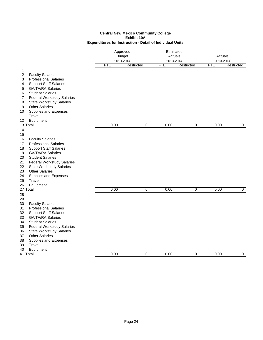|          |                                                           | Approved<br><b>Budget</b><br>2013-2014<br><b>FTE</b><br>Restricted |                |            | Estimated<br>Actuals<br>2013-2014 |            |                      |
|----------|-----------------------------------------------------------|--------------------------------------------------------------------|----------------|------------|-----------------------------------|------------|----------------------|
|          |                                                           |                                                                    |                |            |                                   |            | Actuals<br>2013-2014 |
|          |                                                           |                                                                    |                | <b>FTE</b> | Restricted                        | <b>FTE</b> | Restricted           |
| 1        |                                                           |                                                                    |                |            |                                   |            |                      |
| 2        | <b>Faculty Salaries</b>                                   |                                                                    |                |            |                                   |            |                      |
| 3        | <b>Professional Salaries</b>                              |                                                                    |                |            |                                   |            |                      |
| 4        | <b>Support Staff Salaries</b>                             |                                                                    |                |            |                                   |            |                      |
| 5        | <b>GA/TA/RA Salaries</b>                                  |                                                                    |                |            |                                   |            |                      |
| 6        | <b>Student Salaries</b>                                   |                                                                    |                |            |                                   |            |                      |
| 7        | <b>Federal Workstudy Salaries</b>                         |                                                                    |                |            |                                   |            |                      |
| 8        | <b>State Workstudy Salaries</b>                           |                                                                    |                |            |                                   |            |                      |
| 9        | <b>Other Salaries</b>                                     |                                                                    |                |            |                                   |            |                      |
| 10       | Supplies and Expenses                                     |                                                                    |                |            |                                   |            |                      |
| 11       | Travel                                                    |                                                                    |                |            |                                   |            |                      |
| 12       | Equipment                                                 |                                                                    |                |            |                                   |            |                      |
|          | 13 Total                                                  | 0.00                                                               | 0              | 0.00       | 0                                 | 0.00       | 0                    |
| 14       |                                                           |                                                                    |                |            |                                   |            |                      |
| 15       |                                                           |                                                                    |                |            |                                   |            |                      |
| 16       | <b>Faculty Salaries</b>                                   |                                                                    |                |            |                                   |            |                      |
| 17       | <b>Professional Salaries</b>                              |                                                                    |                |            |                                   |            |                      |
| 18       | <b>Support Staff Salaries</b>                             |                                                                    |                |            |                                   |            |                      |
| 19       | <b>GA/TA/RA Salaries</b>                                  |                                                                    |                |            |                                   |            |                      |
| 20       | <b>Student Salaries</b>                                   |                                                                    |                |            |                                   |            |                      |
| 21       | <b>Federal Workstudy Salaries</b>                         |                                                                    |                |            |                                   |            |                      |
| 22       | <b>State Workstudy Salaries</b>                           |                                                                    |                |            |                                   |            |                      |
| 23       | <b>Other Salaries</b>                                     |                                                                    |                |            |                                   |            |                      |
| 24       | Supplies and Expenses                                     |                                                                    |                |            |                                   |            |                      |
| 25       | Travel                                                    |                                                                    |                |            |                                   |            |                      |
| 26       | Equipment<br>27 Total                                     | 0.00                                                               | $\overline{0}$ | 0.00       | $\overline{0}$                    | 0.00       | $\overline{0}$       |
|          |                                                           |                                                                    |                |            |                                   |            |                      |
| 28       |                                                           |                                                                    |                |            |                                   |            |                      |
| 29<br>30 | <b>Faculty Salaries</b>                                   |                                                                    |                |            |                                   |            |                      |
| 31       | <b>Professional Salaries</b>                              |                                                                    |                |            |                                   |            |                      |
| 32       |                                                           |                                                                    |                |            |                                   |            |                      |
| 33       | <b>Support Staff Salaries</b><br><b>GA/TA/RA Salaries</b> |                                                                    |                |            |                                   |            |                      |
| 34       | <b>Student Salaries</b>                                   |                                                                    |                |            |                                   |            |                      |
| 35       | <b>Federal Workstudy Salaries</b>                         |                                                                    |                |            |                                   |            |                      |
| 36       | <b>State Workstudy Salaries</b>                           |                                                                    |                |            |                                   |            |                      |
| 37       | <b>Other Salaries</b>                                     |                                                                    |                |            |                                   |            |                      |
| 38       | Supplies and Expenses                                     |                                                                    |                |            |                                   |            |                      |
| 39       | Travel                                                    |                                                                    |                |            |                                   |            |                      |
| 40       | Equipment                                                 |                                                                    |                |            |                                   |            |                      |
|          | 41 Total                                                  | 0.00                                                               | 0              | 0.00       | 0                                 | 0.00       | $\mathbf 0$          |
|          |                                                           |                                                                    |                |            |                                   |            |                      |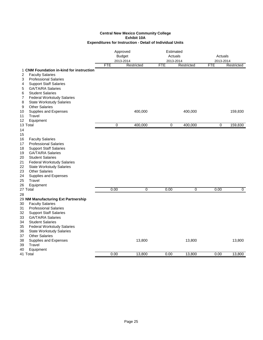|                                                                                  | Approved       |                | Estimated      |            |            |                |
|----------------------------------------------------------------------------------|----------------|----------------|----------------|------------|------------|----------------|
|                                                                                  | <b>Budget</b>  |                | Actuals        |            | Actuals    |                |
|                                                                                  | 2013-2014      |                | 2013-2014      |            | 2013-2014  |                |
|                                                                                  | <b>FTE</b>     | Restricted     | <b>FTE</b>     | Restricted | <b>FTE</b> | Restricted     |
| 1 CNM Foundation in-kind for instruction                                         |                |                |                |            |            |                |
| 2<br><b>Faculty Salaries</b>                                                     |                |                |                |            |            |                |
| 3<br><b>Professional Salaries</b>                                                |                |                |                |            |            |                |
| <b>Support Staff Salaries</b><br>4                                               |                |                |                |            |            |                |
| <b>GA/TA/RA Salaries</b><br>5                                                    |                |                |                |            |            |                |
| <b>Student Salaries</b><br>6                                                     |                |                |                |            |            |                |
| <b>Federal Workstudy Salaries</b><br>7                                           |                |                |                |            |            |                |
| 8<br><b>State Workstudy Salaries</b>                                             |                |                |                |            |            |                |
| 9<br><b>Other Salaries</b>                                                       |                |                |                |            |            |                |
| Supplies and Expenses<br>10                                                      |                | 400,000        |                | 400,000    |            | 159,830        |
| Travel<br>11                                                                     |                |                |                |            |            |                |
| Equipment<br>12                                                                  |                |                |                |            |            |                |
| 13 Total                                                                         | $\overline{0}$ | 400,000        | $\overline{0}$ | 400,000    | 0          | 159,830        |
| 14                                                                               |                |                |                |            |            |                |
| 15                                                                               |                |                |                |            |            |                |
| <b>Faculty Salaries</b><br>16                                                    |                |                |                |            |            |                |
| <b>Professional Salaries</b><br>17                                               |                |                |                |            |            |                |
| 18<br><b>Support Staff Salaries</b>                                              |                |                |                |            |            |                |
| <b>GA/TA/RA Salaries</b><br>19                                                   |                |                |                |            |            |                |
| <b>Student Salaries</b><br>20                                                    |                |                |                |            |            |                |
| 21<br><b>Federal Workstudy Salaries</b>                                          |                |                |                |            |            |                |
| 22<br><b>State Workstudy Salaries</b>                                            |                |                |                |            |            |                |
| <b>Other Salaries</b><br>23                                                      |                |                |                |            |            |                |
| 24<br>Supplies and Expenses                                                      |                |                |                |            |            |                |
| Travel<br>25                                                                     |                |                |                |            |            |                |
| Equipment<br>26                                                                  |                |                |                |            |            |                |
| 27 Total                                                                         | 0.00           | $\overline{0}$ | 0.00           | 0          | 0.00       | $\overline{0}$ |
| 28                                                                               |                |                |                |            |            |                |
| 29 NM Manufacturing Ext Partnership                                              |                |                |                |            |            |                |
| 30<br><b>Faculty Salaries</b>                                                    |                |                |                |            |            |                |
| <b>Professional Salaries</b><br>31                                               |                |                |                |            |            |                |
| 32<br><b>Support Staff Salaries</b>                                              |                |                |                |            |            |                |
| <b>GA/TA/RA Salaries</b><br>33                                                   |                |                |                |            |            |                |
| <b>Student Salaries</b><br>34                                                    |                |                |                |            |            |                |
|                                                                                  |                |                |                |            |            |                |
| <b>Federal Workstudy Salaries</b><br>35<br>36<br><b>State Workstudy Salaries</b> |                |                |                |            |            |                |
|                                                                                  |                |                |                |            |            |                |
| <b>Other Salaries</b><br>37                                                      |                | 13,800         |                |            |            | 13,800         |
| Supplies and Expenses<br>38<br>39<br>Travel                                      |                |                |                | 13,800     |            |                |
| 40                                                                               |                |                |                |            |            |                |
| Equipment<br>41 Total                                                            | 0.00           | 13.800         | 0.00           | 13.800     | 0.00       | 13,800         |
|                                                                                  |                |                |                |            |            |                |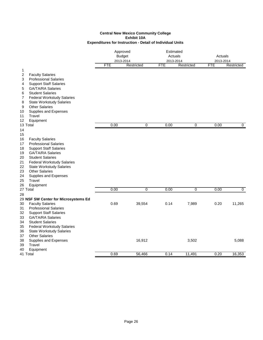#### **Expenditures for Instruction - Detail of Individual Units Central New Mexico Community College Exhibit 10A**

|                                                                                                                                                                                                                                                                                                                                                                    | Approved<br><b>Budget</b><br>2013-2014 |                | Estimated<br>Actuals<br>2013-2014 |                | Actuals<br>2013-2014 |                |
|--------------------------------------------------------------------------------------------------------------------------------------------------------------------------------------------------------------------------------------------------------------------------------------------------------------------------------------------------------------------|----------------------------------------|----------------|-----------------------------------|----------------|----------------------|----------------|
|                                                                                                                                                                                                                                                                                                                                                                    | <b>FTE</b>                             | Restricted     | <b>FTE</b>                        | Restricted     | <b>FTE</b>           | Restricted     |
| $\mathbf 1$<br>2<br><b>Faculty Salaries</b><br><b>Professional Salaries</b><br>3<br><b>Support Staff Salaries</b><br>4<br>GA/TA/RA Salaries<br>5<br><b>Student Salaries</b><br>6<br><b>Federal Workstudy Salaries</b><br>7                                                                                                                                         |                                        |                |                                   |                |                      |                |
| <b>State Workstudy Salaries</b><br>8<br><b>Other Salaries</b><br>9<br>Supplies and Expenses<br>10<br>11<br>Travel<br>12<br>Equipment                                                                                                                                                                                                                               |                                        |                |                                   |                |                      |                |
| 13 Total                                                                                                                                                                                                                                                                                                                                                           | 0.00                                   | 0              | 0.00                              | $\mathbf 0$    | 0.00                 | 0              |
| 14<br>15                                                                                                                                                                                                                                                                                                                                                           |                                        |                |                                   |                |                      |                |
| 16<br><b>Faculty Salaries</b><br><b>Professional Salaries</b><br>17<br>18<br><b>Support Staff Salaries</b><br><b>GA/TA/RA Salaries</b><br>19<br><b>Student Salaries</b><br>20<br>21<br><b>Federal Workstudy Salaries</b><br>22<br><b>State Workstudy Salaries</b><br>23<br><b>Other Salaries</b><br>24<br>Supplies and Expenses<br>25<br>Travel<br>26<br>Equipment |                                        |                |                                   |                |                      |                |
| 27 Total                                                                                                                                                                                                                                                                                                                                                           | 0.00                                   | $\overline{0}$ | 0.00                              | $\overline{0}$ | 0.00                 | $\overline{0}$ |
| 28<br>29 NSF SW Center for Microsystems Ed<br>30<br><b>Faculty Salaries</b><br>31<br><b>Professional Salaries</b><br>32<br><b>Support Staff Salaries</b><br>33<br><b>GA/TA/RA Salaries</b><br><b>Student Salaries</b><br>34<br>35<br><b>Federal Workstudy Salaries</b><br>36<br><b>State Workstudy Salaries</b>                                                    | 0.69                                   | 39,554         | 0.14                              | 7,989          | 0.20                 | 11,265         |
| <b>Other Salaries</b><br>37<br>38<br>Supplies and Expenses<br>39<br>Travel<br>40<br>Equipment                                                                                                                                                                                                                                                                      |                                        | 16,912         |                                   | 3,502          |                      | 5,088          |
| 41 Total                                                                                                                                                                                                                                                                                                                                                           | 0.69                                   | 56,466         | 0.14                              | 11,491         | 0.20                 | 16,353         |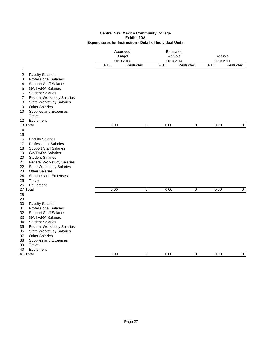|          |                                                           | Approved<br><b>Budget</b><br>2013-2014<br><b>FTE</b><br>Restricted |                |            | Estimated<br>Actuals<br>2013-2014 |            |                      |
|----------|-----------------------------------------------------------|--------------------------------------------------------------------|----------------|------------|-----------------------------------|------------|----------------------|
|          |                                                           |                                                                    |                |            |                                   |            | Actuals<br>2013-2014 |
|          |                                                           |                                                                    |                | <b>FTE</b> | Restricted                        | <b>FTE</b> | Restricted           |
| 1        |                                                           |                                                                    |                |            |                                   |            |                      |
| 2        | <b>Faculty Salaries</b>                                   |                                                                    |                |            |                                   |            |                      |
| 3        | <b>Professional Salaries</b>                              |                                                                    |                |            |                                   |            |                      |
| 4        | <b>Support Staff Salaries</b>                             |                                                                    |                |            |                                   |            |                      |
| 5        | <b>GA/TA/RA Salaries</b>                                  |                                                                    |                |            |                                   |            |                      |
| 6        | <b>Student Salaries</b>                                   |                                                                    |                |            |                                   |            |                      |
| 7        | <b>Federal Workstudy Salaries</b>                         |                                                                    |                |            |                                   |            |                      |
| 8        | <b>State Workstudy Salaries</b>                           |                                                                    |                |            |                                   |            |                      |
| 9        | <b>Other Salaries</b>                                     |                                                                    |                |            |                                   |            |                      |
| 10       | Supplies and Expenses                                     |                                                                    |                |            |                                   |            |                      |
| 11       | Travel                                                    |                                                                    |                |            |                                   |            |                      |
| 12       | Equipment                                                 |                                                                    |                |            |                                   |            |                      |
|          | 13 Total                                                  | 0.00                                                               | 0              | 0.00       | 0                                 | 0.00       | 0                    |
| 14       |                                                           |                                                                    |                |            |                                   |            |                      |
| 15       |                                                           |                                                                    |                |            |                                   |            |                      |
| 16       | <b>Faculty Salaries</b>                                   |                                                                    |                |            |                                   |            |                      |
| 17       | <b>Professional Salaries</b>                              |                                                                    |                |            |                                   |            |                      |
| 18       | <b>Support Staff Salaries</b>                             |                                                                    |                |            |                                   |            |                      |
| 19       | <b>GA/TA/RA Salaries</b>                                  |                                                                    |                |            |                                   |            |                      |
| 20       | <b>Student Salaries</b>                                   |                                                                    |                |            |                                   |            |                      |
| 21       | <b>Federal Workstudy Salaries</b>                         |                                                                    |                |            |                                   |            |                      |
| 22       | <b>State Workstudy Salaries</b>                           |                                                                    |                |            |                                   |            |                      |
| 23       | <b>Other Salaries</b>                                     |                                                                    |                |            |                                   |            |                      |
| 24       | Supplies and Expenses                                     |                                                                    |                |            |                                   |            |                      |
| 25       | Travel                                                    |                                                                    |                |            |                                   |            |                      |
| 26       | Equipment<br>27 Total                                     | 0.00                                                               | $\overline{0}$ | 0.00       | $\overline{0}$                    | 0.00       | $\overline{0}$       |
|          |                                                           |                                                                    |                |            |                                   |            |                      |
| 28       |                                                           |                                                                    |                |            |                                   |            |                      |
| 29<br>30 | <b>Faculty Salaries</b>                                   |                                                                    |                |            |                                   |            |                      |
| 31       | <b>Professional Salaries</b>                              |                                                                    |                |            |                                   |            |                      |
| 32       |                                                           |                                                                    |                |            |                                   |            |                      |
| 33       | <b>Support Staff Salaries</b><br><b>GA/TA/RA Salaries</b> |                                                                    |                |            |                                   |            |                      |
| 34       | <b>Student Salaries</b>                                   |                                                                    |                |            |                                   |            |                      |
| 35       | <b>Federal Workstudy Salaries</b>                         |                                                                    |                |            |                                   |            |                      |
| 36       | <b>State Workstudy Salaries</b>                           |                                                                    |                |            |                                   |            |                      |
| 37       | <b>Other Salaries</b>                                     |                                                                    |                |            |                                   |            |                      |
| 38       | Supplies and Expenses                                     |                                                                    |                |            |                                   |            |                      |
| 39       | Travel                                                    |                                                                    |                |            |                                   |            |                      |
| 40       | Equipment                                                 |                                                                    |                |            |                                   |            |                      |
|          | 41 Total                                                  | 0.00                                                               | 0              | 0.00       | 0                                 | 0.00       | $\mathbf 0$          |
|          |                                                           |                                                                    |                |            |                                   |            |                      |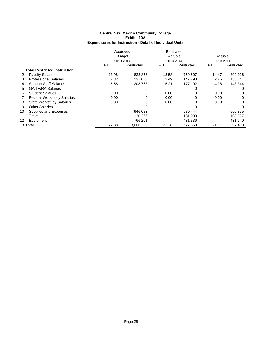|    |                                   | Approved   |               | Estimated  |            |            |            |
|----|-----------------------------------|------------|---------------|------------|------------|------------|------------|
|    |                                   |            | <b>Budget</b> | Actuals    |            | Actuals    |            |
|    |                                   |            | 2013-2014     | 2013-2014  |            | 2013-2014  |            |
|    |                                   | <b>FTE</b> | Restricted    | <b>FTE</b> | Restricted | <b>FTE</b> | Restricted |
|    | 1 Total Restricted Instruction    |            |               |            |            |            |            |
| 2  | <b>Faculty Salaries</b>           | 13.98      | 828,856       | 13.58      | 759,507    | 14.47      | 809,026    |
| 3  | <b>Professional Salaries</b>      | 2.32       | 131.030       | 2.49       | 147.290    | 2.26       | 133,641    |
| 4  | <b>Support Staff Salaries</b>     | 6.58       | 203.763       | 5.21       | 177.192    | 4.28       | 148.344    |
| 5. | <b>GA/TA/RA Salaries</b>          |            | 0             |            |            |            | 0          |
| 6  | <b>Student Salaries</b>           | 0.00       | 0             | 0.00       | 0          | 0.00       | 0          |
| 7  | <b>Federal Workstudy Salaries</b> | 0.00       | 0             | 0.00       | 0          | 0.00       | 0          |
| 8  | <b>State Workstudy Salaries</b>   | 0.00       | 0             | 0.00       | 0          | 0.00       | 0          |
| 9  | <b>Other Salaries</b>             |            | 0             |            |            |            | 0          |
| 10 | Supplies and Expenses             |            | 946.083       |            | 980.444    |            | 666,355    |
| 11 | Travel                            |            | 130,366       |            | 181,900    |            | 108,397    |
| 12 | Equipment                         |            | 766,201       |            | 431,336    |            | 431,640    |
|    | 13 Total                          | 22.88      | 3,006,299     | 21.28      | 2,677,669  | 21.01      | 2,297,403  |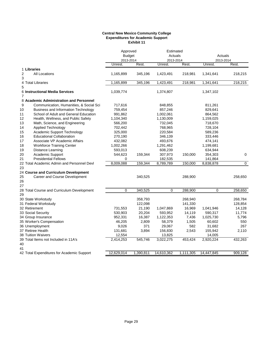#### **Central New Mexico Community College Expenditures for Academic Support Exhibit 11**

|                                                  | Approved<br><b>Budget</b> |           |            | Estimated<br>Actuals<br>2013-2014 |                      | Actuals     |
|--------------------------------------------------|---------------------------|-----------|------------|-----------------------------------|----------------------|-------------|
|                                                  | 2013-2014<br>Unrest.      | Rest.     | Unrest.    | Rest.                             | 2013-2014<br>Unrest. | Rest.       |
| 1 Libraries                                      |                           |           |            |                                   |                      |             |
| 2<br><b>All Locations</b><br>3                   | 1,165,899                 | 345,196   | 1,423,491  | 218,981                           | 1,341,641            | 218,215     |
| 4 Total Libraries<br>5                           | 1,165,899                 | 345,196   | 1,423,491  | 218,981                           | 1,341,641            | 218,215     |
| 6 Instructional Media Services<br>$\overline{7}$ | 1,039,774                 |           | 1,374,807  |                                   | 1,347,102            |             |
| 8 Academic Administration and Personnel          |                           |           |            |                                   |                      |             |
| Communication, Humanities, & Social Sci<br>9     | 717,616                   |           | 848,855    |                                   | 811,261              |             |
| <b>Business and Information Technology</b><br>10 | 759,454                   |           | 857,246    |                                   | 829,641              |             |
| School of Adult and General Education<br>11      | 991,862                   |           | 1,002,061  |                                   | 864,562              |             |
| 12<br>Health, Wellness, and Public Safety        | 1,104,340                 |           | 1,130,009  |                                   | 1,159,025            |             |
| 13<br>Math, Science, and Engineering             | 566,200                   |           | 732,045    |                                   | 718,670              |             |
| 14<br><b>Applied Technology</b>                  | 702,442                   |           | 768,965    |                                   | 728,104              |             |
| Academic Support Technology<br>15                | 325,000                   |           | 220,584    |                                   | 589,236              |             |
| <b>Educational Collaboration</b><br>16           | 270,190                   |           | 346,139    |                                   | 333,446              |             |
| Associate VP Academic Affairs<br>17              | 432,082                   |           | 493,676    |                                   | 474,141              |             |
| <b>Workforce Training Center</b><br>18           | 1,002,266                 |           | 1,291,462  |                                   | 1,199,681            |             |
| 19<br>Distance Learning                          | 593,013                   |           | 608,239    |                                   | 634,944              |             |
| 20<br><b>Academic Support</b>                    | 544,623                   | 159,344   | 307,973    | 150,000                           | 354,303              | 0           |
| 21<br><b>Presidential Fellows</b>                | $\mathbf 0$               |           | 182,535    |                                   | 141,864              |             |
| 22 Total Academic Admin and Personnel Devl<br>23 | 8,009,088                 | 159,344   | 8,789,789  | 150,000                           | 8,838,878            | $\mathbf 0$ |
| 24 Course and Curriculum Development             |                           |           |            |                                   |                      |             |
| 25<br>Career and Course Development<br>26<br>27  |                           | 340,525   |            | 288,900                           |                      | 258,650     |
| 28 Total Course and Curriculum Development<br>29 | 0                         | 340,525   | 0          | 288,900                           | 0                    | 258,650     |
| 30 State Workstudy                               |                           | 358,793   |            | 268,940                           |                      | 268,784     |
| 31 Federal Workstudy                             |                           | 122,098   |            | 141,330                           |                      | 128,854     |
| 32 Retirement                                    | 731,553                   | 21,190    | 1,047,869  | 16,969                            | 1,041,946            | 14,128      |
| 33 Social Security                               | 530,903                   | 20,204    | 593,952    | 14,119                            | 590,317              | 11,774      |
| 34 Group Insurance                               | 952,331                   | 16,387    | 1,122,353  | 7,436                             | 1,025,730            | 5,796       |
| 35 Worker's Compensation                         | 46,205                    | 2,809     | 58,379     | 1,505                             | 60,602               | 550         |
| 36 Unemployment                                  | 9,026                     | 371       | 29,067     | 582                               | 31,682               | 267         |
| 37 Retiree Health                                | 131,681                   | 3,894     | 156,830    | 2,543                             | 155,942              | 2,110       |
| 38 Tuition Waivers                               | 12,554                    |           | 13,825     |                                   | 14,005               |             |
| 39 Total Items not Included in 11A's<br>40       | 2,414,253                 | 545,746   | 3,022,275  | 453,424                           | 2,920,224            | 432,263     |
| 41                                               |                           |           |            |                                   |                      |             |
| 42 Total Expenditures for Academic Support       | 12,629,014                | 1,390,811 | 14,610,362 | 1,111,305                         | 14,447,845           | 909,128     |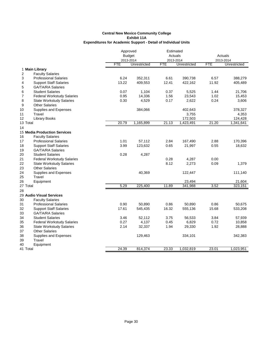|          |                                     | Approved      |              | Estimated  |              |            |              |
|----------|-------------------------------------|---------------|--------------|------------|--------------|------------|--------------|
|          |                                     | <b>Budget</b> |              | Actuals    |              |            | Actuals      |
|          |                                     | 2013-2014     |              | 2013-2014  |              |            | 2013-2014    |
|          |                                     | <b>FTE</b>    | Unrestricted | <b>FTE</b> | Unrestricted | <b>FTE</b> | Unrestricted |
|          | 1 Main Library                      |               |              |            |              |            |              |
| 2        | <b>Faculty Salaries</b>             |               |              |            |              |            |              |
| 3        | <b>Professional Salaries</b>        | 6.24          | 352,311      | 6.61       | 390,738      | 6.57       | 388,279      |
| 4        | <b>Support Staff Salaries</b>       | 13.22         | 409,553      | 12.41      | 422,162      | 11.92      | 405,489      |
| 5        | <b>GA/TA/RA Salaries</b>            |               |              |            |              |            |              |
| 6        | <b>Student Salaries</b>             | 0.07          | 1,104        | 0.37       | 5,525        | 1.44       | 21,706       |
| 7        | <b>Federal Workstudy Salaries</b>   | 0.95          | 14,336       | 1.56       | 23,543       | 1.02       | 15,453       |
| 8        | <b>State Workstudy Salaries</b>     | 0.30          | 4,529        | 0.17       | 2,622        | 0.24       | 3,606        |
| 9        | <b>Other Salaries</b>               |               |              |            |              |            |              |
| 10       | Supplies and Expenses               |               | 384,066      |            | 402,643      |            | 378,327      |
| 11       | Travel                              |               |              |            | 3,755        |            | 4,353        |
| 12       | <b>Library Books</b>                |               |              |            | 172,503      |            | 124,428      |
| 13 Total |                                     | 20.79         | 1,165,899    | 21.13      | 1,423,491    | 21.20      | 1,341,641    |
| 14       |                                     |               |              |            |              |            |              |
|          | <b>15 Media Production Services</b> |               |              |            |              |            |              |
| 16       | <b>Faculty Salaries</b>             |               |              |            |              |            |              |
| 17       | <b>Professional Salaries</b>        | 1.01          | 57,112       | 2.84       | 167,490      | 2.88       | 170,396      |
| 18       | <b>Support Staff Salaries</b>       | 3.99          | 123,632      | 0.65       | 21,997       | 0.55       | 18,632       |
| 19       | <b>GA/TA/RA Salaries</b>            |               |              |            |              |            |              |
| 20       | <b>Student Salaries</b>             | 0.28          | 4,287        |            |              |            |              |
| 21       | <b>Federal Workstudy Salaries</b>   |               |              | 0.28       | 4,287        | 0.00       |              |
| 22       | <b>State Workstudy Salaries</b>     |               |              | 8.12       | 2,273        | 0.09       | 1,379        |
| 23       | <b>Other Salaries</b>               |               |              |            |              |            |              |
| 24       | Supplies and Expenses               |               | 40,369       |            | 122,447      |            | 111,140      |
| 25       | Travel                              |               |              |            |              |            |              |
| 26       | Equipment                           |               |              |            | 23,494       |            | 21,604       |
| 27 Total |                                     | 5.29          | 225,400      | 11.89      | 341,988      | 3.52       | 323,151      |
| 28       |                                     |               |              |            |              |            |              |
|          | 29 Audio Visual Services            |               |              |            |              |            |              |
| 30       | <b>Faculty Salaries</b>             |               |              |            |              |            |              |
| 31       | <b>Professional Salaries</b>        | 0.90          | 50,890       | 0.86       | 50,890       | 0.86       | 50,675       |
| 32       | <b>Support Staff Salaries</b>       | 17.61         | 545,435      | 16.32      | 555,136      | 15.68      | 533,208      |
| 33       | <b>GA/TA/RA Salaries</b>            |               |              |            |              |            |              |
| 34       | <b>Student Salaries</b>             | 3.46          | 52,112       | 3.75       | 56,533       | 3.84       | 57,939       |
| 35       | <b>Federal Workstudy Salaries</b>   | 0.27          | 4,137        | 0.45       | 6,829        | 0.72       | 10,858       |
| 36       | <b>State Workstudy Salaries</b>     | 2.14          | 32,337       | 1.94       | 29,330       | 1.92       | 28,888       |
| 37       | <b>Other Salaries</b>               |               |              |            |              |            |              |
| 38       | Supplies and Expenses               |               | 129,463      |            | 334,101      |            | 342,383      |
| 39       | Travel                              |               |              |            |              |            |              |
| 40       | Equipment                           |               |              |            |              |            |              |
| 41 Total |                                     | 24.39         | 814,374      | 23.33      | 1,032,819    | 23.01      | 1,023,951    |
|          |                                     |               |              |            |              |            |              |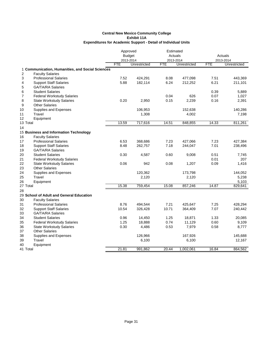| <b>Budget</b><br>Actuals<br>Actuals<br>2013-2014<br>2013-2014<br>2013-2014<br><b>FTE</b><br>Unrestricted<br><b>FTE</b><br>Unrestricted<br><b>FTE</b><br>Unrestricted<br>1 Communication, Humanities, and Social Sciences<br>2<br><b>Faculty Salaries</b><br>7.52<br>7.51<br>3<br>424,291<br>8.08<br>477,098<br>443,369<br><b>Professional Salaries</b><br>5.88<br>6.24<br>6.21<br><b>Support Staff Salaries</b><br>182,114<br>212,252<br>211,101<br>4<br>5<br><b>GA/TA/RA Salaries</b><br>0.39<br>6<br><b>Student Salaries</b><br>5,889<br>7<br><b>Federal Workstudy Salaries</b><br>0.04<br>626<br>0.07<br>1,027<br>8<br>0.20<br>0.15<br>2,239<br>0.16<br><b>State Workstudy Salaries</b><br>2,950<br>2,391<br>9<br><b>Other Salaries</b><br>106,953<br>152,638<br>140,286<br>10<br>Supplies and Expenses<br>11<br>Travel<br>1,308<br>4,002<br>7,198<br>12<br>Equipment<br>13.59<br>717,616<br>14.51<br>14.33<br>811,261<br>13 Total<br>848,855<br>14<br>15 Business and Information Technology<br>16<br><b>Faculty Salaries</b><br>17<br>6.53<br>7.23<br>427,384<br><b>Professional Salaries</b><br>368,686<br>7.23<br>427,066<br><b>Support Staff Salaries</b><br>8.48<br>262,757<br>7.18<br>244,047<br>7.01<br>238,496<br>18<br>19<br><b>GA/TA/RA Salaries</b><br>20<br><b>Student Salaries</b><br>0.30<br>0.51<br>4,587<br>0.60<br>9,008<br>7,745<br>0.01<br>207<br>21<br><b>Federal Workstudy Salaries</b><br>0.06<br>942<br>0.08<br>1,207<br>0.09<br>22<br><b>State Workstudy Salaries</b><br>1,416<br>23<br><b>Other Salaries</b><br>24<br>120,362<br>Supplies and Expenses<br>173,798<br>144,052<br>25<br>Travel<br>2,120<br>2,120<br>5,238<br>5,103<br>26<br>Equipment<br>15.38<br>15.08<br>14.87<br>27 Total<br>759,454<br>857,246<br>829,641<br>28<br>29 School of Adult and General Education<br><b>Faculty Salaries</b><br>30<br>7.21<br>7.25<br>31<br><b>Professional Salaries</b><br>8.76<br>494,544<br>425,647<br>428,294<br>10.71<br>7.07<br>32<br><b>Support Staff Salaries</b><br>10.54<br>326,428<br>364,409<br>240,442<br><b>GA/TA/RA Salaries</b><br>33<br>1.25<br>1.33<br>20,085<br>34<br><b>Student Salaries</b><br>0.96<br>14,450<br>18,871<br>1.25<br>0.74<br>35<br>18,888<br>11,129<br>0.60<br>9,109<br><b>Federal Workstudy Salaries</b><br>0.30<br>7,979<br>0.58<br>36<br><b>State Workstudy Salaries</b><br>4,486<br>0.53<br>8,777<br><b>Other Salaries</b><br>37<br>126,966<br>38<br>Supplies and Expenses<br>167,926<br>145,688<br>Travel<br>39<br>6,100<br>6,100<br>12,167<br>40<br>Equipment<br>21.81<br>864,562<br>991,862<br>20.44<br>1,002,061<br>16.84<br>41 Total |  | Approved |  | Estimated |  |  |  |
|-----------------------------------------------------------------------------------------------------------------------------------------------------------------------------------------------------------------------------------------------------------------------------------------------------------------------------------------------------------------------------------------------------------------------------------------------------------------------------------------------------------------------------------------------------------------------------------------------------------------------------------------------------------------------------------------------------------------------------------------------------------------------------------------------------------------------------------------------------------------------------------------------------------------------------------------------------------------------------------------------------------------------------------------------------------------------------------------------------------------------------------------------------------------------------------------------------------------------------------------------------------------------------------------------------------------------------------------------------------------------------------------------------------------------------------------------------------------------------------------------------------------------------------------------------------------------------------------------------------------------------------------------------------------------------------------------------------------------------------------------------------------------------------------------------------------------------------------------------------------------------------------------------------------------------------------------------------------------------------------------------------------------------------------------------------------------------------------------------------------------------------------------------------------------------------------------------------------------------------------------------------------------------------------------------------------------------------------------------------------------------------------------------------------------------------------------------------------------------------------------------------------------------------------------------------------------------------------------------------|--|----------|--|-----------|--|--|--|
|                                                                                                                                                                                                                                                                                                                                                                                                                                                                                                                                                                                                                                                                                                                                                                                                                                                                                                                                                                                                                                                                                                                                                                                                                                                                                                                                                                                                                                                                                                                                                                                                                                                                                                                                                                                                                                                                                                                                                                                                                                                                                                                                                                                                                                                                                                                                                                                                                                                                                                                                                                                                           |  |          |  |           |  |  |  |
|                                                                                                                                                                                                                                                                                                                                                                                                                                                                                                                                                                                                                                                                                                                                                                                                                                                                                                                                                                                                                                                                                                                                                                                                                                                                                                                                                                                                                                                                                                                                                                                                                                                                                                                                                                                                                                                                                                                                                                                                                                                                                                                                                                                                                                                                                                                                                                                                                                                                                                                                                                                                           |  |          |  |           |  |  |  |
|                                                                                                                                                                                                                                                                                                                                                                                                                                                                                                                                                                                                                                                                                                                                                                                                                                                                                                                                                                                                                                                                                                                                                                                                                                                                                                                                                                                                                                                                                                                                                                                                                                                                                                                                                                                                                                                                                                                                                                                                                                                                                                                                                                                                                                                                                                                                                                                                                                                                                                                                                                                                           |  |          |  |           |  |  |  |
|                                                                                                                                                                                                                                                                                                                                                                                                                                                                                                                                                                                                                                                                                                                                                                                                                                                                                                                                                                                                                                                                                                                                                                                                                                                                                                                                                                                                                                                                                                                                                                                                                                                                                                                                                                                                                                                                                                                                                                                                                                                                                                                                                                                                                                                                                                                                                                                                                                                                                                                                                                                                           |  |          |  |           |  |  |  |
|                                                                                                                                                                                                                                                                                                                                                                                                                                                                                                                                                                                                                                                                                                                                                                                                                                                                                                                                                                                                                                                                                                                                                                                                                                                                                                                                                                                                                                                                                                                                                                                                                                                                                                                                                                                                                                                                                                                                                                                                                                                                                                                                                                                                                                                                                                                                                                                                                                                                                                                                                                                                           |  |          |  |           |  |  |  |
|                                                                                                                                                                                                                                                                                                                                                                                                                                                                                                                                                                                                                                                                                                                                                                                                                                                                                                                                                                                                                                                                                                                                                                                                                                                                                                                                                                                                                                                                                                                                                                                                                                                                                                                                                                                                                                                                                                                                                                                                                                                                                                                                                                                                                                                                                                                                                                                                                                                                                                                                                                                                           |  |          |  |           |  |  |  |
|                                                                                                                                                                                                                                                                                                                                                                                                                                                                                                                                                                                                                                                                                                                                                                                                                                                                                                                                                                                                                                                                                                                                                                                                                                                                                                                                                                                                                                                                                                                                                                                                                                                                                                                                                                                                                                                                                                                                                                                                                                                                                                                                                                                                                                                                                                                                                                                                                                                                                                                                                                                                           |  |          |  |           |  |  |  |
|                                                                                                                                                                                                                                                                                                                                                                                                                                                                                                                                                                                                                                                                                                                                                                                                                                                                                                                                                                                                                                                                                                                                                                                                                                                                                                                                                                                                                                                                                                                                                                                                                                                                                                                                                                                                                                                                                                                                                                                                                                                                                                                                                                                                                                                                                                                                                                                                                                                                                                                                                                                                           |  |          |  |           |  |  |  |
|                                                                                                                                                                                                                                                                                                                                                                                                                                                                                                                                                                                                                                                                                                                                                                                                                                                                                                                                                                                                                                                                                                                                                                                                                                                                                                                                                                                                                                                                                                                                                                                                                                                                                                                                                                                                                                                                                                                                                                                                                                                                                                                                                                                                                                                                                                                                                                                                                                                                                                                                                                                                           |  |          |  |           |  |  |  |
|                                                                                                                                                                                                                                                                                                                                                                                                                                                                                                                                                                                                                                                                                                                                                                                                                                                                                                                                                                                                                                                                                                                                                                                                                                                                                                                                                                                                                                                                                                                                                                                                                                                                                                                                                                                                                                                                                                                                                                                                                                                                                                                                                                                                                                                                                                                                                                                                                                                                                                                                                                                                           |  |          |  |           |  |  |  |
|                                                                                                                                                                                                                                                                                                                                                                                                                                                                                                                                                                                                                                                                                                                                                                                                                                                                                                                                                                                                                                                                                                                                                                                                                                                                                                                                                                                                                                                                                                                                                                                                                                                                                                                                                                                                                                                                                                                                                                                                                                                                                                                                                                                                                                                                                                                                                                                                                                                                                                                                                                                                           |  |          |  |           |  |  |  |
|                                                                                                                                                                                                                                                                                                                                                                                                                                                                                                                                                                                                                                                                                                                                                                                                                                                                                                                                                                                                                                                                                                                                                                                                                                                                                                                                                                                                                                                                                                                                                                                                                                                                                                                                                                                                                                                                                                                                                                                                                                                                                                                                                                                                                                                                                                                                                                                                                                                                                                                                                                                                           |  |          |  |           |  |  |  |
|                                                                                                                                                                                                                                                                                                                                                                                                                                                                                                                                                                                                                                                                                                                                                                                                                                                                                                                                                                                                                                                                                                                                                                                                                                                                                                                                                                                                                                                                                                                                                                                                                                                                                                                                                                                                                                                                                                                                                                                                                                                                                                                                                                                                                                                                                                                                                                                                                                                                                                                                                                                                           |  |          |  |           |  |  |  |
|                                                                                                                                                                                                                                                                                                                                                                                                                                                                                                                                                                                                                                                                                                                                                                                                                                                                                                                                                                                                                                                                                                                                                                                                                                                                                                                                                                                                                                                                                                                                                                                                                                                                                                                                                                                                                                                                                                                                                                                                                                                                                                                                                                                                                                                                                                                                                                                                                                                                                                                                                                                                           |  |          |  |           |  |  |  |
|                                                                                                                                                                                                                                                                                                                                                                                                                                                                                                                                                                                                                                                                                                                                                                                                                                                                                                                                                                                                                                                                                                                                                                                                                                                                                                                                                                                                                                                                                                                                                                                                                                                                                                                                                                                                                                                                                                                                                                                                                                                                                                                                                                                                                                                                                                                                                                                                                                                                                                                                                                                                           |  |          |  |           |  |  |  |
|                                                                                                                                                                                                                                                                                                                                                                                                                                                                                                                                                                                                                                                                                                                                                                                                                                                                                                                                                                                                                                                                                                                                                                                                                                                                                                                                                                                                                                                                                                                                                                                                                                                                                                                                                                                                                                                                                                                                                                                                                                                                                                                                                                                                                                                                                                                                                                                                                                                                                                                                                                                                           |  |          |  |           |  |  |  |
|                                                                                                                                                                                                                                                                                                                                                                                                                                                                                                                                                                                                                                                                                                                                                                                                                                                                                                                                                                                                                                                                                                                                                                                                                                                                                                                                                                                                                                                                                                                                                                                                                                                                                                                                                                                                                                                                                                                                                                                                                                                                                                                                                                                                                                                                                                                                                                                                                                                                                                                                                                                                           |  |          |  |           |  |  |  |
|                                                                                                                                                                                                                                                                                                                                                                                                                                                                                                                                                                                                                                                                                                                                                                                                                                                                                                                                                                                                                                                                                                                                                                                                                                                                                                                                                                                                                                                                                                                                                                                                                                                                                                                                                                                                                                                                                                                                                                                                                                                                                                                                                                                                                                                                                                                                                                                                                                                                                                                                                                                                           |  |          |  |           |  |  |  |
|                                                                                                                                                                                                                                                                                                                                                                                                                                                                                                                                                                                                                                                                                                                                                                                                                                                                                                                                                                                                                                                                                                                                                                                                                                                                                                                                                                                                                                                                                                                                                                                                                                                                                                                                                                                                                                                                                                                                                                                                                                                                                                                                                                                                                                                                                                                                                                                                                                                                                                                                                                                                           |  |          |  |           |  |  |  |
|                                                                                                                                                                                                                                                                                                                                                                                                                                                                                                                                                                                                                                                                                                                                                                                                                                                                                                                                                                                                                                                                                                                                                                                                                                                                                                                                                                                                                                                                                                                                                                                                                                                                                                                                                                                                                                                                                                                                                                                                                                                                                                                                                                                                                                                                                                                                                                                                                                                                                                                                                                                                           |  |          |  |           |  |  |  |
|                                                                                                                                                                                                                                                                                                                                                                                                                                                                                                                                                                                                                                                                                                                                                                                                                                                                                                                                                                                                                                                                                                                                                                                                                                                                                                                                                                                                                                                                                                                                                                                                                                                                                                                                                                                                                                                                                                                                                                                                                                                                                                                                                                                                                                                                                                                                                                                                                                                                                                                                                                                                           |  |          |  |           |  |  |  |
|                                                                                                                                                                                                                                                                                                                                                                                                                                                                                                                                                                                                                                                                                                                                                                                                                                                                                                                                                                                                                                                                                                                                                                                                                                                                                                                                                                                                                                                                                                                                                                                                                                                                                                                                                                                                                                                                                                                                                                                                                                                                                                                                                                                                                                                                                                                                                                                                                                                                                                                                                                                                           |  |          |  |           |  |  |  |
|                                                                                                                                                                                                                                                                                                                                                                                                                                                                                                                                                                                                                                                                                                                                                                                                                                                                                                                                                                                                                                                                                                                                                                                                                                                                                                                                                                                                                                                                                                                                                                                                                                                                                                                                                                                                                                                                                                                                                                                                                                                                                                                                                                                                                                                                                                                                                                                                                                                                                                                                                                                                           |  |          |  |           |  |  |  |
|                                                                                                                                                                                                                                                                                                                                                                                                                                                                                                                                                                                                                                                                                                                                                                                                                                                                                                                                                                                                                                                                                                                                                                                                                                                                                                                                                                                                                                                                                                                                                                                                                                                                                                                                                                                                                                                                                                                                                                                                                                                                                                                                                                                                                                                                                                                                                                                                                                                                                                                                                                                                           |  |          |  |           |  |  |  |
|                                                                                                                                                                                                                                                                                                                                                                                                                                                                                                                                                                                                                                                                                                                                                                                                                                                                                                                                                                                                                                                                                                                                                                                                                                                                                                                                                                                                                                                                                                                                                                                                                                                                                                                                                                                                                                                                                                                                                                                                                                                                                                                                                                                                                                                                                                                                                                                                                                                                                                                                                                                                           |  |          |  |           |  |  |  |
|                                                                                                                                                                                                                                                                                                                                                                                                                                                                                                                                                                                                                                                                                                                                                                                                                                                                                                                                                                                                                                                                                                                                                                                                                                                                                                                                                                                                                                                                                                                                                                                                                                                                                                                                                                                                                                                                                                                                                                                                                                                                                                                                                                                                                                                                                                                                                                                                                                                                                                                                                                                                           |  |          |  |           |  |  |  |
|                                                                                                                                                                                                                                                                                                                                                                                                                                                                                                                                                                                                                                                                                                                                                                                                                                                                                                                                                                                                                                                                                                                                                                                                                                                                                                                                                                                                                                                                                                                                                                                                                                                                                                                                                                                                                                                                                                                                                                                                                                                                                                                                                                                                                                                                                                                                                                                                                                                                                                                                                                                                           |  |          |  |           |  |  |  |
|                                                                                                                                                                                                                                                                                                                                                                                                                                                                                                                                                                                                                                                                                                                                                                                                                                                                                                                                                                                                                                                                                                                                                                                                                                                                                                                                                                                                                                                                                                                                                                                                                                                                                                                                                                                                                                                                                                                                                                                                                                                                                                                                                                                                                                                                                                                                                                                                                                                                                                                                                                                                           |  |          |  |           |  |  |  |
|                                                                                                                                                                                                                                                                                                                                                                                                                                                                                                                                                                                                                                                                                                                                                                                                                                                                                                                                                                                                                                                                                                                                                                                                                                                                                                                                                                                                                                                                                                                                                                                                                                                                                                                                                                                                                                                                                                                                                                                                                                                                                                                                                                                                                                                                                                                                                                                                                                                                                                                                                                                                           |  |          |  |           |  |  |  |
|                                                                                                                                                                                                                                                                                                                                                                                                                                                                                                                                                                                                                                                                                                                                                                                                                                                                                                                                                                                                                                                                                                                                                                                                                                                                                                                                                                                                                                                                                                                                                                                                                                                                                                                                                                                                                                                                                                                                                                                                                                                                                                                                                                                                                                                                                                                                                                                                                                                                                                                                                                                                           |  |          |  |           |  |  |  |
|                                                                                                                                                                                                                                                                                                                                                                                                                                                                                                                                                                                                                                                                                                                                                                                                                                                                                                                                                                                                                                                                                                                                                                                                                                                                                                                                                                                                                                                                                                                                                                                                                                                                                                                                                                                                                                                                                                                                                                                                                                                                                                                                                                                                                                                                                                                                                                                                                                                                                                                                                                                                           |  |          |  |           |  |  |  |
|                                                                                                                                                                                                                                                                                                                                                                                                                                                                                                                                                                                                                                                                                                                                                                                                                                                                                                                                                                                                                                                                                                                                                                                                                                                                                                                                                                                                                                                                                                                                                                                                                                                                                                                                                                                                                                                                                                                                                                                                                                                                                                                                                                                                                                                                                                                                                                                                                                                                                                                                                                                                           |  |          |  |           |  |  |  |
|                                                                                                                                                                                                                                                                                                                                                                                                                                                                                                                                                                                                                                                                                                                                                                                                                                                                                                                                                                                                                                                                                                                                                                                                                                                                                                                                                                                                                                                                                                                                                                                                                                                                                                                                                                                                                                                                                                                                                                                                                                                                                                                                                                                                                                                                                                                                                                                                                                                                                                                                                                                                           |  |          |  |           |  |  |  |
|                                                                                                                                                                                                                                                                                                                                                                                                                                                                                                                                                                                                                                                                                                                                                                                                                                                                                                                                                                                                                                                                                                                                                                                                                                                                                                                                                                                                                                                                                                                                                                                                                                                                                                                                                                                                                                                                                                                                                                                                                                                                                                                                                                                                                                                                                                                                                                                                                                                                                                                                                                                                           |  |          |  |           |  |  |  |
|                                                                                                                                                                                                                                                                                                                                                                                                                                                                                                                                                                                                                                                                                                                                                                                                                                                                                                                                                                                                                                                                                                                                                                                                                                                                                                                                                                                                                                                                                                                                                                                                                                                                                                                                                                                                                                                                                                                                                                                                                                                                                                                                                                                                                                                                                                                                                                                                                                                                                                                                                                                                           |  |          |  |           |  |  |  |
|                                                                                                                                                                                                                                                                                                                                                                                                                                                                                                                                                                                                                                                                                                                                                                                                                                                                                                                                                                                                                                                                                                                                                                                                                                                                                                                                                                                                                                                                                                                                                                                                                                                                                                                                                                                                                                                                                                                                                                                                                                                                                                                                                                                                                                                                                                                                                                                                                                                                                                                                                                                                           |  |          |  |           |  |  |  |
|                                                                                                                                                                                                                                                                                                                                                                                                                                                                                                                                                                                                                                                                                                                                                                                                                                                                                                                                                                                                                                                                                                                                                                                                                                                                                                                                                                                                                                                                                                                                                                                                                                                                                                                                                                                                                                                                                                                                                                                                                                                                                                                                                                                                                                                                                                                                                                                                                                                                                                                                                                                                           |  |          |  |           |  |  |  |
|                                                                                                                                                                                                                                                                                                                                                                                                                                                                                                                                                                                                                                                                                                                                                                                                                                                                                                                                                                                                                                                                                                                                                                                                                                                                                                                                                                                                                                                                                                                                                                                                                                                                                                                                                                                                                                                                                                                                                                                                                                                                                                                                                                                                                                                                                                                                                                                                                                                                                                                                                                                                           |  |          |  |           |  |  |  |
|                                                                                                                                                                                                                                                                                                                                                                                                                                                                                                                                                                                                                                                                                                                                                                                                                                                                                                                                                                                                                                                                                                                                                                                                                                                                                                                                                                                                                                                                                                                                                                                                                                                                                                                                                                                                                                                                                                                                                                                                                                                                                                                                                                                                                                                                                                                                                                                                                                                                                                                                                                                                           |  |          |  |           |  |  |  |
|                                                                                                                                                                                                                                                                                                                                                                                                                                                                                                                                                                                                                                                                                                                                                                                                                                                                                                                                                                                                                                                                                                                                                                                                                                                                                                                                                                                                                                                                                                                                                                                                                                                                                                                                                                                                                                                                                                                                                                                                                                                                                                                                                                                                                                                                                                                                                                                                                                                                                                                                                                                                           |  |          |  |           |  |  |  |
|                                                                                                                                                                                                                                                                                                                                                                                                                                                                                                                                                                                                                                                                                                                                                                                                                                                                                                                                                                                                                                                                                                                                                                                                                                                                                                                                                                                                                                                                                                                                                                                                                                                                                                                                                                                                                                                                                                                                                                                                                                                                                                                                                                                                                                                                                                                                                                                                                                                                                                                                                                                                           |  |          |  |           |  |  |  |
|                                                                                                                                                                                                                                                                                                                                                                                                                                                                                                                                                                                                                                                                                                                                                                                                                                                                                                                                                                                                                                                                                                                                                                                                                                                                                                                                                                                                                                                                                                                                                                                                                                                                                                                                                                                                                                                                                                                                                                                                                                                                                                                                                                                                                                                                                                                                                                                                                                                                                                                                                                                                           |  |          |  |           |  |  |  |
|                                                                                                                                                                                                                                                                                                                                                                                                                                                                                                                                                                                                                                                                                                                                                                                                                                                                                                                                                                                                                                                                                                                                                                                                                                                                                                                                                                                                                                                                                                                                                                                                                                                                                                                                                                                                                                                                                                                                                                                                                                                                                                                                                                                                                                                                                                                                                                                                                                                                                                                                                                                                           |  |          |  |           |  |  |  |
|                                                                                                                                                                                                                                                                                                                                                                                                                                                                                                                                                                                                                                                                                                                                                                                                                                                                                                                                                                                                                                                                                                                                                                                                                                                                                                                                                                                                                                                                                                                                                                                                                                                                                                                                                                                                                                                                                                                                                                                                                                                                                                                                                                                                                                                                                                                                                                                                                                                                                                                                                                                                           |  |          |  |           |  |  |  |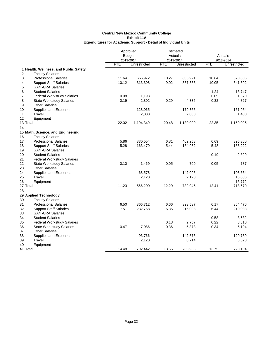|          |                                       | Approved      |              | Estimated |              |            |              |
|----------|---------------------------------------|---------------|--------------|-----------|--------------|------------|--------------|
|          |                                       | <b>Budget</b> |              | Actuals   |              | Actuals    |              |
|          |                                       | 2013-2014     |              | 2013-2014 |              |            | 2013-2014    |
|          |                                       | <b>FTE</b>    | Unrestricted | FTE       | Unrestricted | <b>FTE</b> | Unrestricted |
|          | 1 Health, Wellness, and Public Safety |               |              |           |              |            |              |
| 2        | <b>Faculty Salaries</b>               |               |              |           |              |            |              |
| 3        | <b>Professional Salaries</b>          | 11.64         | 656,972      | 10.27     | 606,921      | 10.64      | 628,835      |
| 4        | <b>Support Staff Salaries</b>         | 10.12         | 313,308      | 9.92      | 337,388      | 10.05      | 341,892      |
| 5        | <b>GA/TA/RA Salaries</b>              |               |              |           |              |            |              |
| 6        | <b>Student Salaries</b>               |               |              |           |              | 1.24       | 18,747       |
| 7        | <b>Federal Workstudy Salaries</b>     | 0.08          | 1,193        |           |              | 0.09       | 1,370        |
| 8        | <b>State Workstudy Salaries</b>       | 0.19          | 2,802        | 0.29      | 4,335        | 0.32       | 4,827        |
| 9        | <b>Other Salaries</b>                 |               |              |           |              |            |              |
| 10       | Supplies and Expenses                 |               | 128,065      |           | 179,365      |            | 161,954      |
| 11       | Travel                                |               | 2,000        |           | 2,000        |            | 1,400        |
| 12       | Equipment                             |               |              |           |              |            |              |
| 13 Total |                                       | 22.02         | 1,104,340    | 20.48     | 1,130,009    | 22.35      | 1,159,025    |
| 14       |                                       |               |              |           |              |            |              |
|          | 15 Math, Science, and Engineering     |               |              |           |              |            |              |
| 16       | <b>Faculty Salaries</b>               |               |              |           |              |            |              |
| 17       | <b>Professional Salaries</b>          | 5.86          | 330,554      | 6.81      | 402,258      | 6.69       | 395,360      |
| 18       | <b>Support Staff Salaries</b>         | 5.28          | 163,479      | 5.44      | 184,962      | 5.48       | 186,222      |
| 19       | <b>GA/TA/RA Salaries</b>              |               |              |           |              |            |              |
| 20       | <b>Student Salaries</b>               |               |              |           |              | 0.19       | 2,829        |
| 21       | <b>Federal Workstudy Salaries</b>     |               |              |           |              |            |              |
| 22       | <b>State Workstudy Salaries</b>       | 0.10          | 1,469        | 0.05      | 700          | 0.05       | 787          |
| 23       | <b>Other Salaries</b>                 |               |              |           |              |            |              |
| 24       | Supplies and Expenses                 |               | 68,578       |           | 142,005      |            | 103,664      |
| 25       | Travel                                |               | 2,120        |           | 2,120        |            | 16,036       |
| 26       | Equipment                             |               |              |           |              |            | 13,772       |
| 27 Total |                                       | 11.23         | 566,200      | 12.29     | 732,045      | 12.41      | 718,670      |
| 28       |                                       |               |              |           |              |            |              |
|          | 29 Applied Technology                 |               |              |           |              |            |              |
| 30       | <b>Faculty Salaries</b>               |               |              |           |              |            |              |
| 31       | <b>Professional Salaries</b>          | 6.50          | 366,712      | 6.66      | 393,537      | 6.17       | 364,476      |
| 32       | <b>Support Staff Salaries</b>         | 7.51          | 232,758      | 6.35      | 216,008      | 6.44       | 219,033      |
| 33       | <b>GA/TA/RA Salaries</b>              |               |              |           |              |            |              |
| 34       | <b>Student Salaries</b>               |               |              |           |              | 0.58       | 8,682        |
| 35       | <b>Federal Workstudy Salaries</b>     |               |              | 0.18      | 2,757        | 0.22       | 3,310        |
| 36       | <b>State Workstudy Salaries</b>       | 0.47          | 7,086        | 0.36      | 5,373        | 0.34       | 5,194        |
| 37       | <b>Other Salaries</b>                 |               |              |           |              |            |              |
| 38       | Supplies and Expenses                 |               | 93,766       |           | 142,576      |            | 120,789      |
| 39       | Travel                                |               | 2,120        |           | 8,714        |            | 6,620        |
| 40       | Equipment                             |               |              |           |              |            |              |
| 41 Total |                                       | 14.48         | 702,442      | 13.55     | 768,965      | 13.75      | 728,104      |
|          |                                       |               |              |           |              |            |              |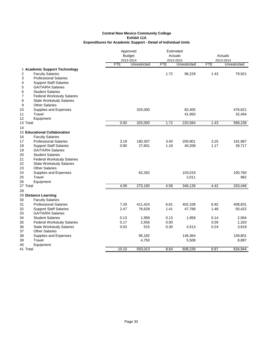|          |                                     | Approved<br><b>Budget</b> |              | Estimated<br>Actuals |              | Actuals    |              |
|----------|-------------------------------------|---------------------------|--------------|----------------------|--------------|------------|--------------|
|          |                                     | 2013-2014                 |              | 2013-2014            |              | 2013-2014  |              |
|          |                                     | <b>FTE</b>                | Unrestricted | <b>FTE</b>           | Unrestricted | <b>FTE</b> | Unrestricted |
|          | 1 Academic Support Technology       |                           |              |                      |              |            |              |
| 2        | <b>Faculty Salaries</b>             |                           |              | 1.72                 | 96,229       | 1.43       | 79,921       |
| 3        | <b>Professional Salaries</b>        |                           |              |                      |              |            |              |
| 4        | <b>Support Staff Salaries</b>       |                           |              |                      |              |            |              |
| 5        | <b>GA/TA/RA Salaries</b>            |                           |              |                      |              |            |              |
| 6        | <b>Student Salaries</b>             |                           |              |                      |              |            |              |
| 7        | <b>Federal Workstudy Salaries</b>   |                           |              |                      |              |            |              |
| 8        | <b>State Workstudy Salaries</b>     |                           |              |                      |              |            |              |
| 9        | <b>Other Salaries</b>               |                           |              |                      |              |            |              |
| 10       | Supplies and Expenses               |                           | 325,000      |                      | 82,405       |            | 476,821      |
| 11       | Travel                              |                           |              |                      | 41,950       |            | 32,494       |
| 12       | Equipment                           |                           |              |                      |              |            |              |
| 13 Total |                                     | 0.00                      | 325,000      | 1.72                 | 220,584      | 1.43       | 589,236      |
| 14       |                                     |                           |              |                      |              |            |              |
|          | <b>15 Educational Collaboration</b> |                           |              |                      |              |            |              |
| 16       | <b>Faculty Salaries</b>             |                           |              |                      |              |            |              |
| 17       | <b>Professional Salaries</b>        | 3.19                      | 180,307      | 3.40                 | 200,901      | 3.25       | 191,987      |
| 18       | <b>Support Staff Salaries</b>       | 0.90                      | 27,601       | 1.18                 | 40,208       | 1.17       | 39,717       |
| 19       | <b>GA/TA/RA Salaries</b>            |                           |              |                      |              |            |              |
| 20       | <b>Student Salaries</b>             |                           |              |                      |              |            |              |
| 21       | <b>Federal Workstudy Salaries</b>   |                           |              |                      |              |            |              |
| 22       | <b>State Workstudy Salaries</b>     |                           |              |                      |              |            |              |
| 23       | <b>Other Salaries</b>               |                           |              |                      |              |            |              |
| 24       | Supplies and Expenses               |                           | 62,282       |                      | 103,019      |            | 100,760      |
| 25       | Travel                              |                           |              |                      | 2,011        |            | 982          |
| 26       | Equipment                           |                           |              |                      |              |            |              |
| 27 Total |                                     | 4.09                      | 270,190      | 4.58                 | 346,139      | 4.42       | 333,446      |
| 28       |                                     |                           |              |                      |              |            |              |
|          | 29 Distance Learning                |                           |              |                      |              |            |              |
| 30       | <b>Faculty Salaries</b>             |                           |              |                      |              |            |              |
| 31       | <b>Professional Salaries</b>        | 7.29                      | 411,424      | 6.81                 | 402,108      | 6.92       | 408,831      |
| 32       | <b>Support Staff Salaries</b>       | 2.47                      | 76,628       | 1.41                 | 47,788       | 1.48       | 50,422       |
| 33       | <b>GA/TA/RA Salaries</b>            |                           |              |                      |              |            |              |
| 34       | <b>Student Salaries</b>             | 0.13                      | 1,958        | 0.13                 | 1,958        | 0.14       | 2,064        |
| 35       | Federal Workstudy Salaries          | 0.17                      | 2,556        | 0.00                 |              | 0.09       | 1,320        |
| 36       | <b>State Workstudy Salaries</b>     | 0.03                      | 515          | 0.30                 | 4,513        | 0.24       | 3,619        |
| 37       | <b>Other Salaries</b>               |                           |              |                      |              |            |              |
| 38       | Supplies and Expenses               |                           | 95,182       |                      | 146,364      |            | 159,801      |
| 39       | Travel                              |                           | 4,750        |                      | 5,508        |            | 8,887        |
| 40       | Equipment                           |                           |              |                      |              |            |              |
| 41 Total |                                     | 10.10                     | 593,013      | 8.64                 | 608,239      | 8.87       | 634,944      |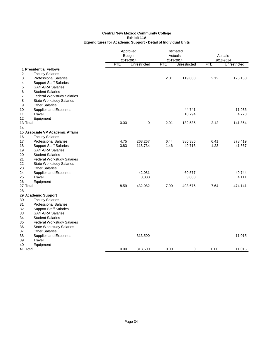|          |                                                   | Approved   |                           | Estimated               |              |            |                           |  |
|----------|---------------------------------------------------|------------|---------------------------|-------------------------|--------------|------------|---------------------------|--|
|          |                                                   |            | <b>Budget</b>             |                         | Actuals      |            | Actuals                   |  |
|          |                                                   | <b>FTE</b> | 2013-2014<br>Unrestricted | 2013-2014<br><b>FTE</b> | Unrestricted | <b>FTE</b> | 2013-2014<br>Unrestricted |  |
|          |                                                   |            |                           |                         |              |            |                           |  |
| 2        | 1 Presidential Fellows<br><b>Faculty Salaries</b> |            |                           |                         |              |            |                           |  |
| 3        | <b>Professional Salaries</b>                      |            |                           | 2.01                    | 119,000      | 2.12       | 125,150                   |  |
| 4        | <b>Support Staff Salaries</b>                     |            |                           |                         |              |            |                           |  |
| 5        | <b>GA/TA/RA Salaries</b>                          |            |                           |                         |              |            |                           |  |
| 6        | <b>Student Salaries</b>                           |            |                           |                         |              |            |                           |  |
| 7        | <b>Federal Workstudy Salaries</b>                 |            |                           |                         |              |            |                           |  |
| 8        | <b>State Workstudy Salaries</b>                   |            |                           |                         |              |            |                           |  |
| 9        | <b>Other Salaries</b>                             |            |                           |                         |              |            |                           |  |
| 10       | Supplies and Expenses                             |            |                           |                         | 44,741       |            | 11,936                    |  |
| 11       | Travel                                            |            |                           |                         | 18,794       |            | 4,778                     |  |
| 12       | Equipment                                         |            |                           |                         |              |            |                           |  |
| 13 Total |                                                   | 0.00       | 0                         | 2.01                    | 182,535      | 2.12       | 141,864                   |  |
| 14       |                                                   |            |                           |                         |              |            |                           |  |
|          | 15 Associate VP Academic Affairs                  |            |                           |                         |              |            |                           |  |
| 16       | <b>Faculty Salaries</b>                           |            |                           |                         |              |            |                           |  |
| 17       | <b>Professional Salaries</b>                      | 4.75       | 268,267                   | 6.44                    | 380,386      | 6.41       | 378,419                   |  |
| 18       | <b>Support Staff Salaries</b>                     | 3.83       | 118,734                   | 1.46                    | 49,713       | 1.23       | 41,867                    |  |
| 19       | <b>GA/TA/RA Salaries</b>                          |            |                           |                         |              |            |                           |  |
| 20       | <b>Student Salaries</b>                           |            |                           |                         |              |            |                           |  |
| 21       | <b>Federal Workstudy Salaries</b>                 |            |                           |                         |              |            |                           |  |
| 22       | <b>State Workstudy Salaries</b>                   |            |                           |                         |              |            |                           |  |
| 23       | <b>Other Salaries</b>                             |            |                           |                         |              |            |                           |  |
| 24       | Supplies and Expenses                             |            | 42,081                    |                         | 60,577       |            | 49,744                    |  |
| 25       | Travel                                            |            | 3,000                     |                         | 3,000        |            | 4,111                     |  |
| 26       | Equipment                                         |            |                           |                         |              |            |                           |  |
| 27 Total |                                                   | 8.59       | 432,082                   | 7.90                    | 493,676      | 7.64       | 474,141                   |  |
| 28       |                                                   |            |                           |                         |              |            |                           |  |
|          | 29 Academic Support                               |            |                           |                         |              |            |                           |  |
| 30       | <b>Faculty Salaries</b>                           |            |                           |                         |              |            |                           |  |
| 31       | <b>Professional Salaries</b>                      |            |                           |                         |              |            |                           |  |
| 32       | <b>Support Staff Salaries</b>                     |            |                           |                         |              |            |                           |  |
| 33       | <b>GA/TA/RA Salaries</b>                          |            |                           |                         |              |            |                           |  |
| 34       | <b>Student Salaries</b>                           |            |                           |                         |              |            |                           |  |
| 35       | <b>Federal Workstudy Salaries</b>                 |            |                           |                         |              |            |                           |  |
| 36       | <b>State Workstudy Salaries</b>                   |            |                           |                         |              |            |                           |  |
| 37       | <b>Other Salaries</b>                             |            |                           |                         |              |            |                           |  |
| 38       | Supplies and Expenses                             |            | 313,500                   |                         |              |            | 11,015                    |  |
| 39       | Travel                                            |            |                           |                         |              |            |                           |  |
| 40       | Equipment                                         |            |                           |                         |              |            |                           |  |
| 41 Total |                                                   | 0.00       | 313,500                   | 0.00                    | 0            | 0.00       | 11,015                    |  |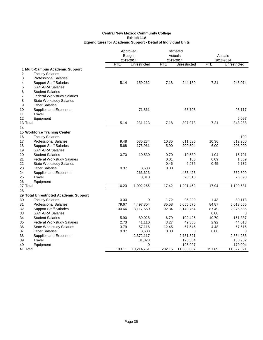|          |                                                          | Approved      |              |              | Estimated     |              |                  |
|----------|----------------------------------------------------------|---------------|--------------|--------------|---------------|--------------|------------------|
|          |                                                          | <b>Budget</b> |              | Actuals      |               | Actuals      |                  |
|          |                                                          | 2013-2014     |              | 2013-2014    |               |              | 2013-2014        |
|          |                                                          | <b>FTE</b>    | Unrestricted | <b>FTE</b>   | Unrestricted  | <b>FTE</b>   | Unrestricted     |
|          | 1 Multi-Campus Academic Support                          |               |              |              |               |              |                  |
| 2        | <b>Faculty Salaries</b>                                  |               |              |              |               |              |                  |
| 3        | <b>Professional Salaries</b>                             |               |              |              |               |              |                  |
| 4        | <b>Support Staff Salaries</b>                            | 5.14          | 159,262      | 7.18         | 244,180       | 7.21         | 245,074          |
| 5        | <b>GA/TA/RA Salaries</b>                                 |               |              |              |               |              |                  |
| 6        | <b>Student Salaries</b>                                  |               |              |              |               |              |                  |
| 7        | <b>Federal Workstudy Salaries</b>                        |               |              |              |               |              |                  |
| 8        | <b>State Workstudy Salaries</b>                          |               |              |              |               |              |                  |
| 9        | <b>Other Salaries</b>                                    |               |              |              |               |              |                  |
| 10       | Supplies and Expenses                                    |               | 71,861       |              | 63,793        |              | 93,117           |
| 11<br>12 | Travel                                                   |               |              |              |               |              |                  |
| 13 Total | Equipment                                                | 5.14          | 231,123      | 7.18         | 307,973       | 7.21         | 5,097<br>343,288 |
|          |                                                          |               |              |              |               |              |                  |
| 14       |                                                          |               |              |              |               |              |                  |
|          | 15 Workforce Training Center<br><b>Faculty Salaries</b>  |               |              |              |               |              |                  |
| 16       |                                                          |               |              |              |               |              | 192              |
| 17       | <b>Professional Salaries</b>                             | 9.48          | 535,234      | 10.35        | 611,535       | 10.36        | 612,200          |
| 18       | <b>Support Staff Salaries</b>                            | 5.68          | 175,961      | 5.90         | 200,504       | 6.00         | 203,990          |
| 19       | <b>GA/TA/RA Salaries</b>                                 |               |              |              |               |              |                  |
| 20<br>21 | <b>Student Salaries</b>                                  | 0.70          | 10,530       | 0.70<br>0.01 | 10,530<br>185 | 1.04<br>0.09 | 15,701           |
| 22       | <b>Federal Workstudy Salaries</b>                        |               |              | 0.46         | 6,975         | 0.45         | 1,359<br>6,732   |
| 23       | <b>State Workstudy Salaries</b><br><b>Other Salaries</b> | 0.37          | 8,608        | 0.00         |               |              |                  |
| 24       | Supplies and Expenses                                    |               | 263,623      |              | 433,423       |              | 332,809          |
| 25       | Travel                                                   |               | 8,310        |              | 28,310        |              | 26,698           |
| 26       | Equipment                                                |               |              |              |               |              |                  |
| 27 Total |                                                          | 16.23         | 1,002,266    | 17.42        | 1,291,462     | 17.94        | 1,199,681        |
| 28       |                                                          |               |              |              |               |              |                  |
|          | 29 Total Unrestricted Academic Support                   |               |              |              |               |              |                  |
| 30       | <b>Faculty Salaries</b>                                  | 0.00          | $\mathbf 0$  | 1.72         | 96,229        | 1.43         | 80,113           |
| 31       | <b>Professional Salaries</b>                             | 79.67         | 4,497,304    | 85.58        | 5,055,575     | 84.87        | 5,013,655        |
| 32       | <b>Support Staff Salaries</b>                            | 100.66        | 3,117,650    | 92.34        | 3,140,754     | 87.49        | 2,975,585        |
| 33       | <b>GA/TA/RA Salaries</b>                                 |               |              |              |               | 0.00         | 0                |
| 34       | <b>Student Salaries</b>                                  | 5.90          | 89,028       | 6.79         | 102,425       | 10.70        | 161,387          |
| 35       | <b>Federal Workstudy Salaries</b>                        | 2.73          | 41,110       | 3.27         | 49,356        | 2.92         | 44,013           |
| 36       | <b>State Workstudy Salaries</b>                          | 3.79          | 57,116       | 12.45        | 67,546        | 4.48         | 67,616           |
| 37       | <b>Other Salaries</b>                                    | 0.37          | 8,608        | 0.00         | 0             | 0.00         | $\Omega$         |
| 38       | Supplies and Expenses                                    |               | 2,372,117    |              | 2,751,821     |              | 2,884,286        |
| 39       | Travel                                                   |               | 31,828       |              | 128,384       |              | 130,962          |
| 40       | Equipment                                                |               | 0            |              | 195,997       |              | 170,004          |
| 41 Total |                                                          | 193.11        | 10,214,761   | 202.15       | 11,588,087    | 191.89       | 11,527,621       |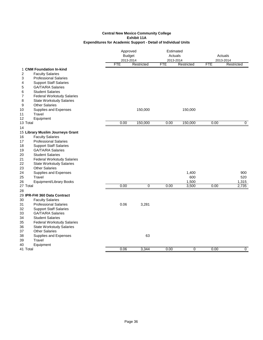|                                                |                                                                      |            | Approved<br><b>Budget</b><br>2013-2014 |      | Estimated<br>Actuals<br>2013-2014 |            | Actuals<br>2013-2014 |
|------------------------------------------------|----------------------------------------------------------------------|------------|----------------------------------------|------|-----------------------------------|------------|----------------------|
|                                                |                                                                      | <b>FTE</b> | Restricted                             | FTE  | Restricted                        | <b>FTE</b> | Restricted           |
| 1 CNM Foundation In-kind                       |                                                                      |            |                                        |      |                                   |            |                      |
| $\overline{2}$<br><b>Faculty Salaries</b>      |                                                                      |            |                                        |      |                                   |            |                      |
| 3                                              | <b>Professional Salaries</b>                                         |            |                                        |      |                                   |            |                      |
| 4                                              | <b>Support Staff Salaries</b>                                        |            |                                        |      |                                   |            |                      |
| 5                                              | <b>GA/TA/RA Salaries</b>                                             |            |                                        |      |                                   |            |                      |
| <b>Student Salaries</b><br>6<br>$\overline{7}$ |                                                                      |            |                                        |      |                                   |            |                      |
| 8                                              | <b>Federal Workstudy Salaries</b><br><b>State Workstudy Salaries</b> |            |                                        |      |                                   |            |                      |
| <b>Other Salaries</b><br>9                     |                                                                      |            |                                        |      |                                   |            |                      |
| 10                                             | Supplies and Expenses                                                |            | 150,000                                |      | 150,000                           |            |                      |
| Travel<br>11                                   |                                                                      |            |                                        |      |                                   |            |                      |
| Equipment<br>12                                |                                                                      |            |                                        |      |                                   |            |                      |
| 13 Total                                       |                                                                      | 0.00       | 150,000                                | 0.00 | 150,000                           | 0.00       | $\mathbf 0$          |
| 14                                             |                                                                      |            |                                        |      |                                   |            |                      |
|                                                | 15 Library Muslim Journeys Grant                                     |            |                                        |      |                                   |            |                      |
| <b>Faculty Salaries</b><br>16                  |                                                                      |            |                                        |      |                                   |            |                      |
| 17                                             | <b>Professional Salaries</b>                                         |            |                                        |      |                                   |            |                      |
| 18                                             | <b>Support Staff Salaries</b>                                        |            |                                        |      |                                   |            |                      |
| 19                                             | <b>GA/TA/RA Salaries</b>                                             |            |                                        |      |                                   |            |                      |
| <b>Student Salaries</b><br>20                  |                                                                      |            |                                        |      |                                   |            |                      |
| 21                                             | <b>Federal Workstudy Salaries</b>                                    |            |                                        |      |                                   |            |                      |
| 22                                             | <b>State Workstudy Salaries</b>                                      |            |                                        |      |                                   |            |                      |
| <b>Other Salaries</b><br>23                    |                                                                      |            |                                        |      |                                   |            |                      |
| 24                                             | Supplies and Expenses                                                |            |                                        |      | 1,400                             |            | 900                  |
| Travel<br>25                                   |                                                                      |            |                                        |      | 600                               |            | 520                  |
| 26                                             | Equipment/Library Books                                              |            |                                        |      | 1,500                             |            | 1,315                |
| 27 Total                                       |                                                                      | 0.00       | $\overline{0}$                         | 0.00 | 3,500                             | 0.00       | 2,735                |
| 28                                             |                                                                      |            |                                        |      |                                   |            |                      |
| 29 IPR-FHI 360 Data Contract                   |                                                                      |            |                                        |      |                                   |            |                      |
| 30<br><b>Faculty Salaries</b>                  |                                                                      |            |                                        |      |                                   |            |                      |
| 31<br>32                                       | <b>Professional Salaries</b><br><b>Support Staff Salaries</b>        | 0.06       | 3,281                                  |      |                                   |            |                      |
| 33                                             | <b>GA/TA/RA Salaries</b>                                             |            |                                        |      |                                   |            |                      |
| <b>Student Salaries</b><br>34                  |                                                                      |            |                                        |      |                                   |            |                      |
| 35                                             | <b>Federal Workstudy Salaries</b>                                    |            |                                        |      |                                   |            |                      |
| 36                                             | <b>State Workstudy Salaries</b>                                      |            |                                        |      |                                   |            |                      |
| <b>Other Salaries</b><br>37                    |                                                                      |            |                                        |      |                                   |            |                      |
| 38                                             | Supplies and Expenses                                                |            | 63                                     |      |                                   |            |                      |
| Travel<br>39                                   |                                                                      |            |                                        |      |                                   |            |                      |
| 40<br>Equipment                                |                                                                      |            |                                        |      |                                   |            |                      |
| 41 Total                                       |                                                                      | 0.06       | 3,344                                  | 0.00 | 0                                 | 0.00       | 0                    |
|                                                |                                                                      |            |                                        |      |                                   |            |                      |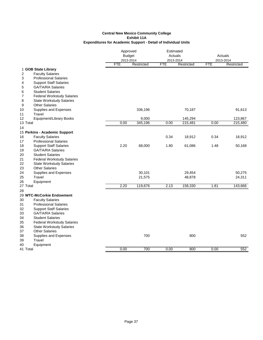| <b>FTE</b><br>Restricted<br><b>FTE</b><br>Restricted<br><b>FTE</b><br>Restricted<br>1 GOB State Library<br>2<br><b>Faculty Salaries</b><br>3<br><b>Professional Salaries</b><br>4<br><b>Support Staff Salaries</b><br><b>GA/TA/RA Salaries</b><br>5<br>6<br><b>Student Salaries</b><br>7<br><b>Federal Workstudy Salaries</b><br>8<br><b>State Workstudy Salaries</b><br><b>Other Salaries</b><br>9<br>70,187<br>Supplies and Expenses<br>336,196<br>91,613<br>10<br>Travel<br>11<br>Equipment/Library Books<br>9,000<br>145,294<br>123,867<br>12<br>345,196<br>0.00<br>215,481<br>215,480<br>13 Total<br>0.00<br>0.00<br>14<br>15 Perkins - Academic Support<br><b>Faculty Salaries</b><br>18,912<br>0.34<br>0.34<br>18,912<br>16<br>17<br><b>Professional Salaries</b><br>2.20<br><b>Support Staff Salaries</b><br>68,000<br>1.80<br>61,086<br>1.48<br>50,168<br>18<br>19<br><b>GA/TA/RA Salaries</b><br><b>Student Salaries</b><br>20<br><b>Federal Workstudy Salaries</b><br>21<br><b>State Workstudy Salaries</b><br>22<br><b>Other Salaries</b><br>23<br>24<br>Supplies and Expenses<br>30,101<br>29,454<br>50,275<br>Travel<br>25<br>21,575<br>48,878<br>24,311<br>26<br>Equipment<br>2.20<br>27 Total<br>119,676<br>2.13<br>158,330<br>1.81<br>143,666<br>28<br>29 WTC-McCorkie Endowment<br>30<br><b>Faculty Salaries</b><br><b>Professional Salaries</b><br>31<br>32<br><b>Support Staff Salaries</b><br><b>GA/TA/RA Salaries</b><br>33<br><b>Student Salaries</b><br>34<br>35<br><b>Federal Workstudy Salaries</b><br><b>State Workstudy Salaries</b><br>36<br><b>Other Salaries</b><br>37<br>700<br>800<br>552<br>38<br>Supplies and Expenses<br>39<br>Travel<br>40<br>Equipment<br>700<br>0.00<br>0.00<br>800<br>0.00<br>552<br>41 Total | Approved<br><b>Budget</b><br>2013-2014 |  | Estimated<br>Actuals<br>2013-2014 |  | Actuals<br>2013-2014 |  |
|-------------------------------------------------------------------------------------------------------------------------------------------------------------------------------------------------------------------------------------------------------------------------------------------------------------------------------------------------------------------------------------------------------------------------------------------------------------------------------------------------------------------------------------------------------------------------------------------------------------------------------------------------------------------------------------------------------------------------------------------------------------------------------------------------------------------------------------------------------------------------------------------------------------------------------------------------------------------------------------------------------------------------------------------------------------------------------------------------------------------------------------------------------------------------------------------------------------------------------------------------------------------------------------------------------------------------------------------------------------------------------------------------------------------------------------------------------------------------------------------------------------------------------------------------------------------------------------------------------------------------------------------------------------------------------------------------------------------------------------------------------|----------------------------------------|--|-----------------------------------|--|----------------------|--|
|                                                                                                                                                                                                                                                                                                                                                                                                                                                                                                                                                                                                                                                                                                                                                                                                                                                                                                                                                                                                                                                                                                                                                                                                                                                                                                                                                                                                                                                                                                                                                                                                                                                                                                                                                       |                                        |  |                                   |  |                      |  |
|                                                                                                                                                                                                                                                                                                                                                                                                                                                                                                                                                                                                                                                                                                                                                                                                                                                                                                                                                                                                                                                                                                                                                                                                                                                                                                                                                                                                                                                                                                                                                                                                                                                                                                                                                       |                                        |  |                                   |  |                      |  |
|                                                                                                                                                                                                                                                                                                                                                                                                                                                                                                                                                                                                                                                                                                                                                                                                                                                                                                                                                                                                                                                                                                                                                                                                                                                                                                                                                                                                                                                                                                                                                                                                                                                                                                                                                       |                                        |  |                                   |  |                      |  |
|                                                                                                                                                                                                                                                                                                                                                                                                                                                                                                                                                                                                                                                                                                                                                                                                                                                                                                                                                                                                                                                                                                                                                                                                                                                                                                                                                                                                                                                                                                                                                                                                                                                                                                                                                       |                                        |  |                                   |  |                      |  |
|                                                                                                                                                                                                                                                                                                                                                                                                                                                                                                                                                                                                                                                                                                                                                                                                                                                                                                                                                                                                                                                                                                                                                                                                                                                                                                                                                                                                                                                                                                                                                                                                                                                                                                                                                       |                                        |  |                                   |  |                      |  |
|                                                                                                                                                                                                                                                                                                                                                                                                                                                                                                                                                                                                                                                                                                                                                                                                                                                                                                                                                                                                                                                                                                                                                                                                                                                                                                                                                                                                                                                                                                                                                                                                                                                                                                                                                       |                                        |  |                                   |  |                      |  |
|                                                                                                                                                                                                                                                                                                                                                                                                                                                                                                                                                                                                                                                                                                                                                                                                                                                                                                                                                                                                                                                                                                                                                                                                                                                                                                                                                                                                                                                                                                                                                                                                                                                                                                                                                       |                                        |  |                                   |  |                      |  |
|                                                                                                                                                                                                                                                                                                                                                                                                                                                                                                                                                                                                                                                                                                                                                                                                                                                                                                                                                                                                                                                                                                                                                                                                                                                                                                                                                                                                                                                                                                                                                                                                                                                                                                                                                       |                                        |  |                                   |  |                      |  |
|                                                                                                                                                                                                                                                                                                                                                                                                                                                                                                                                                                                                                                                                                                                                                                                                                                                                                                                                                                                                                                                                                                                                                                                                                                                                                                                                                                                                                                                                                                                                                                                                                                                                                                                                                       |                                        |  |                                   |  |                      |  |
|                                                                                                                                                                                                                                                                                                                                                                                                                                                                                                                                                                                                                                                                                                                                                                                                                                                                                                                                                                                                                                                                                                                                                                                                                                                                                                                                                                                                                                                                                                                                                                                                                                                                                                                                                       |                                        |  |                                   |  |                      |  |
|                                                                                                                                                                                                                                                                                                                                                                                                                                                                                                                                                                                                                                                                                                                                                                                                                                                                                                                                                                                                                                                                                                                                                                                                                                                                                                                                                                                                                                                                                                                                                                                                                                                                                                                                                       |                                        |  |                                   |  |                      |  |
|                                                                                                                                                                                                                                                                                                                                                                                                                                                                                                                                                                                                                                                                                                                                                                                                                                                                                                                                                                                                                                                                                                                                                                                                                                                                                                                                                                                                                                                                                                                                                                                                                                                                                                                                                       |                                        |  |                                   |  |                      |  |
|                                                                                                                                                                                                                                                                                                                                                                                                                                                                                                                                                                                                                                                                                                                                                                                                                                                                                                                                                                                                                                                                                                                                                                                                                                                                                                                                                                                                                                                                                                                                                                                                                                                                                                                                                       |                                        |  |                                   |  |                      |  |
|                                                                                                                                                                                                                                                                                                                                                                                                                                                                                                                                                                                                                                                                                                                                                                                                                                                                                                                                                                                                                                                                                                                                                                                                                                                                                                                                                                                                                                                                                                                                                                                                                                                                                                                                                       |                                        |  |                                   |  |                      |  |
|                                                                                                                                                                                                                                                                                                                                                                                                                                                                                                                                                                                                                                                                                                                                                                                                                                                                                                                                                                                                                                                                                                                                                                                                                                                                                                                                                                                                                                                                                                                                                                                                                                                                                                                                                       |                                        |  |                                   |  |                      |  |
|                                                                                                                                                                                                                                                                                                                                                                                                                                                                                                                                                                                                                                                                                                                                                                                                                                                                                                                                                                                                                                                                                                                                                                                                                                                                                                                                                                                                                                                                                                                                                                                                                                                                                                                                                       |                                        |  |                                   |  |                      |  |
|                                                                                                                                                                                                                                                                                                                                                                                                                                                                                                                                                                                                                                                                                                                                                                                                                                                                                                                                                                                                                                                                                                                                                                                                                                                                                                                                                                                                                                                                                                                                                                                                                                                                                                                                                       |                                        |  |                                   |  |                      |  |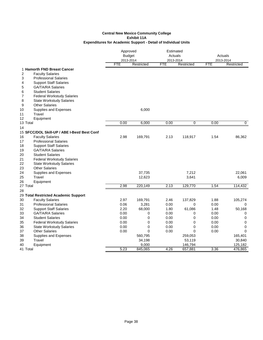|          |                                              | Approved<br><b>Budget</b><br>2013-2014 |             | Estimated<br>Actuals<br>2013-2014 |             | Actuals<br>2013-2014 |             |
|----------|----------------------------------------------|----------------------------------------|-------------|-----------------------------------|-------------|----------------------|-------------|
|          |                                              | <b>FTE</b>                             | Restricted  | <b>FTE</b>                        | Restricted  | <b>FTE</b>           | Restricted  |
|          | 1 Hamorth FND Breast Cancer                  |                                        |             |                                   |             |                      |             |
| 2        | <b>Faculty Salaries</b>                      |                                        |             |                                   |             |                      |             |
| 3        | <b>Professional Salaries</b>                 |                                        |             |                                   |             |                      |             |
| 4        | <b>Support Staff Salaries</b>                |                                        |             |                                   |             |                      |             |
| 5        | <b>GA/TA/RA Salaries</b>                     |                                        |             |                                   |             |                      |             |
| 6        | <b>Student Salaries</b>                      |                                        |             |                                   |             |                      |             |
| 7        | <b>Federal Workstudy Salaries</b>            |                                        |             |                                   |             |                      |             |
| 8        | <b>State Workstudy Salaries</b>              |                                        |             |                                   |             |                      |             |
| 9        | <b>Other Salaries</b>                        |                                        |             |                                   |             |                      |             |
| 10       | Supplies and Expenses                        |                                        | 6,000       |                                   |             |                      |             |
| 11       | Travel                                       |                                        |             |                                   |             |                      |             |
| 12       | Equipment                                    |                                        |             |                                   |             |                      |             |
| 13 Total |                                              | 0.00                                   | 6,000       | 0.00                              | 0           | 0.00                 | $\mathbf 0$ |
| 14       |                                              |                                        |             |                                   |             |                      |             |
|          | 15 SFCC/DOL Skill-UP / ABE I-Best/ Best Conf |                                        |             |                                   |             |                      |             |
| 16       | <b>Faculty Salaries</b>                      | 2.98                                   | 169,791     | 2.13                              | 118,917     | 1.54                 | 86,362      |
| 17       | <b>Professional Salaries</b>                 |                                        |             |                                   |             |                      |             |
| 18       | <b>Support Staff Salaries</b>                |                                        |             |                                   |             |                      |             |
| 19       | <b>GA/TA/RA Salaries</b>                     |                                        |             |                                   |             |                      |             |
| 20       | <b>Student Salaries</b>                      |                                        |             |                                   |             |                      |             |
| 21       | <b>Federal Workstudy Salaries</b>            |                                        |             |                                   |             |                      |             |
| 22       | <b>State Workstudy Salaries</b>              |                                        |             |                                   |             |                      |             |
| 23       | <b>Other Salaries</b>                        |                                        |             |                                   |             |                      |             |
| 24       | Supplies and Expenses                        |                                        | 37,735      |                                   | 7,212       |                      | 22,061      |
| 25<br>26 | Travel                                       |                                        | 12,623      |                                   | 3,641       |                      | 6,009       |
| 27 Total | Equipment                                    | 2.98                                   | 220,149     | 2.13                              | 129,770     | 1.54                 | 114,432     |
| 28       |                                              |                                        |             |                                   |             |                      |             |
|          | 29 Total Restricted Academic Support         |                                        |             |                                   |             |                      |             |
| 30       | <b>Faculty Salaries</b>                      | 2.97                                   | 169,791     | 2.46                              | 137,829     | 1.88                 | 105,274     |
| 31       | <b>Professional Salaries</b>                 | 0.06                                   | 3,281       | 0.00                              | 0           | 0.00                 | 0           |
| 32       | <b>Support Staff Salaries</b>                | 2.20                                   | 68,000      | 1.80                              | 61,086      | 1.48                 | 50,168      |
| 33       | <b>GA/TA/RA Salaries</b>                     | 0.00                                   | 0           | 0.00                              | $\mathbf 0$ | 0.00                 | 0           |
| 34       | <b>Student Salaries</b>                      | 0.00                                   | 0           | 0.00                              | 0           | 0.00                 | 0           |
| 35       | <b>Federal Workstudy Salaries</b>            | 0.00                                   | $\mathbf 0$ | 0.00                              | $\mathbf 0$ | 0.00                 | 0           |
| 36       | <b>State Workstudy Salaries</b>              | 0.00                                   | 0           | 0.00                              | 0           | 0.00                 | 0           |
| 37       | <b>Other Salaries</b>                        | 0.00                                   | 0           | 0.00                              | 0           | 0.00                 | $\Omega$    |
| 38       | Supplies and Expenses                        |                                        | 560,795     |                                   | 259,053     |                      | 165,401     |
| 39       | Travel                                       |                                        | 34,198      |                                   | 53,119      |                      | 30,840      |
| 40       | Equipment                                    |                                        | 9,000       |                                   | 146,794     |                      | 125,182     |
| 41 Total |                                              | 5.23                                   | 845,065     | 4.26                              | 657,881     | 3.36                 | 476,865     |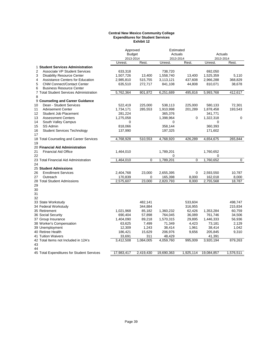#### **Central New Mexico Community College Expenditures for Student Services Exhibit 12**

|                                            | Approved      |                | Estimated           |             |                     |             |
|--------------------------------------------|---------------|----------------|---------------------|-------------|---------------------|-------------|
|                                            | <b>Budget</b> |                | Actuals             |             | Actuals             |             |
|                                            | 2013-2014     |                | 2013-2014           |             | 2013-2014           |             |
|                                            | Unrest.       | Rest.          | Unrest.             | Rest.       | Unrest.             | Rest.       |
| 1 Student Services Administration          |               |                |                     |             |                     |             |
| 2<br><b>Associate VP Student Services</b>  | 633,318       |                | 738,720             |             | 692,050             |             |
| 3<br><b>Disability Resource Center</b>     | 1,507,726     | 13,400         | 1,558,740           | 13,400      | 1,525,359           | 5,110       |
| 4<br>Assistance Centers for Education      | 2,985,810     | 515,755        | 3,113,121           | 437,608     | 2,966,288           | 368,829     |
| 5<br><b>CNM Connect/Contact Center</b>     | 635,510       | 272,717        | 841,108             | 44,808      | 810,071             | 38,678      |
| 6<br><b>Business Resource Center</b>       |               |                |                     |             |                     |             |
| 7 Total Student Services Administration    | 5,762,364     | 801,872        | 6,251,689           | 495,816     | 5,993,768           | 412,617     |
| 8                                          |               |                |                     |             |                     |             |
| 9 Counseling and Career Guidance           |               |                |                     |             |                     |             |
| Dean - Student Services<br>10              | 522,419       | 225,000        | 538,113             | 225,000     | 580,133             | 72,301      |
| 11<br><b>Advisement Center</b>             | 1,734,171     | 285,553        | 1,910,998           | 201,289     | 1,878,458           | 193,543     |
| Student Job Placement<br>12                | 281,224       |                | 365,376             |             | 341,771             |             |
| 13<br><b>Assessment Centers</b>            | 1,275,058     |                | 1,398,964           | $\mathbf 0$ | 1,322,318           | $\mathbf 0$ |
| 14<br>South Valley Campus                  | 0             |                | $\Omega$            |             | 0                   |             |
| 15<br>SS Admin                             | 818,066       |                | 358,144             |             | 360,393             |             |
| 16<br><b>Student Services Technology</b>   | 137,990       |                | 197,325             |             | 171,602             |             |
| 17                                         |               |                |                     |             |                     |             |
| 18 Total Counseling and Career Services    | 4,768,928     | 510,553        | 4,768,920           | 426,289     | 4,654,675           | 265,844     |
| 19                                         |               |                |                     |             |                     |             |
| 20 Financial Aid Administration            |               |                |                     |             |                     |             |
| 21<br><b>Financial Aid Office</b>          | 1,464,010     |                | 1,789,201           |             | 1,760,652           |             |
| 22                                         |               |                | 0                   |             | 0                   |             |
| 23 Total Financial Aid Administration      | 1,464,010     | $\overline{0}$ | 1,789,201           | $\Omega$    | 1,760,652           | $\mathbf 0$ |
| 24                                         |               |                |                     |             |                     |             |
| 25 Student Admissions                      |               |                |                     |             |                     |             |
| 26<br><b>Enrollment Services</b>           | 2,404,768     | 23,000         | 2,655,395           | 0           | 2,593,550           | 10,787      |
| 27<br>Outreach                             | 170,839       | 0              | 165,398             | 8,000       | 162,018             | 8,000       |
| 28 Total Student Admissions                | 2,575,607     | 23,000         | 2,820,793           | 8,000       | 2,755,568           | 18,787      |
| 29                                         |               |                |                     |             |                     |             |
| 30                                         |               |                |                     |             |                     |             |
| 31                                         |               |                |                     |             |                     |             |
| 32                                         |               |                |                     |             |                     |             |
| 33 State Workstudy                         |               | 482,141        |                     | 533,604     |                     | 498,747     |
| 34 Federal Workstudy                       |               | 344,884        |                     | 316,955     |                     | 215,834     |
| 35 Retirement                              | 1,021,968     | 85,182         | 1,360,232           | 62,426      | 1,353,284           | 60,759      |
|                                            | 690,404       | 57,898         | 764,045             | 36,089      | 761,746             | 34,506      |
| 36 Social Security<br>37 Group Insurance   | 1,404,090     | 89,218         |                     | 29,895      | 1,446,333           | 56,936      |
|                                            | 63,625        | 7,499          | 1,570,315<br>71,349 | 4,423       | 73,181              | 2,129       |
| 38 Worker's Compensation                   |               |                |                     |             |                     |             |
| 39 Unemployment                            | 12,309        | 1,243          | 38,414              | 1,961       | 38,414              | 1,042       |
| 40 Retiree Health<br>41 Tuition Waivers    | 186,421       | 15,629         | 206,976             | 9,656       | 205,845             | 9,310       |
| 42 Total Items not Included in 12A's       | 33,691        | 311            | 48,429<br>4,059,760 | 995,009     | 41,391<br>3,920,194 | 879,263     |
| 43                                         | 3,412,508     | 1,084,005      |                     |             |                     |             |
| 44                                         |               |                |                     |             |                     |             |
| 45 Total Expenditures for Student Services | 17,983,417    | 2.419.430      | 19,690,363          | 1,925,114   | 19,084,857          | 1,576,511   |
|                                            |               |                |                     |             |                     |             |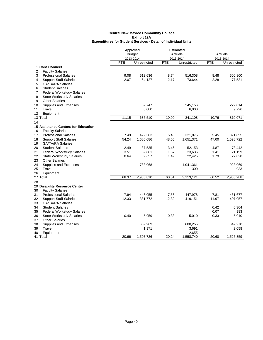|    |                                     | Approved      |              | Estimated  |              |            |              |
|----|-------------------------------------|---------------|--------------|------------|--------------|------------|--------------|
|    |                                     | <b>Budget</b> |              | Actuals    |              |            | Actuals      |
|    |                                     | 2013-2014     |              | 2013-2014  |              |            | 2013-2014    |
|    |                                     | <b>FTE</b>    | Unrestricted | <b>FTE</b> | Unrestricted | <b>FTE</b> | Unrestricted |
|    | 1 CNM Connect                       |               |              |            |              |            |              |
| 2  | <b>Faculty Salaries</b>             |               |              |            |              |            |              |
| 3  | <b>Professional Salaries</b>        | 9.08          | 512,636      | 8.74       | 516,308      | 8.48       | 500,800      |
| 4  | <b>Support Staff Salaries</b>       | 2.07          | 64,127       | 2.17       | 73,644       | 2.28       | 77,531       |
| 5  | <b>GA/TA/RA Salaries</b>            |               |              |            |              |            |              |
| 6  | <b>Student Salaries</b>             |               |              |            |              |            |              |
| 7  | <b>Federal Workstudy Salaries</b>   |               |              |            |              |            |              |
| 8  | <b>State Workstudy Salaries</b>     |               |              |            |              |            |              |
| 9  | <b>Other Salaries</b>               |               |              |            |              |            |              |
| 10 | Supplies and Expenses               |               | 52,747       |            | 245,156      |            | 222,014      |
| 11 | Travel                              |               | 6,000        |            | 6,000        |            | 9,726        |
| 12 | Equipment                           |               |              |            |              |            |              |
|    | 13 Total                            | 11.15         | 635,510      | 10.90      | 841,108      | 10.76      | 810,071      |
| 14 |                                     |               |              |            |              |            |              |
|    | 15 Assistance Centers for Education |               |              |            |              |            |              |
| 16 | <b>Faculty Salaries</b>             |               |              |            |              |            |              |
| 17 | <b>Professional Salaries</b>        | 7.49          | 422,583      | 5.45       | 321,875      | 5.45       | 321,895      |
| 18 | <b>Support Staff Salaries</b>       | 54.24         | 1,680,086    | 48.55      | 1,651,371    | 47.00      | 1,598,722    |
| 19 | <b>GA/TA/RA Salaries</b>            |               |              |            |              |            |              |
| 20 | <b>Student Salaries</b>             | 2.49          | 37,535       | 3.46       | 52,153       | 4.87       | 73,442       |
| 21 | <b>Federal Workstudy Salaries</b>   | 3.51          | 52,881       | 1.57       | 23,636       | 1.41       | 21,199       |
| 22 | <b>State Workstudy Salaries</b>     | 0.64          | 9,657        | 1.49       | 22,425       | 1.79       | 27,028       |
| 23 | <b>Other Salaries</b>               |               |              |            |              |            |              |
| 24 | Supplies and Expenses               |               | 783,068      |            | 1,041,361    |            | 923,069      |
| 25 | Travel                              |               |              |            | 300          |            | 933          |
| 26 | Equipment                           |               |              |            |              |            |              |
|    | 27 Total                            | 68.37         | 2,985,810    | 60.51      | 3,113,121    | 60.52      | 2,966,288    |
| 28 |                                     |               |              |            |              |            |              |
|    | 29 Disability Resource Center       |               |              |            |              |            |              |
| 30 | <b>Faculty Salaries</b>             |               |              |            |              |            |              |
| 31 | <b>Professional Salaries</b>        | 7.94          | 448,055      | 7.58       | 447,978      | 7.81       | 461,677      |
| 32 | <b>Support Staff Salaries</b>       | 12.33         | 381,772      | 12.32      | 419,151      | 11.97      | 407,057      |
| 33 | <b>GA/TA/RA Salaries</b>            |               |              |            |              |            |              |
| 34 | <b>Student Salaries</b>             |               |              |            |              | 0.42       | 6,304        |
| 35 | <b>Federal Workstudy Salaries</b>   |               |              |            |              | 0.07       | 983          |
| 36 | <b>State Workstudy Salaries</b>     | 0.40          | 5,959        | 0.33       | 5,010        | 0.33       | 5,010        |
| 37 | <b>Other Salaries</b>               |               |              |            |              |            |              |
| 38 | Supplies and Expenses               |               | 669,969      |            | 680,255      |            | 642,270      |
| 39 | Travel                              |               | 1,971        |            | 3,691        |            | 2,058        |
| 40 | Equipment                           |               |              |            | 2,655        |            |              |
|    | 41 Total                            | 20.66         | 1,507,726    | 20.24      | 1,558,740    | 20.60      | 1,525,359    |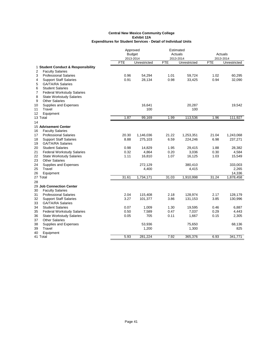|                                             | Approved<br><b>Budget</b> |              |            | Estimated<br>Actuals |            | Actuals             |  |
|---------------------------------------------|---------------------------|--------------|------------|----------------------|------------|---------------------|--|
|                                             | 2013-2014                 |              |            | 2013-2014            | 2013-2014  |                     |  |
|                                             | <b>FTE</b>                | Unrestricted | <b>FTE</b> | Unrestricted         | <b>FTE</b> | <b>Unrestricted</b> |  |
| 1 Student Conduct & Responsibility          |                           |              |            |                      |            |                     |  |
| 2<br><b>Faculty Salaries</b>                |                           |              |            |                      |            |                     |  |
| 3<br><b>Professional Salaries</b>           | 0.96                      | 54,294       | 1.01       | 59,724               | 1.02       | 60,295              |  |
| 4<br><b>Support Staff Salaries</b>          | 0.91                      | 28,134       | 0.98       | 33,425               | 0.94       | 32,090              |  |
| 5<br><b>GA/TA/RA Salaries</b>               |                           |              |            |                      |            |                     |  |
| 6<br><b>Student Salaries</b>                |                           |              |            |                      |            |                     |  |
| 7<br><b>Federal Workstudy Salaries</b>      |                           |              |            |                      |            |                     |  |
| 8<br><b>State Workstudy Salaries</b>        |                           |              |            |                      |            |                     |  |
| 9<br><b>Other Salaries</b>                  |                           |              |            |                      |            |                     |  |
| 10<br>Supplies and Expenses                 |                           | 16,641       |            | 20,287               |            | 19,542              |  |
| Travel<br>11                                |                           | 100          |            | 100                  |            |                     |  |
| 12<br>Equipment                             |                           |              |            |                      |            |                     |  |
| 13 Total                                    | 1.87                      | 99,169       | 1.99       | 113,536              | 1.96       | 111,927             |  |
| 14                                          |                           |              |            |                      |            |                     |  |
| 15 Advisement Center                        |                           |              |            |                      |            |                     |  |
| <b>Faculty Salaries</b><br>16               |                           |              |            |                      |            |                     |  |
| 17<br><b>Professional Salaries</b>          | 20.30                     | 1,146,036    | 21.22      | 1,253,351            | 21.04      | 1,243,068           |  |
| <b>Support Staff Salaries</b><br>18         | 8.88                      | 275,103      | 6.59       | 224,246              | 6.98       | 237,271             |  |
| 19<br><b>GA/TA/RA Salaries</b>              |                           |              |            |                      |            |                     |  |
| 20<br><b>Student Salaries</b>               | 0.98                      | 14,829       | 1.95       | 29,415               | 1.88       | 28,382              |  |
| 21<br><b>Federal Workstudy Salaries</b>     | 0.32                      | 4,864        | 0.20       | 3,036                | 0.30       | 4,584               |  |
| 22<br><b>State Workstudy Salaries</b>       | 1.11                      | 16,810       | 1.07       | 16,125               | 1.03       | 15,549              |  |
| 23<br><b>Other Salaries</b>                 |                           |              |            |                      |            |                     |  |
| 24<br>Supplies and Expenses<br>25<br>Travel |                           | 272,129      |            | 380,410              |            | 333,003             |  |
|                                             |                           | 4,400        |            | 4,415                |            | 2,265               |  |
| 26<br>Equipment<br>27 Total                 | 31.61                     | 1,734,171    | 31.03      | 1,910,998            | 31.24      | 14,336<br>1,878,458 |  |
|                                             |                           |              |            |                      |            |                     |  |
| 28<br>29 Job Connection Center              |                           |              |            |                      |            |                     |  |
| 30<br><b>Faculty Salaries</b>               |                           |              |            |                      |            |                     |  |
| <b>Professional Salaries</b><br>31          | 2.04                      | 115,408      | 2.18       | 128,974              | 2.17       | 128,179             |  |
| 32<br><b>Support Staff Salaries</b>         | 3.27                      | 101,377      | 3.86       | 131,153              | 3.85       | 130,996             |  |
| 33<br><b>GA/TA/RA Salaries</b>              |                           |              |            |                      |            |                     |  |
| 34<br><b>Student Salaries</b>               | 0.07                      | 1,009        | 1.30       | 19,595               | 0.46       | 6,887               |  |
| 35<br><b>Federal Workstudy Salaries</b>     | 0.50                      | 7,589        | 0.47       | 7,037                | 0.29       | 4,443               |  |
| 36<br><b>State Workstudy Salaries</b>       | 0.05                      | 705          | 0.11       | 1,667                | 0.15       | 2,305               |  |
| 37<br><b>Other Salaries</b>                 |                           |              |            |                      |            |                     |  |
| 38<br>Supplies and Expenses                 |                           | 53,936       |            | 75,650               |            | 68,136              |  |
| Travel<br>39                                |                           | 1,200        |            | 1,300                |            | 825                 |  |
| 40<br>Equipment                             |                           |              |            |                      |            |                     |  |
| 41 Total                                    | 5.93                      | 281,224      | 7.92       | 365,376              | 6.93       | 341,771             |  |
|                                             |                           |              |            |                      |            |                     |  |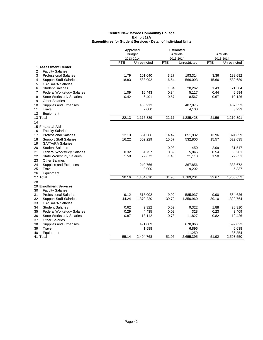|                                         |            | Approved      | Estimated  |              |            |              |
|-----------------------------------------|------------|---------------|------------|--------------|------------|--------------|
|                                         |            | <b>Budget</b> |            | Actuals      | Actuals    |              |
|                                         |            | 2013-2014     |            | 2013-2014    |            | 2013-2014    |
|                                         | <b>FTE</b> | Unrestricted  | <b>FTE</b> | Unrestricted | <b>FTE</b> | Unrestricted |
| 1 Assessment Center                     |            |               |            |              |            |              |
| 2<br><b>Faculty Salaries</b>            |            |               |            |              |            |              |
| 3<br><b>Professional Salaries</b>       | 1.79       | 101,040       | 3.27       | 193,314      | 3.36       | 198,692      |
| 4<br><b>Support Staff Salaries</b>      | 18.83      | 583,092       | 16.64      | 566,093      | 15.66      | 532,689      |
| 5<br><b>GA/TA/RA Salaries</b>           |            |               |            |              |            |              |
| 6<br><b>Student Salaries</b>            |            |               | 1.34       | 20,262       | 1.43       | 21,504       |
| 7<br><b>Federal Workstudy Salaries</b>  | 1.09       | 16,443        | 0.34       | 5,117        | 0.44       | 6,594        |
| 8<br><b>State Workstudy Salaries</b>    | 0.42       | 6,401         | 0.57       | 8,567        | 0.67       | 10,126       |
| 9<br><b>Other Salaries</b>              |            |               |            |              |            |              |
| 10<br>Supplies and Expenses             |            | 466,913       |            | 487,975      |            | 437,553      |
| 11<br>Travel                            |            | 2,000         |            | 4,100        |            | 3,233        |
| 12<br>Equipment                         |            |               |            |              |            |              |
| 13 Total                                | 22.13      | 1,175,889     | 22.17      | 1,285,428    | 21.56      | 1,210,391    |
| 14                                      |            |               |            |              |            |              |
| 15 Financial Aid                        |            |               |            |              |            |              |
| <b>Faculty Salaries</b><br>16           |            |               |            |              |            |              |
| <b>Professional Salaries</b><br>17      | 12.13      | 684,586       | 14.42      | 851,932      | 13.96      | 824,659      |
| 18<br><b>Support Staff Salaries</b>     | 16.22      | 502,229       | 15.67      | 532,806      | 15.57      | 529,635      |
| 19<br><b>GA/TA/RA Salaries</b>          |            |               |            |              |            |              |
| <b>Student Salaries</b><br>20           |            |               | 0.03       | 450          | 2.09       | 31,517       |
| 21<br><b>Federal Workstudy Salaries</b> | 0.32       | 4,757         | 0.39       | 5,845        | 0.54       | 8,201        |
| 22<br><b>State Workstudy Salaries</b>   | 1.50       | 22,672        | 1.40       | 21,110       | 1.50       | 22,631       |
| 23<br><b>Other Salaries</b>             |            |               |            |              |            |              |
| 24<br>Supplies and Expenses             |            | 240,766       |            | 367,856      |            | 338,672      |
| Travel<br>25                            |            | 9,000         |            | 9,202        |            | 5,337        |
| 26<br>Equipment                         |            |               |            |              |            |              |
| 27 Total                                | 30.16      | 1,464,010     | 31.90      | 1,789,201    | 33.67      | 1,760,652    |
| 28                                      |            |               |            |              |            |              |
| 29 Enrollment Services                  |            |               |            |              |            |              |
| 30<br><b>Faculty Salaries</b>           |            |               |            |              |            |              |
| 31<br><b>Professional Salaries</b>      | 9.12       | 515,002       | 9.92       | 585,937      | 9.90       | 584,626      |
| 32<br><b>Support Staff Salaries</b>     | 44.24      | 1,370,220     | 39.72      | 1,350,960    | 39.10      | 1,329,764    |
| 33<br><b>GA/TA/RA Salaries</b>          |            |               |            |              |            |              |
| 34<br><b>Student Salaries</b>           | 0.62       | 9,322         | 0.62       | 9,322        | 1.88       | 28,310       |
| 35<br><b>Federal Workstudy Salaries</b> | 0.29       | 4,435         | 0.02       | 328          | 0.23       | 3,409        |
| 36<br><b>State Workstudy Salaries</b>   | 0.87       | 13,112        | 0.78       | 11,827       | 0.82       | 12,426       |
| 37<br><b>Other Salaries</b>             |            |               |            |              |            |              |
| 38<br>Supplies and Expenses             |            | 491,089       |            | 678,866      |            | 592,023      |
| 39<br>Travel                            |            | 1,588         |            | 6,896        |            | 6,638        |
| 40<br>Equipment                         |            |               |            | 11,259       |            | 36,354       |
| 41 Total                                | 55.14      | 2,404,768     | 51.06      | 2,655,395    | 51.92      | 2,593,550    |
|                                         |            |               |            |              |            |              |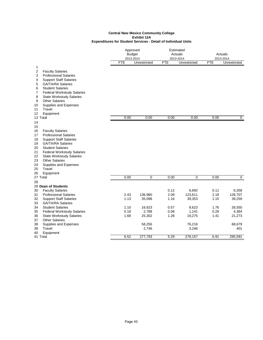|                                                                                                                                                                                                                                                                                                                                                                                |                                      | Approved<br><b>Budget</b><br>2013-2014         |                                              | Estimated<br>Actuals<br>2013-2014                      |                                              | Actuals<br>2013-2014                                    |  |
|--------------------------------------------------------------------------------------------------------------------------------------------------------------------------------------------------------------------------------------------------------------------------------------------------------------------------------------------------------------------------------|--------------------------------------|------------------------------------------------|----------------------------------------------|--------------------------------------------------------|----------------------------------------------|---------------------------------------------------------|--|
|                                                                                                                                                                                                                                                                                                                                                                                | FTE                                  | Unrestricted                                   | <b>FTE</b>                                   | Unrestricted                                           | FTE                                          | Unrestricted                                            |  |
| 1<br>$\overline{\mathbf{c}}$<br><b>Faculty Salaries</b><br><b>Professional Salaries</b><br>3<br><b>Support Staff Salaries</b><br>4<br><b>GA/TA/RA Salaries</b><br>5<br>6<br><b>Student Salaries</b><br>7<br><b>Federal Workstudy Salaries</b><br>8<br><b>State Workstudy Salaries</b><br>9<br><b>Other Salaries</b><br>Supplies and Expenses<br>10<br>Travel<br>11             |                                      |                                                |                                              |                                                        |                                              |                                                         |  |
| 12<br>Equipment<br>13 Total                                                                                                                                                                                                                                                                                                                                                    | 0.00                                 | 0.00                                           | 0.00                                         | 0.00                                                   | 0.00                                         | $\overline{0}$                                          |  |
| 14<br>15<br>16<br><b>Faculty Salaries</b><br>17<br><b>Professional Salaries</b><br><b>Support Staff Salaries</b><br>18<br><b>GA/TA/RA Salaries</b><br>19<br><b>Student Salaries</b><br>20<br>21<br><b>Federal Workstudy Salaries</b><br><b>State Workstudy Salaries</b><br>22<br><b>Other Salaries</b><br>23<br>24<br>Supplies and Expenses<br>Travel<br>25<br>26<br>Equipment |                                      | $\overline{0}$                                 |                                              |                                                        |                                              | $\overline{0}$                                          |  |
| 27 Total<br>28                                                                                                                                                                                                                                                                                                                                                                 | 0.00                                 |                                                | 0.00                                         | $\overline{0}$                                         | 0.00                                         |                                                         |  |
| 29 Dean of Students<br><b>Faculty Salaries</b><br>30<br><b>Professional Salaries</b><br>31<br><b>Support Staff Salaries</b><br>32<br>33<br><b>GA/TA/RA Salaries</b><br>34<br><b>Student Salaries</b><br><b>Federal Workstudy Salaries</b><br>35<br>36<br><b>State Workstudy Salaries</b><br><b>Other Salaries</b>                                                              | 2.43<br>1.13<br>1.10<br>0.18<br>1.68 | 136,980<br>35,098<br>16,623<br>2,788<br>25,302 | 0.12<br>2.09<br>1.16<br>0.57<br>0.08<br>1.28 | 6,692<br>123,611<br>39,353<br>8,623<br>1,141<br>19,275 | 0.11<br>2.18<br>1.15<br>1.76<br>0.29<br>1.41 | 6,358<br>128,707<br>39,259<br>26,550<br>4,364<br>21,273 |  |
| 37<br>38<br>Supplies and Expenses<br>Travel<br>39<br>40<br>Equipment                                                                                                                                                                                                                                                                                                           |                                      | 58,256<br>2,746                                |                                              | 76,216<br>3,246                                        |                                              | 68,679<br>401                                           |  |
| 41 Total                                                                                                                                                                                                                                                                                                                                                                       | 6.52                                 | 277,793                                        | 5.29                                         | 278,157                                                | 6.91                                         | 295,591                                                 |  |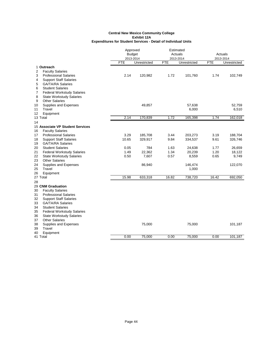|          |                                                           | Approved<br><b>Budget</b> |              | Estimated<br>Actuals<br>2013-2014 |              | <b>Actuals</b><br>2013-2014 |              |
|----------|-----------------------------------------------------------|---------------------------|--------------|-----------------------------------|--------------|-----------------------------|--------------|
|          |                                                           | 2013-2014<br><b>FTE</b>   | Unrestricted | <b>FTE</b>                        | Unrestricted | <b>FTE</b>                  | Unrestricted |
|          | 1 Outreach                                                |                           |              |                                   |              |                             |              |
| 2        | <b>Faculty Salaries</b>                                   |                           |              |                                   |              |                             |              |
| 3        | <b>Professional Salaries</b>                              | 2.14                      | 120,982      | 1.72                              | 101,760      | 1.74                        | 102,749      |
| 4        | <b>Support Staff Salaries</b>                             |                           |              |                                   |              |                             |              |
| 5        | <b>GA/TA/RA Salaries</b>                                  |                           |              |                                   |              |                             |              |
| 6        | <b>Student Salaries</b>                                   |                           |              |                                   |              |                             |              |
| 7        | <b>Federal Workstudy Salaries</b>                         |                           |              |                                   |              |                             |              |
| 8        | <b>State Workstudy Salaries</b>                           |                           |              |                                   |              |                             |              |
| 9        | <b>Other Salaries</b>                                     |                           |              |                                   |              |                             |              |
| 10       | Supplies and Expenses                                     |                           | 49,857       |                                   | 57,638       |                             | 52,759       |
| 11       | Travel                                                    |                           |              |                                   | 6,000        |                             | 6,510        |
| 12       | Equipment                                                 |                           |              |                                   |              |                             |              |
|          | 13 Total                                                  | 2.14                      | 170,839      | 1.72                              | 165,398      | 1.74                        | 162,018      |
| 14       |                                                           |                           |              |                                   |              |                             |              |
|          | 15 Associate VP Student Services                          |                           |              |                                   |              |                             |              |
| 16       | <b>Faculty Salaries</b><br><b>Professional Salaries</b>   | 3.29                      | 185,708      | 3.44                              |              | 3.19                        | 188,704      |
| 17       |                                                           | 10.65                     |              | 9.84                              | 203,273      | 9.61                        |              |
| 18<br>19 | <b>Support Staff Salaries</b><br><b>GA/TA/RA Salaries</b> |                           | 329,917      |                                   | 334,537      |                             | 326,746      |
| 20       | <b>Student Salaries</b>                                   | 0.05                      | 784          | 1.63                              | 24,638       | 1.77                        | 26,659       |
| 21       | <b>Federal Workstudy Salaries</b>                         | 1.49                      | 22,362       | 1.34                              | 20,239       | 1.20                        | 18,122       |
| 22       | <b>State Workstudy Salaries</b>                           | 0.50                      | 7,607        | 0.57                              | 8,559        | 0.65                        | 9,749        |
| 23       | <b>Other Salaries</b>                                     |                           |              |                                   |              |                             |              |
| 24       | Supplies and Expenses                                     |                           | 86,940       |                                   | 146,474      |                             | 122,070      |
| 25       | Travel                                                    |                           |              |                                   | 1,000        |                             |              |
| 26       | Equipment                                                 |                           |              |                                   |              |                             |              |
|          | 27 Total                                                  | 15.98                     | 633,318      | 16.82                             | 738,720      | 16.42                       | 692,050      |
| 28       |                                                           |                           |              |                                   |              |                             |              |
|          | 29 CNM Graduation                                         |                           |              |                                   |              |                             |              |
| 30       | <b>Faculty Salaries</b>                                   |                           |              |                                   |              |                             |              |
| 31       | <b>Professional Salaries</b>                              |                           |              |                                   |              |                             |              |
| 32       | <b>Support Staff Salaries</b>                             |                           |              |                                   |              |                             |              |
| 33       | <b>GA/TA/RA Salaries</b>                                  |                           |              |                                   |              |                             |              |
| 34       | <b>Student Salaries</b>                                   |                           |              |                                   |              |                             |              |
| 35       | <b>Federal Workstudy Salaries</b>                         |                           |              |                                   |              |                             |              |
| 36       | <b>State Workstudy Salaries</b>                           |                           |              |                                   |              |                             |              |
| 37       | <b>Other Salaries</b>                                     |                           |              |                                   |              |                             |              |
| 38       | Supplies and Expenses                                     |                           | 75,000       |                                   | 75,000       |                             | 101,187      |
| 39       | Travel                                                    |                           |              |                                   |              |                             |              |
| 40       | Equipment<br>41 Total                                     | 0.00                      | 75,000       | 0.00                              | 75,000       | 0.00                        | 101,187      |
|          |                                                           |                           |              |                                   |              |                             |              |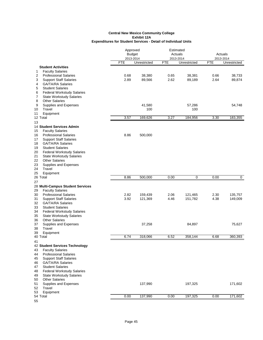|                                                                                                                                                                                                             | Approved<br><b>Budget</b><br>2013-2014 |                  | Estimated<br>Actuals<br>2013-2014 |                  | Actuals<br>2013-2014 |                  |
|-------------------------------------------------------------------------------------------------------------------------------------------------------------------------------------------------------------|----------------------------------------|------------------|-----------------------------------|------------------|----------------------|------------------|
|                                                                                                                                                                                                             | <b>FTE</b>                             | Unrestricted     | <b>FTE</b>                        | Unrestricted     | <b>FTE</b>           | Unrestricted     |
| <b>Student Activities</b><br><b>Faculty Salaries</b><br>1<br>2<br><b>Professional Salaries</b><br>3<br><b>Support Staff Salaries</b>                                                                        | 0.68<br>2.89                           | 38,380<br>89,566 | 0.65<br>2.62                      | 38,381<br>89,189 | 0.66<br>2.64         | 38,733<br>89,874 |
| <b>GA/TA/RA Salaries</b><br>4<br>5<br><b>Student Salaries</b><br>6<br><b>Federal Workstudy Salaries</b><br>7<br><b>State Workstudy Salaries</b><br>8<br><b>Other Salaries</b><br>9<br>Supplies and Expenses |                                        | 41,580           |                                   | 57,286           |                      | 54,748           |
| Travel<br>10<br>Equipment<br>11                                                                                                                                                                             |                                        | 100              |                                   | 100              |                      |                  |
| 12 Total                                                                                                                                                                                                    | 3.57                                   | 169,626          | 3.27                              | 184,956          | 3.30                 | 183,355          |
| 13<br>14 Student Services Admin<br><b>Faculty Salaries</b><br>15                                                                                                                                            |                                        |                  |                                   |                  |                      |                  |
| <b>Professional Salaries</b><br>16<br><b>Support Staff Salaries</b><br>17<br><b>GA/TA/RA Salaries</b><br>18<br><b>Student Salaries</b><br>19<br><b>Federal Workstudy Salaries</b><br>20                     | 8.86                                   | 500,000          |                                   |                  |                      |                  |
| <b>State Workstudy Salaries</b><br>21<br>22<br><b>Other Salaries</b><br>23<br>Supplies and Expenses<br>Travel<br>24                                                                                         |                                        |                  |                                   |                  |                      |                  |
| 25<br>Equipment<br>26 Total                                                                                                                                                                                 | 8.86                                   | 500,000          | 0.00                              | 0                | 0.00                 | 0                |
| 27                                                                                                                                                                                                          |                                        |                  |                                   |                  |                      |                  |
| 28 Multi-Campus Student Services                                                                                                                                                                            |                                        |                  |                                   |                  |                      |                  |
| <b>Faculty Salaries</b><br>29<br><b>Professional Salaries</b><br>30                                                                                                                                         | 2.82                                   | 159,439          | 2.06                              | 121,465          | 2.30                 | 135,757          |
| <b>Support Staff Salaries</b><br>31                                                                                                                                                                         | 3.92                                   | 121,369          | 4.46                              | 151,782          | 4.38                 | 149,009          |
| 32<br><b>GA/TA/RA Salaries</b>                                                                                                                                                                              |                                        |                  |                                   |                  |                      |                  |
| <b>Student Salaries</b><br>33<br>34<br><b>Federal Workstudy Salaries</b><br><b>State Workstudy Salaries</b><br>35                                                                                           |                                        |                  |                                   |                  |                      |                  |
| <b>Other Salaries</b><br>36<br>37<br>Supplies and Expenses<br>Travel                                                                                                                                        |                                        | 37,258           |                                   | 84,897           |                      | 75,627           |
| 38<br>39<br>Equipment                                                                                                                                                                                       |                                        |                  |                                   |                  |                      |                  |
| 40 Total                                                                                                                                                                                                    | 6.74                                   | 318,066          | 6.52                              | 358,144          | 6.68                 | 360,393          |
| 41<br>42 Student Services Technology<br>43<br><b>Faculty Salaries</b><br><b>Professional Salaries</b><br>44                                                                                                 |                                        |                  |                                   |                  |                      |                  |
| <b>Support Staff Salaries</b><br>45<br><b>GA/TA/RA Salaries</b><br>46<br><b>Student Salaries</b><br>47                                                                                                      |                                        |                  |                                   |                  |                      |                  |
| <b>Federal Workstudy Salaries</b><br>48<br><b>State Workstudy Salaries</b><br>49                                                                                                                            |                                        |                  |                                   |                  |                      |                  |
| <b>Other Salaries</b><br>50<br>Supplies and Expenses<br>51<br>Travel<br>52                                                                                                                                  |                                        | 137,990          |                                   | 197,325          |                      | 171,602          |
| Equipment<br>53<br>54 Total                                                                                                                                                                                 | 0.00                                   | 137,990          | 0.00                              | 197,325          | 0.00                 | 171,602          |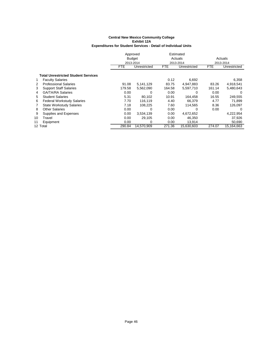|    |                                            | Approved      |              |            | Estimated    |            |              |
|----|--------------------------------------------|---------------|--------------|------------|--------------|------------|--------------|
|    |                                            | <b>Budget</b> |              |            | Actuals      |            | Actuals      |
|    |                                            |               | 2013-2014    |            | 2013-2014    | 2013-2014  |              |
|    |                                            | FTE           | Unrestricted | <b>FTE</b> | Unrestricted | <b>FTE</b> | Unrestricted |
|    | <b>Total Unrestricted Student Services</b> |               |              |            |              |            |              |
| 1  | <b>Faculty Salaries</b>                    |               |              | 0.12       | 6,692        |            | 6,358        |
| 2  | <b>Professional Salaries</b>               | 91.08         | 5,141,129    | 83.75      | 4,947,883    | 83.26      | 4,918,541    |
| 3  | <b>Support Staff Salaries</b>              | 179.58        | 5,562,090    | 164.58     | 5,597,710    | 161.14     | 5,480,643    |
| 4  | <b>GA/TA/RA Salaries</b>                   | 0.00          | 0            | 0.00       | 0            | 0.00       | 0            |
| 5  | <b>Student Salaries</b>                    | 5.31          | 80.102       | 10.91      | 164.458      | 16.55      | 249,555      |
| 6  | <b>Federal Workstudy Salaries</b>          | 7.70          | 116.119      | 4.40       | 66.379       | 4.77       | 71,899       |
| 7  | <b>State Workstudy Salaries</b>            | 7.18          | 108.225      | 7.60       | 114,565      | 8.36       | 126,097      |
| 8  | <b>Other Salaries</b>                      | 0.00          | 0            | 0.00       | O            | 0.00       | 0            |
| 9  | Supplies and Expenses                      | 0.00          | 3,534,139    | 0.00       | 4,672,652    |            | 4,222,954    |
| 10 | Travel                                     | 0.00          | 29,105       | 0.00       | 46,350       |            | 37,926       |
| 11 | Equipment                                  | 0.00          | 0            | 0.00       | 13,914       |            | 50,690       |
|    | 12 Total                                   | 290.84        | 14,570,909   | 271.36     | 15,630,603   | 274.07     | 15,164,663   |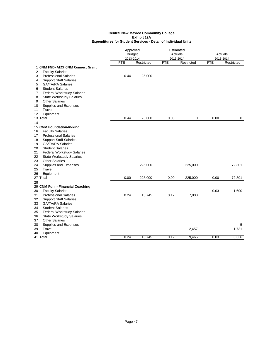|                                                                                                                                                                                                                                                                                                                                                                              | Approved<br><b>Budget</b><br>2013-2014 |            | Estimated<br>Actuals<br>2013-2014 |            | <b>Actuals</b><br>2013-2014 |             |
|------------------------------------------------------------------------------------------------------------------------------------------------------------------------------------------------------------------------------------------------------------------------------------------------------------------------------------------------------------------------------|----------------------------------------|------------|-----------------------------------|------------|-----------------------------|-------------|
|                                                                                                                                                                                                                                                                                                                                                                              | <b>FTE</b>                             | Restricted | <b>FTE</b>                        | Restricted | <b>FTE</b>                  | Restricted  |
| 1 CNM FND- AECF CNM Connect Grant<br><b>Faculty Salaries</b><br>2<br><b>Professional Salaries</b><br>3<br><b>Support Staff Salaries</b><br>4<br>5<br><b>GA/TA/RA Salaries</b><br><b>Student Salaries</b><br>6                                                                                                                                                                | 0.44                                   | 25,000     |                                   |            |                             |             |
| $\overline{7}$<br><b>Federal Workstudy Salaries</b><br>8<br><b>State Workstudy Salaries</b><br><b>Other Salaries</b><br>9<br>Supplies and Expenses<br>10<br>Travel<br>11<br>Equipment<br>12                                                                                                                                                                                  |                                        |            |                                   |            |                             |             |
| 13 Total<br>14                                                                                                                                                                                                                                                                                                                                                               | 0.44                                   | 25,000     | 0.00                              | 0          | 0.00                        | $\mathbf 0$ |
| 15 CNM Foundation-In-kind<br><b>Faculty Salaries</b><br>16<br><b>Professional Salaries</b><br>17<br><b>Support Staff Salaries</b><br>18<br><b>GA/TA/RA Salaries</b><br>19<br>20<br><b>Student Salaries</b><br>21<br><b>Federal Workstudy Salaries</b><br>22<br><b>State Workstudy Salaries</b><br>23<br><b>Other Salaries</b><br>24<br>Supplies and Expenses<br>25<br>Travel |                                        | 225,000    |                                   | 225,000    |                             | 72,301      |
| Equipment<br>26<br>27 Total                                                                                                                                                                                                                                                                                                                                                  | 0.00                                   | 225,000    | 0.00                              | 225,000    | 0.00                        | 72,301      |
| 28                                                                                                                                                                                                                                                                                                                                                                           |                                        |            |                                   |            |                             |             |
| 29 CNM Fdn. - Financial Coaching<br><b>Faculty Salaries</b><br>30<br><b>Professional Salaries</b><br>31<br><b>Support Staff Salaries</b><br>32<br><b>GA/TA/RA Salaries</b><br>33                                                                                                                                                                                             | 0.24                                   | 13,745     | 0.12                              | 7,008      | 0.03                        | 1,600       |
| <b>Student Salaries</b><br>34<br><b>Federal Workstudy Salaries</b><br>35<br><b>State Workstudy Salaries</b><br>36<br><b>Other Salaries</b><br>37<br>38<br>Supplies and Expenses<br>39<br>Travel                                                                                                                                                                              |                                        |            |                                   | 2,457      |                             | 5<br>1,731  |
| Equipment<br>40<br>41 Total                                                                                                                                                                                                                                                                                                                                                  | 0.24                                   | 13,745     | 0.12                              | 9,465      | 0.03                        | 3,336       |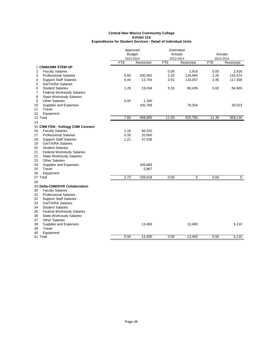|    |                                   | Approved      |            | Estimated  |             |            |                |
|----|-----------------------------------|---------------|------------|------------|-------------|------------|----------------|
|    |                                   | <b>Budget</b> |            | Actuals    |             | Actuals    |                |
|    |                                   | 2013-2014     |            | 2013-2014  |             |            | 2013-2014      |
|    |                                   | <b>FTE</b>    | Restricted | <b>FTE</b> | Restricted  | <b>FTE</b> | Restricted     |
|    | <b>1 CNM/UNM STEM UP</b>          |               |            |            |             |            |                |
| 2  | <b>Faculty Salaries</b>           |               |            | 0.05       | 2,916       | 0.05       | 2,916          |
| 3  | <b>Professional Salaries</b>      | 5.85          | 330,062    | 2.20       | 129,994     | 2.26       | 133,474        |
| 4  | <b>Support Staff Salaries</b>     | 0.44          | 13,755     | 3.91       | 133,057     | 3.45       | 117,300        |
| 5  | <b>GA/TA/RA Salaries</b>          |               |            |            |             |            |                |
| 6  | <b>Student Salaries</b>           | 1.26          | 19,034     | 5.33       | 80,435      | 5.63       | 84,903         |
| 7  | <b>Federal Workstudy Salaries</b> |               |            |            |             |            |                |
| 8  | <b>State Workstudy Salaries</b>   |               |            |            |             |            |                |
| 9  | <b>Other Salaries</b>             | 0.05          | 1,160      |            |             |            |                |
| 10 | Supplies and Expenses             |               | 105,789    |            | 79,354      |            | 20,523         |
| 11 | Travel                            |               |            |            |             |            |                |
| 12 | Equipment                         |               |            |            |             |            |                |
|    | 13 Total                          | 7.60          | 469,800    | 11.50      | 425,756     | 11.39      | 359,116        |
| 14 |                                   |               |            |            |             |            |                |
|    | 15 CNM FDN - Kellogg CNM Connect  |               |            |            |             |            |                |
| 16 | <b>Faculty Salaries</b>           | 1.16          | 66,532     |            |             |            |                |
| 17 | <b>Professional Salaries</b>      | 0.35          | 20,000     |            |             |            |                |
| 18 | <b>Support Staff Salaries</b>     | 1.21          | 37,536     |            |             |            |                |
| 19 | <b>GA/TA/RA Salaries</b>          |               |            |            |             |            |                |
| 20 | <b>Student Salaries</b>           |               |            |            |             |            |                |
| 21 | <b>Federal Workstudy Salaries</b> |               |            |            |             |            |                |
| 22 | <b>State Workstudy Salaries</b>   |               |            |            |             |            |                |
| 23 | <b>Other Salaries</b>             |               |            |            |             |            |                |
| 24 | Supplies and Expenses             |               | 109,683    |            |             |            |                |
| 25 | Travel                            |               | 5,867      |            |             |            |                |
| 26 | Equipment                         |               |            |            |             |            |                |
|    | 27 Total                          | 2.73          | 239,618    | 0.00       | $\mathbf 0$ | 0.00       | $\overline{0}$ |
| 28 |                                   |               |            |            |             |            |                |
|    | 29 Delta-CNM/DVR Collaboration    |               |            |            |             |            |                |
| 30 | <b>Faculty Salaries</b>           |               |            |            |             |            |                |
| 31 | <b>Professional Salaries</b>      |               |            |            |             |            |                |
| 32 | <b>Support Staff Salaries</b>     |               |            |            |             |            |                |
| 33 | <b>GA/TA/RA Salaries</b>          |               |            |            |             |            |                |
| 34 | <b>Student Salaries</b>           |               |            |            |             |            |                |
| 35 | <b>Federal Workstudy Salaries</b> |               |            |            |             |            |                |
| 36 | <b>State Workstudy Salaries</b>   |               |            |            |             |            |                |
| 37 | <b>Other Salaries</b>             |               |            |            |             |            |                |
| 38 | Supplies and Expenses             |               | 13,400     |            | 13,400      |            | 5,110          |
| 39 | Travel                            |               |            |            |             |            |                |
| 40 | Equipment                         |               |            |            |             |            |                |
|    | 41 Total                          | 0.00          | 13,400     | 0.00       | 13,400      | 0.00       | 5,110          |
|    |                                   |               |            |            |             |            |                |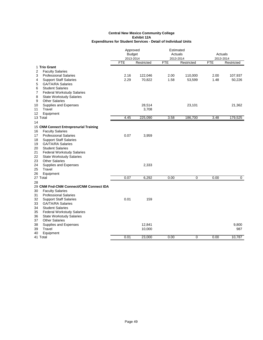|    |                                        | Approved      |            | Estimated  |            |         |             |
|----|----------------------------------------|---------------|------------|------------|------------|---------|-------------|
|    |                                        | <b>Budget</b> |            | Actuals    |            | Actuals |             |
|    |                                        | 2013-2014     |            | 2013-2014  |            |         | 2013-2014   |
|    |                                        | <b>FTE</b>    | Restricted | <b>FTE</b> | Restricted | FTE     | Restricted  |
|    | 1 Trio Grant                           |               |            |            |            |         |             |
| 2  | <b>Faculty Salaries</b>                |               |            |            |            |         |             |
| 3  | <b>Professional Salaries</b>           | 2.16          | 122,046    | 2.00       | 110,000    | 2.00    | 107,937     |
| 4  | <b>Support Staff Salaries</b>          | 2.29          | 70,822     | 1.58       | 53,599     | 1.48    | 50,226      |
| 5  | <b>GA/TA/RA Salaries</b>               |               |            |            |            |         |             |
| 6  | <b>Student Salaries</b>                |               |            |            |            |         |             |
| 7  | <b>Federal Workstudy Salaries</b>      |               |            |            |            |         |             |
| 8  | <b>State Workstudy Salaries</b>        |               |            |            |            |         |             |
| 9  | <b>Other Salaries</b>                  |               |            |            |            |         |             |
| 10 | Supplies and Expenses                  |               | 28,514     |            | 23,101     |         | 21,362      |
| 11 | Travel                                 |               | 3,708      |            |            |         |             |
| 12 | Equipment                              |               |            |            |            |         |             |
|    | 13 Total                               | 4.45          | 225,090    | 3.58       | 186,700    | 3.48    | 179,525     |
| 14 |                                        |               |            |            |            |         |             |
|    | 15 CNM Connect Entreprenurial Training |               |            |            |            |         |             |
| 16 | <b>Faculty Salaries</b>                |               |            |            |            |         |             |
| 17 | <b>Professional Salaries</b>           | 0.07          | 3,959      |            |            |         |             |
| 18 | <b>Support Staff Salaries</b>          |               |            |            |            |         |             |
| 19 | <b>GA/TA/RA Salaries</b>               |               |            |            |            |         |             |
| 20 | <b>Student Salaries</b>                |               |            |            |            |         |             |
| 21 | <b>Federal Workstudy Salaries</b>      |               |            |            |            |         |             |
| 22 | <b>State Workstudy Salaries</b>        |               |            |            |            |         |             |
| 23 | <b>Other Salaries</b>                  |               |            |            |            |         |             |
| 24 | Supplies and Expenses                  |               | 2,333      |            |            |         |             |
| 25 | Travel                                 |               |            |            |            |         |             |
| 26 | Equipment                              |               |            |            |            |         |             |
|    | 27 Total                               | 0.07          | 6,292      | 0.00       | 0          | 0.00    | $\mathbf 0$ |
| 28 |                                        |               |            |            |            |         |             |
|    | 29 CNM Fnd-CNM Connect/CNM Connect IDA |               |            |            |            |         |             |
| 30 | <b>Faculty Salaries</b>                |               |            |            |            |         |             |
| 31 | <b>Professional Salaries</b>           |               |            |            |            |         |             |
| 32 | <b>Support Staff Salaries</b>          | 0.01          | 159        |            |            |         |             |
| 33 | <b>GA/TA/RA Salaries</b>               |               |            |            |            |         |             |
| 34 | <b>Student Salaries</b>                |               |            |            |            |         |             |
| 35 | <b>Federal Workstudy Salaries</b>      |               |            |            |            |         |             |
| 36 | <b>State Workstudy Salaries</b>        |               |            |            |            |         |             |
| 37 | <b>Other Salaries</b>                  |               |            |            |            |         |             |
| 38 | Supplies and Expenses                  |               | 12,841     |            |            |         | 9,800       |
| 39 | Travel                                 |               | 10,000     |            |            |         | 987         |
| 40 | Equipment                              |               |            |            |            |         |             |
|    | 41 Total                               | 0.01          | 23,000     | 0.00       | 0          | 0.00    | 10,787      |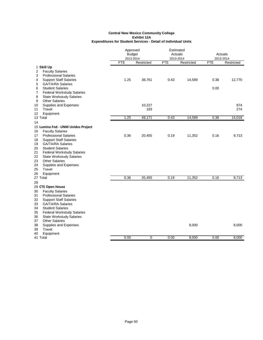|                                         | Approved      |            | Estimated  |            |                      |            |
|-----------------------------------------|---------------|------------|------------|------------|----------------------|------------|
|                                         | <b>Budget</b> |            | Actuals    |            | Actuals<br>2013-2014 |            |
|                                         | 2013-2014     |            | 2013-2014  |            |                      |            |
|                                         | <b>FTE</b>    | Restricted | <b>FTE</b> | Restricted | <b>FTE</b>           | Restricted |
| 1 Skill Up                              |               |            |            |            |                      |            |
| <b>Faculty Salaries</b><br>2            |               |            |            |            |                      |            |
| <b>Professional Salaries</b><br>3       |               |            |            |            |                      |            |
| <b>Support Staff Salaries</b><br>4      | 1.25          | 38,761     | 0.43       | 14,589     | 0.38                 | 12,770     |
| 5<br><b>GA/TA/RA Salaries</b>           |               |            |            |            |                      |            |
| 6<br><b>Student Salaries</b>            |               |            |            |            | 0.00                 |            |
| 7<br><b>Federal Workstudy Salaries</b>  |               |            |            |            |                      |            |
| 8<br><b>State Workstudy Salaries</b>    |               |            |            |            |                      |            |
| 9<br><b>Other Salaries</b>              |               |            |            |            |                      |            |
| Supplies and Expenses<br>10             |               | 10,227     |            |            |                      | 974        |
| Travel<br>11                            |               | 183        |            |            |                      | 274        |
| Equipment<br>12                         |               |            |            |            |                      |            |
| 13 Total                                | 1.25          | 49,171     | 0.43       | 14,589     | 0.38                 | 14,018     |
| 14                                      |               |            |            |            |                      |            |
| 15 Lumina Fnd - UNM Unidos Project      |               |            |            |            |                      |            |
| <b>Faculty Salaries</b><br>16           |               |            |            |            |                      |            |
| <b>Professional Salaries</b><br>17      | 0.36          | 20,455     | 0.19       | 11,352     | 0.16                 | 9,713      |
| <b>Support Staff Salaries</b><br>18     |               |            |            |            |                      |            |
| <b>GA/TA/RA Salaries</b><br>19          |               |            |            |            |                      |            |
| <b>Student Salaries</b><br>20           |               |            |            |            |                      |            |
| <b>Federal Workstudy Salaries</b><br>21 |               |            |            |            |                      |            |
| 22<br><b>State Workstudy Salaries</b>   |               |            |            |            |                      |            |
| <b>Other Salaries</b><br>23             |               |            |            |            |                      |            |
| 24<br>Supplies and Expenses             |               |            |            |            |                      |            |
| 25<br>Travel                            |               |            |            |            |                      |            |
| 26<br>Equipment                         |               |            |            |            |                      |            |
| 27 Total                                | 0.36          | 20,455     | 0.19       | 11,352     | 0.16                 | 9,713      |
| 28                                      |               |            |            |            |                      |            |
|                                         |               |            |            |            |                      |            |
| 29 CTE Open House                       |               |            |            |            |                      |            |
| 30<br><b>Faculty Salaries</b>           |               |            |            |            |                      |            |
| 31<br><b>Professional Salaries</b>      |               |            |            |            |                      |            |
| 32<br><b>Support Staff Salaries</b>     |               |            |            |            |                      |            |
| <b>GA/TA/RA Salaries</b><br>33          |               |            |            |            |                      |            |
| 34<br><b>Student Salaries</b>           |               |            |            |            |                      |            |
| <b>Federal Workstudy Salaries</b><br>35 |               |            |            |            |                      |            |
| 36<br><b>State Workstudy Salaries</b>   |               |            |            |            |                      |            |
| <b>Other Salaries</b><br>37             |               |            |            |            |                      |            |
| 38<br>Supplies and Expenses             |               |            |            | 8,000      |                      | 8,000      |
| 39<br>Travel                            |               |            |            |            |                      |            |
| Equipment<br>40                         |               |            |            |            |                      |            |
| 41 Total                                | 0.00          | 0          | 0.00       | 8,000      | 0.00                 | 8,000      |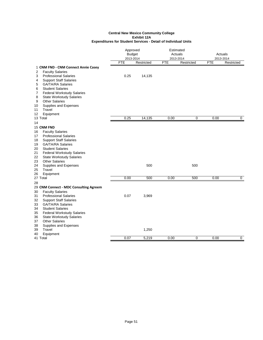|                                                                |                                                                                                                                                                                                                                                                                                                            | Approved<br><b>Budget</b><br>2013-2014 |                | Estimated<br>Actuals<br>2013-2014 |             | Actuals<br>2013-2014 |                |
|----------------------------------------------------------------|----------------------------------------------------------------------------------------------------------------------------------------------------------------------------------------------------------------------------------------------------------------------------------------------------------------------------|----------------------------------------|----------------|-----------------------------------|-------------|----------------------|----------------|
|                                                                |                                                                                                                                                                                                                                                                                                                            | <b>FTE</b>                             | Restricted     | <b>FTE</b>                        | Restricted  | <b>FTE</b>           | Restricted     |
| 2<br>3<br>4                                                    | 1 CNM FND - CNM Connect Annie Casey<br><b>Faculty Salaries</b><br><b>Professional Salaries</b><br><b>Support Staff Salaries</b>                                                                                                                                                                                            | 0.25                                   | 14,135         |                                   |             |                      |                |
| 5<br>6<br>7<br>8<br>9                                          | <b>GA/TA/RA Salaries</b><br><b>Student Salaries</b><br><b>Federal Workstudy Salaries</b><br><b>State Workstudy Salaries</b><br><b>Other Salaries</b>                                                                                                                                                                       |                                        |                |                                   |             |                      |                |
| 10<br>11<br>12                                                 | Supplies and Expenses<br>Travel<br>Equipment                                                                                                                                                                                                                                                                               |                                        |                |                                   |             |                      |                |
|                                                                | 13 Total                                                                                                                                                                                                                                                                                                                   | 0.25                                   | 14,135         | 0.00                              | 0           | 0.00                 | $\mathbf 0$    |
| 14                                                             |                                                                                                                                                                                                                                                                                                                            |                                        |                |                                   |             |                      |                |
| 16<br>17<br>18<br>19<br>20<br>21<br>22<br>23<br>24<br>25<br>26 | 15 CNM FND<br><b>Faculty Salaries</b><br><b>Professional Salaries</b><br><b>Support Staff Salaries</b><br><b>GA/TA/RA Salaries</b><br><b>Student Salaries</b><br><b>Federal Workstudy Salaries</b><br><b>State Workstudy Salaries</b><br><b>Other Salaries</b><br>Supplies and Expenses<br>Travel<br>Equipment<br>27 Total | 0.00                                   | 500<br>500     | 0.00                              | 500<br>500  | 0.00                 | $\overline{0}$ |
| 28                                                             |                                                                                                                                                                                                                                                                                                                            |                                        |                |                                   |             |                      |                |
| 30<br>31<br>32<br>33<br>34<br>35                               | 29 CNM Connect - MDC Consulting Agreem<br><b>Faculty Salaries</b><br><b>Professional Salaries</b><br><b>Support Staff Salaries</b><br><b>GA/TA/RA Salaries</b><br><b>Student Salaries</b><br><b>Federal Workstudy Salaries</b>                                                                                             | 0.07                                   | 3,969          |                                   |             |                      |                |
| 36<br>37<br>38<br>39<br>40                                     | <b>State Workstudy Salaries</b><br><b>Other Salaries</b><br>Supplies and Expenses<br>Travel<br>Equipment<br>41 Total                                                                                                                                                                                                       | 0.07                                   | 1,250<br>5.219 | 0.00                              | $\mathbf 0$ | 0.00                 | $\mathbf 0$    |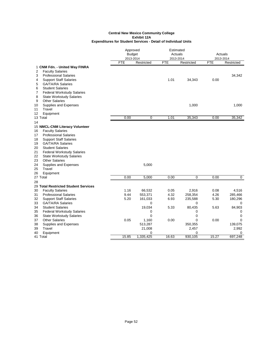|        |                                                         | Approved      |             | Estimated  |            |            |                |
|--------|---------------------------------------------------------|---------------|-------------|------------|------------|------------|----------------|
|        |                                                         | <b>Budget</b> |             | Actuals    |            | Actuals    |                |
|        |                                                         | 2013-2014     |             | 2013-2014  |            |            | 2013-2014      |
|        |                                                         | <b>FTE</b>    | Restricted  | <b>FTE</b> | Restricted | <b>FTE</b> | Restricted     |
|        | 1 CNM Fdn. - United Way FINRA                           |               |             |            |            |            |                |
| 2<br>3 | <b>Faculty Salaries</b><br><b>Professional Salaries</b> |               |             |            |            |            | 34,342         |
| 4      | <b>Support Staff Salaries</b>                           |               |             | 1.01       | 34,343     | 0.00       |                |
| 5      | <b>GA/TA/RA Salaries</b>                                |               |             |            |            |            |                |
| 6      | <b>Student Salaries</b>                                 |               |             |            |            |            |                |
| 7      | <b>Federal Workstudy Salaries</b>                       |               |             |            |            |            |                |
| 8      | <b>State Workstudy Salaries</b>                         |               |             |            |            |            |                |
| 9      | <b>Other Salaries</b>                                   |               |             |            |            |            |                |
| 10     | Supplies and Expenses                                   |               |             |            | 1,000      |            | 1,000          |
| 11     | Travel                                                  |               |             |            |            |            |                |
| 12     | Equipment                                               |               |             |            |            |            |                |
|        | 13 Total                                                | 0.00          | 0           | 1.01       | 35,343     | 0.00       | 35,342         |
| 14     |                                                         |               |             |            |            |            |                |
|        | 15 NMCL-CNM Literacy Volunteer                          |               |             |            |            |            |                |
| 16     | <b>Faculty Salaries</b>                                 |               |             |            |            |            |                |
| 17     | <b>Professional Salaries</b>                            |               |             |            |            |            |                |
| 18     | <b>Support Staff Salaries</b>                           |               |             |            |            |            |                |
| 19     | <b>GA/TA/RA Salaries</b>                                |               |             |            |            |            |                |
| 20     | <b>Student Salaries</b>                                 |               |             |            |            |            |                |
| 21     | <b>Federal Workstudy Salaries</b>                       |               |             |            |            |            |                |
| 22     | <b>State Workstudy Salaries</b>                         |               |             |            |            |            |                |
| 23     | <b>Other Salaries</b>                                   |               |             |            |            |            |                |
| 24     | Supplies and Expenses                                   |               | 5,000       |            |            |            |                |
| 25     | Travel                                                  |               |             |            |            |            |                |
| 26     | Equipment                                               |               |             |            |            |            |                |
|        | 27 Total                                                | 0.00          | 5,000       | 0.00       | 0          | 0.00       | $\overline{0}$ |
| 28     |                                                         |               |             |            |            |            |                |
|        | 29 Total Restricted Student Services                    |               |             |            |            |            |                |
| 30     | <b>Faculty Salaries</b>                                 | 1.16          | 66,532      | 0.05       | 2,916      | 0.08       | 4,516          |
| 31     | <b>Professional Salaries</b>                            | 9.44          | 553,371     | 4.32       | 258,354    | 4.26       | 285,466        |
| 32     | <b>Support Staff Salaries</b>                           | 5.20          | 161,033     | 6.93       | 235,588    | 5.30       | 180,296        |
| 33     | <b>GA/TA/RA Salaries</b>                                |               | 0           |            | 0          |            | 0              |
| 34     | <b>Student Salaries</b>                                 |               | 19,034      | 5.33       | 80,435     | 5.63       | 84,903         |
| 35     | <b>Federal Workstudy Salaries</b>                       |               | 0           |            | 0          |            | 0              |
| 36     | <b>State Workstudy Salaries</b>                         |               | $\Omega$    |            | 0          |            | 0              |
| 37     | <b>Other Salaries</b>                                   | 0.05          | 1,160       | 0.00       | $\Omega$   | 0.00       | $\Omega$       |
| 38     | Supplies and Expenses                                   |               | 513,287     |            | 350,355    |            | 139,075        |
| 39     | Travel                                                  |               | 21,008      |            | 2,457      |            | 2,992          |
| 40     | Equipment                                               |               | $\mathbf 0$ |            | 0          |            | 0              |
|        | 41 Total                                                | 15.85         | 1,335,425   | 16.63      | 930,105    | 15.27      | 697,248        |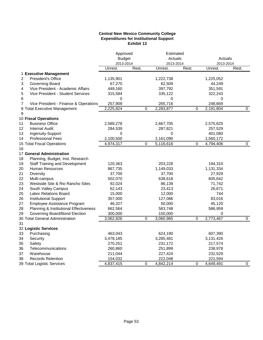# **Central New Mexico Community College Expenditures for Institutional Support Exhibit 13**

|    |                                        | Approved<br><b>Budget</b> |       |           | Estimated<br>Actuals |           | Actuals     |
|----|----------------------------------------|---------------------------|-------|-----------|----------------------|-----------|-------------|
|    |                                        | 2013-2014                 |       | 2013-2014 |                      | 2013-2014 |             |
|    |                                        | Unrest.                   | Rest. | Unrest.   | Rest.                | Unrest.   | Rest.       |
|    | 1 Executive Management                 |                           |       |           |                      |           |             |
| 2  | President's Office                     | 1,135,901                 |       | 1,222,738 |                      | 1,225,052 |             |
| 3  | Governing Board                        | 67,270                    |       | 62,509    |                      | 44,249    |             |
| 4  | Vice President - Academic Affairs      | 449,160                   |       | 397,792   |                      | 351,591   |             |
| 5  | Vice President - Student Services      | 315,584                   |       | 335,122   |                      | 322,243   |             |
| 6  |                                        | $\Omega$                  |       | $\Omega$  |                      | $\Omega$  |             |
| 7  | Vice President - Finance & Operations  | 257,909                   |       | 265,716   |                      | 248,669   |             |
| 8  | <b>Total Executive Management</b>      | 2,225,824                 | 0     | 2,283,877 | 0                    | 2,191,804 | 0           |
| 9  |                                        |                           |       |           |                      |           |             |
|    | 10 Fiscal Operations                   |                           |       |           |                      |           |             |
| 11 | <b>Business Office</b>                 | 2,589,278                 |       | 2,667,705 |                      | 2,575,625 |             |
| 12 | <b>Internal Audit</b>                  | 284,539                   |       | 287,821   |                      | 257,529   |             |
| 13 | Ingenuity-Support                      | 0                         |       | 0         |                      | 401,080   |             |
| 14 | <b>Professional Fees</b>               | 2,100,500                 |       | 2,161,090 |                      | 1,560,172 |             |
|    | 15 Total Fiscal Operations             | 4,974,317                 | 0     | 5,116,616 | 0                    | 4,794,406 | 0           |
| 16 |                                        |                           |       |           |                      |           |             |
|    | 17 General Administration              |                           |       |           |                      |           |             |
| 18 | Planning, Budget, Inst. Research       |                           |       |           |                      |           |             |
| 19 | <b>Staff Training and Development</b>  | 120,363                   |       | 203,228   |                      | 194,310   |             |
| 20 | Human Resources                        | 867,735                   |       | 1,149,033 |                      | 1,131,334 |             |
| 21 | <b>Diversity</b>                       | 37,700                    |       | 37,700    |                      | 27,929    |             |
| 22 | Multi-campus                           | 502,070                   |       | 638,618   |                      | 605,642   |             |
| 23 | Westside Site & Rio Rancho Sites       | 92,024                    |       | 86,139    |                      | 71,742    |             |
| 24 | South Valley Campus                    | 62,143                    |       | 23,413    |                      | 26,671    |             |
| 25 | <b>Labor Relations Board</b>           | 15,000                    |       | 12,000    |                      | 744       |             |
| 26 | <b>Institutional Support</b>           | 357,000                   |       | 127,086   |                      | 83,016    |             |
| 27 | Employee Assistance Program            | 46,327                    |       | 50,000    |                      | 45,120    |             |
| 28 | Planning & Institutional Effectiveness | 662,564                   |       | 583,748   |                      | 586,959   |             |
| 29 | Governing Board/Bond Election          | 300,000                   |       | 150,000   |                      | 0         |             |
|    | 30 Total General Administration        | 3,062,926                 | 0     | 3,060,965 | 0                    | 2,773,467 | $\mathbf 0$ |
| 31 |                                        |                           |       |           |                      |           |             |
|    | 32 Logistic Services                   |                           |       |           |                      |           |             |
| 33 | Purchasing                             | 463,043                   |       | 624,190   |                      | 607,390   |             |
| 34 | Security                               | 3,478,185                 |       | 3,285,481 |                      | 3,131,426 |             |
| 35 | Safety                                 | 270,251                   |       | 231,172   |                      | 217,574   |             |
| 36 | Telecommunications                     | 260,860                   |       | 251,899   |                      | 238,978   |             |
| 37 | Warehouse                              | 211,044                   |       | 227,424   |                      | 232,529   |             |
| 38 | <b>Records Retention</b>               | 154,032                   |       | 222,048   |                      | 221,594   |             |
|    | 39 Total Logistic Services             | 4,837,415                 | 0     | 4,842,214 | 0                    | 4,649,491 | 0           |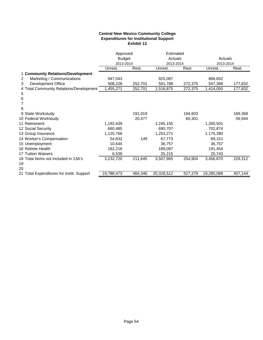# **Central New Mexico Community College Expenditures for Institutional Support Exhibit 13**

|    |                                           | Approved      |         | Estimated  |         |            |         |
|----|-------------------------------------------|---------------|---------|------------|---------|------------|---------|
|    |                                           | <b>Budget</b> |         | Actuals    |         | Actuals    |         |
|    |                                           | 2013-2014     |         | 2013-2014  |         | 2013-2014  |         |
|    |                                           | Unrest.       | Rest.   | Unrest.    | Rest.   | Unrest.    | Rest.   |
|    | 1 Community Relations/Development         |               |         |            |         |            |         |
| 2  | Marketing / Communications                | 947,043       |         | 925,087    |         | 866,652    |         |
| 3  | <b>Development Office</b>                 | 508,228       | 252,701 | 591,788    | 272,375 | 547,398    | 177,832 |
|    | 4 Total Community Relations/Development   | ,455,271      | 252,701 | 1,516,875  | 272,375 | 1,414,050  | 177,832 |
| 5  |                                           |               |         |            |         |            |         |
| 6  |                                           |               |         |            |         |            |         |
|    |                                           |               |         |            |         |            |         |
| 8  |                                           |               |         |            |         |            |         |
|    | 9 State Workstudy                         |               | 191,019 |            | 194,603 |            | 169,368 |
|    | 10 Federal Workstudy                      |               | 20,477  |            | 60,301  |            | 59,944  |
|    | 11 Retirement                             | 1,192,439     |         | 1,245,155  |         | 1,260,501  |         |
|    | 12 Social Security                        | 660,485       |         | 690,707    |         | 702,874    |         |
|    | 13 Group Insurance                        | 1,125,766     |         | 1,253,271  |         | 1,175,390  |         |
|    | 14 Worker's Compensation                  | 54,632        | 149     | 67,773     |         | 69,151     |         |
|    | 15 Unemployment                           | 10,644        |         | 36,757     |         | 36,757     |         |
|    | 16 Retiree Health                         | 182,216       |         | 189,087    |         | 191,454    |         |
|    | 17 Tuition Waivers                        | 6,538         |         | 25,215     |         | 20,743     |         |
|    | 18 Total Items not Included in 13A's      | 3,232,720     | 211,645 | 3,507,965  | 254,904 | 3,456,870  | 229,312 |
| 19 |                                           |               |         |            |         |            |         |
| 20 |                                           |               |         |            |         |            |         |
|    | 21 Total Expenditures for Instit. Support | 19,788,473    | 464,346 | 20,328,512 | 527,279 | 19,280,088 | 407,144 |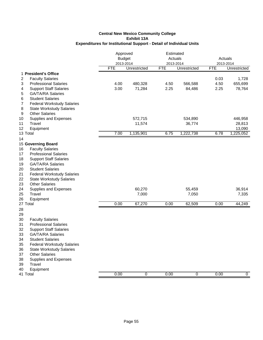|                                                                                                                                                                                                                                                                                                                                                                                                                  | Approved<br>2013-2014 | <b>Budget</b>                  | Estimated<br>Actuals<br>2013-2014 |                                | Actuals<br>2013-2014 |                                          |
|------------------------------------------------------------------------------------------------------------------------------------------------------------------------------------------------------------------------------------------------------------------------------------------------------------------------------------------------------------------------------------------------------------------|-----------------------|--------------------------------|-----------------------------------|--------------------------------|----------------------|------------------------------------------|
|                                                                                                                                                                                                                                                                                                                                                                                                                  | <b>FTE</b>            | Unrestricted                   | <b>FTE</b>                        | Unrestricted                   | <b>FTE</b>           | Unrestricted                             |
| 1 President's Office<br>$\overline{2}$<br><b>Faculty Salaries</b><br><b>Professional Salaries</b><br>3<br><b>Support Staff Salaries</b><br>4<br><b>GA/TA/RA Salaries</b><br>5<br><b>Student Salaries</b><br>6<br>7<br><b>Federal Workstudy Salaries</b><br>8<br><b>State Workstudy Salaries</b>                                                                                                                  | 4.00<br>3.00          | 480,328<br>71,284              | 4.50<br>2.25                      | 566,588<br>84,486              | 0.03<br>4.50<br>2.25 | 1,728<br>655,699<br>78,764               |
| <b>Other Salaries</b><br>9<br>10<br>Supplies and Expenses<br>11<br>Travel<br>12<br>Equipment<br>13 Total                                                                                                                                                                                                                                                                                                         | 7.00                  | 572,715<br>11,574<br>1,135,901 | 6.75                              | 534,890<br>36,774<br>1,222,738 | 6.78                 | 446,958<br>28,813<br>13,090<br>1,225,052 |
| 14                                                                                                                                                                                                                                                                                                                                                                                                               |                       |                                |                                   |                                |                      |                                          |
| 15 Governing Board<br><b>Faculty Salaries</b><br>16<br><b>Professional Salaries</b><br>17<br>18<br><b>Support Staff Salaries</b><br>19<br><b>GA/TA/RA Salaries</b><br>20<br><b>Student Salaries</b><br>21<br><b>Federal Workstudy Salaries</b><br>22<br><b>State Workstudy Salaries</b><br>23<br><b>Other Salaries</b><br>Supplies and Expenses<br>24<br>25<br>Travel<br>26<br>Equipment<br>27 Total<br>28<br>29 | 0.00                  | 60,270<br>7,000<br>67,270      | 0.00                              | 55,459<br>7,050<br>62,509      | 0.00                 | 36,914<br>7,335<br>44,249                |
| <b>Faculty Salaries</b><br>30<br>31<br><b>Professional Salaries</b><br>32<br><b>Support Staff Salaries</b><br><b>GA/TA/RA Salaries</b><br>33<br>34<br><b>Student Salaries</b><br>35<br><b>Federal Workstudy Salaries</b><br>36<br><b>State Workstudy Salaries</b><br>37<br><b>Other Salaries</b><br>38<br>Supplies and Expenses<br>Travel<br>39<br>40<br>Equipment                                               |                       |                                |                                   |                                |                      |                                          |
| 41 Total                                                                                                                                                                                                                                                                                                                                                                                                         | 0.00                  | 0                              | 0.00                              | 0                              | 0.00                 | 0                                        |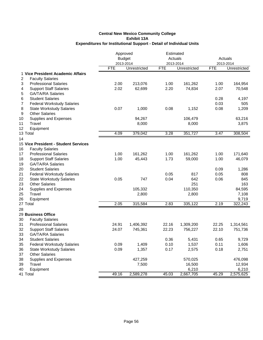|                                             | Approved<br><b>Budget</b> |              | Estimated<br>Actuals    |              | Actuals<br>2013-2014 |                  |
|---------------------------------------------|---------------------------|--------------|-------------------------|--------------|----------------------|------------------|
|                                             | 2013-2014<br><b>FTE</b>   | Unrestricted | 2013-2014<br><b>FTE</b> | Unrestricted | <b>FTE</b>           | Unrestricted     |
| 1 Vice President Academic Affairs           |                           |              |                         |              |                      |                  |
| 2<br><b>Faculty Salaries</b>                |                           |              |                         |              |                      |                  |
| <b>Professional Salaries</b><br>3           | 2.00                      | 213,076      | 1.00                    | 161,262      | 1.00                 | 164,954          |
| <b>Support Staff Salaries</b><br>4          | 2.02                      | 62,699       | 2.20                    | 74,834       | 2.07                 | 70,548           |
| <b>GA/TA/RA Salaries</b><br>5               |                           |              |                         |              |                      |                  |
| <b>Student Salaries</b><br>6                |                           |              |                         |              | 0.28                 | 4,197            |
| 7<br><b>Federal Workstudy Salaries</b>      |                           |              |                         |              | 0.03                 | 505              |
| 8<br><b>State Workstudy Salaries</b>        | 0.07                      | 1,000        | 0.08                    | 1,152        | 0.08                 | 1,209            |
| 9<br><b>Other Salaries</b>                  |                           |              |                         |              |                      |                  |
| 10<br>Supplies and Expenses                 |                           | 94,267       |                         | 106,479      |                      | 63,216           |
| 11<br>Travel                                |                           | 8,000        |                         | 8,000        |                      | 3,875            |
| 12<br>Equipment                             |                           |              |                         |              |                      |                  |
| 13 Total                                    | 4.09                      | 379,042      | 3.28                    | 351,727      | 3.47                 | 308,504          |
| 14                                          |                           |              |                         |              |                      |                  |
| <b>15 Vice President - Student Services</b> |                           |              |                         |              |                      |                  |
| 16<br><b>Faculty Salaries</b>               |                           |              |                         |              |                      |                  |
| <b>Professional Salaries</b><br>17          | 1.00                      | 161,262      | 1.00                    | 161,262      | 1.00                 | 171,640          |
| 18<br><b>Support Staff Salaries</b>         | 1.00                      | 45,443       | 1.73                    | 59,000       | 1.00                 | 46,079           |
| 19<br><b>GA/TA/RA Salaries</b>              |                           |              |                         |              |                      |                  |
| 20<br><b>Student Salaries</b>               |                           |              |                         |              | 0.09                 | 1,286            |
| 21<br><b>Federal Workstudy Salaries</b>     |                           |              | 0.05                    | 817          | 0.05                 | 808              |
| 22<br><b>State Workstudy Salaries</b>       | 0.05                      | 747          | 0.04                    | 642          | 0.06                 | 845              |
| 23<br><b>Other Salaries</b>                 |                           |              |                         | 251          |                      | 163              |
| 24<br>Supplies and Expenses                 |                           | 105,332      |                         | 110,350      |                      | 84,595           |
| 25<br>Travel<br>26                          |                           | 2,800        |                         | 2,800        |                      | 7,108            |
| Equipment<br>27 Total                       | 2.05                      | 315,584      | 2.83                    | 335,122      | 2.19                 | 9,719<br>322,243 |
| 28                                          |                           |              |                         |              |                      |                  |
| 29 Business Office                          |                           |              |                         |              |                      |                  |
| 30<br><b>Faculty Salaries</b>               |                           |              |                         |              |                      |                  |
| 31<br><b>Professional Salaries</b>          | 24.91                     | 1,406,392    | 22.16                   | 1,309,200    | 22.25                | 1,314,561        |
| 32<br><b>Support Staff Salaries</b>         | 24.07                     | 745,361      | 22.23                   | 756,227      | 22.10                | 751,736          |
| <b>GA/TA/RA Salaries</b><br>33              |                           |              |                         |              |                      |                  |
| 34<br><b>Student Salaries</b>               |                           |              | 0.36                    | 5,431        | 0.65                 | 9,729            |
| 35<br><b>Federal Workstudy Salaries</b>     | 0.09                      | 1,409        | 0.10                    | 1,537        | 0.11                 | 1,606            |
| 36<br><b>State Workstudy Salaries</b>       | 0.09                      | 1,357        | 0.17                    | 2,575        | 0.18                 | 2,751            |
| 37<br><b>Other Salaries</b>                 |                           |              |                         |              |                      |                  |
| 38<br>Supplies and Expenses                 |                           | 427,259      |                         | 570,025      |                      | 476,098          |
| Travel<br>39                                |                           | 7,500        |                         | 16,500       |                      | 12,934           |
| 40<br>Equipment                             |                           |              |                         | 6,210        |                      | 6,210            |
| 41 Total                                    | 49.16                     | 2,589,278    | 45.03                   | 2,667,705    | 45.29                | 2,575,625        |
|                                             |                           |              |                         |              |                      |                  |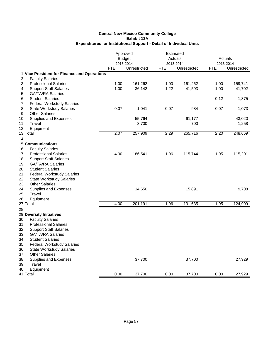|                                                           |            | Approved<br><b>Budget</b> | Estimated<br>Actuals |              | Actuals    |              |
|-----------------------------------------------------------|------------|---------------------------|----------------------|--------------|------------|--------------|
|                                                           |            | 2013-2014                 |                      | 2013-2014    |            | 2013-2014    |
|                                                           | <b>FTE</b> | Unrestricted              | <b>FTE</b>           | Unrestricted | <b>FTE</b> | Unrestricted |
| 1 Vice President for Finance and Operations               |            |                           |                      |              |            |              |
| <b>Faculty Salaries</b><br>$\overline{2}$                 |            |                           |                      |              |            |              |
| <b>Professional Salaries</b><br>3                         | 1.00       | 161,262                   | 1.00                 | 161,262      | 1.00       | 159,741      |
| <b>Support Staff Salaries</b><br>4                        | 1.00       | 36,142                    | 1.22                 | 41,593       | 1.00       | 41,702       |
| <b>GA/TA/RA Salaries</b><br>5                             |            |                           |                      |              |            |              |
| <b>Student Salaries</b><br>6                              |            |                           |                      |              | 0.12       | 1,875        |
| <b>Federal Workstudy Salaries</b><br>7                    |            |                           |                      |              |            |              |
| 8<br><b>State Workstudy Salaries</b>                      | 0.07       | 1,041                     | 0.07                 | 984          | 0.07       | 1,073        |
| <b>Other Salaries</b><br>9                                |            |                           |                      |              |            |              |
| 10<br>Supplies and Expenses                               |            | 55,764                    |                      | 61,177       |            | 43,020       |
| 11<br>Travel                                              |            | 3,700                     |                      | 700          |            | 1,258        |
| 12<br>Equipment                                           |            |                           |                      |              |            |              |
| 13 Total                                                  | 2.07       | 257,909                   | 2.29                 | 265,716      | 2.20       | 248,669      |
| 14                                                        |            |                           |                      |              |            |              |
| <b>15 Communications</b>                                  |            |                           |                      |              |            |              |
| 16<br><b>Faculty Salaries</b>                             |            |                           |                      |              |            |              |
| <b>Professional Salaries</b><br>17                        | 4.00       | 186,541                   | 1.96                 | 115,744      | 1.95       | 115,201      |
| 18<br><b>Support Staff Salaries</b>                       |            |                           |                      |              |            |              |
| 19<br><b>GA/TA/RA Salaries</b>                            |            |                           |                      |              |            |              |
| 20<br><b>Student Salaries</b>                             |            |                           |                      |              |            |              |
| 21<br><b>Federal Workstudy Salaries</b>                   |            |                           |                      |              |            |              |
| 22<br><b>State Workstudy Salaries</b>                     |            |                           |                      |              |            |              |
| 23<br><b>Other Salaries</b>                               |            |                           |                      |              |            |              |
| 24<br>Supplies and Expenses                               |            | 14,650                    |                      | 15,891       |            | 9,708        |
| 25<br>Travel                                              |            |                           |                      |              |            |              |
| 26<br>Equipment<br>27 Total                               | 4.00       | 201,191                   | 1.96                 | 131,635      | 1.95       | 124,909      |
|                                                           |            |                           |                      |              |            |              |
| 28                                                        |            |                           |                      |              |            |              |
| 29 Diversity Initiatives<br>30<br><b>Faculty Salaries</b> |            |                           |                      |              |            |              |
| 31<br><b>Professional Salaries</b>                        |            |                           |                      |              |            |              |
| 32<br><b>Support Staff Salaries</b>                       |            |                           |                      |              |            |              |
| <b>GA/TA/RA Salaries</b><br>33                            |            |                           |                      |              |            |              |
| 34<br><b>Student Salaries</b>                             |            |                           |                      |              |            |              |
| 35<br><b>Federal Workstudy Salaries</b>                   |            |                           |                      |              |            |              |
| 36<br><b>State Workstudy Salaries</b>                     |            |                           |                      |              |            |              |
| 37<br><b>Other Salaries</b>                               |            |                           |                      |              |            |              |
| 38<br>Supplies and Expenses                               |            | 37,700                    |                      | 37,700       |            | 27,929       |
| Travel<br>39                                              |            |                           |                      |              |            |              |
| 40<br>Equipment                                           |            |                           |                      |              |            |              |
| 41 Total                                                  | 0.00       | 37,700                    | 0.00                 | 37,700       | 0.00       | 27,929       |
|                                                           |            |                           |                      |              |            |              |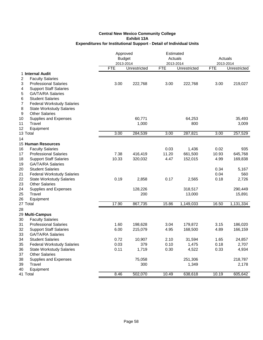|                                                                 | Approved<br><b>Budget</b><br>2013-2014 |              | Estimated<br>Actuals<br>2013-2014 |              | Actuals<br>2013-2014 |              |
|-----------------------------------------------------------------|----------------------------------------|--------------|-----------------------------------|--------------|----------------------|--------------|
|                                                                 | <b>FTE</b>                             | Unrestricted | <b>FTE</b>                        | Unrestricted | <b>FTE</b>           | Unrestricted |
| 1 Internal Audit                                                |                                        |              |                                   |              |                      |              |
| 2<br><b>Faculty Salaries</b>                                    |                                        |              |                                   |              |                      |              |
| 3<br><b>Professional Salaries</b>                               | 3.00                                   | 222,768      | 3.00                              | 222,768      | 3.00                 | 219,027      |
| <b>Support Staff Salaries</b><br>4                              |                                        |              |                                   |              |                      |              |
| <b>GA/TA/RA Salaries</b><br>5                                   |                                        |              |                                   |              |                      |              |
| <b>Student Salaries</b><br>6                                    |                                        |              |                                   |              |                      |              |
| 7<br><b>Federal Workstudy Salaries</b>                          |                                        |              |                                   |              |                      |              |
| 8<br><b>State Workstudy Salaries</b>                            |                                        |              |                                   |              |                      |              |
| <b>Other Salaries</b><br>9                                      |                                        |              |                                   |              |                      |              |
| 10<br>Supplies and Expenses                                     |                                        | 60,771       |                                   | 64,253       |                      | 35,493       |
| Travel<br>11                                                    |                                        | 1,000        |                                   | 800          |                      | 3,009        |
| 12<br>Equipment                                                 |                                        |              |                                   |              |                      |              |
| 13 Total                                                        | 3.00                                   | 284,539      | 3.00                              | 287,821      | 3.00                 | 257,529      |
| 14                                                              |                                        |              |                                   |              |                      |              |
| <b>15 Human Resources</b>                                       |                                        |              |                                   |              |                      |              |
| 16<br><b>Faculty Salaries</b>                                   |                                        |              | 0.03                              | 1,436        | 0.02                 | 935          |
| <b>Professional Salaries</b><br>17                              | 7.38                                   | 416,419      | 11.20                             | 661,500      | 10.93                | 645,768      |
| 18<br><b>Support Staff Salaries</b>                             | 10.33                                  | 320,032      | 4.47                              | 152,015      | 4.99                 | 169,838      |
| 19<br><b>GA/TA/RA Salaries</b><br>20<br><b>Student Salaries</b> |                                        |              |                                   |              |                      |              |
| 21<br><b>Federal Workstudy Salaries</b>                         |                                        |              |                                   |              | 0.34<br>0.04         | 5,167<br>560 |
| 22<br><b>State Workstudy Salaries</b>                           | 0.19                                   | 2,858        | 0.17                              | 2,565        | 0.18                 | 2,726        |
| 23<br><b>Other Salaries</b>                                     |                                        |              |                                   |              |                      |              |
| 24<br>Supplies and Expenses                                     |                                        | 128,226      |                                   | 318,517      |                      | 290,449      |
| 25<br>Travel                                                    |                                        | 200          |                                   | 13,000       |                      | 15,891       |
| 26<br>Equipment                                                 |                                        |              |                                   |              |                      |              |
| 27 Total                                                        | 17.90                                  | 867,735      | 15.86                             | 1,149,033    | 16.50                | 1,131,334    |
| 28                                                              |                                        |              |                                   |              |                      |              |
| 29 Multi-Campus                                                 |                                        |              |                                   |              |                      |              |
| 30<br><b>Faculty Salaries</b>                                   |                                        |              |                                   |              |                      |              |
| 31<br><b>Professional Salaries</b>                              | 1.60                                   | 198,628      | 3.04                              | 179,872      | 3.15                 | 186,020      |
| 32<br><b>Support Staff Salaries</b>                             | 6.00                                   | 215,079      | 4.95                              | 168,500      | 4.89                 | 166,159      |
| 33<br><b>GA/TA/RA Salaries</b>                                  |                                        |              |                                   |              |                      |              |
| 34<br><b>Student Salaries</b>                                   | 0.72                                   | 10,907       | 2.10                              | 31,594       | 1.65                 | 24,857       |
| 35<br><b>Federal Workstudy Salaries</b>                         | 0.03                                   | 379          | 0.10                              | 1,475        | 0.18                 | 2,707        |
| 36<br><b>State Workstudy Salaries</b>                           | 0.11                                   | 1,719        | 0.30                              | 4,522        | 0.33                 | 4,934        |
| 37<br><b>Other Salaries</b>                                     |                                        |              |                                   |              |                      |              |
| 38<br>Supplies and Expenses                                     |                                        | 75,058       |                                   | 251,306      |                      | 218,787      |
| 39<br>Travel                                                    |                                        | 300          |                                   | 1,349        |                      | 2,178        |
| 40<br>Equipment                                                 |                                        |              |                                   |              |                      |              |
| 41 Total                                                        | 8.46                                   | 502,070      | 10.49                             | 638,618      | 10.19                | 605,642      |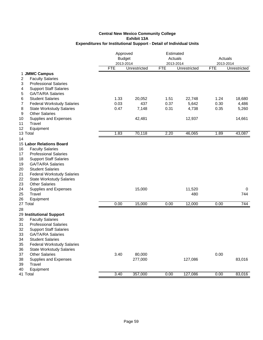|                                             |            | Approved<br><b>Budget</b><br>2013-2014 |            | Estimated<br>Actuals<br>2013-2014 |            | Actuals<br>2013-2014 |  |
|---------------------------------------------|------------|----------------------------------------|------------|-----------------------------------|------------|----------------------|--|
|                                             | <b>FTE</b> | Unrestricted                           | <b>FTE</b> | Unrestricted                      | <b>FTE</b> | Unrestricted         |  |
| 1 JMMC Campus                               |            |                                        |            |                                   |            |                      |  |
| $\overline{2}$<br><b>Faculty Salaries</b>   |            |                                        |            |                                   |            |                      |  |
| <b>Professional Salaries</b><br>3           |            |                                        |            |                                   |            |                      |  |
| <b>Support Staff Salaries</b><br>4          |            |                                        |            |                                   |            |                      |  |
| <b>GA/TA/RA Salaries</b><br>5               |            |                                        |            |                                   |            |                      |  |
| <b>Student Salaries</b><br>6                | 1.33       | 20,052                                 | 1.51       | 22,748                            | 1.24       | 18,680               |  |
| <b>Federal Workstudy Salaries</b><br>7      | 0.03       | 437                                    | 0.37       | 5,642                             | 0.30       | 4,486                |  |
| 8<br><b>State Workstudy Salaries</b>        | 0.47       | 7,148                                  | 0.31       | 4,738                             | 0.35       | 5,260                |  |
| <b>Other Salaries</b><br>9                  |            |                                        |            |                                   |            |                      |  |
| 10<br>Supplies and Expenses<br>11<br>Travel |            | 42,481                                 |            | 12,937                            |            | 14,661               |  |
| 12                                          |            |                                        |            |                                   |            |                      |  |
| Equipment<br>13 Total                       | 1.83       | 70,118                                 | 2.20       | 46,065                            | 1.89       | 43,087               |  |
|                                             |            |                                        |            |                                   |            |                      |  |
| 14<br>15 Labor Relations Board              |            |                                        |            |                                   |            |                      |  |
| 16<br><b>Faculty Salaries</b>               |            |                                        |            |                                   |            |                      |  |
| <b>Professional Salaries</b><br>17          |            |                                        |            |                                   |            |                      |  |
| 18<br><b>Support Staff Salaries</b>         |            |                                        |            |                                   |            |                      |  |
| 19<br><b>GA/TA/RA Salaries</b>              |            |                                        |            |                                   |            |                      |  |
| 20<br><b>Student Salaries</b>               |            |                                        |            |                                   |            |                      |  |
| 21<br><b>Federal Workstudy Salaries</b>     |            |                                        |            |                                   |            |                      |  |
| 22<br><b>State Workstudy Salaries</b>       |            |                                        |            |                                   |            |                      |  |
| 23<br><b>Other Salaries</b>                 |            |                                        |            |                                   |            |                      |  |
| 24<br>Supplies and Expenses                 |            | 15,000                                 |            | 11,520                            |            | 0                    |  |
| 25<br>Travel                                |            |                                        |            | 480                               |            | 744                  |  |
| 26<br>Equipment                             |            |                                        |            |                                   |            |                      |  |
| 27 Total                                    | 0.00       | 15,000                                 | 0.00       | 12,000                            | 0.00       | 744                  |  |
| 28                                          |            |                                        |            |                                   |            |                      |  |
| 29 Institutional Support                    |            |                                        |            |                                   |            |                      |  |
| <b>Faculty Salaries</b><br>30               |            |                                        |            |                                   |            |                      |  |
| 31<br><b>Professional Salaries</b>          |            |                                        |            |                                   |            |                      |  |
| 32<br><b>Support Staff Salaries</b>         |            |                                        |            |                                   |            |                      |  |
| <b>GA/TA/RA Salaries</b><br>33              |            |                                        |            |                                   |            |                      |  |
| 34<br><b>Student Salaries</b>               |            |                                        |            |                                   |            |                      |  |
| 35<br><b>Federal Workstudy Salaries</b>     |            |                                        |            |                                   |            |                      |  |
| 36<br><b>State Workstudy Salaries</b>       |            |                                        |            |                                   |            |                      |  |
| 37<br><b>Other Salaries</b>                 | 3.40       | 80,000                                 |            |                                   | 0.00       |                      |  |
| 38<br>Supplies and Expenses<br>39<br>Travel |            | 277,000                                |            | 127,086                           |            | 83,016               |  |
| 40<br>Equipment                             |            |                                        |            |                                   |            |                      |  |
| 41 Total                                    | 3.40       | 357,000                                | 0.00       | 127,086                           | 0.00       | 83,016               |  |
|                                             |            |                                        |            |                                   |            |                      |  |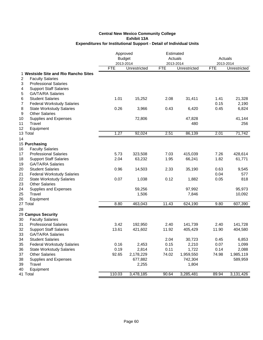| Unrestricted<br><b>FTE</b><br>Unrestricted<br><b>FTE</b><br><b>FTE</b><br>1 Westside Site and Rio Rancho Sites<br>2<br><b>Faculty Salaries</b><br><b>Professional Salaries</b><br>3<br><b>Support Staff Salaries</b><br>4<br><b>GA/TA/RA Salaries</b><br>5<br><b>Student Salaries</b><br>1.01<br>6<br>15,252<br>2.08<br>31,411<br>1.41<br>7<br>0.15<br><b>Federal Workstudy Salaries</b><br>0.26<br>0.45<br>6,824<br>8<br><b>State Workstudy Salaries</b><br>3,966<br>0.43<br>6,420<br>9<br><b>Other Salaries</b><br>10<br>Supplies and Expenses<br>72,806<br>47,828<br>41,144<br>11<br>Travel<br>480<br>256<br>12<br>Equipment<br>1.27<br>86,139<br>71,742<br>92,024<br>2.51<br>2.01<br>13 Total<br>14<br>15 Purchasing<br>16<br><b>Faculty Salaries</b><br><b>Professional Salaries</b><br>5.73<br>7.03<br>7.26<br>428,614<br>17<br>323,508<br>415,039<br>2.04<br>1.95<br>18<br><b>Support Staff Salaries</b><br>63,232<br>66,241<br>1.82<br>61,771<br>19<br><b>GA/TA/RA Salaries</b><br>20<br><b>Student Salaries</b><br>0.96<br>14,503<br>2.33<br>35,190<br>0.63<br>9,545<br>21<br>0.04<br><b>Federal Workstudy Salaries</b><br>577<br>22<br>0.07<br>0.12<br>818<br><b>State Workstudy Salaries</b><br>1,038<br>1,882<br>0.05<br>23<br><b>Other Salaries</b><br>24<br>Supplies and Expenses<br>59,256<br>97,992<br>95,973<br>25<br>Travel<br>10,092<br>1,506<br>7,846<br>26<br>Equipment<br>463,043<br>607,390<br>27 Total<br>8.80<br>11.43<br>624,190<br>9.80<br>28<br>29 Campus Security<br><b>Faculty Salaries</b><br>30<br>31<br><b>Professional Salaries</b><br>3.42<br>2.40<br>192,950<br>141,739<br>2.40<br>141,728<br>32<br><b>Support Staff Salaries</b><br>13.61<br>11.92<br>421,602<br>405,429<br>11.90<br>33<br><b>GA/TA/RA Salaries</b><br>34<br><b>Student Salaries</b><br>2.04<br>30,723<br>0.45<br>35<br><b>Federal Workstudy Salaries</b><br>0.16<br>2,453<br>0.15<br>2,210<br>0.07<br>0.19<br>2,814<br>36<br><b>State Workstudy Salaries</b><br>0.11<br>1,722<br>0.14<br>92.65<br>37<br><b>Other Salaries</b><br>2,178,229<br>74.02<br>1,959,550<br>74.98<br>38<br>Supplies and Expenses<br>677,882<br>742,304<br>Travel<br>39<br>1,804<br>2,255<br>40<br>Equipment<br>41 Total<br>110.03<br>3,478,185<br>90.64<br>3,285,481<br>89.94 | Approved<br><b>Budget</b><br>2013-2014 |  | Estimated<br>Actuals<br>2013-2014 | Actuals<br>2013-2014 |              |
|-------------------------------------------------------------------------------------------------------------------------------------------------------------------------------------------------------------------------------------------------------------------------------------------------------------------------------------------------------------------------------------------------------------------------------------------------------------------------------------------------------------------------------------------------------------------------------------------------------------------------------------------------------------------------------------------------------------------------------------------------------------------------------------------------------------------------------------------------------------------------------------------------------------------------------------------------------------------------------------------------------------------------------------------------------------------------------------------------------------------------------------------------------------------------------------------------------------------------------------------------------------------------------------------------------------------------------------------------------------------------------------------------------------------------------------------------------------------------------------------------------------------------------------------------------------------------------------------------------------------------------------------------------------------------------------------------------------------------------------------------------------------------------------------------------------------------------------------------------------------------------------------------------------------------------------------------------------------------------------------------------------------------------------------------------------------------------------------------------------------------------------------------------------------------------------------------------------------------------------------------------------|----------------------------------------|--|-----------------------------------|----------------------|--------------|
|                                                                                                                                                                                                                                                                                                                                                                                                                                                                                                                                                                                                                                                                                                                                                                                                                                                                                                                                                                                                                                                                                                                                                                                                                                                                                                                                                                                                                                                                                                                                                                                                                                                                                                                                                                                                                                                                                                                                                                                                                                                                                                                                                                                                                                                             |                                        |  |                                   |                      | Unrestricted |
|                                                                                                                                                                                                                                                                                                                                                                                                                                                                                                                                                                                                                                                                                                                                                                                                                                                                                                                                                                                                                                                                                                                                                                                                                                                                                                                                                                                                                                                                                                                                                                                                                                                                                                                                                                                                                                                                                                                                                                                                                                                                                                                                                                                                                                                             |                                        |  |                                   |                      |              |
|                                                                                                                                                                                                                                                                                                                                                                                                                                                                                                                                                                                                                                                                                                                                                                                                                                                                                                                                                                                                                                                                                                                                                                                                                                                                                                                                                                                                                                                                                                                                                                                                                                                                                                                                                                                                                                                                                                                                                                                                                                                                                                                                                                                                                                                             |                                        |  |                                   |                      |              |
|                                                                                                                                                                                                                                                                                                                                                                                                                                                                                                                                                                                                                                                                                                                                                                                                                                                                                                                                                                                                                                                                                                                                                                                                                                                                                                                                                                                                                                                                                                                                                                                                                                                                                                                                                                                                                                                                                                                                                                                                                                                                                                                                                                                                                                                             |                                        |  |                                   |                      |              |
|                                                                                                                                                                                                                                                                                                                                                                                                                                                                                                                                                                                                                                                                                                                                                                                                                                                                                                                                                                                                                                                                                                                                                                                                                                                                                                                                                                                                                                                                                                                                                                                                                                                                                                                                                                                                                                                                                                                                                                                                                                                                                                                                                                                                                                                             |                                        |  |                                   |                      |              |
|                                                                                                                                                                                                                                                                                                                                                                                                                                                                                                                                                                                                                                                                                                                                                                                                                                                                                                                                                                                                                                                                                                                                                                                                                                                                                                                                                                                                                                                                                                                                                                                                                                                                                                                                                                                                                                                                                                                                                                                                                                                                                                                                                                                                                                                             |                                        |  |                                   |                      |              |
|                                                                                                                                                                                                                                                                                                                                                                                                                                                                                                                                                                                                                                                                                                                                                                                                                                                                                                                                                                                                                                                                                                                                                                                                                                                                                                                                                                                                                                                                                                                                                                                                                                                                                                                                                                                                                                                                                                                                                                                                                                                                                                                                                                                                                                                             |                                        |  |                                   |                      | 21,328       |
|                                                                                                                                                                                                                                                                                                                                                                                                                                                                                                                                                                                                                                                                                                                                                                                                                                                                                                                                                                                                                                                                                                                                                                                                                                                                                                                                                                                                                                                                                                                                                                                                                                                                                                                                                                                                                                                                                                                                                                                                                                                                                                                                                                                                                                                             |                                        |  |                                   |                      | 2,190        |
|                                                                                                                                                                                                                                                                                                                                                                                                                                                                                                                                                                                                                                                                                                                                                                                                                                                                                                                                                                                                                                                                                                                                                                                                                                                                                                                                                                                                                                                                                                                                                                                                                                                                                                                                                                                                                                                                                                                                                                                                                                                                                                                                                                                                                                                             |                                        |  |                                   |                      |              |
|                                                                                                                                                                                                                                                                                                                                                                                                                                                                                                                                                                                                                                                                                                                                                                                                                                                                                                                                                                                                                                                                                                                                                                                                                                                                                                                                                                                                                                                                                                                                                                                                                                                                                                                                                                                                                                                                                                                                                                                                                                                                                                                                                                                                                                                             |                                        |  |                                   |                      |              |
|                                                                                                                                                                                                                                                                                                                                                                                                                                                                                                                                                                                                                                                                                                                                                                                                                                                                                                                                                                                                                                                                                                                                                                                                                                                                                                                                                                                                                                                                                                                                                                                                                                                                                                                                                                                                                                                                                                                                                                                                                                                                                                                                                                                                                                                             |                                        |  |                                   |                      |              |
|                                                                                                                                                                                                                                                                                                                                                                                                                                                                                                                                                                                                                                                                                                                                                                                                                                                                                                                                                                                                                                                                                                                                                                                                                                                                                                                                                                                                                                                                                                                                                                                                                                                                                                                                                                                                                                                                                                                                                                                                                                                                                                                                                                                                                                                             |                                        |  |                                   |                      |              |
|                                                                                                                                                                                                                                                                                                                                                                                                                                                                                                                                                                                                                                                                                                                                                                                                                                                                                                                                                                                                                                                                                                                                                                                                                                                                                                                                                                                                                                                                                                                                                                                                                                                                                                                                                                                                                                                                                                                                                                                                                                                                                                                                                                                                                                                             |                                        |  |                                   |                      |              |
|                                                                                                                                                                                                                                                                                                                                                                                                                                                                                                                                                                                                                                                                                                                                                                                                                                                                                                                                                                                                                                                                                                                                                                                                                                                                                                                                                                                                                                                                                                                                                                                                                                                                                                                                                                                                                                                                                                                                                                                                                                                                                                                                                                                                                                                             |                                        |  |                                   |                      |              |
|                                                                                                                                                                                                                                                                                                                                                                                                                                                                                                                                                                                                                                                                                                                                                                                                                                                                                                                                                                                                                                                                                                                                                                                                                                                                                                                                                                                                                                                                                                                                                                                                                                                                                                                                                                                                                                                                                                                                                                                                                                                                                                                                                                                                                                                             |                                        |  |                                   |                      |              |
|                                                                                                                                                                                                                                                                                                                                                                                                                                                                                                                                                                                                                                                                                                                                                                                                                                                                                                                                                                                                                                                                                                                                                                                                                                                                                                                                                                                                                                                                                                                                                                                                                                                                                                                                                                                                                                                                                                                                                                                                                                                                                                                                                                                                                                                             |                                        |  |                                   |                      |              |
|                                                                                                                                                                                                                                                                                                                                                                                                                                                                                                                                                                                                                                                                                                                                                                                                                                                                                                                                                                                                                                                                                                                                                                                                                                                                                                                                                                                                                                                                                                                                                                                                                                                                                                                                                                                                                                                                                                                                                                                                                                                                                                                                                                                                                                                             |                                        |  |                                   |                      |              |
|                                                                                                                                                                                                                                                                                                                                                                                                                                                                                                                                                                                                                                                                                                                                                                                                                                                                                                                                                                                                                                                                                                                                                                                                                                                                                                                                                                                                                                                                                                                                                                                                                                                                                                                                                                                                                                                                                                                                                                                                                                                                                                                                                                                                                                                             |                                        |  |                                   |                      |              |
|                                                                                                                                                                                                                                                                                                                                                                                                                                                                                                                                                                                                                                                                                                                                                                                                                                                                                                                                                                                                                                                                                                                                                                                                                                                                                                                                                                                                                                                                                                                                                                                                                                                                                                                                                                                                                                                                                                                                                                                                                                                                                                                                                                                                                                                             |                                        |  |                                   |                      |              |
|                                                                                                                                                                                                                                                                                                                                                                                                                                                                                                                                                                                                                                                                                                                                                                                                                                                                                                                                                                                                                                                                                                                                                                                                                                                                                                                                                                                                                                                                                                                                                                                                                                                                                                                                                                                                                                                                                                                                                                                                                                                                                                                                                                                                                                                             |                                        |  |                                   |                      |              |
|                                                                                                                                                                                                                                                                                                                                                                                                                                                                                                                                                                                                                                                                                                                                                                                                                                                                                                                                                                                                                                                                                                                                                                                                                                                                                                                                                                                                                                                                                                                                                                                                                                                                                                                                                                                                                                                                                                                                                                                                                                                                                                                                                                                                                                                             |                                        |  |                                   |                      |              |
|                                                                                                                                                                                                                                                                                                                                                                                                                                                                                                                                                                                                                                                                                                                                                                                                                                                                                                                                                                                                                                                                                                                                                                                                                                                                                                                                                                                                                                                                                                                                                                                                                                                                                                                                                                                                                                                                                                                                                                                                                                                                                                                                                                                                                                                             |                                        |  |                                   |                      |              |
|                                                                                                                                                                                                                                                                                                                                                                                                                                                                                                                                                                                                                                                                                                                                                                                                                                                                                                                                                                                                                                                                                                                                                                                                                                                                                                                                                                                                                                                                                                                                                                                                                                                                                                                                                                                                                                                                                                                                                                                                                                                                                                                                                                                                                                                             |                                        |  |                                   |                      |              |
|                                                                                                                                                                                                                                                                                                                                                                                                                                                                                                                                                                                                                                                                                                                                                                                                                                                                                                                                                                                                                                                                                                                                                                                                                                                                                                                                                                                                                                                                                                                                                                                                                                                                                                                                                                                                                                                                                                                                                                                                                                                                                                                                                                                                                                                             |                                        |  |                                   |                      |              |
|                                                                                                                                                                                                                                                                                                                                                                                                                                                                                                                                                                                                                                                                                                                                                                                                                                                                                                                                                                                                                                                                                                                                                                                                                                                                                                                                                                                                                                                                                                                                                                                                                                                                                                                                                                                                                                                                                                                                                                                                                                                                                                                                                                                                                                                             |                                        |  |                                   |                      |              |
|                                                                                                                                                                                                                                                                                                                                                                                                                                                                                                                                                                                                                                                                                                                                                                                                                                                                                                                                                                                                                                                                                                                                                                                                                                                                                                                                                                                                                                                                                                                                                                                                                                                                                                                                                                                                                                                                                                                                                                                                                                                                                                                                                                                                                                                             |                                        |  |                                   |                      |              |
|                                                                                                                                                                                                                                                                                                                                                                                                                                                                                                                                                                                                                                                                                                                                                                                                                                                                                                                                                                                                                                                                                                                                                                                                                                                                                                                                                                                                                                                                                                                                                                                                                                                                                                                                                                                                                                                                                                                                                                                                                                                                                                                                                                                                                                                             |                                        |  |                                   |                      |              |
|                                                                                                                                                                                                                                                                                                                                                                                                                                                                                                                                                                                                                                                                                                                                                                                                                                                                                                                                                                                                                                                                                                                                                                                                                                                                                                                                                                                                                                                                                                                                                                                                                                                                                                                                                                                                                                                                                                                                                                                                                                                                                                                                                                                                                                                             |                                        |  |                                   |                      |              |
|                                                                                                                                                                                                                                                                                                                                                                                                                                                                                                                                                                                                                                                                                                                                                                                                                                                                                                                                                                                                                                                                                                                                                                                                                                                                                                                                                                                                                                                                                                                                                                                                                                                                                                                                                                                                                                                                                                                                                                                                                                                                                                                                                                                                                                                             |                                        |  |                                   |                      |              |
|                                                                                                                                                                                                                                                                                                                                                                                                                                                                                                                                                                                                                                                                                                                                                                                                                                                                                                                                                                                                                                                                                                                                                                                                                                                                                                                                                                                                                                                                                                                                                                                                                                                                                                                                                                                                                                                                                                                                                                                                                                                                                                                                                                                                                                                             |                                        |  |                                   |                      |              |
|                                                                                                                                                                                                                                                                                                                                                                                                                                                                                                                                                                                                                                                                                                                                                                                                                                                                                                                                                                                                                                                                                                                                                                                                                                                                                                                                                                                                                                                                                                                                                                                                                                                                                                                                                                                                                                                                                                                                                                                                                                                                                                                                                                                                                                                             |                                        |  |                                   |                      |              |
|                                                                                                                                                                                                                                                                                                                                                                                                                                                                                                                                                                                                                                                                                                                                                                                                                                                                                                                                                                                                                                                                                                                                                                                                                                                                                                                                                                                                                                                                                                                                                                                                                                                                                                                                                                                                                                                                                                                                                                                                                                                                                                                                                                                                                                                             |                                        |  |                                   |                      | 404,580      |
|                                                                                                                                                                                                                                                                                                                                                                                                                                                                                                                                                                                                                                                                                                                                                                                                                                                                                                                                                                                                                                                                                                                                                                                                                                                                                                                                                                                                                                                                                                                                                                                                                                                                                                                                                                                                                                                                                                                                                                                                                                                                                                                                                                                                                                                             |                                        |  |                                   |                      |              |
|                                                                                                                                                                                                                                                                                                                                                                                                                                                                                                                                                                                                                                                                                                                                                                                                                                                                                                                                                                                                                                                                                                                                                                                                                                                                                                                                                                                                                                                                                                                                                                                                                                                                                                                                                                                                                                                                                                                                                                                                                                                                                                                                                                                                                                                             |                                        |  |                                   |                      | 6,853        |
|                                                                                                                                                                                                                                                                                                                                                                                                                                                                                                                                                                                                                                                                                                                                                                                                                                                                                                                                                                                                                                                                                                                                                                                                                                                                                                                                                                                                                                                                                                                                                                                                                                                                                                                                                                                                                                                                                                                                                                                                                                                                                                                                                                                                                                                             |                                        |  |                                   |                      | 1,099        |
|                                                                                                                                                                                                                                                                                                                                                                                                                                                                                                                                                                                                                                                                                                                                                                                                                                                                                                                                                                                                                                                                                                                                                                                                                                                                                                                                                                                                                                                                                                                                                                                                                                                                                                                                                                                                                                                                                                                                                                                                                                                                                                                                                                                                                                                             |                                        |  |                                   |                      | 2,088        |
|                                                                                                                                                                                                                                                                                                                                                                                                                                                                                                                                                                                                                                                                                                                                                                                                                                                                                                                                                                                                                                                                                                                                                                                                                                                                                                                                                                                                                                                                                                                                                                                                                                                                                                                                                                                                                                                                                                                                                                                                                                                                                                                                                                                                                                                             |                                        |  |                                   |                      | 1,985,119    |
|                                                                                                                                                                                                                                                                                                                                                                                                                                                                                                                                                                                                                                                                                                                                                                                                                                                                                                                                                                                                                                                                                                                                                                                                                                                                                                                                                                                                                                                                                                                                                                                                                                                                                                                                                                                                                                                                                                                                                                                                                                                                                                                                                                                                                                                             |                                        |  |                                   |                      | 589,959      |
|                                                                                                                                                                                                                                                                                                                                                                                                                                                                                                                                                                                                                                                                                                                                                                                                                                                                                                                                                                                                                                                                                                                                                                                                                                                                                                                                                                                                                                                                                                                                                                                                                                                                                                                                                                                                                                                                                                                                                                                                                                                                                                                                                                                                                                                             |                                        |  |                                   |                      |              |
|                                                                                                                                                                                                                                                                                                                                                                                                                                                                                                                                                                                                                                                                                                                                                                                                                                                                                                                                                                                                                                                                                                                                                                                                                                                                                                                                                                                                                                                                                                                                                                                                                                                                                                                                                                                                                                                                                                                                                                                                                                                                                                                                                                                                                                                             |                                        |  |                                   |                      |              |
|                                                                                                                                                                                                                                                                                                                                                                                                                                                                                                                                                                                                                                                                                                                                                                                                                                                                                                                                                                                                                                                                                                                                                                                                                                                                                                                                                                                                                                                                                                                                                                                                                                                                                                                                                                                                                                                                                                                                                                                                                                                                                                                                                                                                                                                             |                                        |  |                                   |                      | 3,131,426    |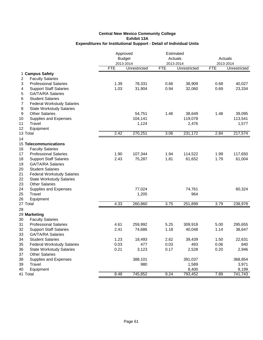|                                           | Approved<br><b>Budget</b> |              | Estimated<br>Actuals |              | Actuals    |              |
|-------------------------------------------|---------------------------|--------------|----------------------|--------------|------------|--------------|
|                                           |                           | 2013-2014    | 2013-2014            |              |            | 2013-2014    |
|                                           | <b>FTE</b>                | Unrestricted | <b>FTE</b>           | Unrestricted | <b>FTE</b> | Unrestricted |
| 1 Campus Safety                           |                           |              |                      |              |            |              |
| $\overline{c}$<br><b>Faculty Salaries</b> |                           |              |                      |              |            |              |
| <b>Professional Salaries</b><br>3         | 1.39                      | 78,331       | 0.66                 | 38,909       | 0.68       | 40,027       |
| <b>Support Staff Salaries</b><br>4        | 1.03                      | 31,904       | 0.94                 | 32,060       | 0.69       | 23,334       |
| <b>GA/TA/RA Salaries</b><br>5             |                           |              |                      |              |            |              |
| <b>Student Salaries</b><br>6              |                           |              |                      |              |            |              |
| 7<br><b>Federal Workstudy Salaries</b>    |                           |              |                      |              |            |              |
| 8<br><b>State Workstudy Salaries</b>      |                           |              |                      |              |            |              |
| 9<br><b>Other Salaries</b>                |                           | 54,751       | 1.46                 | 38,649       | 1.48       | 39,095       |
| 10<br>Supplies and Expenses               |                           | 104,141      |                      | 119,078      |            | 113,541      |
| 11<br>Travel                              |                           | 1,124        |                      | 2,476        |            | 1,577        |
| 12<br>Equipment                           |                           |              |                      |              |            |              |
| 13 Total                                  | 2.42                      | 270,251      | 3.06                 | 231,172      | 2.84       | 217,574      |
| 14                                        |                           |              |                      |              |            |              |
| 15 Telecommunications                     |                           |              |                      |              |            |              |
| 16<br><b>Faculty Salaries</b>             |                           |              |                      |              |            |              |
| <b>Professional Salaries</b><br>17        | 1.90                      | 107,344      | 1.94                 | 114,522      | 1.99       | 117,650      |
| 18<br><b>Support Staff Salaries</b>       | 2.43                      | 75,287       | 1.81                 | 61,652       | 1.79       | 61,004       |
| 19<br><b>GA/TA/RA Salaries</b>            |                           |              |                      |              |            |              |
| 20<br><b>Student Salaries</b>             |                           |              |                      |              |            |              |
| 21<br><b>Federal Workstudy Salaries</b>   |                           |              |                      |              |            |              |
| 22<br><b>State Workstudy Salaries</b>     |                           |              |                      |              |            |              |
| 23<br><b>Other Salaries</b>               |                           |              |                      |              |            |              |
| 24<br>Supplies and Expenses               |                           | 77,024       |                      | 74,761       |            | 60,324       |
| 25<br>Travel                              |                           | 1,205        |                      | 964          |            |              |
| 26<br>Equipment                           |                           |              |                      |              |            |              |
| 27 Total                                  | 4.33                      | 260,860      | 3.75                 | 251,899      | 3.79       | 238,978      |
| 28                                        |                           |              |                      |              |            |              |
| 29 Marketing                              |                           |              |                      |              |            |              |
| 30<br><b>Faculty Salaries</b>             |                           |              |                      |              |            |              |
| 31<br><b>Professional Salaries</b>        | 4.61                      | 259,992      | 5.25                 | 309,918      | 5.00       | 295,655      |
| 32<br><b>Support Staff Salaries</b>       | 2.41                      | 74,686       | 1.18                 | 40,048       | 1.14       | 38,647       |
| <b>GA/TA/RA Salaries</b><br>33            |                           |              |                      |              |            |              |
| 34<br><b>Student Salaries</b>             | 1.23                      | 18,493       | 2.62                 | 39,439       | 1.50       | 22,631       |
| 35<br><b>Federal Workstudy Salaries</b>   | 0.03                      | 477          | 0.03                 | 493          | 0.06       | 840          |
| 36<br><b>State Workstudy Salaries</b>     | 0.21                      | 3,123        | 0.17                 | 2,528        | 0.20       | 2,946        |
| 37<br><b>Other Salaries</b>               |                           |              |                      |              |            |              |
| 38<br>Supplies and Expenses               |                           | 388,101      |                      | 391,037      |            | 368,854      |
| 39<br>Travel                              |                           | 980          |                      | 1,589        |            | 3,971        |
| 40<br>Equipment                           |                           |              |                      | 8,400        |            | 8,199        |
| 41 Total                                  | 8.48                      | 745,852      | 9.24                 | 793,452      | 7.89       | 741,743      |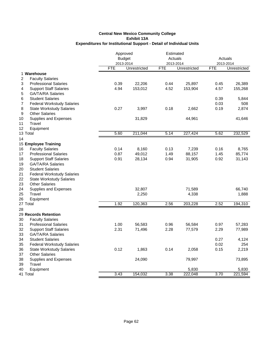|                                                                | Approved<br><b>Budget</b> |              | Estimated<br>Actuals |              | Actuals    |              |
|----------------------------------------------------------------|---------------------------|--------------|----------------------|--------------|------------|--------------|
|                                                                |                           | 2013-2014    | 2013-2014            |              |            | 2013-2014    |
|                                                                | <b>FTE</b>                | Unrestricted | <b>FTE</b>           | Unrestricted | <b>FTE</b> | Unrestricted |
| 1 Warehouse                                                    |                           |              |                      |              |            |              |
| 2<br><b>Faculty Salaries</b>                                   |                           |              |                      |              |            |              |
| 3<br><b>Professional Salaries</b>                              | 0.39                      | 22,206       | 0.44                 | 25,897       | 0.45       | 26,389       |
| <b>Support Staff Salaries</b><br>4                             | 4.94                      | 153,012      | 4.52                 | 153,904      | 4.57       | 155,268      |
| <b>GA/TA/RA Salaries</b><br>5                                  |                           |              |                      |              |            |              |
| <b>Student Salaries</b><br>6                                   |                           |              |                      |              | 0.39       | 5,844        |
| 7<br><b>Federal Workstudy Salaries</b>                         |                           |              |                      |              | 0.03       | 508          |
| 8<br><b>State Workstudy Salaries</b>                           | 0.27                      | 3,997        | 0.18                 | 2,662        | 0.19       | 2,874        |
| <b>Other Salaries</b><br>9                                     |                           |              |                      |              |            |              |
| 10<br>Supplies and Expenses                                    |                           | 31,829       |                      | 44,961       |            | 41,646       |
| 11<br>Travel                                                   |                           |              |                      |              |            |              |
| 12<br>Equipment                                                |                           |              |                      |              |            |              |
| 13 Total                                                       | 5.60                      | 211,044      | 5.14                 | 227,424      | 5.62       | 232,529      |
| 14                                                             |                           |              |                      |              |            |              |
| 15 Employee Training                                           |                           |              |                      |              |            |              |
| 16<br><b>Faculty Salaries</b>                                  | 0.14                      | 8,160        | 0.13                 | 7,239        | 0.16       | 8,765        |
| <b>Professional Salaries</b><br>17                             | 0.87                      | 49,012       | 1.49                 | 88,157       | 1.45       | 85,774       |
| 18<br><b>Support Staff Salaries</b>                            | 0.91                      | 28,134       | 0.94                 | 31,905       | 0.92       | 31,143       |
| 19<br><b>GA/TA/RA Salaries</b>                                 |                           |              |                      |              |            |              |
| 20<br><b>Student Salaries</b>                                  |                           |              |                      |              |            |              |
| 21<br><b>Federal Workstudy Salaries</b>                        |                           |              |                      |              |            |              |
| 22<br><b>State Workstudy Salaries</b><br><b>Other Salaries</b> |                           |              |                      |              |            |              |
| 23<br>24                                                       |                           | 32,807       |                      | 71,589       |            | 66,740       |
| Supplies and Expenses<br>25<br>Travel                          |                           | 2,250        |                      | 4,338        |            | 1,888        |
| 26<br>Equipment                                                |                           |              |                      |              |            |              |
| 27 Total                                                       | 1.92                      | 120,363      | 2.56                 | 203,228      | 2.52       | 194,310      |
| 28                                                             |                           |              |                      |              |            |              |
| 29 Records Retention                                           |                           |              |                      |              |            |              |
| 30<br><b>Faculty Salaries</b>                                  |                           |              |                      |              |            |              |
| 31<br><b>Professional Salaries</b>                             | 1.00                      | 56,583       | 0.96                 | 56,584       | 0.97       | 57,283       |
| 32<br><b>Support Staff Salaries</b>                            | 2.31                      | 71,496       | 2.28                 | 77,579       | 2.29       | 77,989       |
| <b>GA/TA/RA Salaries</b><br>33                                 |                           |              |                      |              |            |              |
| 34<br><b>Student Salaries</b>                                  |                           |              |                      |              | 0.27       | 4,124        |
| 35<br><b>Federal Workstudy Salaries</b>                        |                           |              |                      |              | 0.02       | 254          |
| 36<br><b>State Workstudy Salaries</b>                          | 0.12                      | 1,863        | 0.14                 | 2,058        | 0.15       | 2,219        |
| 37<br><b>Other Salaries</b>                                    |                           |              |                      |              |            |              |
| 38<br>Supplies and Expenses                                    |                           | 24,090       |                      | 79,997       |            | 73,895       |
| 39<br>Travel                                                   |                           |              |                      |              |            |              |
| 40<br>Equipment                                                |                           |              |                      | 5,830        |            | 5,830        |
| 41 Total                                                       | 3.43                      | 154,032      | 3.38                 | 222,048      | 3.70       | 221,594      |
|                                                                |                           |              |                      |              |            |              |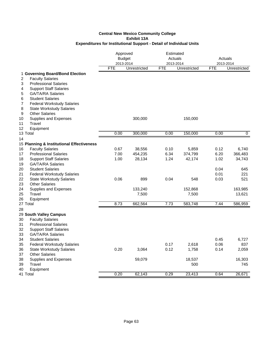|                                                                                                      | Approved<br><b>Budget</b><br>2013-2014 |              | Estimated<br>Actuals<br>2013-2014 |              | Actuals<br>2013-2014 |              |
|------------------------------------------------------------------------------------------------------|----------------------------------------|--------------|-----------------------------------|--------------|----------------------|--------------|
|                                                                                                      | FTE                                    | Unrestricted | <b>FTE</b>                        | Unrestricted | <b>FTE</b>           | Unrestricted |
| 1 Governing Board/Bond Election<br>2<br><b>Faculty Salaries</b><br><b>Professional Salaries</b><br>3 |                                        |              |                                   |              |                      |              |
| <b>Support Staff Salaries</b><br>4                                                                   |                                        |              |                                   |              |                      |              |
| <b>GA/TA/RA Salaries</b><br>5                                                                        |                                        |              |                                   |              |                      |              |
| <b>Student Salaries</b><br>6                                                                         |                                        |              |                                   |              |                      |              |
| <b>Federal Workstudy Salaries</b><br>7<br><b>State Workstudy Salaries</b>                            |                                        |              |                                   |              |                      |              |
| 8<br><b>Other Salaries</b><br>9                                                                      |                                        |              |                                   |              |                      |              |
| Supplies and Expenses<br>10                                                                          |                                        | 300,000      |                                   | 150,000      |                      |              |
| Travel<br>11                                                                                         |                                        |              |                                   |              |                      |              |
| 12<br>Equipment                                                                                      |                                        |              |                                   |              |                      |              |
| 13 Total                                                                                             | 0.00                                   | 300,000      | 0.00                              | 150,000      | 0.00                 | 0            |
| 14                                                                                                   |                                        |              |                                   |              |                      |              |
| 15 Planning & Institutional Effectiveness                                                            |                                        |              |                                   |              |                      |              |
| <b>Faculty Salaries</b><br>16                                                                        | 0.67                                   | 38,556       | 0.10                              | 5,859        | 0.12                 | 6,740        |
| 17<br><b>Professional Salaries</b>                                                                   | 7.00                                   | 454,235      | 6.34                              | 374,799      | 6.20                 | 366,483      |
| 18<br><b>Support Staff Salaries</b><br>19<br><b>GA/TA/RA Salaries</b>                                | 1.00                                   | 28,134       | 1.24                              | 42,174       | 1.02                 | 34,743       |
| <b>Student Salaries</b><br>20                                                                        |                                        |              |                                   |              | 0.04                 | 645          |
| 21<br><b>Federal Workstudy Salaries</b>                                                              |                                        |              |                                   |              | 0.01                 | 221          |
| 22<br><b>State Workstudy Salaries</b>                                                                | 0.06                                   | 899          | 0.04                              | 548          | 0.03                 | 521          |
| 23<br><b>Other Salaries</b>                                                                          |                                        |              |                                   |              |                      |              |
| 24<br>Supplies and Expenses                                                                          |                                        | 133,240      |                                   | 152,868      |                      | 163,985      |
| 25<br>Travel                                                                                         |                                        | 7,500        |                                   | 7,500        |                      | 13,621       |
| 26<br>Equipment                                                                                      |                                        |              |                                   |              |                      |              |
| 27 Total                                                                                             | 8.73                                   | 662,564      | 7.73                              | 583,748      | 7.44                 | 586,959      |
| 28                                                                                                   |                                        |              |                                   |              |                      |              |
| 29 South Valley Campus                                                                               |                                        |              |                                   |              |                      |              |
| 30<br><b>Faculty Salaries</b><br>31<br><b>Professional Salaries</b>                                  |                                        |              |                                   |              |                      |              |
| 32<br><b>Support Staff Salaries</b>                                                                  |                                        |              |                                   |              |                      |              |
| 33<br><b>GA/TA/RA Salaries</b>                                                                       |                                        |              |                                   |              |                      |              |
| 34<br><b>Student Salaries</b>                                                                        |                                        |              |                                   |              | 0.45                 | 6,727        |
| <b>Federal Workstudy Salaries</b><br>35                                                              |                                        |              | 0.17                              | 2,618        | 0.06                 | 837          |
| 36<br><b>State Workstudy Salaries</b>                                                                | 0.20                                   | 3,064        | 0.12                              | 1,758        | 0.14                 | 2,059        |
| 37<br><b>Other Salaries</b>                                                                          |                                        |              |                                   |              |                      |              |
| 38<br>Supplies and Expenses                                                                          |                                        | 59,079       |                                   | 18,537       |                      | 16,303       |
| 39<br>Travel                                                                                         |                                        |              |                                   | 500          |                      | 745          |
| 40<br>Equipment                                                                                      |                                        |              |                                   |              |                      |              |
| 41 Total                                                                                             | 0.20                                   | 62,143       | 0.29                              | 23,413       | 0.64                 | 26,671       |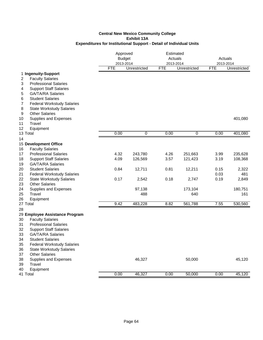|                                                                        |            | Approved<br><b>Budget</b><br>2013-2014 |            | Estimated<br>Actuals<br>2013-2014 |              | Actuals<br>2013-2014 |  |
|------------------------------------------------------------------------|------------|----------------------------------------|------------|-----------------------------------|--------------|----------------------|--|
|                                                                        | <b>FTE</b> | Unrestricted                           | <b>FTE</b> | Unrestricted                      | <b>FTE</b>   | Unrestricted         |  |
| 1 Ingenuity-Support                                                    |            |                                        |            |                                   |              |                      |  |
| <b>Faculty Salaries</b><br>2                                           |            |                                        |            |                                   |              |                      |  |
| <b>Professional Salaries</b><br>3                                      |            |                                        |            |                                   |              |                      |  |
| <b>Support Staff Salaries</b><br>4                                     |            |                                        |            |                                   |              |                      |  |
| <b>GA/TA/RA Salaries</b><br>5                                          |            |                                        |            |                                   |              |                      |  |
| <b>Student Salaries</b><br>6<br>7<br><b>Federal Workstudy Salaries</b> |            |                                        |            |                                   |              |                      |  |
| 8<br><b>State Workstudy Salaries</b>                                   |            |                                        |            |                                   |              |                      |  |
| <b>Other Salaries</b><br>9                                             |            |                                        |            |                                   |              |                      |  |
| 10<br>Supplies and Expenses                                            |            |                                        |            |                                   |              | 401,080              |  |
| Travel<br>11                                                           |            |                                        |            |                                   |              |                      |  |
| 12<br>Equipment                                                        |            |                                        |            |                                   |              |                      |  |
| 13 Total                                                               | 0.00       | 0                                      | 0.00       | 0                                 | 0.00         | 401,080              |  |
| 14                                                                     |            |                                        |            |                                   |              |                      |  |
| 15 Development Office                                                  |            |                                        |            |                                   |              |                      |  |
| <b>Faculty Salaries</b><br>16                                          |            |                                        |            |                                   |              |                      |  |
| <b>Professional Salaries</b><br>17                                     | 4.32       | 243,780                                | 4.26       | 251,663                           | 3.99         | 235,628              |  |
| 18<br><b>Support Staff Salaries</b>                                    | 4.09       | 126,569                                | 3.57       | 121,423                           | 3.19         | 108,368              |  |
| <b>GA/TA/RA Salaries</b><br>19                                         |            |                                        |            |                                   |              |                      |  |
| 20<br><b>Student Salaries</b>                                          | 0.84       | 12,711                                 | 0.81       | 12,211                            | 0.15<br>0.03 | 2,322                |  |
| 21<br><b>Federal Workstudy Salaries</b><br>22                          | 0.17       |                                        | 0.18       |                                   | 0.19         | 481                  |  |
| <b>State Workstudy Salaries</b><br><b>Other Salaries</b><br>23         |            | 2,542                                  |            | 2,747                             |              | 2,849                |  |
| 24<br>Supplies and Expenses                                            |            | 97,138                                 |            | 173,104                           |              | 180,751              |  |
| 25<br>Travel                                                           |            | 488                                    |            | 640                               |              | 161                  |  |
| 26<br>Equipment                                                        |            |                                        |            |                                   |              |                      |  |
| 27 Total                                                               | 9.42       | 483,228                                | 8.82       | 561,788                           | 7.55         | 530,560              |  |
| 28                                                                     |            |                                        |            |                                   |              |                      |  |
| 29 Employee Assistance Program                                         |            |                                        |            |                                   |              |                      |  |
| 30<br><b>Faculty Salaries</b>                                          |            |                                        |            |                                   |              |                      |  |
| 31<br><b>Professional Salaries</b>                                     |            |                                        |            |                                   |              |                      |  |
| <b>Support Staff Salaries</b><br>32                                    |            |                                        |            |                                   |              |                      |  |
| <b>GA/TA/RA Salaries</b><br>33                                         |            |                                        |            |                                   |              |                      |  |
| 34<br><b>Student Salaries</b>                                          |            |                                        |            |                                   |              |                      |  |
| <b>Federal Workstudy Salaries</b><br>35<br>36                          |            |                                        |            |                                   |              |                      |  |
| <b>State Workstudy Salaries</b><br>37<br><b>Other Salaries</b>         |            |                                        |            |                                   |              |                      |  |
| 38<br>Supplies and Expenses                                            |            | 46,327                                 |            | 50,000                            |              | 45,120               |  |
| Travel<br>39                                                           |            |                                        |            |                                   |              |                      |  |
| 40<br>Equipment                                                        |            |                                        |            |                                   |              |                      |  |
| 41 Total                                                               | 0.00       | 46,327                                 | 0.00       | 50,000                            | 0.00         | 45,120               |  |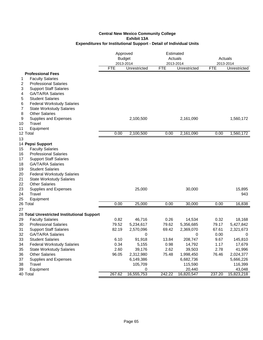|                                                                   | Approved<br><b>Budget</b><br>2013-2014 |                 |            | Estimated<br>Actuals<br>2013-2014 |            | Actuals<br>2013-2014 |  |
|-------------------------------------------------------------------|----------------------------------------|-----------------|------------|-----------------------------------|------------|----------------------|--|
|                                                                   | <b>FTE</b>                             | Unrestricted    | <b>FTE</b> | Unrestricted                      | <b>FTE</b> | Unrestricted         |  |
| <b>Professional Fees</b>                                          |                                        |                 |            |                                   |            |                      |  |
| <b>Faculty Salaries</b><br>1                                      |                                        |                 |            |                                   |            |                      |  |
| 2<br><b>Professional Salaries</b>                                 |                                        |                 |            |                                   |            |                      |  |
| <b>Support Staff Salaries</b><br>3                                |                                        |                 |            |                                   |            |                      |  |
| <b>GA/TA/RA Salaries</b><br>4                                     |                                        |                 |            |                                   |            |                      |  |
| <b>Student Salaries</b><br>5<br><b>Federal Workstudy Salaries</b> |                                        |                 |            |                                   |            |                      |  |
| 6<br>7<br><b>State Workstudy Salaries</b>                         |                                        |                 |            |                                   |            |                      |  |
| <b>Other Salaries</b><br>8                                        |                                        |                 |            |                                   |            |                      |  |
| 9<br>Supplies and Expenses                                        |                                        | 2,100,500       |            | 2,161,090                         |            | 1,560,172            |  |
| Travel<br>10                                                      |                                        |                 |            |                                   |            |                      |  |
| 11<br>Equipment                                                   |                                        |                 |            |                                   |            |                      |  |
| 12 Total                                                          | 0.00                                   | 2,100,500       | 0.00       | 2,161,090                         | 0.00       | 1,560,172            |  |
| 13                                                                |                                        |                 |            |                                   |            |                      |  |
| 14 Pepsi Support                                                  |                                        |                 |            |                                   |            |                      |  |
| 15<br><b>Faculty Salaries</b>                                     |                                        |                 |            |                                   |            |                      |  |
| 16<br><b>Professional Salaries</b>                                |                                        |                 |            |                                   |            |                      |  |
| 17<br><b>Support Staff Salaries</b>                               |                                        |                 |            |                                   |            |                      |  |
| <b>GA/TA/RA Salaries</b><br>18                                    |                                        |                 |            |                                   |            |                      |  |
| 19<br><b>Student Salaries</b>                                     |                                        |                 |            |                                   |            |                      |  |
| 20<br><b>Federal Workstudy Salaries</b>                           |                                        |                 |            |                                   |            |                      |  |
| 21<br><b>State Workstudy Salaries</b>                             |                                        |                 |            |                                   |            |                      |  |
| 22<br><b>Other Salaries</b><br>23                                 |                                        |                 |            |                                   |            |                      |  |
| Supplies and Expenses<br>24<br>Travel                             |                                        | 25,000          |            | 30,000                            |            | 15,895<br>943        |  |
| 25<br>Equipment                                                   |                                        |                 |            |                                   |            |                      |  |
| 26 Total                                                          | 0.00                                   | 25,000          | 0.00       | 30,000                            | 0.00       | 16,838               |  |
| 27                                                                |                                        |                 |            |                                   |            |                      |  |
| 28 Total Unrestricted Institutional Support                       |                                        |                 |            |                                   |            |                      |  |
| 29<br><b>Faculty Salaries</b>                                     | 0.82                                   | 46,716          | 0.26       | 14,534                            | 0.32       | 18,168               |  |
| 30<br><b>Professional Salaries</b>                                | 79.52                                  | 5,234,617       | 79.62      | 5,356,685                         | 79.17      | 5,427,842            |  |
| 31<br><b>Support Staff Salaries</b>                               | 82.19                                  | 2,570,096       | 69.42      | 2,369,070                         | 67.61      | 2,321,673            |  |
| <b>GA/TA/RA Salaries</b><br>32                                    |                                        | 0               |            | 0                                 | 0.00       | 0                    |  |
| 33<br><b>Student Salaries</b>                                     | 6.10                                   | 91,918          | 13.84      | 208,747                           | 9.67       | 145,810              |  |
| 34<br><b>Federal Workstudy Salaries</b>                           | 0.34                                   | 5,155           | 0.98       | 14,792                            | 1.17       | 17,679               |  |
| 35<br><b>State Workstudy Salaries</b>                             | 2.60                                   | 39,176          | 2.62       | 39,503                            | 2.78       | 41,996               |  |
| 36<br><b>Other Salaries</b>                                       | 96.05                                  | 2,312,980       | 75.48      | 1,998,450                         | 76.46      | 2,024,377            |  |
| 37<br>Supplies and Expenses                                       |                                        | 6,149,386       |            | 6,682,736                         |            | 5,666,226            |  |
| 38<br>Travel<br>39                                                |                                        | 105,709         |            | 115,590<br>20,440                 |            | 116,399              |  |
| Equipment<br>40 Total                                             | 267.62                                 | 0<br>16,555,753 | 242.22     | 16,820,547                        | 237.20     | 43,048<br>15,823,218 |  |
|                                                                   |                                        |                 |            |                                   |            |                      |  |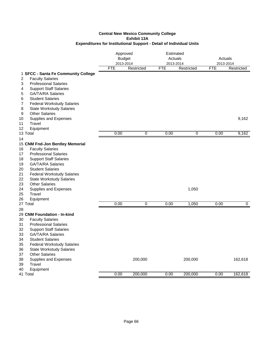|                                                                                                                                                                                                                                                                                                                                                                                                                   |            | Approved<br><b>Budget</b><br>2013-2014 |            | Estimated<br>Actuals<br>2013-2014 |            | Actuals<br>2013-2014 |  |
|-------------------------------------------------------------------------------------------------------------------------------------------------------------------------------------------------------------------------------------------------------------------------------------------------------------------------------------------------------------------------------------------------------------------|------------|----------------------------------------|------------|-----------------------------------|------------|----------------------|--|
|                                                                                                                                                                                                                                                                                                                                                                                                                   | <b>FTE</b> | Restricted                             | <b>FTE</b> | Restricted                        | <b>FTE</b> | Restricted           |  |
| 1 SFCC - Santa Fe Community College<br><b>Faculty Salaries</b><br>2<br><b>Professional Salaries</b><br>3<br><b>Support Staff Salaries</b><br>4<br><b>GA/TA/RA Salaries</b><br>5<br><b>Student Salaries</b><br>6<br>7<br><b>Federal Workstudy Salaries</b>                                                                                                                                                         |            |                                        |            |                                   |            |                      |  |
| 8<br><b>State Workstudy Salaries</b><br><b>Other Salaries</b><br>9<br>10<br>Supplies and Expenses<br>Travel<br>11<br>12<br>Equipment                                                                                                                                                                                                                                                                              |            |                                        |            |                                   |            | 9,162                |  |
| 13 Total<br>14                                                                                                                                                                                                                                                                                                                                                                                                    | 0.00       | 0                                      | 0.00       | 0                                 | 0.00       | 9,162                |  |
| 15 CNM Fnd-Jon Bentley Memorial<br><b>Faculty Salaries</b><br>16<br><b>Professional Salaries</b><br>17<br>18<br><b>Support Staff Salaries</b><br>19<br><b>GA/TA/RA Salaries</b><br>20<br><b>Student Salaries</b><br>21<br><b>Federal Workstudy Salaries</b><br>22<br><b>State Workstudy Salaries</b><br><b>Other Salaries</b><br>23<br>24<br>Supplies and Expenses<br>Travel<br>25<br>26<br>Equipment<br>27 Total | 0.00       | 0                                      | 0.00       | 1,050<br>1,050                    | 0.00       | $\mathbf 0$          |  |
| 28                                                                                                                                                                                                                                                                                                                                                                                                                |            |                                        |            |                                   |            |                      |  |
| 29 CNM Foundation - In-kind<br><b>Faculty Salaries</b><br>30<br><b>Professional Salaries</b><br>31<br><b>Support Staff Salaries</b><br>32<br><b>GA/TA/RA Salaries</b><br>33<br>34<br><b>Student Salaries</b><br>35<br><b>Federal Workstudy Salaries</b><br>36<br><b>State Workstudy Salaries</b><br>37<br><b>Other Salaries</b>                                                                                   |            |                                        |            |                                   |            |                      |  |
| 38<br>Supplies and Expenses<br>39<br>Travel<br>40<br>Equipment                                                                                                                                                                                                                                                                                                                                                    |            | 200,000                                |            | 200,000                           |            | 162,618              |  |
| 41 Total                                                                                                                                                                                                                                                                                                                                                                                                          | 0.00       | 200,000                                | 0.00       | 200,000                           | 0.00       | 162,618              |  |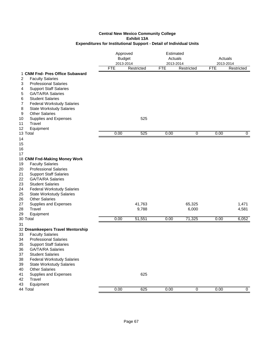|                                                                                                                                                                                                                                                                                                                                             | Approved<br><b>Budget</b><br>2013-2014 |            | Estimated<br>Actuals<br>2013-2014 |            | Actuals<br>2013-2014 |                |
|---------------------------------------------------------------------------------------------------------------------------------------------------------------------------------------------------------------------------------------------------------------------------------------------------------------------------------------------|----------------------------------------|------------|-----------------------------------|------------|----------------------|----------------|
|                                                                                                                                                                                                                                                                                                                                             | <b>FTE</b>                             | Restricted | <b>FTE</b>                        | Restricted | <b>FTE</b>           | Restricted     |
| 1 CNM Fnd- Pres Office Subaward<br><b>Faculty Salaries</b><br>2<br><b>Professional Salaries</b><br>3<br><b>Support Staff Salaries</b><br>4<br><b>GA/TA/RA Salaries</b><br>5<br><b>Student Salaries</b><br>6<br>7<br><b>Federal Workstudy Salaries</b><br>8<br><b>State Workstudy Salaries</b><br><b>Other Salaries</b><br>9                 |                                        |            |                                   |            |                      |                |
| Supplies and Expenses<br>10                                                                                                                                                                                                                                                                                                                 |                                        | 525        |                                   |            |                      |                |
| Travel<br>11<br>12<br>Equipment                                                                                                                                                                                                                                                                                                             |                                        |            |                                   |            |                      |                |
| 13 Total                                                                                                                                                                                                                                                                                                                                    | 0.00                                   | 525        | 0.00                              | 0          | 0.00                 | $\mathbf 0$    |
| 14<br>15<br>16<br>17                                                                                                                                                                                                                                                                                                                        |                                        |            |                                   |            |                      |                |
| 18 CNM Fnd-Making Money Work                                                                                                                                                                                                                                                                                                                |                                        |            |                                   |            |                      |                |
| <b>Faculty Salaries</b><br>19<br><b>Professional Salaries</b><br>20<br>21<br><b>Support Staff Salaries</b><br>22<br><b>GA/TA/RA Salaries</b><br>23<br><b>Student Salaries</b><br>24<br><b>Federal Workstudy Salaries</b><br><b>State Workstudy Salaries</b><br>25<br><b>Other Salaries</b>                                                  |                                        |            |                                   |            |                      |                |
| 26<br>27<br>Supplies and Expenses                                                                                                                                                                                                                                                                                                           |                                        | 41,763     |                                   | 65,325     |                      | 1,471          |
| Travel<br>28                                                                                                                                                                                                                                                                                                                                |                                        | 9,788      |                                   | 6,000      |                      | 4,581          |
| 29<br>Equipment                                                                                                                                                                                                                                                                                                                             |                                        |            |                                   |            |                      |                |
| 30 Total                                                                                                                                                                                                                                                                                                                                    | 0.00                                   | 51,551     | 0.00                              | 71,325     | 0.00                 | 6,052          |
| 31<br>32 Dreamkeepers Travel Mentorship<br><b>Faculty Salaries</b><br>33<br><b>Professional Salaries</b><br>34<br><b>Support Staff Salaries</b><br>35<br>36<br><b>GA/TA/RA Salaries</b><br>37<br><b>Student Salaries</b><br><b>Federal Workstudy Salaries</b><br>38<br>39<br><b>State Workstudy Salaries</b><br><b>Other Salaries</b><br>40 |                                        |            |                                   |            |                      |                |
| Supplies and Expenses<br>41<br>Travel<br>42<br>43<br>Equipment<br>44 Total                                                                                                                                                                                                                                                                  | 0.00                                   | 625<br>625 | 0.00                              | 0          | 0.00                 | $\overline{0}$ |
|                                                                                                                                                                                                                                                                                                                                             |                                        |            |                                   |            |                      |                |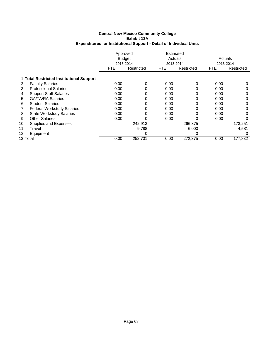|          |                                          | Approved<br><b>Budget</b> |            | Estimated<br>Actuals |            | Actuals    |            |
|----------|------------------------------------------|---------------------------|------------|----------------------|------------|------------|------------|
|          |                                          | 2013-2014                 |            | 2013-2014            |            | 2013-2014  |            |
|          |                                          | FTE.                      | Restricted | <b>FTE</b>           | Restricted | <b>FTE</b> | Restricted |
|          | 1 Total Restricted Institutional Support |                           |            |                      |            |            |            |
| 2        | <b>Faculty Salaries</b>                  | 0.00                      | $\Omega$   | 0.00                 | 0          | 0.00       | 0          |
| 3        | <b>Professional Salaries</b>             | 0.00                      |            | 0.00                 | 0          | 0.00       | 0          |
| 4        | <b>Support Staff Salaries</b>            | 0.00                      |            | 0.00                 | 0          | 0.00       | 0          |
| 5        | <b>GA/TA/RA Salaries</b>                 | 0.00                      |            | 0.00                 | 0          | 0.00       | 0          |
| 6        | <b>Student Salaries</b>                  | 0.00                      | 0          | 0.00                 | 0          | 0.00       | 0          |
|          | <b>Federal Workstudy Salaries</b>        | 0.00                      | 0          | 0.00                 | 0          | 0.00       | 0          |
| 8        | <b>State Workstudy Salaries</b>          | 0.00                      | 0          | 0.00                 | 0          | 0.00       | 0          |
| 9        | <b>Other Salaries</b>                    | 0.00                      |            | 0.00                 | 0          | 0.00       | 0          |
| 10       | Supplies and Expenses                    |                           | 242,913    |                      | 266,375    |            | 173,251    |
| 11       | Travel                                   |                           | 9,788      |                      | 6,000      |            | 4,581      |
| 12       | Equipment                                |                           | O          |                      | 0          |            | $\Omega$   |
| 13 Total |                                          | 0.00                      | 252,701    | 0.00                 | 272,375    | 0.00       | 177,832    |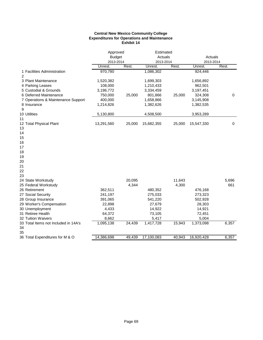## **Central New Mexico Community College Expenditures for Operations and Maintenance Exhibit 14**

|                                               |               | Approved |            | Estimated |            |             |
|-----------------------------------------------|---------------|----------|------------|-----------|------------|-------------|
|                                               | <b>Budget</b> |          | Actuals    |           | Actuals    |             |
|                                               | 2013-2014     |          | 2013-2014  |           | 2013-2014  |             |
|                                               | Unrest.       | Rest.    | Unrest.    | Rest.     | Unrest.    | Rest.       |
| 1 Facilities Administration<br>$\overline{2}$ | 970,780       |          | 1,086,302  |           | 924,446    |             |
| 3 Plant Maintenance                           | 1,520,382     |          | 1,699,303  |           | 1,656,892  |             |
| 4 Parking Leases                              | 108,000       |          | 1,210,433  |           | 962,501    |             |
| 5 Custodial & Grounds                         | 3,196,772     |          | 3,334,459  |           | 3,197,451  |             |
| 6 Deferred Maintenance                        | 750,000       | 25,000   | 801,866    | 25,000    | 324,308    | $\mathbf 0$ |
| 7 Operations & Maintenance Support            | 400,000       |          | 1,658,866  |           | 3,145,908  |             |
| 8 Insurance                                   | 1,214,826     |          | 1,382,626  |           | 1,382,535  |             |
| 9                                             |               |          |            |           |            |             |
| 10 Utilities                                  | 5,130,800     |          | 4,508,500  |           | 3,953,289  |             |
| 11                                            |               |          |            |           |            |             |
| 12 Total Physical Plant                       | 13,291,560    | 25,000   | 15,682,355 | 25,000    | 15,547,330 | $\mathbf 0$ |
| 13                                            |               |          |            |           |            |             |
| 14                                            |               |          |            |           |            |             |
| 15                                            |               |          |            |           |            |             |
| 16                                            |               |          |            |           |            |             |
| 17                                            |               |          |            |           |            |             |
| 18                                            |               |          |            |           |            |             |
| 19                                            |               |          |            |           |            |             |
| 20                                            |               |          |            |           |            |             |
| 21                                            |               |          |            |           |            |             |
| 22                                            |               |          |            |           |            |             |
| 23                                            |               |          |            |           |            |             |
| 24 State Workstudy                            |               | 20,095   |            | 11,643    |            | 5,696       |
| 25 Federal Workstudy                          |               | 4,344    |            | 4,300     |            | 661         |
| 26 Retirement                                 | 362,511       |          | 480,352    |           | 476,168    |             |
| 27 Social Security                            | 241,197       |          | 275,033    |           | 273,323    |             |
| 28 Group Insurance                            | 391,065       |          | 541,220    |           | 502,928    |             |
| 29 Worker's Compensation                      | 22,898        |          | 27,679     |           | 28,303     |             |
| 30 Unemployment                               | 4,433         |          | 14,922     |           | 14,921     |             |
| 31 Retiree Health                             | 64,372        |          | 73,105     |           | 72,451     |             |
| 32 Tuition Waivers                            | 8,662         |          | 5,417      |           | 5,004      |             |
| 33 Total Items not Included in 14A's          | 1,095,138     | 24,439   | 1,417,728  | 15,943    | 1,373,098  | 6,357       |
| 34                                            |               |          |            |           |            |             |
| 35                                            |               |          |            |           |            |             |
| 36 Total Expenditures for M & O               | 14,386,698    | 49,439   | 17,100,083 | 40,943    | 16,920,428 | 6,357       |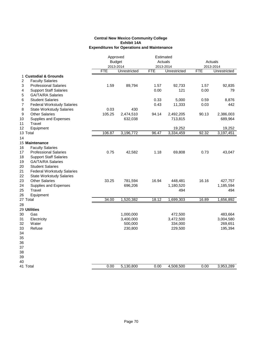## **Central New Mexico Community College Exhibit 14A Expenditures for Operations and Maintenance**

|                |                                   | Approved   |               | Estimated  |                     |       |                     |
|----------------|-----------------------------------|------------|---------------|------------|---------------------|-------|---------------------|
|                |                                   |            | <b>Budget</b> |            | Actuals             |       | Actuals             |
|                |                                   |            | 2013-2014     |            | 2013-2014           |       | 2013-2014           |
|                |                                   | <b>FTE</b> | Unrestricted  | <b>FTE</b> | Unrestricted        | FTE   | Unrestricted        |
|                | 1 Custodial & Grounds             |            |               |            |                     |       |                     |
| $\overline{2}$ | <b>Faculty Salaries</b>           |            |               |            |                     |       |                     |
| 3              | <b>Professional Salaries</b>      | 1.59       | 89,794        | 1.57       | 92,733              | 1.57  | 92,835              |
| 4              | <b>Support Staff Salaries</b>     |            |               | 0.00       | 121                 | 0.00  | 79                  |
| 5              | <b>GA/TA/RA Salaries</b>          |            |               |            |                     |       |                     |
| 6              | <b>Student Salaries</b>           |            |               | 0.33       | 5,000               | 0.59  | 8,876               |
| 7              | <b>Federal Workstudy Salaries</b> |            |               | 0.43       | 11,333              | 0.03  | 442                 |
| 8              | <b>State Workstudy Salaries</b>   | 0.03       | 430           |            |                     |       |                     |
| 9              | <b>Other Salaries</b>             | 105.25     | 2,474,510     | 94.14      | 2,492,205           | 90.13 | 2,386,003           |
|                |                                   |            |               |            |                     |       |                     |
| 10<br>11       | Supplies and Expenses             |            | 632,038       |            | 713,815             |       | 689,964             |
|                | Travel                            |            |               |            |                     |       |                     |
| 12             | Equipment                         | 106.87     | 3,196,772     | 96.47      | 19,252<br>3,334,459 | 92.32 | 19,252<br>3,197,451 |
| 13 Total       |                                   |            |               |            |                     |       |                     |
| 14             |                                   |            |               |            |                     |       |                     |
|                | 15 Maintenance                    |            |               |            |                     |       |                     |
| 16             | <b>Faculty Salaries</b>           |            |               |            |                     |       |                     |
| 17             | <b>Professional Salaries</b>      | 0.75       | 42,582        | 1.18       | 69,808              | 0.73  | 43,047              |
| 18             | <b>Support Staff Salaries</b>     |            |               |            |                     |       |                     |
| 19             | <b>GA/TA/RA Salaries</b>          |            |               |            |                     |       |                     |
| 20             | <b>Student Salaries</b>           |            |               |            |                     |       |                     |
| 21             | <b>Federal Workstudy Salaries</b> |            |               |            |                     |       |                     |
| 22             | <b>State Workstudy Salaries</b>   |            |               |            |                     |       |                     |
| 23             | <b>Other Salaries</b>             | 33.25      | 781,594       | 16.94      | 448,481             | 16.16 | 427,757             |
| 24             | Supplies and Expenses             |            | 696,206       |            | 1,180,520           |       | 1,185,594           |
| 25             | Travel                            |            |               |            | 494                 |       | 494                 |
| 26             | Equipment                         |            |               |            |                     |       |                     |
| 27 Total       |                                   | 34.00      | 1,520,382     | 18.12      | 1,699,303           | 16.89 | 1,656,892           |
| 28             |                                   |            |               |            |                     |       |                     |
|                | 29 Utilities                      |            |               |            |                     |       |                     |
| 30             | Gas                               |            | 1,000,000     |            | 472,500             |       | 483,664             |
| 31             | Electricity                       |            | 3,400,000     |            | 3,472,500           |       | 3,004,580           |
| 32             | Water                             |            | 500,000       |            | 334,000             |       | 269,651             |
| 33             | Refuse                            |            | 230,800       |            | 229,500             |       | 195,394             |
| 34             |                                   |            |               |            |                     |       |                     |
| 35             |                                   |            |               |            |                     |       |                     |
| 36             |                                   |            |               |            |                     |       |                     |
| 37             |                                   |            |               |            |                     |       |                     |
| 38             |                                   |            |               |            |                     |       |                     |
| 39             |                                   |            |               |            |                     |       |                     |
| 40             |                                   |            |               |            |                     |       |                     |
| 41 Total       |                                   | 0.00       | 5,130,800     | 0.00       | 4,508,500           | 0.00  | 3,953,289           |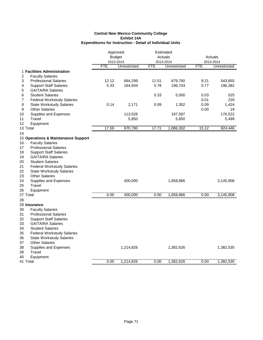#### **Central New Mexico Community College Exhibit 14A Expenditures for Instruction - Detail of Individual Units**

|                                           | Approved      |              |            | Estimated    |            |              |
|-------------------------------------------|---------------|--------------|------------|--------------|------------|--------------|
|                                           | <b>Budget</b> |              |            | Actuals      |            | Actuals      |
|                                           | 2013-2014     |              |            | 2013-2014    | 2013-2014  |              |
|                                           | <b>FTE</b>    | Unrestricted | <b>FTE</b> | Unrestricted | <b>FTE</b> | Unrestricted |
| 1 Facilities Administration               |               |              |            |              |            |              |
| $\overline{c}$<br><b>Faculty Salaries</b> |               |              |            |              |            |              |
| 3<br><b>Professional Salaries</b>         | 12.12         | 684,299      | 11.51      | 679,760      | 9.21       | 543,855      |
| <b>Support Staff Salaries</b><br>4        | 5.33          | 164,934      | 5.78       | 196,743      | 5.77       | 196,382      |
| <b>GA/TA/RA Salaries</b><br>5             |               |              |            |              |            |              |
| <b>Student Salaries</b><br>6              |               |              | 0.33       | 5,000        | 0.03       | 525          |
| 7<br><b>Federal Workstudy Salaries</b>    |               |              |            |              | 0.01       | 220          |
| 8<br><b>State Workstudy Salaries</b>      | 0.14          | 2,171        | 0.09       | 1,352        | 0.09       | 1,424        |
| <b>Other Salaries</b><br>9                |               |              |            |              | 0.00       | 19           |
| 10<br>Supplies and Expenses               |               | 113,526      |            | 197,597      |            | 176,522      |
| 11<br>Travel                              |               | 5,850        |            | 5,850        |            | 5,499        |
| 12<br>Equipment                           |               |              |            |              |            |              |
| 13 Total                                  | 17.59         | 970,780      | 17.71      | 1,086,302    | 15.12      | 924,446      |
| 14                                        |               |              |            |              |            |              |
| 15 Operations & Maintenance Support       |               |              |            |              |            |              |
| <b>Faculty Salaries</b><br>16             |               |              |            |              |            |              |
| <b>Professional Salaries</b><br>17        |               |              |            |              |            |              |
| 18<br><b>Support Staff Salaries</b>       |               |              |            |              |            |              |
| 19<br><b>GA/TA/RA Salaries</b>            |               |              |            |              |            |              |
| 20<br><b>Student Salaries</b>             |               |              |            |              |            |              |
| 21<br><b>Federal Workstudy Salaries</b>   |               |              |            |              |            |              |
| 22<br><b>State Workstudy Salaries</b>     |               |              |            |              |            |              |
| 23<br><b>Other Salaries</b>               |               |              |            |              |            |              |
| 24<br>Supplies and Expenses               |               | 400,000      |            | 1,658,866    |            | 3,145,908    |
| 25<br>Travel                              |               |              |            |              |            |              |
| 26<br>Equipment                           |               |              |            |              |            |              |
| 27 Total                                  | 0.00          | 400,000      | 0.00       | 1,658,866    | 0.00       | 3,145,908    |
| 28                                        |               |              |            |              |            |              |
| 29 Insurance                              |               |              |            |              |            |              |
| 30<br><b>Faculty Salaries</b>             |               |              |            |              |            |              |
|                                           |               |              |            |              |            |              |
| 31<br><b>Professional Salaries</b>        |               |              |            |              |            |              |
| 32<br><b>Support Staff Salaries</b>       |               |              |            |              |            |              |
| 33<br><b>GA/TA/RA Salaries</b>            |               |              |            |              |            |              |
| 34<br><b>Student Salaries</b>             |               |              |            |              |            |              |
| 35<br><b>Federal Workstudy Salaries</b>   |               |              |            |              |            |              |
| 36<br><b>State Workstudy Salaries</b>     |               |              |            |              |            |              |
| 37<br><b>Other Salaries</b>               |               |              |            |              |            |              |
| 38<br>Supplies and Expenses               |               | 1,214,826    |            | 1,382,626    |            | 1,382,535    |
| 39<br>Travel                              |               |              |            |              |            |              |
| 40<br>Equipment                           |               |              |            |              |            |              |
| 41 Total                                  | 0.00          | 1.214.826    | 0.00       | 1,382,626    | 0.00       | 1,382,535    |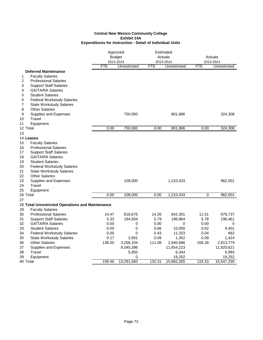#### **Central New Mexico Community College Exhibit 14A Expenditures for Instruction - Detail of Individual Units**

|                                                  | Approved      |                    |            | Estimated<br>Actuals |            | Actuals             |  |
|--------------------------------------------------|---------------|--------------------|------------|----------------------|------------|---------------------|--|
|                                                  | <b>Budget</b> | 2013-2014          |            | 2013-2014            |            | 2013-2014           |  |
|                                                  | <b>FTE</b>    | Unrestricted       | <b>FTE</b> | Unrestricted         | <b>FTE</b> | Unrestricted        |  |
| <b>Deferred Maintenance</b>                      |               |                    |            |                      |            |                     |  |
| <b>Faculty Salaries</b><br>1                     |               |                    |            |                      |            |                     |  |
| 2<br><b>Professional Salaries</b>                |               |                    |            |                      |            |                     |  |
| 3<br><b>Support Staff Salaries</b>               |               |                    |            |                      |            |                     |  |
| 4<br><b>GA/TA/RA Salaries</b>                    |               |                    |            |                      |            |                     |  |
| 5<br><b>Student Salaries</b>                     |               |                    |            |                      |            |                     |  |
| <b>Federal Workstudy Salaries</b><br>6           |               |                    |            |                      |            |                     |  |
| 7<br><b>State Workstudy Salaries</b>             |               |                    |            |                      |            |                     |  |
| 8<br><b>Other Salaries</b>                       |               |                    |            |                      |            |                     |  |
| 9<br>Supplies and Expenses                       |               | 750,000            |            | 801,866              |            | 324,308             |  |
| Travel<br>10                                     |               |                    |            |                      |            |                     |  |
| 11<br>Equipment                                  |               |                    |            |                      |            |                     |  |
| 12 Total                                         | 0.00          | 750,000            | 0.00       | 801,866              | 0.00       | 324,308             |  |
| 13                                               |               |                    |            |                      |            |                     |  |
| 14 Leases                                        |               |                    |            |                      |            |                     |  |
| 15<br><b>Faculty Salaries</b>                    |               |                    |            |                      |            |                     |  |
| 16<br><b>Professional Salaries</b>               |               |                    |            |                      |            |                     |  |
| 17<br><b>Support Staff Salaries</b>              |               |                    |            |                      |            |                     |  |
| 18<br><b>GA/TA/RA Salaries</b>                   |               |                    |            |                      |            |                     |  |
| 19<br><b>Student Salaries</b>                    |               |                    |            |                      |            |                     |  |
| 20<br><b>Federal Workstudy Salaries</b>          |               |                    |            |                      |            |                     |  |
| 21<br><b>State Workstudy Salaries</b>            |               |                    |            |                      |            |                     |  |
| 22<br><b>Other Salaries</b>                      |               |                    |            |                      |            |                     |  |
| 23<br>Supplies and Expenses                      |               | 108,000            |            | 1,210,433            |            | 962,501             |  |
| 24<br>Travel                                     |               |                    |            |                      |            |                     |  |
| 25<br>Equipment                                  |               |                    |            |                      |            |                     |  |
| 26 Total                                         | 0.00          | 108,000            | 0.00       | 1,210,433            | 0          | 962,501             |  |
| 27                                               |               |                    |            |                      |            |                     |  |
| 28 Total Unrestricted Operations and Maintenance |               |                    |            |                      |            |                     |  |
| 29<br><b>Faculty Salaries</b>                    |               |                    |            |                      |            |                     |  |
| 30<br><b>Professional Salaries</b>               | 14.47         | 816,675            | 14.26      | 842,301              | 11.51      | 679,737             |  |
| 31<br><b>Support Staff Salaries</b>              | 5.33          | 164,934            | 5.79       | 196,864              | 5.78       | 196,461             |  |
| 32<br><b>GA/TA/RA Salaries</b>                   | 0.00          | 0                  | 0.00       | 0                    | 0.00       | 0                   |  |
| 33<br><b>Student Salaries</b>                    | 0.00          | $\mathbf 0$        | 0.66       | 10,000               | 0.62       | 9,401               |  |
| 34<br><b>Federal Workstudy Salaries</b>          | 0.00          | 0                  | 0.43       | 11,333               | 0.04       | 662                 |  |
| 35<br><b>State Workstudy Salaries</b>            | 0.17          | 2,601              | 0.09       | 1,352                | 0.09       | 1,424               |  |
| <b>Other Salaries</b><br>36                      | 138.50        | 3,256,104          | 111.08     | 2,940,686            | 106.28     | 2,813,779           |  |
|                                                  |               |                    |            |                      |            |                     |  |
| Supplies and Expenses<br>37<br>Travel<br>38      |               | 9,045,396<br>5,850 |            | 11,654,223<br>6,344  |            | 11,820,621<br>5,993 |  |
| 39                                               |               | 0                  |            | 19,252               |            | 19,252              |  |
| Equipment<br>40 Total                            | 158.46        | 13,291,560         | 132.31     | 15,682,355           | 124.33     | 15,547,330          |  |
|                                                  |               |                    |            |                      |            |                     |  |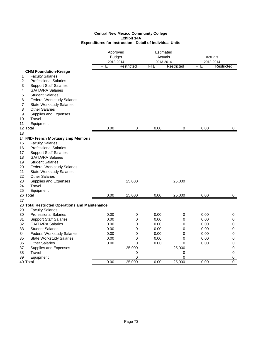#### **Central New Mexico Community College Exhibit 14A Expenditures for Instruction - Detail of Individual Units**

|                                                | Approved<br><b>Budget</b> |            | Estimated<br>Actuals    | Actuals     |            |                         |
|------------------------------------------------|---------------------------|------------|-------------------------|-------------|------------|-------------------------|
|                                                | 2013-2014<br><b>FTE</b>   | Restricted | 2013-2014<br><b>FTE</b> | Restricted  | <b>FTE</b> | 2013-2014<br>Restricted |
| <b>CNM Foundation-Kresge</b>                   |                           |            |                         |             |            |                         |
| <b>Faculty Salaries</b><br>1                   |                           |            |                         |             |            |                         |
| 2<br><b>Professional Salaries</b>              |                           |            |                         |             |            |                         |
| <b>Support Staff Salaries</b><br>3             |                           |            |                         |             |            |                         |
| <b>GA/TA/RA Salaries</b><br>4                  |                           |            |                         |             |            |                         |
| 5<br><b>Student Salaries</b>                   |                           |            |                         |             |            |                         |
| <b>Federal Workstudy Salaries</b><br>6         |                           |            |                         |             |            |                         |
| 7<br><b>State Workstudy Salaries</b>           |                           |            |                         |             |            |                         |
| <b>Other Salaries</b><br>8                     |                           |            |                         |             |            |                         |
| 9<br>Supplies and Expenses                     |                           |            |                         |             |            |                         |
| Travel<br>10                                   |                           |            |                         |             |            |                         |
| 11<br>Equipment                                |                           |            |                         |             |            |                         |
| 12 Total                                       | 0.00                      | 0          | 0.00                    | 0           | 0.00       | $\overline{0}$          |
| 13                                             |                           |            |                         |             |            |                         |
| 14 FND- French Mortuary Emp Memorial           |                           |            |                         |             |            |                         |
| <b>Faculty Salaries</b><br>15                  |                           |            |                         |             |            |                         |
| 16<br><b>Professional Salaries</b>             |                           |            |                         |             |            |                         |
| 17<br><b>Support Staff Salaries</b>            |                           |            |                         |             |            |                         |
| 18<br><b>GA/TA/RA Salaries</b>                 |                           |            |                         |             |            |                         |
| 19<br><b>Student Salaries</b>                  |                           |            |                         |             |            |                         |
| 20<br><b>Federal Workstudy Salaries</b>        |                           |            |                         |             |            |                         |
| 21<br><b>State Workstudy Salaries</b>          |                           |            |                         |             |            |                         |
| 22<br><b>Other Salaries</b>                    |                           |            |                         |             |            |                         |
| 23<br>Supplies and Expenses                    |                           | 25,000     |                         | 25,000      |            |                         |
| 24<br>Travel                                   |                           |            |                         |             |            |                         |
| 25<br>Equipment                                |                           |            |                         |             |            |                         |
| 26 Total                                       | 0.00                      | 25,000     | 0.00                    | 25,000      | 0.00       | 0                       |
| 27                                             |                           |            |                         |             |            |                         |
| 28 Total Restricted Operations and Maintenance |                           |            |                         |             |            |                         |
| 29<br><b>Faculty Salaries</b>                  |                           |            |                         |             |            |                         |
| 30<br><b>Professional Salaries</b>             | 0.00                      | 0          | 0.00                    | 0           | 0.00       | 0                       |
| 31<br><b>Support Staff Salaries</b>            | 0.00                      | 0          | 0.00                    | 0           | 0.00       | 0                       |
| 32<br><b>GA/TA/RA Salaries</b>                 | 0.00                      | 0          | 0.00                    | 0           | 0.00       | 0                       |
| 33<br><b>Student Salaries</b>                  | 0.00                      | 0          | 0.00                    | $\mathbf 0$ | 0.00       | 0                       |
| 34<br><b>Federal Workstudy Salaries</b>        | 0.00                      | 0          | 0.00                    | 0           | 0.00       | 0                       |
| 35<br><b>State Workstudy Salaries</b>          | 0.00                      | 0          | 0.00                    | 0           | 0.00       | 0                       |
| <b>Other Salaries</b><br>36                    | 0.00                      | 0          | 0.00                    | $\Omega$    | 0.00       | 0                       |
| 37<br>Supplies and Expenses                    |                           | 25,000     |                         | 25,000      |            | 0                       |
| 38<br>Travel                                   |                           | 0          |                         | 0           |            | 0                       |
| Equipment<br>39                                |                           | 0          |                         | $\mathbf 0$ |            | 0                       |
| 40 Total                                       | 0.00                      | 25,000     | 0.00                    | 25,000      | 0.00       | $\Omega$                |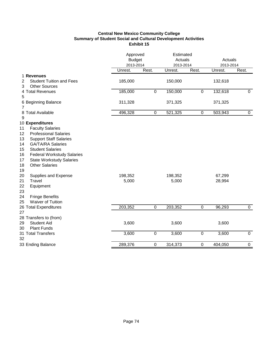# **Central New Mexico Community College Summary of Student Social and Cultural Development Activities Exhibit 15**

|                                         | Approved<br><b>Budget</b><br>2013-2014 |                | Estimated<br>Actuals<br>2013-2014 |                  | Actuals<br>2013-2014 |                |
|-----------------------------------------|----------------------------------------|----------------|-----------------------------------|------------------|----------------------|----------------|
|                                         | Unrest.                                | Rest.          | Unrest.                           | Rest.            | Unrest.              | Rest.          |
| 1 Revenues                              |                                        |                |                                   |                  |                      |                |
| <b>Student Tuition and Fees</b><br>2    | 185,000                                |                | 150,000                           |                  | 132,618              |                |
| <b>Other Sources</b><br>3               |                                        |                |                                   |                  |                      |                |
| 4 Total Revenues                        | 185,000                                | $\overline{0}$ | 150,000                           | $\mathbf 0$      | 132,618              | $\overline{0}$ |
| 5                                       |                                        |                |                                   |                  |                      |                |
| 6 Beginning Balance<br>7                | 311,328                                |                | 371,325                           |                  | 371,325              |                |
| 8 Total Available<br>9                  | 496,328                                | $\mathbf 0$    | 521,325                           | $\mathbf 0$      | 503,943              | $\overline{0}$ |
| 10 Expenditures                         |                                        |                |                                   |                  |                      |                |
| <b>Faculty Salaries</b><br>11           |                                        |                |                                   |                  |                      |                |
| <b>Professional Salaries</b><br>12      |                                        |                |                                   |                  |                      |                |
| <b>Support Staff Salaries</b><br>13     |                                        |                |                                   |                  |                      |                |
| <b>GA/TA/RA Salaries</b><br>14          |                                        |                |                                   |                  |                      |                |
| <b>Student Salaries</b><br>15           |                                        |                |                                   |                  |                      |                |
| <b>Federal Workstudy Salaries</b><br>16 |                                        |                |                                   |                  |                      |                |
| 17<br><b>State Workstudy Salaries</b>   |                                        |                |                                   |                  |                      |                |
| <b>Other Salaries</b><br>18             |                                        |                |                                   |                  |                      |                |
| 19                                      |                                        |                |                                   |                  |                      |                |
| 20<br>Supplies and Expense              | 198,352                                |                | 198,352                           |                  | 67,299               |                |
| Travel<br>21                            | 5,000                                  |                | 5,000                             |                  | 28,994               |                |
| 22<br>Equipment<br>23                   |                                        |                |                                   |                  |                      |                |
| 24<br><b>Fringe Benefits</b>            |                                        |                |                                   |                  |                      |                |
| Waiver of Tuition<br>25                 |                                        |                |                                   |                  |                      |                |
| 26 Total Expenditures                   | 203,352                                | $\overline{0}$ | 203,352                           | $\overline{0}$   | 96,293               | $\overline{0}$ |
| 27                                      |                                        |                |                                   |                  |                      |                |
| 28 Transfers to (from)                  |                                        |                |                                   |                  |                      |                |
| <b>Student Aid</b><br>29                | 3,600                                  |                | 3,600                             |                  | 3,600                |                |
| <b>Plant Funds</b><br>30                |                                        |                |                                   |                  |                      |                |
| 31 Total Transfers<br>32                | 3,600                                  | $\overline{0}$ | 3,600                             | $\boldsymbol{0}$ | 3,600                | $\overline{0}$ |
| 33 Ending Balance                       | 289,376                                | 0              | 314,373                           | $\mathbf 0$      | 404,050              | $\pmb{0}$      |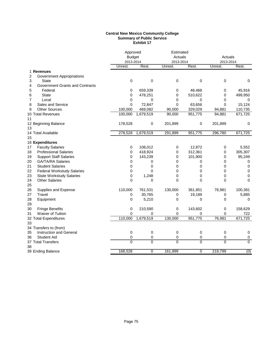#### **Central New Mexico Community College Summary of Public Service Exhibit 17**

|                |                                        | Approved       |                | Estimated      |             |           |                |
|----------------|----------------------------------------|----------------|----------------|----------------|-------------|-----------|----------------|
|                |                                        | <b>Budget</b>  |                | Actuals        |             | Actuals   |                |
|                |                                        | 2013-2014      |                | 2013-2014      |             | 2013-2014 |                |
|                |                                        | Unrest.        | Rest.          | Unrest.        | Rest.       | Unrest.   | Rest.          |
|                | 1 Revenues                             |                |                |                |             |           |                |
| $\overline{c}$ | <b>Government Appropriations</b>       |                |                |                |             |           |                |
| 3              | State                                  | $\mathbf 0$    | 0              | 0              | 0           | 0         | $\pmb{0}$      |
| 4              | <b>Government Grants and Contracts</b> |                |                |                |             |           |                |
| 5              | Federal                                | 0              | 659,339        | 0              | 48,468      | 0         | 45,916         |
| 6              | <b>State</b>                           | $\Omega$       | 478,251        | 0              | 510,622     | 0         | 499,950        |
| 7              | Local                                  | 0              | 0              | $\Omega$       | 0           | 0         | 0              |
| 8              | Sales and Service                      | 0              | 72,847         | 0              | 63,656      | 0         | 15,124         |
| 9              | <b>Other Sources</b>                   | 100,000        | 469,082        | 90,000         | 329,029     | 94,881    | 110,735        |
|                | 10 Total Revenues                      | 100,000        | 1,679,519      | 90,000         | 951,775     | 94,881    | 671,725        |
| 11             |                                        |                |                |                |             |           |                |
|                | 12 Beginning Balance                   | 178,528        | 0              | 201,899        | 0           | 201,899   | 0              |
| 13             |                                        |                |                |                |             |           |                |
|                | 14 Total Available                     | 278,528        | 1,679,519      | 291,899        | 951,775     | 296,780   | 671,725        |
| 15             |                                        |                |                |                |             |           |                |
|                | 16 Expenditures                        |                |                |                |             |           |                |
| 17             | <b>Faculty Salaries</b>                | 0              | 108,012        | 0              | 12,872      | 0         | 5,552          |
| 18             | <b>Professional Salaries</b>           | 0              | 418,924        | 0              | 312,361     | 0         | 305,307        |
| 19             | <b>Support Staff Salaries</b>          | $\Omega$       | 143,239        | $\Omega$       | 101,900     | 0         | 95,249         |
| 20             | <b>GA/TA/RA Salaries</b>               | 0              | 0              | 0              | 0           | 0         | 0              |
| 21             | <b>Student Salaries</b>                | 0              | 0              | $\Omega$       | 0           | 0         | 0              |
| 22             | <b>Federal Workstudy Salaries</b>      | 0              | 0              | 0              | 0           | 0         | 0              |
| 23             | <b>State Workstudy Salaries</b>        | 0              | 1,248          | 0              | 0           | 0         | 0              |
| 24             | <b>Other Salaries</b>                  | 0              | $\mathbf 0$    | 0              | 0           | 0         | $\mathbf 0$    |
| 25             |                                        |                |                |                |             |           |                |
| 26             | Supplies and Expense                   | 110,000        | 761,531        | 130,000        | 361,851     | 76,981    | 100,381        |
| 27             | Travel                                 | 0              | 30,765         | 0              | 19,189      | 0         | 5,885          |
| 28             | Equipment                              | 0              | 5,210          | 0              | 0           | 0         | 0              |
| 29             |                                        |                |                |                |             |           |                |
| 30             | <b>Fringe Benefits</b>                 | 0              | 210,590        | 0              | 143,602     | 0         | 158,629        |
| 31             | Waiver of Tuition                      | $\Omega$       | 0              | 0              | 0           | 0         | 722            |
|                | 32 Total Expenditures                  | 110,000        | 1,679,519      | 130,000        | 951,775     | 76,981    | 671,725        |
| 33             |                                        |                |                |                |             |           |                |
|                | 34 Transfers to (from)                 |                |                |                |             |           |                |
| 35             | Instruction and General                | 0              | 0              | 0              | 0           | 0         | 0              |
| 36             | <b>Student Aid</b>                     | 0              | 0              | 0              | 0           | 0         | $\pmb{0}$      |
|                | 37 Total Transfers                     | $\overline{0}$ | $\overline{0}$ | $\overline{0}$ | $\mathbf 0$ | 0         | $\overline{0}$ |
| 38             |                                        |                |                |                |             |           |                |
|                | 39 Ending Balance                      | 168,528        | $\overline{0}$ | 161,899        | 0           | 219,799   | (0)            |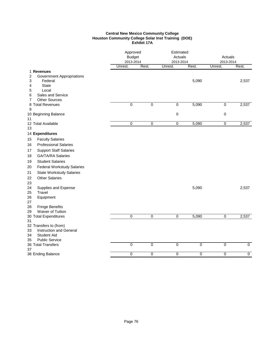#### **Central New Mexico Community College Houston Community College Solar Inst Training (DOE) Exhibit 17A**

|                                                    | Approved<br><b>Budget</b><br>2013-2014 |                | Estimated<br>Actuals<br>2013-2014 |                | Actuals<br>2013-2014 |                |
|----------------------------------------------------|----------------------------------------|----------------|-----------------------------------|----------------|----------------------|----------------|
|                                                    | Unrest.                                | Rest.          | Unrest.                           | Rest.          | Unrest.              | Rest.          |
| 1 Revenues                                         |                                        |                |                                   |                |                      |                |
| $\overline{c}$<br><b>Government Appropriations</b> |                                        |                |                                   | 5,090          |                      |                |
| 3<br>Federal<br><b>State</b><br>4                  |                                        |                |                                   |                |                      | 2,537          |
| 5<br>Local                                         |                                        |                |                                   |                |                      |                |
| Sales and Service<br>6                             |                                        |                |                                   |                |                      |                |
| <b>Other Sources</b><br>7                          |                                        |                |                                   |                |                      |                |
| 8 Total Revenues                                   | 0                                      | 0              | $\overline{0}$                    | 5,090          | $\mathbf 0$          | 2,537          |
| 9                                                  |                                        |                |                                   |                |                      |                |
| 10 Beginning Balance<br>11                         |                                        |                | $\pmb{0}$                         |                | $\mathbf 0$          |                |
| 12 Total Available                                 | $\overline{0}$                         | $\overline{0}$ | $\overline{0}$                    | 5,090          | $\overline{0}$       | 2,537          |
| 13                                                 |                                        |                |                                   |                |                      |                |
| 14 Expenditures                                    |                                        |                |                                   |                |                      |                |
| <b>Faculty Salaries</b><br>15                      |                                        |                |                                   |                |                      |                |
| <b>Professional Salaries</b><br>16                 |                                        |                |                                   |                |                      |                |
| <b>Support Staff Salaries</b><br>17                |                                        |                |                                   |                |                      |                |
| <b>GA/TA/RA Salaries</b><br>18                     |                                        |                |                                   |                |                      |                |
| <b>Student Salaries</b><br>19                      |                                        |                |                                   |                |                      |                |
| <b>Federal Workstudy Salaries</b><br>20            |                                        |                |                                   |                |                      |                |
| 21<br><b>State Workstudy Salaries</b>              |                                        |                |                                   |                |                      |                |
| <b>Other Salaries</b><br>22                        |                                        |                |                                   |                |                      |                |
| 23                                                 |                                        |                |                                   |                |                      |                |
| 24<br>Supplies and Expense                         |                                        |                |                                   | 5,090          |                      | 2,537          |
| 25<br>Travel                                       |                                        |                |                                   |                |                      |                |
| Equipment<br>26                                    |                                        |                |                                   |                |                      |                |
| 27                                                 |                                        |                |                                   |                |                      |                |
| 28<br><b>Fringe Benefits</b>                       |                                        |                |                                   |                |                      |                |
| Waiver of Tuition<br>29<br>30 Total Expenditures   | $\overline{0}$                         | $\overline{0}$ | $\overline{0}$                    | 5,090          | $\overline{0}$       | 2,537          |
| 31                                                 |                                        |                |                                   |                |                      |                |
| 32 Transfers to (from)                             |                                        |                |                                   |                |                      |                |
| Instruction and General<br>33                      |                                        |                |                                   |                |                      |                |
| <b>Student Aid</b><br>34                           |                                        |                |                                   |                |                      |                |
| <b>Public Service</b><br>35                        |                                        |                |                                   |                |                      |                |
| 36 Total Transfers<br>37                           | 0                                      | $\mathbf 0$    | $\overline{0}$                    | $\pmb{0}$      | $\mathbf 0$          | $\overline{0}$ |
| 38 Ending Balance                                  | 0                                      | $\overline{0}$ | $\overline{0}$                    | $\overline{0}$ | $\overline{0}$       | $\overline{0}$ |
|                                                    |                                        |                |                                   |                |                      |                |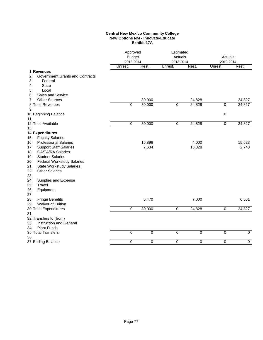#### **Central New Mexico Community College New Options NM - Innovate-Educate Exhibit 17A**

| Unrest.<br>Rest.<br>Rest.<br>Unrest.<br>Rest.<br>Unrest.<br>1 Revenues<br>2<br>Government Grants and Contracts<br>3<br>Federal<br><b>State</b><br>4<br>Local<br>5<br>Sales and Service<br>6<br><b>Other Sources</b><br>30,000<br>24,828<br>24,827<br>7<br>$\mathbf 0$<br>8 Total Revenues<br>30,000<br>0<br>24,828<br>$\pmb{0}$<br>24,827<br>9<br>10 Beginning Balance<br>0<br>11<br>12 Total Available<br>0<br>30,000<br>$\overline{0}$<br>24,828<br>$\overline{0}$<br>24,827<br>13<br>14 Expenditures<br><b>Faculty Salaries</b><br>15<br><b>Professional Salaries</b><br>15,896<br>4,000<br>15,523<br>16<br>7,634<br>2,743<br><b>Support Staff Salaries</b><br>13,828<br>17<br><b>GA/TA/RA Salaries</b><br>18<br><b>Student Salaries</b><br>19<br><b>Federal Workstudy Salaries</b><br>20<br>21<br><b>State Workstudy Salaries</b><br>22<br><b>Other Salaries</b><br>23<br>24<br>Supplies and Expense<br>25<br>Travel<br>26<br>Equipment<br>27<br>6,470<br>6,561<br>28<br><b>Fringe Benefits</b><br>7,000<br>Waiver of Tuition<br>29<br>30,000<br>$\overline{0}$<br>24,828<br>24,827<br>$\mathbf 0$<br>$\overline{0}$<br>30 Total Expenditures<br>31<br>32 Transfers to (from)<br><b>Instruction and General</b><br>33<br><b>Plant Funds</b><br>34<br>$\mathbf 0$<br>$\mathbf 0$<br>$\overline{0}$<br>$\mathbf 0$<br>0<br>$\overline{0}$<br>35 Total Transfers<br>36<br>37 Ending Balance<br>0<br>0<br>0<br>0<br>0<br>$\overline{0}$ | Approved<br><b>Budget</b><br>2013-2014 |  | Estimated<br>Actuals<br>2013-2014 |  | Actuals<br>2013-2014 |  |
|-----------------------------------------------------------------------------------------------------------------------------------------------------------------------------------------------------------------------------------------------------------------------------------------------------------------------------------------------------------------------------------------------------------------------------------------------------------------------------------------------------------------------------------------------------------------------------------------------------------------------------------------------------------------------------------------------------------------------------------------------------------------------------------------------------------------------------------------------------------------------------------------------------------------------------------------------------------------------------------------------------------------------------------------------------------------------------------------------------------------------------------------------------------------------------------------------------------------------------------------------------------------------------------------------------------------------------------------------------------------------------------------------------------------------------------------|----------------------------------------|--|-----------------------------------|--|----------------------|--|
|                                                                                                                                                                                                                                                                                                                                                                                                                                                                                                                                                                                                                                                                                                                                                                                                                                                                                                                                                                                                                                                                                                                                                                                                                                                                                                                                                                                                                                         |                                        |  |                                   |  |                      |  |
|                                                                                                                                                                                                                                                                                                                                                                                                                                                                                                                                                                                                                                                                                                                                                                                                                                                                                                                                                                                                                                                                                                                                                                                                                                                                                                                                                                                                                                         |                                        |  |                                   |  |                      |  |
|                                                                                                                                                                                                                                                                                                                                                                                                                                                                                                                                                                                                                                                                                                                                                                                                                                                                                                                                                                                                                                                                                                                                                                                                                                                                                                                                                                                                                                         |                                        |  |                                   |  |                      |  |
|                                                                                                                                                                                                                                                                                                                                                                                                                                                                                                                                                                                                                                                                                                                                                                                                                                                                                                                                                                                                                                                                                                                                                                                                                                                                                                                                                                                                                                         |                                        |  |                                   |  |                      |  |
|                                                                                                                                                                                                                                                                                                                                                                                                                                                                                                                                                                                                                                                                                                                                                                                                                                                                                                                                                                                                                                                                                                                                                                                                                                                                                                                                                                                                                                         |                                        |  |                                   |  |                      |  |
|                                                                                                                                                                                                                                                                                                                                                                                                                                                                                                                                                                                                                                                                                                                                                                                                                                                                                                                                                                                                                                                                                                                                                                                                                                                                                                                                                                                                                                         |                                        |  |                                   |  |                      |  |
|                                                                                                                                                                                                                                                                                                                                                                                                                                                                                                                                                                                                                                                                                                                                                                                                                                                                                                                                                                                                                                                                                                                                                                                                                                                                                                                                                                                                                                         |                                        |  |                                   |  |                      |  |
|                                                                                                                                                                                                                                                                                                                                                                                                                                                                                                                                                                                                                                                                                                                                                                                                                                                                                                                                                                                                                                                                                                                                                                                                                                                                                                                                                                                                                                         |                                        |  |                                   |  |                      |  |
|                                                                                                                                                                                                                                                                                                                                                                                                                                                                                                                                                                                                                                                                                                                                                                                                                                                                                                                                                                                                                                                                                                                                                                                                                                                                                                                                                                                                                                         |                                        |  |                                   |  |                      |  |
|                                                                                                                                                                                                                                                                                                                                                                                                                                                                                                                                                                                                                                                                                                                                                                                                                                                                                                                                                                                                                                                                                                                                                                                                                                                                                                                                                                                                                                         |                                        |  |                                   |  |                      |  |
|                                                                                                                                                                                                                                                                                                                                                                                                                                                                                                                                                                                                                                                                                                                                                                                                                                                                                                                                                                                                                                                                                                                                                                                                                                                                                                                                                                                                                                         |                                        |  |                                   |  |                      |  |
|                                                                                                                                                                                                                                                                                                                                                                                                                                                                                                                                                                                                                                                                                                                                                                                                                                                                                                                                                                                                                                                                                                                                                                                                                                                                                                                                                                                                                                         |                                        |  |                                   |  |                      |  |
|                                                                                                                                                                                                                                                                                                                                                                                                                                                                                                                                                                                                                                                                                                                                                                                                                                                                                                                                                                                                                                                                                                                                                                                                                                                                                                                                                                                                                                         |                                        |  |                                   |  |                      |  |
|                                                                                                                                                                                                                                                                                                                                                                                                                                                                                                                                                                                                                                                                                                                                                                                                                                                                                                                                                                                                                                                                                                                                                                                                                                                                                                                                                                                                                                         |                                        |  |                                   |  |                      |  |
|                                                                                                                                                                                                                                                                                                                                                                                                                                                                                                                                                                                                                                                                                                                                                                                                                                                                                                                                                                                                                                                                                                                                                                                                                                                                                                                                                                                                                                         |                                        |  |                                   |  |                      |  |
|                                                                                                                                                                                                                                                                                                                                                                                                                                                                                                                                                                                                                                                                                                                                                                                                                                                                                                                                                                                                                                                                                                                                                                                                                                                                                                                                                                                                                                         |                                        |  |                                   |  |                      |  |
|                                                                                                                                                                                                                                                                                                                                                                                                                                                                                                                                                                                                                                                                                                                                                                                                                                                                                                                                                                                                                                                                                                                                                                                                                                                                                                                                                                                                                                         |                                        |  |                                   |  |                      |  |
|                                                                                                                                                                                                                                                                                                                                                                                                                                                                                                                                                                                                                                                                                                                                                                                                                                                                                                                                                                                                                                                                                                                                                                                                                                                                                                                                                                                                                                         |                                        |  |                                   |  |                      |  |
|                                                                                                                                                                                                                                                                                                                                                                                                                                                                                                                                                                                                                                                                                                                                                                                                                                                                                                                                                                                                                                                                                                                                                                                                                                                                                                                                                                                                                                         |                                        |  |                                   |  |                      |  |
|                                                                                                                                                                                                                                                                                                                                                                                                                                                                                                                                                                                                                                                                                                                                                                                                                                                                                                                                                                                                                                                                                                                                                                                                                                                                                                                                                                                                                                         |                                        |  |                                   |  |                      |  |
|                                                                                                                                                                                                                                                                                                                                                                                                                                                                                                                                                                                                                                                                                                                                                                                                                                                                                                                                                                                                                                                                                                                                                                                                                                                                                                                                                                                                                                         |                                        |  |                                   |  |                      |  |
|                                                                                                                                                                                                                                                                                                                                                                                                                                                                                                                                                                                                                                                                                                                                                                                                                                                                                                                                                                                                                                                                                                                                                                                                                                                                                                                                                                                                                                         |                                        |  |                                   |  |                      |  |
|                                                                                                                                                                                                                                                                                                                                                                                                                                                                                                                                                                                                                                                                                                                                                                                                                                                                                                                                                                                                                                                                                                                                                                                                                                                                                                                                                                                                                                         |                                        |  |                                   |  |                      |  |
|                                                                                                                                                                                                                                                                                                                                                                                                                                                                                                                                                                                                                                                                                                                                                                                                                                                                                                                                                                                                                                                                                                                                                                                                                                                                                                                                                                                                                                         |                                        |  |                                   |  |                      |  |
|                                                                                                                                                                                                                                                                                                                                                                                                                                                                                                                                                                                                                                                                                                                                                                                                                                                                                                                                                                                                                                                                                                                                                                                                                                                                                                                                                                                                                                         |                                        |  |                                   |  |                      |  |
|                                                                                                                                                                                                                                                                                                                                                                                                                                                                                                                                                                                                                                                                                                                                                                                                                                                                                                                                                                                                                                                                                                                                                                                                                                                                                                                                                                                                                                         |                                        |  |                                   |  |                      |  |
|                                                                                                                                                                                                                                                                                                                                                                                                                                                                                                                                                                                                                                                                                                                                                                                                                                                                                                                                                                                                                                                                                                                                                                                                                                                                                                                                                                                                                                         |                                        |  |                                   |  |                      |  |
|                                                                                                                                                                                                                                                                                                                                                                                                                                                                                                                                                                                                                                                                                                                                                                                                                                                                                                                                                                                                                                                                                                                                                                                                                                                                                                                                                                                                                                         |                                        |  |                                   |  |                      |  |
|                                                                                                                                                                                                                                                                                                                                                                                                                                                                                                                                                                                                                                                                                                                                                                                                                                                                                                                                                                                                                                                                                                                                                                                                                                                                                                                                                                                                                                         |                                        |  |                                   |  |                      |  |
|                                                                                                                                                                                                                                                                                                                                                                                                                                                                                                                                                                                                                                                                                                                                                                                                                                                                                                                                                                                                                                                                                                                                                                                                                                                                                                                                                                                                                                         |                                        |  |                                   |  |                      |  |
|                                                                                                                                                                                                                                                                                                                                                                                                                                                                                                                                                                                                                                                                                                                                                                                                                                                                                                                                                                                                                                                                                                                                                                                                                                                                                                                                                                                                                                         |                                        |  |                                   |  |                      |  |
|                                                                                                                                                                                                                                                                                                                                                                                                                                                                                                                                                                                                                                                                                                                                                                                                                                                                                                                                                                                                                                                                                                                                                                                                                                                                                                                                                                                                                                         |                                        |  |                                   |  |                      |  |
|                                                                                                                                                                                                                                                                                                                                                                                                                                                                                                                                                                                                                                                                                                                                                                                                                                                                                                                                                                                                                                                                                                                                                                                                                                                                                                                                                                                                                                         |                                        |  |                                   |  |                      |  |
|                                                                                                                                                                                                                                                                                                                                                                                                                                                                                                                                                                                                                                                                                                                                                                                                                                                                                                                                                                                                                                                                                                                                                                                                                                                                                                                                                                                                                                         |                                        |  |                                   |  |                      |  |
|                                                                                                                                                                                                                                                                                                                                                                                                                                                                                                                                                                                                                                                                                                                                                                                                                                                                                                                                                                                                                                                                                                                                                                                                                                                                                                                                                                                                                                         |                                        |  |                                   |  |                      |  |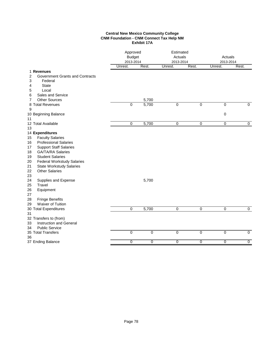#### **Central New Mexico Community College CNM Foundation - CNM Connect Tax Help NM Exhibit 17A**

| Rest.<br>Rest.<br>Unrest.<br>Unrest.<br>Unrest.<br>1 Revenues<br>2<br>Government Grants and Contracts<br>3<br>Federal | 2013-2014<br>Rest. |
|-----------------------------------------------------------------------------------------------------------------------|--------------------|
|                                                                                                                       |                    |
| <b>State</b><br>4                                                                                                     |                    |
| 5<br>Local                                                                                                            |                    |
| Sales and Service<br>6                                                                                                |                    |
| <b>Other Sources</b><br>5,700<br>7                                                                                    |                    |
| $\Omega$<br>5,700<br>$\overline{0}$<br>$\Omega$<br>$\overline{0}$<br>8 Total Revenues                                 | $\Omega$           |
| 9                                                                                                                     |                    |
| $\mathbf 0$<br>10 Beginning Balance                                                                                   |                    |
| 11                                                                                                                    |                    |
| 5,700<br>12 Total Available<br>0<br>0<br>$\overline{0}$<br>$\overline{0}$                                             | $\overline{0}$     |
| 13                                                                                                                    |                    |
| 14 Expenditures                                                                                                       |                    |
| <b>Faculty Salaries</b><br>15                                                                                         |                    |
| <b>Professional Salaries</b><br>16                                                                                    |                    |
| <b>Support Staff Salaries</b><br>17                                                                                   |                    |
| <b>GA/TA/RA Salaries</b><br>18                                                                                        |                    |
| <b>Student Salaries</b><br>19                                                                                         |                    |
| 20<br><b>Federal Workstudy Salaries</b>                                                                               |                    |
| 21<br><b>State Workstudy Salaries</b>                                                                                 |                    |
| <b>Other Salaries</b><br>22                                                                                           |                    |
| 23                                                                                                                    |                    |
| 24<br>Supplies and Expense<br>5,700                                                                                   |                    |
| Travel<br>25                                                                                                          |                    |
| 26<br>Equipment<br>27                                                                                                 |                    |
| <b>Fringe Benefits</b><br>28                                                                                          |                    |
| Waiver of Tuition<br>29                                                                                               |                    |
| $\mathbf 0$<br>5,700<br>0<br>30 Total Expenditures<br>0<br>0                                                          | 0                  |
| 31                                                                                                                    |                    |
| 32 Transfers to (from)                                                                                                |                    |
| Instruction and General<br>33                                                                                         |                    |
| <b>Public Service</b><br>34                                                                                           |                    |
| 35 Total Transfers<br>0<br>$\overline{0}$<br>0<br>$\mathbf 0$<br>$\mathbf 0$                                          | $\mathbf 0$        |
| 36                                                                                                                    |                    |
| $\overline{0}$<br>$\overline{0}$<br>$\overline{0}$<br>$\overline{0}$<br>$\overline{0}$<br>37 Ending Balance           | $\overline{0}$     |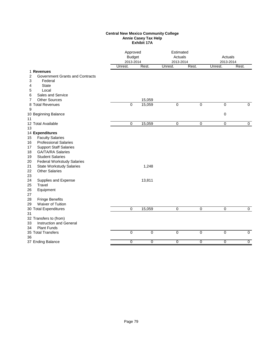#### **Central New Mexico Community College Annie Casey Tax Help Exhibit 17A**

|                                                                                                | Approved<br><b>Budget</b><br>2013-2014 |                | Estimated<br>Actuals<br>2013-2014 |                | Actuals<br>2013-2014 |                |
|------------------------------------------------------------------------------------------------|----------------------------------------|----------------|-----------------------------------|----------------|----------------------|----------------|
|                                                                                                | Unrest.                                | Rest.          | Unrest.                           | Rest.          | Unrest.              | Rest.          |
| 1 Revenues<br><b>Government Grants and Contracts</b><br>2<br>3<br>Federal<br><b>State</b><br>4 |                                        |                |                                   |                |                      |                |
| Local<br>5                                                                                     |                                        |                |                                   |                |                      |                |
| Sales and Service<br>6                                                                         |                                        |                |                                   |                |                      |                |
| <b>Other Sources</b><br>7                                                                      |                                        | 15,059         |                                   |                |                      |                |
| 8 Total Revenues                                                                               | 0                                      | 15,059         | 0                                 | $\mathbf 0$    | $\pmb{0}$            | $\mathbf 0$    |
| 9<br>10 Beginning Balance                                                                      |                                        |                |                                   |                | 0                    |                |
| 11                                                                                             |                                        |                |                                   |                |                      |                |
| 12 Total Available<br>13                                                                       | 0                                      | 15,059         | 0                                 | 0              | $\pmb{0}$            | 0              |
| 14 Expenditures                                                                                |                                        |                |                                   |                |                      |                |
| <b>Faculty Salaries</b><br>15<br><b>Professional Salaries</b><br>16                            |                                        |                |                                   |                |                      |                |
| <b>Support Staff Salaries</b><br>17<br><b>GA/TA/RA Salaries</b><br>18                          |                                        |                |                                   |                |                      |                |
| <b>Student Salaries</b><br>19                                                                  |                                        |                |                                   |                |                      |                |
| 20<br><b>Federal Workstudy Salaries</b>                                                        |                                        |                |                                   |                |                      |                |
| 21<br><b>State Workstudy Salaries</b><br><b>Other Salaries</b><br>22<br>23                     |                                        | 1,248          |                                   |                |                      |                |
| 24<br>Supplies and Expense<br>25<br>Travel                                                     |                                        | 13,811         |                                   |                |                      |                |
| 26<br>Equipment<br>27                                                                          |                                        |                |                                   |                |                      |                |
| <b>Fringe Benefits</b><br>28                                                                   |                                        |                |                                   |                |                      |                |
| Waiver of Tuition<br>29                                                                        |                                        |                |                                   |                |                      |                |
| 30 Total Expenditures<br>31                                                                    | $\mathbf 0$                            | 15,059         | 0                                 | 0              | 0                    | 0              |
| 32 Transfers to (from)<br>Instruction and General<br>33                                        |                                        |                |                                   |                |                      |                |
| <b>Plant Funds</b><br>34                                                                       |                                        |                |                                   |                |                      |                |
| 35 Total Transfers<br>36                                                                       | 0                                      | $\mathbf 0$    | $\overline{0}$                    | $\overline{0}$ | 0                    | $\mathbf 0$    |
| 37 Ending Balance                                                                              | $\overline{0}$                         | $\overline{0}$ | $\overline{0}$                    | $\overline{0}$ | $\overline{0}$       | $\overline{0}$ |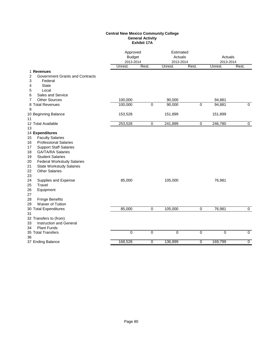#### **Central New Mexico Community College General Activity Exhibit 17A**

|                                                                                                                                                                                                                                                                                                                                                                                                  | Approved<br><b>Budget</b><br>2013-2014 |                | Estimated<br>Actuals<br>2013-2014 |                | Actuals<br>2013-2014 |                |  |
|--------------------------------------------------------------------------------------------------------------------------------------------------------------------------------------------------------------------------------------------------------------------------------------------------------------------------------------------------------------------------------------------------|----------------------------------------|----------------|-----------------------------------|----------------|----------------------|----------------|--|
|                                                                                                                                                                                                                                                                                                                                                                                                  | Unrest.                                | Rest.          | Unrest.                           | Rest.          | Unrest.              | Rest.          |  |
| 1 Revenues<br>2<br>Government Grants and Contracts<br>3<br>Federal<br><b>State</b><br>4<br>Local<br>5                                                                                                                                                                                                                                                                                            |                                        |                |                                   |                |                      |                |  |
| Sales and Service<br>6                                                                                                                                                                                                                                                                                                                                                                           |                                        |                |                                   |                |                      |                |  |
| <b>Other Sources</b><br>7<br>8 Total Revenues                                                                                                                                                                                                                                                                                                                                                    | 100,000<br>100,000                     | $\overline{0}$ | 90,000<br>90,000                  | $\pmb{0}$      | 94,881<br>94,881     | $\overline{0}$ |  |
| 9                                                                                                                                                                                                                                                                                                                                                                                                |                                        |                |                                   |                |                      |                |  |
| 10 Beginning Balance<br>11                                                                                                                                                                                                                                                                                                                                                                       | 153,528                                |                | 151,899                           |                | 151,899              |                |  |
| 12 Total Available                                                                                                                                                                                                                                                                                                                                                                               | 253,528                                | $\overline{0}$ | 241,899                           | $\overline{0}$ | 246,780              | $\overline{0}$ |  |
| 13<br>14 Expenditures<br><b>Faculty Salaries</b><br>15<br><b>Professional Salaries</b><br>16<br><b>Support Staff Salaries</b><br>17<br><b>GA/TA/RA Salaries</b><br>18<br>19<br><b>Student Salaries</b><br>20<br><b>Federal Workstudy Salaries</b><br>21<br><b>State Workstudy Salaries</b><br><b>Other Salaries</b><br>22<br>23<br>24<br>Supplies and Expense<br>Travel<br>25<br>26<br>Equipment | 85,000                                 |                | 105,000                           |                | 76,981               |                |  |
| 27<br><b>Fringe Benefits</b><br>28<br>Waiver of Tuition<br>29<br>30 Total Expenditures<br>31                                                                                                                                                                                                                                                                                                     | 85,000                                 | $\overline{0}$ | 105,000                           | $\overline{0}$ | 76,981               | $\overline{0}$ |  |
| 32 Transfers to (from)<br><b>Instruction and General</b><br>33<br><b>Plant Funds</b><br>34                                                                                                                                                                                                                                                                                                       |                                        |                |                                   |                |                      |                |  |
| 35 Total Transfers<br>36                                                                                                                                                                                                                                                                                                                                                                         | $\mathbf 0$                            | $\mathbf 0$    | $\pmb{0}$                         | $\mathbf 0$    | $\pmb{0}$            | $\mathbf 0$    |  |
| 37 Ending Balance                                                                                                                                                                                                                                                                                                                                                                                | 168,528                                | 0              | 136,899                           | $\overline{0}$ | 169,799              | $\overline{0}$ |  |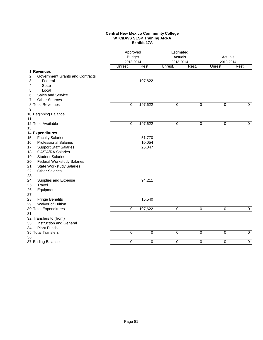#### **Central New Mexico Community College WTC/DWS SESP Training ARRA Exhibit 17A**

|                                             |             | Approved<br><b>Budget</b><br>2013-2014 |                | Estimated<br>Actuals<br>2013-2014 | Actuals<br>2013-2014 |                |
|---------------------------------------------|-------------|----------------------------------------|----------------|-----------------------------------|----------------------|----------------|
|                                             | Unrest.     | Rest.                                  | Unrest.        | Rest.                             | Unrest.              | Rest.          |
| 1 Revenues                                  |             |                                        |                |                                   |                      |                |
| 2<br><b>Government Grants and Contracts</b> |             |                                        |                |                                   |                      |                |
| 3<br>Federal                                |             | 197,622                                |                |                                   |                      |                |
| <b>State</b><br>4                           |             |                                        |                |                                   |                      |                |
| 5<br>Local                                  |             |                                        |                |                                   |                      |                |
| Sales and Service<br>6                      |             |                                        |                |                                   |                      |                |
| <b>Other Sources</b><br>7                   |             |                                        |                |                                   |                      |                |
| 8 Total Revenues                            | 0           | 197,622                                | $\mathbf 0$    | 0                                 | 0                    | 0              |
| 9                                           |             |                                        |                |                                   |                      |                |
| 10 Beginning Balance                        |             |                                        |                |                                   |                      |                |
| 11<br>12 Total Available                    | $\pmb{0}$   | 197,622                                | $\overline{0}$ | $\mathbf 0$                       | $\overline{0}$       | $\mathbf 0$    |
| 13                                          |             |                                        |                |                                   |                      |                |
| 14 Expenditures                             |             |                                        |                |                                   |                      |                |
| <b>Faculty Salaries</b><br>15               |             | 51,770                                 |                |                                   |                      |                |
| <b>Professional Salaries</b><br>16          |             | 10,054                                 |                |                                   |                      |                |
| <b>Support Staff Salaries</b><br>17         |             | 26,047                                 |                |                                   |                      |                |
| <b>GA/TA/RA Salaries</b><br>18              |             |                                        |                |                                   |                      |                |
| <b>Student Salaries</b><br>19               |             |                                        |                |                                   |                      |                |
| <b>Federal Workstudy Salaries</b><br>20     |             |                                        |                |                                   |                      |                |
| 21<br><b>State Workstudy Salaries</b>       |             |                                        |                |                                   |                      |                |
| <b>Other Salaries</b><br>22                 |             |                                        |                |                                   |                      |                |
| 23                                          |             |                                        |                |                                   |                      |                |
| Supplies and Expense<br>24                  |             | 94,211                                 |                |                                   |                      |                |
| 25<br>Travel                                |             |                                        |                |                                   |                      |                |
| 26<br>Equipment                             |             |                                        |                |                                   |                      |                |
| 27                                          |             |                                        |                |                                   |                      |                |
| 28<br><b>Fringe Benefits</b>                |             | 15,540                                 |                |                                   |                      |                |
| Waiver of Tuition<br>29                     |             |                                        |                |                                   |                      |                |
| 30 Total Expenditures                       | $\mathbf 0$ | 197,622                                | $\overline{0}$ | $\overline{0}$                    | $\overline{0}$       | $\overline{0}$ |
| 31                                          |             |                                        |                |                                   |                      |                |
| 32 Transfers to (from)                      |             |                                        |                |                                   |                      |                |
| Instruction and General<br>33               |             |                                        |                |                                   |                      |                |
| <b>Plant Funds</b><br>34                    |             |                                        |                |                                   |                      |                |
| 35 Total Transfers                          | $\mathbf 0$ | $\mathbf 0$                            | $\mathbf 0$    | $\mathbf 0$                       | 0                    | $\overline{0}$ |
| 36                                          |             |                                        |                |                                   |                      |                |
| 37 Ending Balance                           | 0           | $\mathbf 0$                            | 0              | 0                                 | $\overline{0}$       | $\overline{0}$ |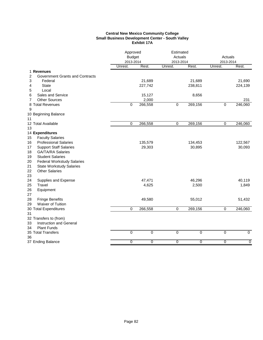#### **Central New Mexico Community College Small Business Development Center - South Valley Exhibit 17A**

|                                             | Approved<br><b>Budget</b><br>2013-2014 |                | Estimated<br>Actuals<br>2013-2014 |                | Actuals<br>2013-2014 |                |
|---------------------------------------------|----------------------------------------|----------------|-----------------------------------|----------------|----------------------|----------------|
|                                             | Unrest.                                | Rest.          | Unrest.                           | Rest.          | Unrest.              | Rest.          |
| 1 Revenues                                  |                                        |                |                                   |                |                      |                |
| <b>Government Grants and Contracts</b><br>2 |                                        |                |                                   |                |                      |                |
| 3<br>Federal                                |                                        | 21,689         |                                   | 21,689         |                      | 21,690         |
| 4<br><b>State</b>                           |                                        | 227,742        |                                   | 238,811        |                      | 224,139        |
| 5<br>Local                                  |                                        |                |                                   |                |                      |                |
| Sales and Service<br>6                      |                                        | 15,127         |                                   | 8,656          |                      |                |
| <b>Other Sources</b><br>7                   |                                        | 2,000          |                                   |                |                      | 231            |
| 8 Total Revenues                            | $\mathbf 0$                            | 266,558        | $\overline{0}$                    | 269,156        | $\overline{0}$       | 246,060        |
| 9                                           |                                        |                |                                   |                |                      |                |
| 10 Beginning Balance                        |                                        |                |                                   |                |                      |                |
| 11                                          |                                        |                |                                   |                |                      |                |
| 12 Total Available                          | $\mathbf 0$                            | 266,558        | 0                                 | 269,156        | 0                    | 246,060        |
| 13                                          |                                        |                |                                   |                |                      |                |
| 14 Expenditures                             |                                        |                |                                   |                |                      |                |
| <b>Faculty Salaries</b><br>15               |                                        |                |                                   |                |                      |                |
| <b>Professional Salaries</b><br>16          |                                        | 135,579        |                                   | 134,453        |                      | 122,567        |
| 17<br><b>Support Staff Salaries</b>         |                                        | 29,303         |                                   | 30,895         |                      | 30,093         |
| 18<br><b>GA/TA/RA Salaries</b>              |                                        |                |                                   |                |                      |                |
| <b>Student Salaries</b><br>19               |                                        |                |                                   |                |                      |                |
| <b>Federal Workstudy Salaries</b><br>20     |                                        |                |                                   |                |                      |                |
| 21<br><b>State Workstudy Salaries</b>       |                                        |                |                                   |                |                      |                |
| 22<br><b>Other Salaries</b>                 |                                        |                |                                   |                |                      |                |
| 23                                          |                                        |                |                                   |                |                      |                |
| Supplies and Expense<br>24                  |                                        | 47,471         |                                   | 46,296         |                      | 40,119         |
| 25<br>Travel                                |                                        | 4,625          |                                   | 2,500          |                      | 1,849          |
| 26<br>Equipment                             |                                        |                |                                   |                |                      |                |
| 27                                          |                                        |                |                                   |                |                      |                |
| 28<br><b>Fringe Benefits</b>                |                                        | 49,580         |                                   | 55,012         |                      | 51,432         |
| Waiver of Tuition<br>29                     | $\mathbf 0$                            |                | 0                                 |                | 0                    | 246,060        |
| 30 Total Expenditures                       |                                        | 266,558        |                                   | 269,156        |                      |                |
| 31<br>32 Transfers to (from)                |                                        |                |                                   |                |                      |                |
| 33<br><b>Instruction and General</b>        |                                        |                |                                   |                |                      |                |
| 34<br><b>Plant Funds</b>                    |                                        |                |                                   |                |                      |                |
| 35 Total Transfers                          | $\overline{0}$                         | $\overline{0}$ | $\overline{0}$                    | $\overline{0}$ | $\overline{0}$       | $\overline{0}$ |
| 36                                          |                                        |                |                                   |                |                      |                |
| 37 Ending Balance                           | $\overline{0}$                         | 0              | $\overline{0}$                    | $\overline{0}$ | $\overline{0}$       | 0              |
|                                             |                                        |                |                                   |                |                      |                |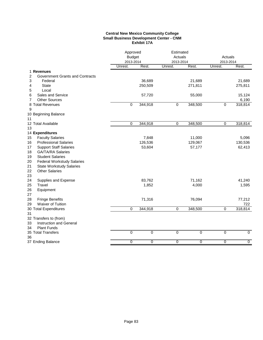#### **Central New Mexico Community College Small Business Development Center - CNM Exhibit 17A**

|                                             | Approved<br><b>Budget</b><br>2013-2014 |                | Estimated<br>Actuals<br>2013-2014 |                | Actuals<br>2013-2014 |                |
|---------------------------------------------|----------------------------------------|----------------|-----------------------------------|----------------|----------------------|----------------|
|                                             | Unrest.                                | Rest.          | Unrest.                           | Rest.          | Unrest.              | Rest.          |
| 1 Revenues                                  |                                        |                |                                   |                |                      |                |
| 2<br><b>Government Grants and Contracts</b> |                                        |                |                                   |                |                      |                |
| 3<br>Federal                                |                                        | 36,689         |                                   | 21,689         |                      | 21,689         |
| 4<br><b>State</b>                           |                                        | 250,509        |                                   | 271,811        |                      | 275,811        |
| 5<br>Local                                  |                                        |                |                                   |                |                      |                |
| Sales and Service<br>6                      |                                        | 57,720         |                                   | 55,000         |                      | 15,124         |
| 7<br><b>Other Sources</b>                   |                                        |                |                                   |                |                      | 6,190          |
| 8 Total Revenues                            | 0                                      | 344,918        | 0                                 | 348,500        | 0                    | 318,814        |
| 9                                           |                                        |                |                                   |                |                      |                |
| 10 Beginning Balance                        |                                        |                |                                   |                |                      |                |
| 11                                          |                                        |                |                                   |                |                      |                |
| 12 Total Available                          | $\mathbf 0$                            | 344,918        | $\overline{0}$                    | 348,500        | $\overline{0}$       | 318,814        |
| 13                                          |                                        |                |                                   |                |                      |                |
| 14 Expenditures                             |                                        |                |                                   |                |                      |                |
| <b>Faculty Salaries</b><br>15               |                                        | 7,848          |                                   | 11,000         |                      | 5,096          |
| <b>Professional Salaries</b><br>16          |                                        | 126,536        |                                   | 129,067        |                      | 130,536        |
| 17<br><b>Support Staff Salaries</b>         |                                        | 53,604         |                                   | 57,177         |                      | 62,413         |
| 18<br>GA/TA/RA Salaries                     |                                        |                |                                   |                |                      |                |
| <b>Student Salaries</b><br>19               |                                        |                |                                   |                |                      |                |
| 20<br><b>Federal Workstudy Salaries</b>     |                                        |                |                                   |                |                      |                |
| 21<br><b>State Workstudy Salaries</b>       |                                        |                |                                   |                |                      |                |
| 22<br><b>Other Salaries</b>                 |                                        |                |                                   |                |                      |                |
| 23                                          |                                        |                |                                   |                |                      |                |
| 24<br>Supplies and Expense                  |                                        | 83,762         |                                   | 71,162         |                      | 41,240         |
| 25<br>Travel                                |                                        | 1,852          |                                   | 4,000          |                      | 1,595          |
| 26<br>Equipment                             |                                        |                |                                   |                |                      |                |
| 27                                          |                                        |                |                                   |                |                      |                |
| 28<br><b>Fringe Benefits</b>                |                                        | 71,316         |                                   | 76,094         |                      | 77,212         |
| Waiver of Tuition<br>29                     |                                        |                |                                   |                |                      | 722            |
| 30 Total Expenditures                       | $\mathbf 0$                            | 344,918        | $\overline{0}$                    | 348,500        | $\overline{0}$       | 318,814        |
| 31                                          |                                        |                |                                   |                |                      |                |
| 32 Transfers to (from)                      |                                        |                |                                   |                |                      |                |
| 33<br>Instruction and General               |                                        |                |                                   |                |                      |                |
| <b>Plant Funds</b><br>34                    |                                        |                |                                   |                |                      |                |
| 35 Total Transfers                          | $\overline{0}$                         | $\overline{0}$ | $\overline{0}$                    | $\overline{0}$ | $\overline{0}$       | $\overline{0}$ |
| 36                                          |                                        |                |                                   |                |                      |                |
| 37 Ending Balance                           | $\overline{0}$                         | 0              | $\overline{0}$                    | $\overline{0}$ | $\overline{0}$       | $\overline{0}$ |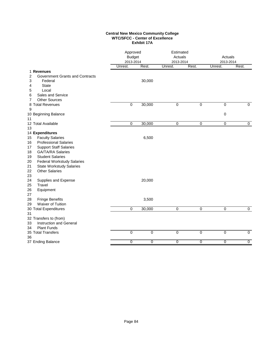#### **Central New Mexico Community College WTC/SFCC - Center of Excellence Exhibit 17A**

|                                         | Approved<br>Estimated<br><b>Budget</b><br>Actuals<br>2013-2014<br>2013-2014 |             |                | Actuals<br>2013-2014 |                |                |
|-----------------------------------------|-----------------------------------------------------------------------------|-------------|----------------|----------------------|----------------|----------------|
|                                         | Unrest.                                                                     | Rest.       | Unrest.        | Rest.                | Unrest.        | Rest.          |
| 1 Revenues                              |                                                                             |             |                |                      |                |                |
| 2<br>Government Grants and Contracts    |                                                                             |             |                |                      |                |                |
| 3<br>Federal                            |                                                                             | 30,000      |                |                      |                |                |
| <b>State</b><br>4                       |                                                                             |             |                |                      |                |                |
| Local<br>5                              |                                                                             |             |                |                      |                |                |
| Sales and Service<br>6                  |                                                                             |             |                |                      |                |                |
| <b>Other Sources</b><br>7               |                                                                             |             | $\overline{0}$ | $\overline{0}$       |                | $\overline{0}$ |
| 8 Total Revenues<br>9                   | 0                                                                           | 30,000      |                |                      | 0              |                |
| 10 Beginning Balance                    |                                                                             |             |                |                      | 0              |                |
| 11                                      |                                                                             |             |                |                      |                |                |
| 12 Total Available                      | 0                                                                           | 30,000      | $\overline{0}$ | 0                    | $\overline{0}$ | $\overline{0}$ |
| 13                                      |                                                                             |             |                |                      |                |                |
| 14 Expenditures                         |                                                                             |             |                |                      |                |                |
| <b>Faculty Salaries</b><br>15           |                                                                             | 6,500       |                |                      |                |                |
| <b>Professional Salaries</b><br>16      |                                                                             |             |                |                      |                |                |
| <b>Support Staff Salaries</b><br>17     |                                                                             |             |                |                      |                |                |
| <b>GA/TA/RA Salaries</b><br>18          |                                                                             |             |                |                      |                |                |
| <b>Student Salaries</b><br>19           |                                                                             |             |                |                      |                |                |
| <b>Federal Workstudy Salaries</b><br>20 |                                                                             |             |                |                      |                |                |
| 21<br><b>State Workstudy Salaries</b>   |                                                                             |             |                |                      |                |                |
| <b>Other Salaries</b><br>22             |                                                                             |             |                |                      |                |                |
| 23                                      |                                                                             |             |                |                      |                |                |
| 24<br>Supplies and Expense              |                                                                             | 20,000      |                |                      |                |                |
| 25<br>Travel                            |                                                                             |             |                |                      |                |                |
| 26<br>Equipment                         |                                                                             |             |                |                      |                |                |
| 27                                      |                                                                             |             |                |                      |                |                |
| 28<br><b>Fringe Benefits</b>            |                                                                             | 3,500       |                |                      |                |                |
| Waiver of Tuition<br>29                 |                                                                             |             |                |                      |                |                |
| 30 Total Expenditures                   | 0                                                                           | 30,000      | $\pmb{0}$      | $\pmb{0}$            | $\pmb{0}$      | 0              |
| 31                                      |                                                                             |             |                |                      |                |                |
| 32 Transfers to (from)                  |                                                                             |             |                |                      |                |                |
| <b>Instruction and General</b><br>33    |                                                                             |             |                |                      |                |                |
| <b>Plant Funds</b><br>34                |                                                                             |             |                |                      |                |                |
| 35 Total Transfers                      | $\mathbf 0$                                                                 | $\mathbf 0$ | $\pmb{0}$      | $\mathbf 0$          | 0              | $\overline{0}$ |
| 36                                      |                                                                             |             |                |                      |                |                |
| 37 Ending Balance                       | 0                                                                           | $\mathbf 0$ | 0              | 0                    | $\overline{0}$ | $\overline{0}$ |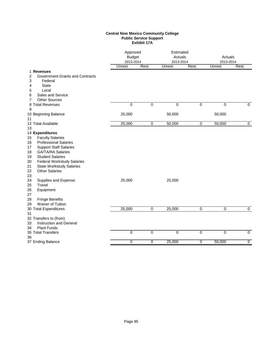#### **Central New Mexico Community College Public Service Support Exhibit 17A**

|                                                                                                                                                                                                                                                                                                                                                               | Approved<br><b>Budget</b><br>2013-2014 |                | Estimated<br>Actuals<br>2013-2014 |                | Actuals<br>2013-2014 |                |
|---------------------------------------------------------------------------------------------------------------------------------------------------------------------------------------------------------------------------------------------------------------------------------------------------------------------------------------------------------------|----------------------------------------|----------------|-----------------------------------|----------------|----------------------|----------------|
|                                                                                                                                                                                                                                                                                                                                                               | Unrest.                                | Rest.          | Unrest.                           | Rest.          | Unrest.              | Rest.          |
| 1 Revenues<br>2<br>Government Grants and Contracts<br>3<br>Federal<br><b>State</b><br>4<br>5<br>Local<br>Sales and Service<br>6                                                                                                                                                                                                                               |                                        |                |                                   |                |                      |                |
| <b>Other Sources</b><br>7                                                                                                                                                                                                                                                                                                                                     |                                        |                |                                   |                |                      |                |
| 8 Total Revenues<br>9                                                                                                                                                                                                                                                                                                                                         | 0                                      | $\overline{0}$ | $\overline{0}$                    | $\overline{0}$ | $\overline{0}$       | $\Omega$       |
| 10 Beginning Balance<br>11                                                                                                                                                                                                                                                                                                                                    | 25,000                                 |                | 50,000                            |                | 50,000               |                |
| 12 Total Available                                                                                                                                                                                                                                                                                                                                            | 25,000                                 | $\mathbf 0$    | 50,000                            | $\mathbf 0$    | 50,000               | $\mathbf 0$    |
| 13<br>14 Expenditures<br><b>Faculty Salaries</b><br>15<br><b>Professional Salaries</b><br>16<br><b>Support Staff Salaries</b><br>17<br><b>GA/TA/RA Salaries</b><br>18<br><b>Student Salaries</b><br>19<br>20<br><b>Federal Workstudy Salaries</b><br>21<br><b>State Workstudy Salaries</b><br>22<br><b>Other Salaries</b><br>23<br>24<br>Supplies and Expense | 25,000                                 |                | 25,000                            |                |                      |                |
| Travel<br>25<br>26<br>Equipment<br>27<br>28<br><b>Fringe Benefits</b><br>Waiver of Tuition<br>29<br>30 Total Expenditures<br>31                                                                                                                                                                                                                               | 25,000                                 | 0              | 25,000                            | 0              | 0                    | 0              |
| 32 Transfers to (from)<br><b>Instruction and General</b><br>33<br><b>Plant Funds</b><br>34                                                                                                                                                                                                                                                                    |                                        |                |                                   |                |                      |                |
| 35 Total Transfers<br>36                                                                                                                                                                                                                                                                                                                                      | $\mathbf 0$                            | $\mathbf 0$    | $\mathbf 0$                       | $\mathbf 0$    | $\mathbf 0$          | $\mathbf 0$    |
| 37 Ending Balance                                                                                                                                                                                                                                                                                                                                             | $\overline{0}$                         | $\overline{0}$ | 25,000                            | $\overline{0}$ | 50,000               | $\overline{0}$ |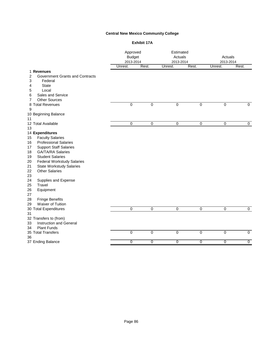# **Central New Mexico Community College**

#### **Exhibit 17A**

|                                         | Approved<br><b>Budget</b><br>2013-2014 |                | Estimated<br>Actuals<br>2013-2014 |                | Actuals<br>2013-2014 |                |
|-----------------------------------------|----------------------------------------|----------------|-----------------------------------|----------------|----------------------|----------------|
|                                         | Unrest.                                | Rest.          | Unrest.                           | Rest.          | Unrest.              | Rest.          |
| 1 Revenues                              |                                        |                |                                   |                |                      |                |
| Government Grants and Contracts<br>2    |                                        |                |                                   |                |                      |                |
| 3<br>Federal                            |                                        |                |                                   |                |                      |                |
| <b>State</b><br>4                       |                                        |                |                                   |                |                      |                |
| Local<br>5                              |                                        |                |                                   |                |                      |                |
| Sales and Service<br>6                  |                                        |                |                                   |                |                      |                |
| <b>Other Sources</b><br>7               |                                        |                |                                   |                |                      |                |
| 8 Total Revenues                        | 0                                      | $\overline{0}$ | $\overline{0}$                    | $\overline{0}$ | $\overline{0}$       | $\overline{0}$ |
| 9                                       |                                        |                |                                   |                |                      |                |
| 10 Beginning Balance                    |                                        |                |                                   |                |                      |                |
| 11                                      |                                        |                |                                   |                |                      |                |
| 12 Total Available                      | $\overline{0}$                         | $\mathbf 0$    | $\overline{0}$                    | 0              | $\pmb{0}$            | $\overline{0}$ |
| 13                                      |                                        |                |                                   |                |                      |                |
| 14 Expenditures                         |                                        |                |                                   |                |                      |                |
| <b>Faculty Salaries</b><br>15           |                                        |                |                                   |                |                      |                |
| <b>Professional Salaries</b><br>16      |                                        |                |                                   |                |                      |                |
| <b>Support Staff Salaries</b><br>17     |                                        |                |                                   |                |                      |                |
| <b>GA/TA/RA Salaries</b><br>18          |                                        |                |                                   |                |                      |                |
| <b>Student Salaries</b><br>19           |                                        |                |                                   |                |                      |                |
| <b>Federal Workstudy Salaries</b><br>20 |                                        |                |                                   |                |                      |                |
| 21<br><b>State Workstudy Salaries</b>   |                                        |                |                                   |                |                      |                |
| 22<br><b>Other Salaries</b>             |                                        |                |                                   |                |                      |                |
| 23                                      |                                        |                |                                   |                |                      |                |
| 24<br>Supplies and Expense              |                                        |                |                                   |                |                      |                |
| Travel<br>25                            |                                        |                |                                   |                |                      |                |
| 26<br>Equipment                         |                                        |                |                                   |                |                      |                |
| 27                                      |                                        |                |                                   |                |                      |                |
| <b>Fringe Benefits</b><br>28            |                                        |                |                                   |                |                      |                |
| Waiver of Tuition<br>29                 |                                        |                |                                   |                |                      |                |
| 30 Total Expenditures                   | $\mathbf 0$                            | $\mathbf 0$    | $\overline{0}$                    | $\mathbf 0$    | $\mathbf 0$          | $\overline{0}$ |
| 31                                      |                                        |                |                                   |                |                      |                |
| 32 Transfers to (from)                  |                                        |                |                                   |                |                      |                |
| <b>Instruction and General</b><br>33    |                                        |                |                                   |                |                      |                |
| <b>Plant Funds</b><br>34                |                                        |                |                                   |                |                      |                |
| 35 Total Transfers                      | 0                                      | $\mathbf 0$    | 0                                 | $\mathbf 0$    | $\mathbf 0$          | $\mathbf 0$    |
| 36                                      |                                        |                |                                   |                |                      |                |
| 37 Ending Balance                       | $\overline{0}$                         | 0              | $\overline{0}$                    | $\overline{0}$ | $\overline{0}$       | $\overline{0}$ |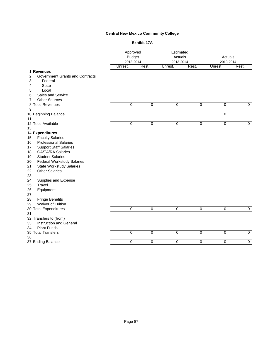# **Central New Mexico Community College**

#### **Exhibit 17A**

|    |                                        | Approved<br><b>Budget</b><br>2013-2014 |                | Estimated<br>Actuals<br>2013-2014 |                | Actuals<br>2013-2014 |                |
|----|----------------------------------------|----------------------------------------|----------------|-----------------------------------|----------------|----------------------|----------------|
|    |                                        | Unrest.                                | Rest.          | Unrest.                           | Rest.          | Unrest.              | Rest.          |
|    | 1 Revenues                             |                                        |                |                                   |                |                      |                |
| 2  | <b>Government Grants and Contracts</b> |                                        |                |                                   |                |                      |                |
| 3  | Federal                                |                                        |                |                                   |                |                      |                |
| 4  | <b>State</b>                           |                                        |                |                                   |                |                      |                |
| 5  | Local                                  |                                        |                |                                   |                |                      |                |
| 6  | Sales and Service                      |                                        |                |                                   |                |                      |                |
| 7  | <b>Other Sources</b>                   |                                        |                |                                   |                |                      |                |
|    | 8 Total Revenues                       | $\overline{0}$                         | $\overline{0}$ | $\overline{0}$                    | $\overline{0}$ | $\overline{0}$       | $\overline{0}$ |
| 9  |                                        |                                        |                |                                   |                |                      |                |
|    | 10 Beginning Balance                   |                                        |                |                                   |                | $\pmb{0}$            |                |
| 11 |                                        |                                        |                |                                   |                |                      |                |
|    | 12 Total Available                     | $\overline{0}$                         | 0              | $\overline{0}$                    | $\pmb{0}$      | $\overline{0}$       | $\overline{0}$ |
| 13 |                                        |                                        |                |                                   |                |                      |                |
|    | 14 Expenditures                        |                                        |                |                                   |                |                      |                |
| 15 | <b>Faculty Salaries</b>                |                                        |                |                                   |                |                      |                |
| 16 | <b>Professional Salaries</b>           |                                        |                |                                   |                |                      |                |
| 17 | <b>Support Staff Salaries</b>          |                                        |                |                                   |                |                      |                |
| 18 | <b>GA/TA/RA Salaries</b>               |                                        |                |                                   |                |                      |                |
| 19 | <b>Student Salaries</b>                |                                        |                |                                   |                |                      |                |
| 20 | <b>Federal Workstudy Salaries</b>      |                                        |                |                                   |                |                      |                |
| 21 | <b>State Workstudy Salaries</b>        |                                        |                |                                   |                |                      |                |
| 22 | <b>Other Salaries</b>                  |                                        |                |                                   |                |                      |                |
| 23 |                                        |                                        |                |                                   |                |                      |                |
| 24 | Supplies and Expense                   |                                        |                |                                   |                |                      |                |
| 25 | Travel                                 |                                        |                |                                   |                |                      |                |
| 26 | Equipment                              |                                        |                |                                   |                |                      |                |
| 27 |                                        |                                        |                |                                   |                |                      |                |
| 28 | <b>Fringe Benefits</b>                 |                                        |                |                                   |                |                      |                |
| 29 | Waiver of Tuition                      |                                        |                |                                   |                |                      |                |
|    | 30 Total Expenditures                  | $\mathbf 0$                            | $\mathbf 0$    | $\overline{0}$                    | $\mathbf 0$    | $\mathbf 0$          | $\overline{0}$ |
| 31 |                                        |                                        |                |                                   |                |                      |                |
|    | 32 Transfers to (from)                 |                                        |                |                                   |                |                      |                |
| 33 | <b>Instruction and General</b>         |                                        |                |                                   |                |                      |                |
| 34 | <b>Plant Funds</b>                     |                                        |                |                                   |                |                      |                |
|    | 35 Total Transfers                     | $\overline{0}$                         | $\mathbf 0$    | 0                                 | $\mathbf 0$    | 0                    | $\mathbf 0$    |
| 36 |                                        |                                        |                |                                   |                |                      |                |
|    | 37 Ending Balance                      | 0                                      | 0              | 0                                 | $\overline{0}$ | 0                    | $\overline{0}$ |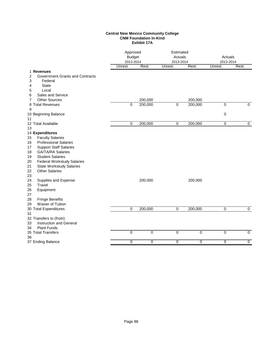#### **Central New Mexico Community College CNM Foundation In-Kind Exhibit 17A**

|                                                                                                                                                                                                                                                                                                                                                                         | Approved<br><b>Budget</b><br>2013-2014 |             | Estimated<br>Actuals<br>2013-2014 |         | Actuals<br>2013-2014 |                |
|-------------------------------------------------------------------------------------------------------------------------------------------------------------------------------------------------------------------------------------------------------------------------------------------------------------------------------------------------------------------------|----------------------------------------|-------------|-----------------------------------|---------|----------------------|----------------|
|                                                                                                                                                                                                                                                                                                                                                                         | Unrest.                                | Rest.       | Unrest.                           | Rest.   | Unrest.              | Rest.          |
| 1 Revenues<br><b>Government Grants and Contracts</b><br>2<br>3<br>Federal<br><b>State</b><br>4<br>5<br>Local                                                                                                                                                                                                                                                            |                                        |             |                                   |         |                      |                |
| Sales and Service<br>6                                                                                                                                                                                                                                                                                                                                                  |                                        |             |                                   |         |                      |                |
| <b>Other Sources</b><br>7                                                                                                                                                                                                                                                                                                                                               |                                        | 200,000     |                                   | 200,000 |                      |                |
| 8 Total Revenues                                                                                                                                                                                                                                                                                                                                                        | $\Omega$                               | 200,000     | $\mathbf 0$                       | 200,000 | $\pmb{0}$            | $\Omega$       |
| 9<br>10 Beginning Balance<br>11                                                                                                                                                                                                                                                                                                                                         |                                        |             |                                   |         | 0                    |                |
| 12 Total Available<br>13                                                                                                                                                                                                                                                                                                                                                | 0                                      | 200,000     | $\mathbf 0$                       | 200,000 | $\mathbf 0$          | $\mathbf 0$    |
| 14 Expenditures                                                                                                                                                                                                                                                                                                                                                         |                                        |             |                                   |         |                      |                |
| <b>Faculty Salaries</b><br>15<br><b>Professional Salaries</b><br>16<br><b>Support Staff Salaries</b><br>17<br><b>GA/TA/RA Salaries</b><br>18<br><b>Student Salaries</b><br>19<br><b>Federal Workstudy Salaries</b><br>20<br>21<br><b>State Workstudy Salaries</b><br><b>Other Salaries</b><br>22<br>23<br>24<br>Supplies and Expense<br>Travel<br>25<br>26<br>Equipment |                                        | 200,000     |                                   | 200,000 |                      |                |
| 27<br><b>Fringe Benefits</b><br>28<br>Waiver of Tuition<br>29                                                                                                                                                                                                                                                                                                           |                                        |             |                                   |         |                      |                |
| 30 Total Expenditures                                                                                                                                                                                                                                                                                                                                                   | 0                                      | 200,000     | $\overline{0}$                    | 200,000 | $\mathbf 0$          | $\mathbf 0$    |
| 31<br>32 Transfers to (from)<br>Instruction and General<br>33<br><b>Plant Funds</b><br>34                                                                                                                                                                                                                                                                               |                                        |             |                                   |         |                      |                |
| 35 Total Transfers<br>36                                                                                                                                                                                                                                                                                                                                                | $\mathbf 0$                            | $\mathbf 0$ | 0                                 | 0       | 0                    | $\mathbf 0$    |
| 37 Ending Balance                                                                                                                                                                                                                                                                                                                                                       | 0                                      | 0           | 0                                 | 0       | 0                    | $\overline{0}$ |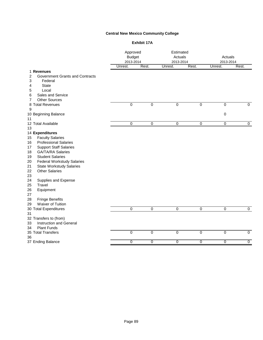# **Central New Mexico Community College**

#### **Exhibit 17A**

|    |                                        | Approved<br><b>Budget</b><br>2013-2014 |                | Estimated<br>Actuals<br>2013-2014 |                | Actuals<br>2013-2014 |                |
|----|----------------------------------------|----------------------------------------|----------------|-----------------------------------|----------------|----------------------|----------------|
|    |                                        | Unrest.                                | Rest.          | Unrest.                           | Rest.          | Unrest.              | Rest.          |
|    | 1 Revenues                             |                                        |                |                                   |                |                      |                |
| 2  | <b>Government Grants and Contracts</b> |                                        |                |                                   |                |                      |                |
| 3  | Federal                                |                                        |                |                                   |                |                      |                |
| 4  | <b>State</b>                           |                                        |                |                                   |                |                      |                |
| 5  | Local                                  |                                        |                |                                   |                |                      |                |
| 6  | Sales and Service                      |                                        |                |                                   |                |                      |                |
| 7  | <b>Other Sources</b>                   |                                        |                |                                   |                |                      |                |
|    | 8 Total Revenues                       | $\overline{0}$                         | $\overline{0}$ | $\overline{0}$                    | $\overline{0}$ | $\overline{0}$       | $\overline{0}$ |
| 9  |                                        |                                        |                |                                   |                |                      |                |
|    | 10 Beginning Balance                   |                                        |                |                                   |                | $\pmb{0}$            |                |
| 11 |                                        |                                        |                |                                   |                |                      |                |
|    | 12 Total Available                     | $\overline{0}$                         | 0              | $\overline{0}$                    | $\pmb{0}$      | $\overline{0}$       | $\overline{0}$ |
| 13 |                                        |                                        |                |                                   |                |                      |                |
|    | 14 Expenditures                        |                                        |                |                                   |                |                      |                |
| 15 | <b>Faculty Salaries</b>                |                                        |                |                                   |                |                      |                |
| 16 | <b>Professional Salaries</b>           |                                        |                |                                   |                |                      |                |
| 17 | <b>Support Staff Salaries</b>          |                                        |                |                                   |                |                      |                |
| 18 | <b>GA/TA/RA Salaries</b>               |                                        |                |                                   |                |                      |                |
| 19 | <b>Student Salaries</b>                |                                        |                |                                   |                |                      |                |
| 20 | <b>Federal Workstudy Salaries</b>      |                                        |                |                                   |                |                      |                |
| 21 | <b>State Workstudy Salaries</b>        |                                        |                |                                   |                |                      |                |
| 22 | <b>Other Salaries</b>                  |                                        |                |                                   |                |                      |                |
| 23 |                                        |                                        |                |                                   |                |                      |                |
| 24 | Supplies and Expense                   |                                        |                |                                   |                |                      |                |
| 25 | Travel                                 |                                        |                |                                   |                |                      |                |
| 26 | Equipment                              |                                        |                |                                   |                |                      |                |
| 27 |                                        |                                        |                |                                   |                |                      |                |
| 28 | <b>Fringe Benefits</b>                 |                                        |                |                                   |                |                      |                |
| 29 | Waiver of Tuition                      |                                        |                |                                   |                |                      |                |
|    | 30 Total Expenditures                  | $\mathbf 0$                            | $\mathbf 0$    | $\overline{0}$                    | $\mathbf 0$    | $\mathbf 0$          | $\overline{0}$ |
| 31 |                                        |                                        |                |                                   |                |                      |                |
|    | 32 Transfers to (from)                 |                                        |                |                                   |                |                      |                |
| 33 | <b>Instruction and General</b>         |                                        |                |                                   |                |                      |                |
| 34 | <b>Plant Funds</b>                     |                                        |                |                                   |                |                      |                |
|    | 35 Total Transfers                     | $\overline{0}$                         | $\mathbf 0$    | 0                                 | $\mathbf 0$    | 0                    | $\mathbf 0$    |
| 36 |                                        |                                        |                |                                   |                |                      |                |
|    | 37 Ending Balance                      | 0                                      | 0              | 0                                 | $\overline{0}$ | 0                    | $\overline{0}$ |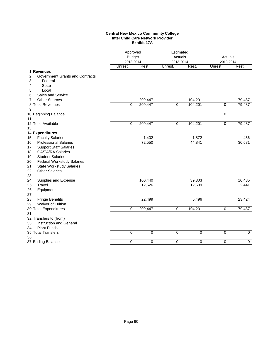#### **Central New Mexico Community College Intel Child Care Network Provider Exhibit 17A**

|                                                                                                                                                                                                                                                                       | Approved<br><b>Budget</b><br>2013-2014 |                   | Estimated<br>Actuals<br>2013-2014 |                  | Actuals<br>2013-2014 |                 |
|-----------------------------------------------------------------------------------------------------------------------------------------------------------------------------------------------------------------------------------------------------------------------|----------------------------------------|-------------------|-----------------------------------|------------------|----------------------|-----------------|
|                                                                                                                                                                                                                                                                       | Unrest.                                | Rest.             | Unrest.                           | Rest.            | Unrest.              | Rest.           |
| 1 Revenues<br>2<br>Government Grants and Contracts<br>3<br>Federal<br>4<br><b>State</b><br>5<br>Local                                                                                                                                                                 |                                        |                   |                                   |                  |                      |                 |
| Sales and Service<br>6                                                                                                                                                                                                                                                |                                        |                   |                                   |                  |                      |                 |
| <b>Other Sources</b><br>7                                                                                                                                                                                                                                             |                                        | 209,447           |                                   | 104,201          |                      | 79,487          |
| 8 Total Revenues<br>9                                                                                                                                                                                                                                                 | 0                                      | 209,447           | 0                                 | 104,201          | 0                    | 79,487          |
| 10 Beginning Balance<br>11                                                                                                                                                                                                                                            |                                        |                   |                                   |                  | 0                    |                 |
| 12 Total Available                                                                                                                                                                                                                                                    | 0                                      | 209,447           | $\mathbf 0$                       | 104,201          | $\pmb{0}$            | 79,487          |
| 13<br>14 Expenditures                                                                                                                                                                                                                                                 |                                        |                   |                                   |                  |                      |                 |
| <b>Faculty Salaries</b><br>15                                                                                                                                                                                                                                         |                                        | 1,432             |                                   | 1,872            |                      | 456             |
| <b>Professional Salaries</b><br>16<br>17<br><b>Support Staff Salaries</b><br>18<br><b>GA/TA/RA Salaries</b><br><b>Student Salaries</b><br>19<br><b>Federal Workstudy Salaries</b><br>20<br>21<br><b>State Workstudy Salaries</b><br>22<br><b>Other Salaries</b><br>23 |                                        | 72,550            |                                   | 44,841           |                      | 36,681          |
| 24<br>Supplies and Expense<br>25<br>Travel<br>26<br>Equipment<br>27                                                                                                                                                                                                   |                                        | 100,440<br>12,526 |                                   | 39,303<br>12,689 |                      | 16,485<br>2,441 |
| 28<br><b>Fringe Benefits</b><br>Waiver of Tuition<br>29                                                                                                                                                                                                               |                                        | 22,499            |                                   | 5,496            |                      | 23,424          |
| 30 Total Expenditures                                                                                                                                                                                                                                                 | 0                                      | 209,447           | 0                                 | 104,201          | $\mathbf 0$          | 79,487          |
| 31<br>32 Transfers to (from)<br>33<br>Instruction and General<br><b>Plant Funds</b><br>34                                                                                                                                                                             |                                        |                   |                                   |                  |                      |                 |
| 35 Total Transfers<br>36                                                                                                                                                                                                                                              | $\overline{0}$                         | $\overline{0}$    | $\overline{0}$                    | $\overline{0}$   | $\overline{0}$       | $\overline{0}$  |
| 37 Ending Balance                                                                                                                                                                                                                                                     | 0                                      | 0                 | 0                                 | $\overline{0}$   | $\overline{0}$       | $\overline{0}$  |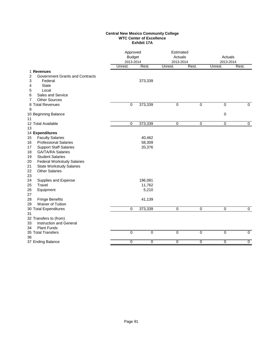#### **Central New Mexico Community College WTC Center of Excellence Exhibit 17A**

| Unrest.<br>Unrest.<br>Unrest.<br>1 Revenues<br>2<br><b>Government Grants and Contracts</b><br>3<br>373,339<br>Federal<br><b>State</b><br>4<br>Local<br>5<br>Sales and Service<br>6<br><b>Other Sources</b><br>7<br>373,339<br>$\mathbf 0$<br>8 Total Revenues<br>0<br>0<br>$\mathbf 0$<br>$\mathbf 0$<br>9<br>10 Beginning Balance<br>0<br>11<br>12 Total Available<br>$\overline{0}$<br>373,339<br>$\overline{0}$<br>$\overline{0}$<br>$\overline{0}$<br>$\overline{0}$<br>13<br>14 Expenditures<br><b>Faculty Salaries</b><br>40,462<br>15<br><b>Professional Salaries</b><br>58,309<br>16<br><b>Support Staff Salaries</b><br>20,376<br>17<br><b>GA/TA/RA Salaries</b><br>18<br><b>Student Salaries</b><br>19<br><b>Federal Workstudy Salaries</b><br>20<br>21<br><b>State Workstudy Salaries</b><br>22<br><b>Other Salaries</b><br>23<br>196,081<br>24<br>Supplies and Expense<br>25<br>Travel<br>11,762<br>26<br>5,210<br>Equipment<br>27<br>28<br><b>Fringe Benefits</b><br>41,139<br>Waiver of Tuition<br>29<br>0<br>373,339<br>$\overline{0}$<br>$\overline{0}$<br>0<br>$\overline{0}$<br>30 Total Expenditures<br>31<br>32 Transfers to (from)<br>Instruction and General<br>33<br><b>Plant Funds</b><br>34<br>$\overline{0}$<br>$\overline{0}$<br>$\overline{0}$<br>$\overline{0}$<br>$\overline{0}$<br>$\overline{0}$<br>35 Total Transfers<br>36<br>37 Ending Balance<br>0<br>$\overline{0}$<br>$\overline{0}$<br>$\overline{0}$<br>0<br>0 | Approved<br>Estimated<br><b>Budget</b><br>Actuals<br>2013-2014<br>2013-2014 |       |  | Actuals<br>2013-2014 |  |       |
|--------------------------------------------------------------------------------------------------------------------------------------------------------------------------------------------------------------------------------------------------------------------------------------------------------------------------------------------------------------------------------------------------------------------------------------------------------------------------------------------------------------------------------------------------------------------------------------------------------------------------------------------------------------------------------------------------------------------------------------------------------------------------------------------------------------------------------------------------------------------------------------------------------------------------------------------------------------------------------------------------------------------------------------------------------------------------------------------------------------------------------------------------------------------------------------------------------------------------------------------------------------------------------------------------------------------------------------------------------------------------------------------------------------------------------------------------------|-----------------------------------------------------------------------------|-------|--|----------------------|--|-------|
|                                                                                                                                                                                                                                                                                                                                                                                                                                                                                                                                                                                                                                                                                                                                                                                                                                                                                                                                                                                                                                                                                                                                                                                                                                                                                                                                                                                                                                                        |                                                                             | Rest. |  | Rest.                |  | Rest. |
|                                                                                                                                                                                                                                                                                                                                                                                                                                                                                                                                                                                                                                                                                                                                                                                                                                                                                                                                                                                                                                                                                                                                                                                                                                                                                                                                                                                                                                                        |                                                                             |       |  |                      |  |       |
|                                                                                                                                                                                                                                                                                                                                                                                                                                                                                                                                                                                                                                                                                                                                                                                                                                                                                                                                                                                                                                                                                                                                                                                                                                                                                                                                                                                                                                                        |                                                                             |       |  |                      |  |       |
|                                                                                                                                                                                                                                                                                                                                                                                                                                                                                                                                                                                                                                                                                                                                                                                                                                                                                                                                                                                                                                                                                                                                                                                                                                                                                                                                                                                                                                                        |                                                                             |       |  |                      |  |       |
|                                                                                                                                                                                                                                                                                                                                                                                                                                                                                                                                                                                                                                                                                                                                                                                                                                                                                                                                                                                                                                                                                                                                                                                                                                                                                                                                                                                                                                                        |                                                                             |       |  |                      |  |       |
|                                                                                                                                                                                                                                                                                                                                                                                                                                                                                                                                                                                                                                                                                                                                                                                                                                                                                                                                                                                                                                                                                                                                                                                                                                                                                                                                                                                                                                                        |                                                                             |       |  |                      |  |       |
|                                                                                                                                                                                                                                                                                                                                                                                                                                                                                                                                                                                                                                                                                                                                                                                                                                                                                                                                                                                                                                                                                                                                                                                                                                                                                                                                                                                                                                                        |                                                                             |       |  |                      |  |       |
|                                                                                                                                                                                                                                                                                                                                                                                                                                                                                                                                                                                                                                                                                                                                                                                                                                                                                                                                                                                                                                                                                                                                                                                                                                                                                                                                                                                                                                                        |                                                                             |       |  |                      |  |       |
|                                                                                                                                                                                                                                                                                                                                                                                                                                                                                                                                                                                                                                                                                                                                                                                                                                                                                                                                                                                                                                                                                                                                                                                                                                                                                                                                                                                                                                                        |                                                                             |       |  |                      |  |       |
|                                                                                                                                                                                                                                                                                                                                                                                                                                                                                                                                                                                                                                                                                                                                                                                                                                                                                                                                                                                                                                                                                                                                                                                                                                                                                                                                                                                                                                                        |                                                                             |       |  |                      |  |       |
|                                                                                                                                                                                                                                                                                                                                                                                                                                                                                                                                                                                                                                                                                                                                                                                                                                                                                                                                                                                                                                                                                                                                                                                                                                                                                                                                                                                                                                                        |                                                                             |       |  |                      |  |       |
|                                                                                                                                                                                                                                                                                                                                                                                                                                                                                                                                                                                                                                                                                                                                                                                                                                                                                                                                                                                                                                                                                                                                                                                                                                                                                                                                                                                                                                                        |                                                                             |       |  |                      |  |       |
|                                                                                                                                                                                                                                                                                                                                                                                                                                                                                                                                                                                                                                                                                                                                                                                                                                                                                                                                                                                                                                                                                                                                                                                                                                                                                                                                                                                                                                                        |                                                                             |       |  |                      |  |       |
|                                                                                                                                                                                                                                                                                                                                                                                                                                                                                                                                                                                                                                                                                                                                                                                                                                                                                                                                                                                                                                                                                                                                                                                                                                                                                                                                                                                                                                                        |                                                                             |       |  |                      |  |       |
|                                                                                                                                                                                                                                                                                                                                                                                                                                                                                                                                                                                                                                                                                                                                                                                                                                                                                                                                                                                                                                                                                                                                                                                                                                                                                                                                                                                                                                                        |                                                                             |       |  |                      |  |       |
|                                                                                                                                                                                                                                                                                                                                                                                                                                                                                                                                                                                                                                                                                                                                                                                                                                                                                                                                                                                                                                                                                                                                                                                                                                                                                                                                                                                                                                                        |                                                                             |       |  |                      |  |       |
|                                                                                                                                                                                                                                                                                                                                                                                                                                                                                                                                                                                                                                                                                                                                                                                                                                                                                                                                                                                                                                                                                                                                                                                                                                                                                                                                                                                                                                                        |                                                                             |       |  |                      |  |       |
|                                                                                                                                                                                                                                                                                                                                                                                                                                                                                                                                                                                                                                                                                                                                                                                                                                                                                                                                                                                                                                                                                                                                                                                                                                                                                                                                                                                                                                                        |                                                                             |       |  |                      |  |       |
|                                                                                                                                                                                                                                                                                                                                                                                                                                                                                                                                                                                                                                                                                                                                                                                                                                                                                                                                                                                                                                                                                                                                                                                                                                                                                                                                                                                                                                                        |                                                                             |       |  |                      |  |       |
|                                                                                                                                                                                                                                                                                                                                                                                                                                                                                                                                                                                                                                                                                                                                                                                                                                                                                                                                                                                                                                                                                                                                                                                                                                                                                                                                                                                                                                                        |                                                                             |       |  |                      |  |       |
|                                                                                                                                                                                                                                                                                                                                                                                                                                                                                                                                                                                                                                                                                                                                                                                                                                                                                                                                                                                                                                                                                                                                                                                                                                                                                                                                                                                                                                                        |                                                                             |       |  |                      |  |       |
|                                                                                                                                                                                                                                                                                                                                                                                                                                                                                                                                                                                                                                                                                                                                                                                                                                                                                                                                                                                                                                                                                                                                                                                                                                                                                                                                                                                                                                                        |                                                                             |       |  |                      |  |       |
|                                                                                                                                                                                                                                                                                                                                                                                                                                                                                                                                                                                                                                                                                                                                                                                                                                                                                                                                                                                                                                                                                                                                                                                                                                                                                                                                                                                                                                                        |                                                                             |       |  |                      |  |       |
|                                                                                                                                                                                                                                                                                                                                                                                                                                                                                                                                                                                                                                                                                                                                                                                                                                                                                                                                                                                                                                                                                                                                                                                                                                                                                                                                                                                                                                                        |                                                                             |       |  |                      |  |       |
|                                                                                                                                                                                                                                                                                                                                                                                                                                                                                                                                                                                                                                                                                                                                                                                                                                                                                                                                                                                                                                                                                                                                                                                                                                                                                                                                                                                                                                                        |                                                                             |       |  |                      |  |       |
|                                                                                                                                                                                                                                                                                                                                                                                                                                                                                                                                                                                                                                                                                                                                                                                                                                                                                                                                                                                                                                                                                                                                                                                                                                                                                                                                                                                                                                                        |                                                                             |       |  |                      |  |       |
|                                                                                                                                                                                                                                                                                                                                                                                                                                                                                                                                                                                                                                                                                                                                                                                                                                                                                                                                                                                                                                                                                                                                                                                                                                                                                                                                                                                                                                                        |                                                                             |       |  |                      |  |       |
|                                                                                                                                                                                                                                                                                                                                                                                                                                                                                                                                                                                                                                                                                                                                                                                                                                                                                                                                                                                                                                                                                                                                                                                                                                                                                                                                                                                                                                                        |                                                                             |       |  |                      |  |       |
|                                                                                                                                                                                                                                                                                                                                                                                                                                                                                                                                                                                                                                                                                                                                                                                                                                                                                                                                                                                                                                                                                                                                                                                                                                                                                                                                                                                                                                                        |                                                                             |       |  |                      |  |       |
|                                                                                                                                                                                                                                                                                                                                                                                                                                                                                                                                                                                                                                                                                                                                                                                                                                                                                                                                                                                                                                                                                                                                                                                                                                                                                                                                                                                                                                                        |                                                                             |       |  |                      |  |       |
|                                                                                                                                                                                                                                                                                                                                                                                                                                                                                                                                                                                                                                                                                                                                                                                                                                                                                                                                                                                                                                                                                                                                                                                                                                                                                                                                                                                                                                                        |                                                                             |       |  |                      |  |       |
|                                                                                                                                                                                                                                                                                                                                                                                                                                                                                                                                                                                                                                                                                                                                                                                                                                                                                                                                                                                                                                                                                                                                                                                                                                                                                                                                                                                                                                                        |                                                                             |       |  |                      |  |       |
|                                                                                                                                                                                                                                                                                                                                                                                                                                                                                                                                                                                                                                                                                                                                                                                                                                                                                                                                                                                                                                                                                                                                                                                                                                                                                                                                                                                                                                                        |                                                                             |       |  |                      |  |       |
|                                                                                                                                                                                                                                                                                                                                                                                                                                                                                                                                                                                                                                                                                                                                                                                                                                                                                                                                                                                                                                                                                                                                                                                                                                                                                                                                                                                                                                                        |                                                                             |       |  |                      |  |       |
|                                                                                                                                                                                                                                                                                                                                                                                                                                                                                                                                                                                                                                                                                                                                                                                                                                                                                                                                                                                                                                                                                                                                                                                                                                                                                                                                                                                                                                                        |                                                                             |       |  |                      |  |       |
|                                                                                                                                                                                                                                                                                                                                                                                                                                                                                                                                                                                                                                                                                                                                                                                                                                                                                                                                                                                                                                                                                                                                                                                                                                                                                                                                                                                                                                                        |                                                                             |       |  |                      |  |       |
|                                                                                                                                                                                                                                                                                                                                                                                                                                                                                                                                                                                                                                                                                                                                                                                                                                                                                                                                                                                                                                                                                                                                                                                                                                                                                                                                                                                                                                                        |                                                                             |       |  |                      |  |       |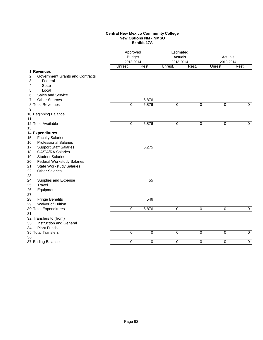#### **Central New Mexico Community College New Options NM - NMSU Exhibit 17A**

|                                                   | Approved<br><b>Budget</b><br>2013-2014 |                | Estimated<br>Actuals<br>2013-2014 |                | Actuals<br>2013-2014 |                |
|---------------------------------------------------|----------------------------------------|----------------|-----------------------------------|----------------|----------------------|----------------|
|                                                   | Unrest.                                | Rest.          | Unrest.                           | Rest.          | Unrest.              | Rest.          |
| 1 Revenues                                        |                                        |                |                                   |                |                      |                |
| 2<br>Government Grants and Contracts              |                                        |                |                                   |                |                      |                |
| 3<br>Federal<br><b>State</b>                      |                                        |                |                                   |                |                      |                |
| 4<br>5<br>Local                                   |                                        |                |                                   |                |                      |                |
| Sales and Service<br>6                            |                                        |                |                                   |                |                      |                |
| <b>Other Sources</b><br>7                         |                                        | 6,876          |                                   |                |                      |                |
| 8 Total Revenues                                  | $\mathbf 0$                            | 6,876          | $\overline{0}$                    | $\overline{0}$ | 0                    | $\overline{0}$ |
| 9                                                 |                                        |                |                                   |                |                      |                |
| 10 Beginning Balance                              |                                        |                |                                   |                |                      |                |
| 11                                                |                                        |                |                                   |                |                      |                |
| 12 Total Available                                | 0                                      | 6,876          | $\pmb{0}$                         | $\mathbf 0$    | $\pmb{0}$            | $\overline{0}$ |
| 13                                                |                                        |                |                                   |                |                      |                |
| 14 Expenditures                                   |                                        |                |                                   |                |                      |                |
| <b>Faculty Salaries</b><br>15                     |                                        |                |                                   |                |                      |                |
| <b>Professional Salaries</b><br>16                |                                        |                |                                   |                |                      |                |
| <b>Support Staff Salaries</b><br>17               |                                        | 6,275          |                                   |                |                      |                |
| <b>GA/TA/RA Salaries</b><br>18                    |                                        |                |                                   |                |                      |                |
| <b>Student Salaries</b><br>19                     |                                        |                |                                   |                |                      |                |
| <b>Federal Workstudy Salaries</b><br>20           |                                        |                |                                   |                |                      |                |
| 21<br><b>State Workstudy Salaries</b>             |                                        |                |                                   |                |                      |                |
| <b>Other Salaries</b><br>22                       |                                        |                |                                   |                |                      |                |
| 23                                                |                                        |                |                                   |                |                      |                |
| Supplies and Expense<br>24                        |                                        | 55             |                                   |                |                      |                |
| 25<br>Travel                                      |                                        |                |                                   |                |                      |                |
| 26<br>Equipment                                   |                                        |                |                                   |                |                      |                |
| 27<br>28                                          |                                        | 546            |                                   |                |                      |                |
| <b>Fringe Benefits</b><br>Waiver of Tuition<br>29 |                                        |                |                                   |                |                      |                |
| 30 Total Expenditures                             | $\mathbf 0$                            | 6,876          | 0                                 | $\overline{0}$ | 0                    | $\overline{0}$ |
| 31                                                |                                        |                |                                   |                |                      |                |
| 32 Transfers to (from)                            |                                        |                |                                   |                |                      |                |
| <b>Instruction and General</b><br>33              |                                        |                |                                   |                |                      |                |
| <b>Plant Funds</b><br>34                          |                                        |                |                                   |                |                      |                |
| 35 Total Transfers                                | $\overline{0}$                         | $\overline{0}$ | $\overline{0}$                    | $\overline{0}$ | $\overline{0}$       | $\overline{0}$ |
| 36                                                |                                        |                |                                   |                |                      |                |
| 37 Ending Balance                                 | 0                                      | $\overline{0}$ | $\overline{0}$                    | $\overline{0}$ | $\overline{0}$       | $\overline{0}$ |
|                                                   |                                        |                |                                   |                |                      |                |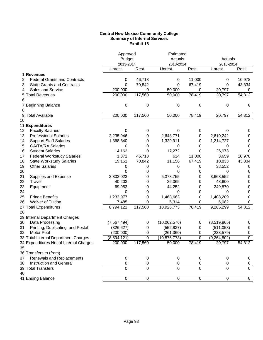## **Central New Mexico Community College Summary of Internal Services Exhibit 18**

| Rest.<br>Rest.<br>Unrest.<br>Rest.<br>Unrest.<br>Unrest.<br>1 Revenues<br>46,718<br>11,000<br>10,978<br>2<br><b>Federal Grants and Contracts</b><br>0<br>0<br>0<br>70,842<br>67,419<br>3<br><b>State Grants and Contracts</b><br>0<br>0<br>0<br>43,334<br>200,000<br>Sales and Service<br>50,000<br>20,797<br>0<br>0<br>4<br>0<br>117,560<br>78,419<br>20,797<br>54,312<br>5 Total Revenues<br>200,000<br>50,000<br>6<br>0<br>0<br>0<br>7 Beginning Balance<br>0<br>0<br>0<br>8<br>9 Total Available<br>200,000<br>117,560<br>50,000<br>78,419<br>20,797<br>54,312<br>10<br>11 Expenditures<br>12<br><b>Faculty Salaries</b><br>0<br>0<br>0<br>0<br>0<br>0<br>2,235,946<br>13<br><b>Professional Salaries</b><br>2,648,771<br>2,610,242<br>0<br>0<br>0<br><b>Support Staff Salaries</b><br>14<br>1,368,340<br>0<br>1,329,911<br>0<br>1,214,727<br>0<br>15<br><b>GA/TA/RA Salaries</b><br>0<br>0<br>0<br>0<br>0<br>0<br>16<br><b>Student Salaries</b><br>14,162<br>0<br>17,272<br>25,973<br>0<br>0<br><b>Federal Workstudy Salaries</b><br>1,871<br>614<br>11,000<br>17<br>46,718<br>3,659<br>10,978<br>18<br>19,161<br>70,842<br>11,156<br>67,419<br>10,833<br><b>State Workstudy Salaries</b><br>43,334<br>19<br><b>Other Salaries</b><br>38,552<br>0<br>0<br>0<br>0<br>0<br>20<br>0<br>0<br>0<br>0<br>0<br>0<br>3,803,023<br>5,378,755<br>3,668,552<br>21<br>Supplies and Expense<br>0<br>0<br>0<br>Travel<br>22<br>40,203<br>26,065<br>48,600<br>0<br>0<br>0<br>44,252<br>23<br>Equipment<br>69,953<br>249,870<br>0<br>0<br>0<br>24<br>0<br>0<br>0<br>0<br>0<br>0<br>25<br>1,233,977<br>1,463,663<br>1,408,209<br><b>Fringe Benefits</b><br>0<br>0<br>0<br>Waiver of Tuition<br>6,314<br>26<br>7,485<br>0<br>0<br>6,082<br>0<br>8,794,121<br>117,560<br>10,926,773<br>78,419<br>9,285,299<br>27 Total Expenditures<br>54,312<br>28<br>29 Internal Department Charges<br>(8,519,865)<br>30<br>Data Processing<br>(7, 567, 494)<br>(10,062,576)<br>0<br>0<br>0<br>31<br>Printing, Duplicating, and Postal<br>(826, 627)<br>(552, 837)<br>(511,058)<br>0<br>0<br>0<br>Motor Pool<br>(200,000)<br>(233, 579)<br>32<br>0<br>(261, 360)<br>0<br>0<br>$\boldsymbol{0}$<br>$\overline{0}$<br>33 Total Internal Department Charges<br>0<br>(8,594,121)<br>(10, 876, 773)<br>(9, 264, 502)<br>54,312<br>78,419<br>20,797<br>200,000<br>117,560<br>34 Expenditures Net of Internal Charges<br>50,000<br>35<br>36 Transfers to (from)<br>Renewals and Replacements<br>$\boldsymbol{0}$<br>0<br>$\,0\,$<br>37<br>0<br>0<br>0<br>Instruction and General<br>38<br>0<br>0<br>0<br>0<br>0<br>0<br>$\Omega$<br>$\overline{0}$<br>39 Total Transfers<br>0<br>$\Omega$<br>$\Omega$<br>$\Omega$<br>40<br>$\overline{0}$<br>41 Ending Balance<br>$\overline{0}$<br>$\overline{0}$<br>$\overline{0}$<br>$\overline{0}$<br>$\pmb{0}$ |  | Approved<br><b>Budget</b><br>2013-2014 | Estimated<br>Actuals<br>2013-2014 |  | Actuals<br>2013-2014 |  |
|------------------------------------------------------------------------------------------------------------------------------------------------------------------------------------------------------------------------------------------------------------------------------------------------------------------------------------------------------------------------------------------------------------------------------------------------------------------------------------------------------------------------------------------------------------------------------------------------------------------------------------------------------------------------------------------------------------------------------------------------------------------------------------------------------------------------------------------------------------------------------------------------------------------------------------------------------------------------------------------------------------------------------------------------------------------------------------------------------------------------------------------------------------------------------------------------------------------------------------------------------------------------------------------------------------------------------------------------------------------------------------------------------------------------------------------------------------------------------------------------------------------------------------------------------------------------------------------------------------------------------------------------------------------------------------------------------------------------------------------------------------------------------------------------------------------------------------------------------------------------------------------------------------------------------------------------------------------------------------------------------------------------------------------------------------------------------------------------------------------------------------------------------------------------------------------------------------------------------------------------------------------------------------------------------------------------------------------------------------------------------------------------------------------------------------------------------------------------------------------------------------------------------------------------------------------------------------------------------------------------------------------------------------------------------------------------------------------------------------------------------------------------------------------------------------------|--|----------------------------------------|-----------------------------------|--|----------------------|--|
|                                                                                                                                                                                                                                                                                                                                                                                                                                                                                                                                                                                                                                                                                                                                                                                                                                                                                                                                                                                                                                                                                                                                                                                                                                                                                                                                                                                                                                                                                                                                                                                                                                                                                                                                                                                                                                                                                                                                                                                                                                                                                                                                                                                                                                                                                                                                                                                                                                                                                                                                                                                                                                                                                                                                                                                                                  |  |                                        |                                   |  |                      |  |
|                                                                                                                                                                                                                                                                                                                                                                                                                                                                                                                                                                                                                                                                                                                                                                                                                                                                                                                                                                                                                                                                                                                                                                                                                                                                                                                                                                                                                                                                                                                                                                                                                                                                                                                                                                                                                                                                                                                                                                                                                                                                                                                                                                                                                                                                                                                                                                                                                                                                                                                                                                                                                                                                                                                                                                                                                  |  |                                        |                                   |  |                      |  |
|                                                                                                                                                                                                                                                                                                                                                                                                                                                                                                                                                                                                                                                                                                                                                                                                                                                                                                                                                                                                                                                                                                                                                                                                                                                                                                                                                                                                                                                                                                                                                                                                                                                                                                                                                                                                                                                                                                                                                                                                                                                                                                                                                                                                                                                                                                                                                                                                                                                                                                                                                                                                                                                                                                                                                                                                                  |  |                                        |                                   |  |                      |  |
|                                                                                                                                                                                                                                                                                                                                                                                                                                                                                                                                                                                                                                                                                                                                                                                                                                                                                                                                                                                                                                                                                                                                                                                                                                                                                                                                                                                                                                                                                                                                                                                                                                                                                                                                                                                                                                                                                                                                                                                                                                                                                                                                                                                                                                                                                                                                                                                                                                                                                                                                                                                                                                                                                                                                                                                                                  |  |                                        |                                   |  |                      |  |
|                                                                                                                                                                                                                                                                                                                                                                                                                                                                                                                                                                                                                                                                                                                                                                                                                                                                                                                                                                                                                                                                                                                                                                                                                                                                                                                                                                                                                                                                                                                                                                                                                                                                                                                                                                                                                                                                                                                                                                                                                                                                                                                                                                                                                                                                                                                                                                                                                                                                                                                                                                                                                                                                                                                                                                                                                  |  |                                        |                                   |  |                      |  |
|                                                                                                                                                                                                                                                                                                                                                                                                                                                                                                                                                                                                                                                                                                                                                                                                                                                                                                                                                                                                                                                                                                                                                                                                                                                                                                                                                                                                                                                                                                                                                                                                                                                                                                                                                                                                                                                                                                                                                                                                                                                                                                                                                                                                                                                                                                                                                                                                                                                                                                                                                                                                                                                                                                                                                                                                                  |  |                                        |                                   |  |                      |  |
|                                                                                                                                                                                                                                                                                                                                                                                                                                                                                                                                                                                                                                                                                                                                                                                                                                                                                                                                                                                                                                                                                                                                                                                                                                                                                                                                                                                                                                                                                                                                                                                                                                                                                                                                                                                                                                                                                                                                                                                                                                                                                                                                                                                                                                                                                                                                                                                                                                                                                                                                                                                                                                                                                                                                                                                                                  |  |                                        |                                   |  |                      |  |
|                                                                                                                                                                                                                                                                                                                                                                                                                                                                                                                                                                                                                                                                                                                                                                                                                                                                                                                                                                                                                                                                                                                                                                                                                                                                                                                                                                                                                                                                                                                                                                                                                                                                                                                                                                                                                                                                                                                                                                                                                                                                                                                                                                                                                                                                                                                                                                                                                                                                                                                                                                                                                                                                                                                                                                                                                  |  |                                        |                                   |  |                      |  |
|                                                                                                                                                                                                                                                                                                                                                                                                                                                                                                                                                                                                                                                                                                                                                                                                                                                                                                                                                                                                                                                                                                                                                                                                                                                                                                                                                                                                                                                                                                                                                                                                                                                                                                                                                                                                                                                                                                                                                                                                                                                                                                                                                                                                                                                                                                                                                                                                                                                                                                                                                                                                                                                                                                                                                                                                                  |  |                                        |                                   |  |                      |  |
|                                                                                                                                                                                                                                                                                                                                                                                                                                                                                                                                                                                                                                                                                                                                                                                                                                                                                                                                                                                                                                                                                                                                                                                                                                                                                                                                                                                                                                                                                                                                                                                                                                                                                                                                                                                                                                                                                                                                                                                                                                                                                                                                                                                                                                                                                                                                                                                                                                                                                                                                                                                                                                                                                                                                                                                                                  |  |                                        |                                   |  |                      |  |
|                                                                                                                                                                                                                                                                                                                                                                                                                                                                                                                                                                                                                                                                                                                                                                                                                                                                                                                                                                                                                                                                                                                                                                                                                                                                                                                                                                                                                                                                                                                                                                                                                                                                                                                                                                                                                                                                                                                                                                                                                                                                                                                                                                                                                                                                                                                                                                                                                                                                                                                                                                                                                                                                                                                                                                                                                  |  |                                        |                                   |  |                      |  |
|                                                                                                                                                                                                                                                                                                                                                                                                                                                                                                                                                                                                                                                                                                                                                                                                                                                                                                                                                                                                                                                                                                                                                                                                                                                                                                                                                                                                                                                                                                                                                                                                                                                                                                                                                                                                                                                                                                                                                                                                                                                                                                                                                                                                                                                                                                                                                                                                                                                                                                                                                                                                                                                                                                                                                                                                                  |  |                                        |                                   |  |                      |  |
|                                                                                                                                                                                                                                                                                                                                                                                                                                                                                                                                                                                                                                                                                                                                                                                                                                                                                                                                                                                                                                                                                                                                                                                                                                                                                                                                                                                                                                                                                                                                                                                                                                                                                                                                                                                                                                                                                                                                                                                                                                                                                                                                                                                                                                                                                                                                                                                                                                                                                                                                                                                                                                                                                                                                                                                                                  |  |                                        |                                   |  |                      |  |
|                                                                                                                                                                                                                                                                                                                                                                                                                                                                                                                                                                                                                                                                                                                                                                                                                                                                                                                                                                                                                                                                                                                                                                                                                                                                                                                                                                                                                                                                                                                                                                                                                                                                                                                                                                                                                                                                                                                                                                                                                                                                                                                                                                                                                                                                                                                                                                                                                                                                                                                                                                                                                                                                                                                                                                                                                  |  |                                        |                                   |  |                      |  |
|                                                                                                                                                                                                                                                                                                                                                                                                                                                                                                                                                                                                                                                                                                                                                                                                                                                                                                                                                                                                                                                                                                                                                                                                                                                                                                                                                                                                                                                                                                                                                                                                                                                                                                                                                                                                                                                                                                                                                                                                                                                                                                                                                                                                                                                                                                                                                                                                                                                                                                                                                                                                                                                                                                                                                                                                                  |  |                                        |                                   |  |                      |  |
|                                                                                                                                                                                                                                                                                                                                                                                                                                                                                                                                                                                                                                                                                                                                                                                                                                                                                                                                                                                                                                                                                                                                                                                                                                                                                                                                                                                                                                                                                                                                                                                                                                                                                                                                                                                                                                                                                                                                                                                                                                                                                                                                                                                                                                                                                                                                                                                                                                                                                                                                                                                                                                                                                                                                                                                                                  |  |                                        |                                   |  |                      |  |
|                                                                                                                                                                                                                                                                                                                                                                                                                                                                                                                                                                                                                                                                                                                                                                                                                                                                                                                                                                                                                                                                                                                                                                                                                                                                                                                                                                                                                                                                                                                                                                                                                                                                                                                                                                                                                                                                                                                                                                                                                                                                                                                                                                                                                                                                                                                                                                                                                                                                                                                                                                                                                                                                                                                                                                                                                  |  |                                        |                                   |  |                      |  |
|                                                                                                                                                                                                                                                                                                                                                                                                                                                                                                                                                                                                                                                                                                                                                                                                                                                                                                                                                                                                                                                                                                                                                                                                                                                                                                                                                                                                                                                                                                                                                                                                                                                                                                                                                                                                                                                                                                                                                                                                                                                                                                                                                                                                                                                                                                                                                                                                                                                                                                                                                                                                                                                                                                                                                                                                                  |  |                                        |                                   |  |                      |  |
|                                                                                                                                                                                                                                                                                                                                                                                                                                                                                                                                                                                                                                                                                                                                                                                                                                                                                                                                                                                                                                                                                                                                                                                                                                                                                                                                                                                                                                                                                                                                                                                                                                                                                                                                                                                                                                                                                                                                                                                                                                                                                                                                                                                                                                                                                                                                                                                                                                                                                                                                                                                                                                                                                                                                                                                                                  |  |                                        |                                   |  |                      |  |
|                                                                                                                                                                                                                                                                                                                                                                                                                                                                                                                                                                                                                                                                                                                                                                                                                                                                                                                                                                                                                                                                                                                                                                                                                                                                                                                                                                                                                                                                                                                                                                                                                                                                                                                                                                                                                                                                                                                                                                                                                                                                                                                                                                                                                                                                                                                                                                                                                                                                                                                                                                                                                                                                                                                                                                                                                  |  |                                        |                                   |  |                      |  |
|                                                                                                                                                                                                                                                                                                                                                                                                                                                                                                                                                                                                                                                                                                                                                                                                                                                                                                                                                                                                                                                                                                                                                                                                                                                                                                                                                                                                                                                                                                                                                                                                                                                                                                                                                                                                                                                                                                                                                                                                                                                                                                                                                                                                                                                                                                                                                                                                                                                                                                                                                                                                                                                                                                                                                                                                                  |  |                                        |                                   |  |                      |  |
|                                                                                                                                                                                                                                                                                                                                                                                                                                                                                                                                                                                                                                                                                                                                                                                                                                                                                                                                                                                                                                                                                                                                                                                                                                                                                                                                                                                                                                                                                                                                                                                                                                                                                                                                                                                                                                                                                                                                                                                                                                                                                                                                                                                                                                                                                                                                                                                                                                                                                                                                                                                                                                                                                                                                                                                                                  |  |                                        |                                   |  |                      |  |
|                                                                                                                                                                                                                                                                                                                                                                                                                                                                                                                                                                                                                                                                                                                                                                                                                                                                                                                                                                                                                                                                                                                                                                                                                                                                                                                                                                                                                                                                                                                                                                                                                                                                                                                                                                                                                                                                                                                                                                                                                                                                                                                                                                                                                                                                                                                                                                                                                                                                                                                                                                                                                                                                                                                                                                                                                  |  |                                        |                                   |  |                      |  |
|                                                                                                                                                                                                                                                                                                                                                                                                                                                                                                                                                                                                                                                                                                                                                                                                                                                                                                                                                                                                                                                                                                                                                                                                                                                                                                                                                                                                                                                                                                                                                                                                                                                                                                                                                                                                                                                                                                                                                                                                                                                                                                                                                                                                                                                                                                                                                                                                                                                                                                                                                                                                                                                                                                                                                                                                                  |  |                                        |                                   |  |                      |  |
|                                                                                                                                                                                                                                                                                                                                                                                                                                                                                                                                                                                                                                                                                                                                                                                                                                                                                                                                                                                                                                                                                                                                                                                                                                                                                                                                                                                                                                                                                                                                                                                                                                                                                                                                                                                                                                                                                                                                                                                                                                                                                                                                                                                                                                                                                                                                                                                                                                                                                                                                                                                                                                                                                                                                                                                                                  |  |                                        |                                   |  |                      |  |
|                                                                                                                                                                                                                                                                                                                                                                                                                                                                                                                                                                                                                                                                                                                                                                                                                                                                                                                                                                                                                                                                                                                                                                                                                                                                                                                                                                                                                                                                                                                                                                                                                                                                                                                                                                                                                                                                                                                                                                                                                                                                                                                                                                                                                                                                                                                                                                                                                                                                                                                                                                                                                                                                                                                                                                                                                  |  |                                        |                                   |  |                      |  |
|                                                                                                                                                                                                                                                                                                                                                                                                                                                                                                                                                                                                                                                                                                                                                                                                                                                                                                                                                                                                                                                                                                                                                                                                                                                                                                                                                                                                                                                                                                                                                                                                                                                                                                                                                                                                                                                                                                                                                                                                                                                                                                                                                                                                                                                                                                                                                                                                                                                                                                                                                                                                                                                                                                                                                                                                                  |  |                                        |                                   |  |                      |  |
|                                                                                                                                                                                                                                                                                                                                                                                                                                                                                                                                                                                                                                                                                                                                                                                                                                                                                                                                                                                                                                                                                                                                                                                                                                                                                                                                                                                                                                                                                                                                                                                                                                                                                                                                                                                                                                                                                                                                                                                                                                                                                                                                                                                                                                                                                                                                                                                                                                                                                                                                                                                                                                                                                                                                                                                                                  |  |                                        |                                   |  |                      |  |
|                                                                                                                                                                                                                                                                                                                                                                                                                                                                                                                                                                                                                                                                                                                                                                                                                                                                                                                                                                                                                                                                                                                                                                                                                                                                                                                                                                                                                                                                                                                                                                                                                                                                                                                                                                                                                                                                                                                                                                                                                                                                                                                                                                                                                                                                                                                                                                                                                                                                                                                                                                                                                                                                                                                                                                                                                  |  |                                        |                                   |  |                      |  |
|                                                                                                                                                                                                                                                                                                                                                                                                                                                                                                                                                                                                                                                                                                                                                                                                                                                                                                                                                                                                                                                                                                                                                                                                                                                                                                                                                                                                                                                                                                                                                                                                                                                                                                                                                                                                                                                                                                                                                                                                                                                                                                                                                                                                                                                                                                                                                                                                                                                                                                                                                                                                                                                                                                                                                                                                                  |  |                                        |                                   |  |                      |  |
|                                                                                                                                                                                                                                                                                                                                                                                                                                                                                                                                                                                                                                                                                                                                                                                                                                                                                                                                                                                                                                                                                                                                                                                                                                                                                                                                                                                                                                                                                                                                                                                                                                                                                                                                                                                                                                                                                                                                                                                                                                                                                                                                                                                                                                                                                                                                                                                                                                                                                                                                                                                                                                                                                                                                                                                                                  |  |                                        |                                   |  |                      |  |
|                                                                                                                                                                                                                                                                                                                                                                                                                                                                                                                                                                                                                                                                                                                                                                                                                                                                                                                                                                                                                                                                                                                                                                                                                                                                                                                                                                                                                                                                                                                                                                                                                                                                                                                                                                                                                                                                                                                                                                                                                                                                                                                                                                                                                                                                                                                                                                                                                                                                                                                                                                                                                                                                                                                                                                                                                  |  |                                        |                                   |  |                      |  |
|                                                                                                                                                                                                                                                                                                                                                                                                                                                                                                                                                                                                                                                                                                                                                                                                                                                                                                                                                                                                                                                                                                                                                                                                                                                                                                                                                                                                                                                                                                                                                                                                                                                                                                                                                                                                                                                                                                                                                                                                                                                                                                                                                                                                                                                                                                                                                                                                                                                                                                                                                                                                                                                                                                                                                                                                                  |  |                                        |                                   |  |                      |  |
|                                                                                                                                                                                                                                                                                                                                                                                                                                                                                                                                                                                                                                                                                                                                                                                                                                                                                                                                                                                                                                                                                                                                                                                                                                                                                                                                                                                                                                                                                                                                                                                                                                                                                                                                                                                                                                                                                                                                                                                                                                                                                                                                                                                                                                                                                                                                                                                                                                                                                                                                                                                                                                                                                                                                                                                                                  |  |                                        |                                   |  |                      |  |
|                                                                                                                                                                                                                                                                                                                                                                                                                                                                                                                                                                                                                                                                                                                                                                                                                                                                                                                                                                                                                                                                                                                                                                                                                                                                                                                                                                                                                                                                                                                                                                                                                                                                                                                                                                                                                                                                                                                                                                                                                                                                                                                                                                                                                                                                                                                                                                                                                                                                                                                                                                                                                                                                                                                                                                                                                  |  |                                        |                                   |  |                      |  |
|                                                                                                                                                                                                                                                                                                                                                                                                                                                                                                                                                                                                                                                                                                                                                                                                                                                                                                                                                                                                                                                                                                                                                                                                                                                                                                                                                                                                                                                                                                                                                                                                                                                                                                                                                                                                                                                                                                                                                                                                                                                                                                                                                                                                                                                                                                                                                                                                                                                                                                                                                                                                                                                                                                                                                                                                                  |  |                                        |                                   |  |                      |  |
|                                                                                                                                                                                                                                                                                                                                                                                                                                                                                                                                                                                                                                                                                                                                                                                                                                                                                                                                                                                                                                                                                                                                                                                                                                                                                                                                                                                                                                                                                                                                                                                                                                                                                                                                                                                                                                                                                                                                                                                                                                                                                                                                                                                                                                                                                                                                                                                                                                                                                                                                                                                                                                                                                                                                                                                                                  |  |                                        |                                   |  |                      |  |
|                                                                                                                                                                                                                                                                                                                                                                                                                                                                                                                                                                                                                                                                                                                                                                                                                                                                                                                                                                                                                                                                                                                                                                                                                                                                                                                                                                                                                                                                                                                                                                                                                                                                                                                                                                                                                                                                                                                                                                                                                                                                                                                                                                                                                                                                                                                                                                                                                                                                                                                                                                                                                                                                                                                                                                                                                  |  |                                        |                                   |  |                      |  |
|                                                                                                                                                                                                                                                                                                                                                                                                                                                                                                                                                                                                                                                                                                                                                                                                                                                                                                                                                                                                                                                                                                                                                                                                                                                                                                                                                                                                                                                                                                                                                                                                                                                                                                                                                                                                                                                                                                                                                                                                                                                                                                                                                                                                                                                                                                                                                                                                                                                                                                                                                                                                                                                                                                                                                                                                                  |  |                                        |                                   |  |                      |  |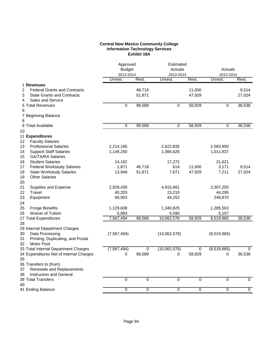## **Central New Mexico Community College Information Technology Services Exhibit 18A**

|                                                                                                                     | Approved<br><b>Budget</b><br>2013-2014 |                  | Estimated<br>Actuals<br>2013-2014 |                  | Actuals<br>2013-2014 |                 |
|---------------------------------------------------------------------------------------------------------------------|----------------------------------------|------------------|-----------------------------------|------------------|----------------------|-----------------|
|                                                                                                                     | Unrest.                                | Rest.            | Unrest.                           | Rest.            | Unrest.              | Rest.           |
| 1 Revenues                                                                                                          |                                        |                  |                                   |                  |                      |                 |
| <b>Federal Grants and Contracts</b><br>2<br><b>State Grants and Contracts</b><br>3<br><b>Sales and Service</b><br>4 |                                        | 46,718<br>51,871 |                                   | 11,000<br>47,929 |                      | 9,514<br>27,024 |
| 5 Total Revenues                                                                                                    | 0                                      | 98,589           | 0                                 | 58,929           | 0                    | 36,538          |
| 6                                                                                                                   |                                        |                  |                                   |                  |                      |                 |
| 7 Beginning Balance                                                                                                 |                                        |                  |                                   |                  |                      |                 |
| 8                                                                                                                   |                                        |                  |                                   |                  |                      |                 |
| 9 Total Available                                                                                                   | $\overline{0}$                         | 98,589           | $\mathbf 0$                       | 58,929           | 0                    | 36,538          |
| 10                                                                                                                  |                                        |                  |                                   |                  |                      |                 |
| 11 Expenditures                                                                                                     |                                        |                  |                                   |                  |                      |                 |
| <b>Faculty Salaries</b><br>12                                                                                       |                                        |                  |                                   |                  |                      |                 |
| <b>Professional Salaries</b><br>13                                                                                  | 2,214,185                              |                  | 2,622,835                         |                  | 2,583,950            |                 |
| 14<br><b>Support Staff Salaries</b>                                                                                 | 1,148,250                              |                  | 1,084,626                         |                  | 1,011,837            |                 |
| 15<br><b>GA/TA/RA Salaries</b>                                                                                      |                                        |                  |                                   |                  |                      |                 |
| 16<br><b>Student Salaries</b>                                                                                       | 14,162                                 |                  | 17,272                            |                  | 21,621               |                 |
| 17<br><b>Federal Workstudy Salaries</b>                                                                             | 1,871                                  | 46,718           | 614                               | 11,000           | 3,171                | 9,514           |
| 18<br><b>State Workstudy Salaries</b>                                                                               | 13,949                                 | 51,871           | 7,671                             | 47,929           | 7,211                | 27,024          |
| 19<br><b>Other Salaries</b>                                                                                         |                                        |                  |                                   |                  |                      |                 |
| 20                                                                                                                  |                                        |                  |                                   |                  |                      |                 |
| 21<br>Supplies and Expense                                                                                          | 2,929,430                              |                  | 4,915,681                         |                  | 3,307,250            |                 |
| 22<br>Travel                                                                                                        | 40,203                                 |                  | 23,210                            |                  | 44,295               |                 |
| 23<br>Equipment                                                                                                     | 69,953                                 |                  | 44,252                            |                  | 249,870              |                 |
| 24                                                                                                                  |                                        |                  |                                   |                  |                      |                 |
| 25<br><b>Fringe Benefits</b><br><b>Waiver of Tuition</b>                                                            | 1,129,608                              |                  | 1,340,825                         |                  | 1,285,503            |                 |
| 26<br>27 Total Expenditures                                                                                         | 5,883<br>7,567,494                     | 98,589           | 5,590<br>10,062,576               | 58,929           | 5,157<br>8,519,865   | 36,538          |
| 28                                                                                                                  |                                        |                  |                                   |                  |                      |                 |
| 29 Internal Department Charges                                                                                      |                                        |                  |                                   |                  |                      |                 |
| Data Processing<br>30                                                                                               | (7, 567, 494)                          |                  | (10,062,576)                      |                  | (8,519,865)          |                 |
| Printing, Duplicating, and Postal<br>31                                                                             |                                        |                  |                                   |                  |                      |                 |
| Motor Pool<br>32                                                                                                    |                                        |                  |                                   |                  |                      |                 |
| 33 Total Internal Department Charges                                                                                | (7, 567, 494)                          | 0                | (10,062,576)                      | $\mathbf 0$      | (8,519,865)          | $\mathbf 0$     |
| 34 Expenditures Net of Internal Charges                                                                             | 0                                      | 98,589           | 0                                 | 58,929           | 0                    | 36,538          |
| 35                                                                                                                  |                                        |                  |                                   |                  |                      |                 |
| 36 Transfers to (from)                                                                                              |                                        |                  |                                   |                  |                      |                 |
| Renewals and Replacements<br>37                                                                                     |                                        |                  |                                   |                  |                      |                 |
| Instruction and General<br>38                                                                                       |                                        |                  |                                   |                  |                      |                 |
| 39 Total Transfers                                                                                                  | $\pmb{0}$                              | 0                | 0                                 | $\pmb{0}$        | 0                    | $\mathbf 0$     |
| 40                                                                                                                  |                                        |                  |                                   |                  |                      |                 |
| 41 Ending Balance                                                                                                   | $\overline{0}$                         | $\overline{0}$   | $\,0\,$                           | $\,0\,$          | $\boldsymbol{0}$     | $\mathbf 0$     |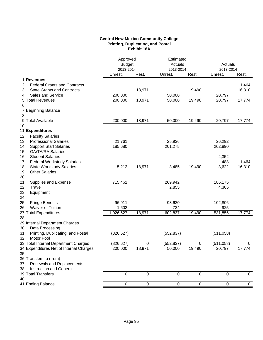# **Central New Mexico Community College Printing, Duplicating, and Postal Exhibit 18A**

|                                          |                | Approved<br><b>Budget</b><br>2013-2014 |            | Estimated<br>Actuals |             |                |
|------------------------------------------|----------------|----------------------------------------|------------|----------------------|-------------|----------------|
|                                          |                |                                        |            |                      |             | Actuals        |
|                                          |                |                                        |            | 2013-2014            | 2013-2014   |                |
|                                          | Unrest.        | Rest.                                  | Unrest.    | Rest.                | Unrest.     | Rest.          |
| 1 Revenues                               |                |                                        |            |                      |             |                |
| 2<br><b>Federal Grants and Contracts</b> |                |                                        |            |                      |             | 1,464          |
| 3<br><b>State Grants and Contracts</b>   |                | 18,971                                 |            | 19,490               |             | 16,310         |
| Sales and Service<br>4                   | 200,000        |                                        | 50,000     |                      | 20,797      |                |
| 5 Total Revenues                         | 200,000        | 18,971                                 | 50,000     | 19,490               | 20,797      | 17,774         |
| 6                                        |                |                                        |            |                      |             |                |
| 7 Beginning Balance                      |                |                                        |            |                      |             |                |
| 8                                        |                |                                        |            |                      |             |                |
| 9 Total Available                        | 200,000        | 18,971                                 | 50,000     | 19,490               | 20,797      | 17,774         |
| 10                                       |                |                                        |            |                      |             |                |
| 11 Expenditures                          |                |                                        |            |                      |             |                |
| <b>Faculty Salaries</b><br>12            |                |                                        |            |                      |             |                |
| 13<br><b>Professional Salaries</b>       | 21,761         |                                        | 25,936     |                      | 26,292      |                |
| 14<br><b>Support Staff Salaries</b>      | 185,680        |                                        | 201,275    |                      | 202,890     |                |
| 15<br><b>GA/TA/RA Salaries</b>           |                |                                        |            |                      |             |                |
| 16<br><b>Student Salaries</b>            |                |                                        |            |                      | 4,352       |                |
| 17<br><b>Federal Workstudy Salaries</b>  |                |                                        |            |                      | 488         | 1,464          |
| 18<br><b>State Workstudy Salaries</b>    | 5,212          | 18,971                                 | 3,485      | 19,490               | 3,622       | 16,310         |
| 19<br><b>Other Salaries</b>              |                |                                        |            |                      |             |                |
| 20                                       |                |                                        |            |                      |             |                |
| 21<br>Supplies and Expense               | 715,461        |                                        | 269,942    |                      | 186,175     |                |
| 22<br>Travel                             |                |                                        | 2,855      |                      | 4,305       |                |
| 23<br>Equipment                          |                |                                        |            |                      |             |                |
| 24                                       |                |                                        |            |                      |             |                |
| 25<br><b>Fringe Benefits</b>             | 96,911         |                                        | 98,620     |                      | 102,806     |                |
| 26<br>Waiver of Tuition                  | 1,602          |                                        | 724        |                      | 925         |                |
| 27 Total Expenditures                    | 1,026,627      | 18,971                                 | 602,837    | 19,490               | 531,855     | 17,774         |
| 28                                       |                |                                        |            |                      |             |                |
| 29 Internal Department Charges           |                |                                        |            |                      |             |                |
| 30<br>Data Processing                    |                |                                        |            |                      |             |                |
| Printing, Duplicating, and Postal<br>31  | (826, 627)     |                                        | (552, 837) |                      | (511,058)   |                |
| 32<br>Motor Pool                         |                |                                        |            |                      |             |                |
| 33 Total Internal Department Charges     | (826, 627)     | 0                                      | (552, 837) | 0                    | (511, 058)  | $\mathbf 0$    |
| 34 Expenditures Net of Internal Charges  | 200,000        | 18,971                                 | 50,000     | 19,490               | 20,797      | 17,774         |
| 35                                       |                |                                        |            |                      |             |                |
| 36 Transfers to (from)                   |                |                                        |            |                      |             |                |
| Renewals and Replacements<br>37          |                |                                        |            |                      |             |                |
| Instruction and General<br>38            |                |                                        |            |                      |             |                |
| 39 Total Transfers                       | $\mathbf{0}$   | $\Omega$                               | $\Omega$   | 0                    | 0           | $\mathbf 0$    |
| 40                                       |                |                                        |            |                      |             |                |
| 41 Ending Balance                        | $\overline{0}$ | 0                                      | 0          | $\overline{0}$       | $\mathbf 0$ | $\overline{0}$ |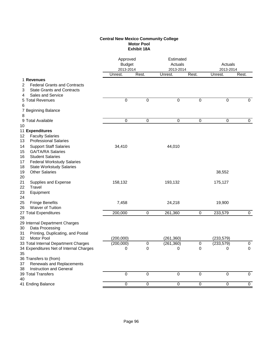## **Central New Mexico Community College Motor Pool Exhibit 18A**

|                                                                                    |                | Approved<br>Estimated<br><b>Budget</b><br>Actuals<br>2013-2014<br>2013-2014 |              |                | Actuals<br>2013-2014 |                |
|------------------------------------------------------------------------------------|----------------|-----------------------------------------------------------------------------|--------------|----------------|----------------------|----------------|
|                                                                                    | Unrest.        | Rest.                                                                       | Unrest.      | Rest.          | Unrest.              | Rest.          |
| 1 Revenues                                                                         |                |                                                                             |              |                |                      |                |
| <b>Federal Grants and Contracts</b><br>2<br><b>State Grants and Contracts</b><br>3 |                |                                                                             |              |                |                      |                |
| <b>Sales and Service</b><br>4                                                      |                |                                                                             |              |                |                      |                |
| 5 Total Revenues                                                                   | $\mathbf 0$    | $\mathbf 0$                                                                 | $\mathbf 0$  | $\mathbf 0$    | 0                    | 0              |
| 6                                                                                  |                |                                                                             |              |                |                      |                |
| 7 Beginning Balance                                                                |                |                                                                             |              |                |                      |                |
| 8                                                                                  |                |                                                                             |              |                |                      |                |
| 9 Total Available                                                                  | $\pmb{0}$      | 0                                                                           | 0            | 0              | 0                    | 0              |
| 10                                                                                 |                |                                                                             |              |                |                      |                |
| 11 Expenditures                                                                    |                |                                                                             |              |                |                      |                |
| <b>Faculty Salaries</b><br>12                                                      |                |                                                                             |              |                |                      |                |
| <b>Professional Salaries</b><br>13                                                 |                |                                                                             |              |                |                      |                |
| <b>Support Staff Salaries</b><br>14                                                | 34,410         |                                                                             | 44,010       |                |                      |                |
| 15<br><b>GA/TA/RA Salaries</b>                                                     |                |                                                                             |              |                |                      |                |
| <b>Student Salaries</b><br>16                                                      |                |                                                                             |              |                |                      |                |
| <b>Federal Workstudy Salaries</b><br>17                                            |                |                                                                             |              |                |                      |                |
| 18<br><b>State Workstudy Salaries</b>                                              |                |                                                                             |              |                |                      |                |
| <b>Other Salaries</b><br>19                                                        |                |                                                                             |              |                | 38,552               |                |
| 20                                                                                 |                |                                                                             |              |                |                      |                |
| 21<br>Supplies and Expense                                                         | 158,132        |                                                                             | 193,132      |                | 175,127              |                |
| 22<br>Travel                                                                       |                |                                                                             |              |                |                      |                |
| 23<br>Equipment<br>24                                                              |                |                                                                             |              |                |                      |                |
| 25<br><b>Fringe Benefits</b>                                                       | 7,458          |                                                                             | 24,218       |                | 19,900               |                |
| Waiver of Tuition<br>26                                                            |                |                                                                             |              |                |                      |                |
| 27 Total Expenditures                                                              | 200,000        | 0                                                                           | 261,360      | 0              | 233,579              | 0              |
| 28                                                                                 |                |                                                                             |              |                |                      |                |
| 29 Internal Department Charges                                                     |                |                                                                             |              |                |                      |                |
| Data Processing<br>30                                                              |                |                                                                             |              |                |                      |                |
| Printing, Duplicating, and Postal<br>31                                            |                |                                                                             |              |                |                      |                |
| Motor Pool<br>32                                                                   | (200,000)      |                                                                             | (261, 360)   |                | (233, 579)           |                |
| 33 Total Internal Department Charges                                               | (200,000)      | 0                                                                           | (261, 360)   | 0              | (233, 579)           | 0              |
| 34 Expenditures Net of Internal Charges                                            | $\pmb{0}$      | $\mathbf 0$                                                                 | $\mathbf{0}$ | $\overline{0}$ | $\overline{0}$       | $\overline{0}$ |
| 35                                                                                 |                |                                                                             |              |                |                      |                |
| 36 Transfers to (from)                                                             |                |                                                                             |              |                |                      |                |
| 37<br>Renewals and Replacements                                                    |                |                                                                             |              |                |                      |                |
| 38<br>Instruction and General                                                      |                |                                                                             |              |                |                      |                |
| 39 Total Transfers                                                                 | $\overline{0}$ | $\overline{0}$                                                              | $\Omega$     | $\mathbf 0$    | 0                    | $\mathbf 0$    |
| 40                                                                                 | $\overline{0}$ | $\overline{0}$                                                              | 0            | $\overline{0}$ | 0                    | 0              |
| 41 Ending Balance                                                                  |                |                                                                             |              |                |                      |                |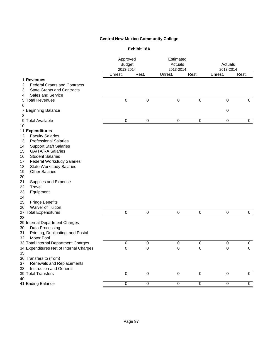# **Central New Mexico Community College**

# **Exhibit 18A**

|                                                                                                                                                                                                                                                                                                                                                                                                                                                                               | Approved<br><b>Budget</b><br>2013-2014 |                | Estimated<br>Actuals<br>2013-2014 |                | Actuals<br>2013-2014 |             |
|-------------------------------------------------------------------------------------------------------------------------------------------------------------------------------------------------------------------------------------------------------------------------------------------------------------------------------------------------------------------------------------------------------------------------------------------------------------------------------|----------------------------------------|----------------|-----------------------------------|----------------|----------------------|-------------|
|                                                                                                                                                                                                                                                                                                                                                                                                                                                                               | Unrest.                                | Rest.          | Unrest.                           | Rest.          | Unrest.              | Rest.       |
| 1 Revenues<br><b>Federal Grants and Contracts</b><br>2<br><b>State Grants and Contracts</b><br>3<br>Sales and Service<br>4                                                                                                                                                                                                                                                                                                                                                    |                                        |                |                                   |                |                      |             |
| 5 Total Revenues                                                                                                                                                                                                                                                                                                                                                                                                                                                              | $\pmb{0}$                              | 0              | $\boldsymbol{0}$                  | $\pmb{0}$      | 0                    | $\mathbf 0$ |
| 6<br>7 Beginning Balance<br>8                                                                                                                                                                                                                                                                                                                                                                                                                                                 |                                        |                |                                   |                | $\boldsymbol{0}$     |             |
| 9 Total Available                                                                                                                                                                                                                                                                                                                                                                                                                                                             | $\mathbf 0$                            | $\mathbf 0$    | $\boldsymbol{0}$                  | $\,0\,$        | $\boldsymbol{0}$     | $\mathbf 0$ |
| 10                                                                                                                                                                                                                                                                                                                                                                                                                                                                            |                                        |                |                                   |                |                      |             |
| 11 Expenditures<br><b>Faculty Salaries</b><br>12<br><b>Professional Salaries</b><br>13<br><b>Support Staff Salaries</b><br>14<br><b>GA/TA/RA Salaries</b><br>15<br><b>Student Salaries</b><br>16<br>Federal Workstudy Salaries<br>17<br>18<br><b>State Workstudy Salaries</b><br><b>Other Salaries</b><br>19<br>20<br>21<br>Supplies and Expense<br>Travel<br>22<br>23<br>Equipment<br>24<br>25<br><b>Fringe Benefits</b><br>Waiver of Tuition<br>26<br>27 Total Expenditures | 0                                      | 0              | 0                                 | 0              | 0                    | 0           |
| 28<br>29 Internal Department Charges<br>Data Processing<br>30<br>Printing, Duplicating, and Postal<br>31<br>Motor Pool<br>32                                                                                                                                                                                                                                                                                                                                                  |                                        |                |                                   |                |                      |             |
| 33 Total Internal Department Charges                                                                                                                                                                                                                                                                                                                                                                                                                                          | 0                                      | 0              | $\pmb{0}$                         | $\pmb{0}$      | $\pmb{0}$            | 0           |
| 34 Expenditures Net of Internal Charges<br>35<br>36 Transfers to (from)<br>Renewals and Replacements<br>37<br>Instruction and General<br>38                                                                                                                                                                                                                                                                                                                                   | $\boldsymbol{0}$                       | $\pmb{0}$      | $\boldsymbol{0}$                  | $\pmb{0}$      | $\mathbf 0$          | 0           |
| 39 Total Transfers<br>40                                                                                                                                                                                                                                                                                                                                                                                                                                                      | $\pmb{0}$                              | $\pmb{0}$      | $\pmb{0}$                         | $\pmb{0}$      | $\boldsymbol{0}$     | $\mathbf 0$ |
| 41 Ending Balance                                                                                                                                                                                                                                                                                                                                                                                                                                                             | $\overline{0}$                         | $\overline{0}$ | $\overline{0}$                    | $\overline{0}$ | $\boldsymbol{0}$     | $\mathbf 0$ |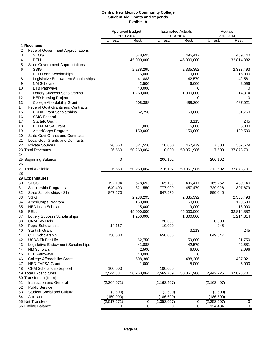#### **Central New Mexico Community College Student Aid Grants and Stipends Exhibit 19**

|                                          |                                          |             | Approved Budget<br><b>Estimated Actuals</b><br>2013-2014<br>2013-2014 |               | Acutals<br>2013-2014 |               |             |  |
|------------------------------------------|------------------------------------------|-------------|-----------------------------------------------------------------------|---------------|----------------------|---------------|-------------|--|
|                                          |                                          | Unrest.     | Rest.                                                                 | Unrest.       | Rest.                | Unrest.       | Rest.       |  |
| 1 Revenues                               |                                          |             |                                                                       |               |                      |               |             |  |
| 2                                        | <b>Federal Government Appropriations</b> |             |                                                                       |               |                      |               |             |  |
| 3<br><b>SEOG</b>                         |                                          |             | 578,693                                                               |               | 495,417              |               | 489,140     |  |
| PELL<br>4                                |                                          |             | 45,000,000                                                            |               | 45,000,000           |               | 32,814,882  |  |
| 5                                        | <b>State Government Appropriations</b>   |             |                                                                       |               |                      |               |             |  |
| <b>SSIG</b><br>6                         |                                          |             | 2,288,295                                                             |               | 2,335,392            |               | 2,333,493   |  |
| 7                                        | <b>HED Loan Scholarships</b>             |             | 15,000                                                                |               | 9,000                |               | 16,000      |  |
| 8                                        | Legislative Endowment Scholarships       |             | 41,888                                                                |               | 42,579               |               | 42,581      |  |
| <b>NM Scholars</b><br>9                  |                                          |             | 2,500                                                                 |               | 6,000                |               | 2,096       |  |
| 10<br><b>ETB Pathways</b>                |                                          |             | 40,000                                                                |               | 0                    |               | 0           |  |
| 11                                       | Lottery Success Scholarships             |             | 1,250,000                                                             |               | 1,300,000            |               | 1,214,314   |  |
| 12<br><b>HED Nursing Project</b>         |                                          |             |                                                                       |               | 0                    |               | 0           |  |
| 13                                       | <b>College Affordability Grant</b>       |             | 508,388                                                               |               | 488,206              |               | 487,021     |  |
| 14                                       | <b>Federal Govt Grants and Contracts</b> |             |                                                                       |               |                      |               |             |  |
| 15                                       | <b>USDA Grant Scholarships</b>           |             | 62,750                                                                |               | 59,800               |               | 31,750      |  |
| <b>SSIG Federal</b><br>16                |                                          |             |                                                                       |               |                      |               |             |  |
| <b>Startalk Grant</b><br>17              |                                          |             |                                                                       |               | 3,113                |               | 245         |  |
| 18<br><b>HED-FAFSA Grant</b>             |                                          |             | 1,000                                                                 |               | 5,000                |               | 5,000       |  |
| AmeriCorps Program<br>19                 |                                          |             | 150,000                                                               |               | 150,000              |               | 129,500     |  |
| 20                                       | <b>State Govt Grants and Contracts</b>   |             |                                                                       |               |                      |               |             |  |
| 21                                       | <b>Local Govt Grants and Contracts</b>   |             |                                                                       |               |                      |               |             |  |
| 22<br><b>Private Sources</b>             |                                          | 26,660      | 321,550                                                               | 10,000        | 457,479              | 7,500         | 307,679     |  |
| 23 Total Revenues                        |                                          | 26,660      | 50,260,064                                                            | 10,000        | 50,351,986           | 7,500         | 37,873,701  |  |
| 24                                       |                                          |             |                                                                       |               |                      |               |             |  |
| 25 Beginning Balance                     |                                          | 0           |                                                                       | 206,102       |                      | 206,102       |             |  |
| 26                                       |                                          |             |                                                                       |               |                      |               |             |  |
| 27 Total Available                       |                                          | 26,660      | 50,260,064                                                            | 216,102       | 50,351,986           | 213,602       | 37,873,701  |  |
| 28                                       |                                          |             |                                                                       |               |                      |               |             |  |
| 29 Expenditures                          |                                          |             |                                                                       |               |                      |               |             |  |
| <b>SEOG</b><br>30                        |                                          | 192,194     | 578,693                                                               | 165,139       | 495,417              | 165,262       | 489,140     |  |
| 31<br>Scholarship Programs               |                                          | 640,400     | 321,550                                                               | 777,000       | 457,479              | 729,026       | 307,679     |  |
| 32<br>State Scholarships - 3%            |                                          | 847,570     |                                                                       | 847,570       |                      | 890,045       |             |  |
| 33<br><b>SSIG</b>                        |                                          |             | 2,288,295                                                             |               | 2,335,392            |               | 2,333,493   |  |
| 34<br>AmeriCorps Program                 |                                          |             | 150,000                                                               |               | 150,000              |               | 129,500     |  |
| <b>HED Loan Scholarships</b><br>35       |                                          |             | 15,000                                                                |               | 9,000                |               | 16,000      |  |
| PELL<br>36                               |                                          |             | 45,000,000                                                            |               | 45,000,000           |               | 32,814,882  |  |
| 37                                       | Lottery Success Scholarships             |             | 1,250,000                                                             |               | 1,300,000            |               | 1,214,314   |  |
| 38<br>CNM Tax Help                       |                                          |             |                                                                       | 20,000        |                      | 8,600         |             |  |
| Pepsi Scholarships<br>39                 |                                          | 14,167      |                                                                       | 10,000        |                      | 245           |             |  |
| <b>Startalk Grant</b><br>40              |                                          |             |                                                                       |               | 3,113                |               | 245         |  |
| <b>CTE Scholarship</b><br>41             |                                          | 750,000     |                                                                       | 650,000       |                      | 649,547       |             |  |
| USDA Fit For Life<br>42                  |                                          |             | 62,750                                                                |               | 59,800               |               | 31,750      |  |
| 43                                       | Legislative Endowment Scholarships       |             | 41,888                                                                |               | 42,579               |               | 42,581      |  |
| <b>NM Scholars</b><br>44                 |                                          |             | 2,500                                                                 |               | 6,000                |               | 2,096       |  |
| 45<br><b>ETB Pathways</b>                |                                          |             | 40,000                                                                |               | 0                    |               |             |  |
| <b>College Affordability Grant</b><br>46 |                                          |             | 508,388                                                               |               | 488,206              |               | 487,021     |  |
| <b>HED-FAFSA Grant</b><br>47             |                                          |             | 1,000                                                                 |               | 5,000                |               | 5,000       |  |
| <b>CNM Scholarship Support</b><br>48     |                                          | 100,000     |                                                                       | 100,000       |                      |               |             |  |
| 49 Total Expenditures                    |                                          | 2,544,331   | 50,260,064                                                            | 2,569,709     | 50,351,986           | 2,442,725     | 37,873,701  |  |
| 50 Transfers to (from)                   |                                          |             |                                                                       |               |                      |               |             |  |
| Instruction and General<br>51            |                                          | (2,364,071) |                                                                       | (2, 163, 407) |                      | (2, 163, 407) |             |  |
| 52<br><b>Public Service</b>              |                                          |             |                                                                       |               |                      |               |             |  |
| 53                                       | <b>Student Social and Cultural</b>       | (3,600)     |                                                                       | (3,600)       |                      | (3,600)       |             |  |
| 54<br>Auxiliaries                        |                                          | (150,000)   |                                                                       | (186, 600)    |                      | (186, 600)    |             |  |
| 55 Net Transfers                         |                                          | (2,517,671) | 0                                                                     | (2,353,607)   | 0                    | (2, 353, 607) | 0           |  |
| 56 Ending Balance                        |                                          | 0           | 0                                                                     | 0             | 0                    | 124,484       | $\mathbf 0$ |  |
|                                          |                                          |             |                                                                       |               |                      |               |             |  |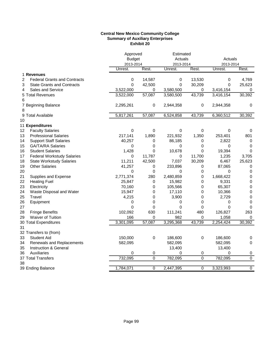## **Central New Mexico Community College Summary of Auxiliary Enterprises Exhibit 20**

|                                                       | Approved      |                  | Estimated   |                |           |                  |
|-------------------------------------------------------|---------------|------------------|-------------|----------------|-----------|------------------|
|                                                       | <b>Budget</b> |                  | Actuals     |                | Actuals   |                  |
|                                                       | 2013-2014     |                  | 2013-2014   |                | 2013-2014 |                  |
|                                                       | Unrest.       | Rest.            | Unrest.     | Rest.          | Unrest.   | Rest.            |
| 1 Revenues                                            |               |                  |             |                |           |                  |
| $\overline{2}$<br><b>Federal Grants and Contracts</b> | 0             | 14,587           | $\pmb{0}$   | 13,530         | 0         | 4,769            |
| 3<br><b>State Grants and Contracts</b>                | 0             | 42,500           | $\mathbf 0$ | 30,209         | $\Omega$  | 25,623           |
| Sales and Service<br>4                                | 3,522,000     | 0                | 3,580,500   | 0              | 3,416,154 | $\pmb{0}$        |
| 5 Total Revenues                                      | 3,522,000     | 57,087           | 3,580,500   | 43,739         | 3,416,154 | 30,392           |
| 6                                                     |               |                  |             |                |           |                  |
| 7 Beginning Balance                                   | 2,295,261     | 0                | 2,944,358   | 0              | 2,944,358 | 0                |
| 8                                                     |               |                  |             |                |           |                  |
| 9 Total Available                                     | 5,817,261     | 57,087           | 6,524,858   | 43,739         | 6,360,512 | 30,392           |
| 10                                                    |               |                  |             |                |           |                  |
| 11 Expenditures                                       |               |                  |             |                |           |                  |
| <b>Faculty Salaries</b><br>12                         | $\mathbf 0$   | $\pmb{0}$        | $\pmb{0}$   | 0              | $\pmb{0}$ | 0                |
| <b>Professional Salaries</b><br>13                    | 217,141       | 1,890            | 221,932     | 1,350          | 253,401   | 801              |
| <b>Support Staff Salaries</b><br>14                   | 40,257        | 0                | 86,185      | 0              | 2,822     | 0                |
| 15<br><b>GA/TA/RA Salaries</b>                        | 0             | 0                | 0           | 0              | 0         | 0                |
| 16<br><b>Student Salaries</b>                         | 1,428         | 0                | 10,678      | 0              | 19,394    | $\Omega$         |
| 17<br><b>Federal Workstudy Salaries</b>               | 0             | 11,787           | 0           | 11,700         | 1,235     | 3,705            |
| 18<br><b>State Workstudy Salaries</b>                 | 11,211        | 42,500           | 7,037       | 30,209         | 6,467     | 25,623           |
| 19<br><b>Other Salaries</b>                           | 41,257        | $\pmb{0}$        | 233,896     | 0              | 87,065    | 0                |
| 20                                                    | 0             | $\boldsymbol{0}$ | 0           | 0              | $\Omega$  | $\mathbf 0$      |
| 21<br>Supplies and Expense                            | 2,771,374     | 280              | 2,480,859   | 0              | 1,668,422 | $\pmb{0}$        |
| <b>Heating Fuel</b><br>22                             | 25,847        | 0                | 15,982      | 0              | 9,331     | $\mathbf 0$      |
| 23<br>Electricity                                     | 70,160        | 0                | 105,566     | 0              | 65,307    | $\mathbf 0$      |
| 24<br>Waste Disposal and Water                        | 15,947        | 0                | 17,110      | 0              | 10,366    | 0                |
| 25<br>Travel                                          | 4,215         | 0                | 3,900       | 0              | 2,729     | 0                |
| 26<br>Equipment                                       | 0             | 0                | 0           | 0              | 0         | $\boldsymbol{0}$ |
| 27                                                    | 0             | 0                | $\mathbf 0$ | 0              | 0         | 0                |
| 28<br><b>Fringe Benefits</b>                          | 102,092       | 630              | 111,241     | 480            | 126,827   | 263              |
| <b>Waiver of Tuition</b><br>29                        | 166           | 0                | 982         | 0              | 1,058     | 0                |
| 30 Total Expenditures                                 | 3,301,095     | 57,087           | 3,295,368   | 43,739         | 2,254,424 | 30,392           |
| 31                                                    |               |                  |             |                |           |                  |
| 32 Transfers to (from)                                |               |                  |             |                |           |                  |
| 33<br><b>Student Aid</b>                              | 150,000       | $\pmb{0}$        | 186,600     | 0              | 186,600   | 0                |
| 34<br>Renewals and Replacements                       | 582,095       |                  | 582,095     |                | 582,095   | 0                |
| Instruction & General<br>35                           |               |                  | 13,400      |                | 13,400    |                  |
| Auxiliaries<br>36                                     | 0             | 0                | 0           | 0              | 0         | $\pmb{0}$        |
| 37 Total Transfers                                    | 732,095       | $\overline{0}$   | 782,095     | $\overline{0}$ | 782,095   | $\overline{0}$   |
| 38                                                    |               |                  |             |                |           |                  |
| 39 Ending Balance                                     | 1,784,071     | 0                | 2,447,395   | 0              | 3,323,993 | $\overline{0}$   |
|                                                       |               |                  |             |                |           |                  |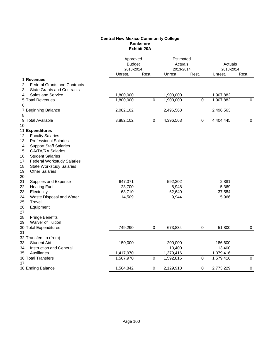### **Central New Mexico Community College Bookstore Exhibit 20A**

|                                          | Approved<br><b>Budget</b><br>2013-2014 |                | Estimated<br>Actuals<br>2013-2014 |                | Actuals<br>2013-2014 |                |
|------------------------------------------|----------------------------------------|----------------|-----------------------------------|----------------|----------------------|----------------|
|                                          | Unrest.                                | Rest.          | Unrest.                           | Rest.          | Unrest.              | Rest.          |
| 1 Revenues                               |                                        |                |                                   |                |                      |                |
| 2<br><b>Federal Grants and Contracts</b> |                                        |                |                                   |                |                      |                |
| 3<br><b>State Grants and Contracts</b>   |                                        |                |                                   |                |                      |                |
| <b>Sales and Service</b><br>4            | 1,800,000                              |                | 1,900,000                         |                | 1,907,882            |                |
| 5 Total Revenues                         | 1,800,000                              | 0              | 1,900,000                         | 0              | 1,907,882            | 0              |
| 6                                        |                                        |                |                                   |                |                      |                |
| 7 Beginning Balance                      | 2,082,102                              |                | 2,496,563                         |                | 2,496,563            |                |
| 8                                        |                                        |                |                                   |                |                      |                |
| 9 Total Available                        | 3,882,102                              | $\mathbf 0$    | 4,396,563                         | 0              | 4,404,445            | $\mathbf 0$    |
| 10                                       |                                        |                |                                   |                |                      |                |
| 11 Expenditures                          |                                        |                |                                   |                |                      |                |
| 12<br><b>Faculty Salaries</b>            |                                        |                |                                   |                |                      |                |
| 13<br><b>Professional Salaries</b>       |                                        |                |                                   |                |                      |                |
| 14<br><b>Support Staff Salaries</b>      |                                        |                |                                   |                |                      |                |
| 15<br><b>GA/TA/RA Salaries</b>           |                                        |                |                                   |                |                      |                |
| 16<br><b>Student Salaries</b>            |                                        |                |                                   |                |                      |                |
| 17<br><b>Federal Workstudy Salaries</b>  |                                        |                |                                   |                |                      |                |
| 18<br><b>State Workstudy Salaries</b>    |                                        |                |                                   |                |                      |                |
| 19<br><b>Other Salaries</b>              |                                        |                |                                   |                |                      |                |
| 20                                       |                                        |                |                                   |                |                      |                |
| Supplies and Expense<br>21               | 647,371                                |                | 592,302                           |                | 2,881                |                |
| 22<br><b>Heating Fuel</b>                | 23,700                                 |                | 8,948                             |                | 5,369                |                |
| 23<br>Electricity                        | 63,710                                 |                | 62,640                            |                | 37,584               |                |
| 24<br>Waste Disposal and Water           | 14,509                                 |                | 9,944                             |                | 5,966                |                |
| 25<br>Travel                             |                                        |                |                                   |                |                      |                |
| 26<br>Equipment                          |                                        |                |                                   |                |                      |                |
| 27                                       |                                        |                |                                   |                |                      |                |
| 28<br><b>Fringe Benefits</b>             |                                        |                |                                   |                |                      |                |
| 29<br><b>Waiver of Tuition</b>           |                                        |                |                                   |                |                      |                |
| 30 Total Expenditures                    | 749,290                                | 0              | 673,834                           | 0              | 51,800               | $\mathbf 0$    |
| 31                                       |                                        |                |                                   |                |                      |                |
| 32 Transfers to (from)                   |                                        |                |                                   |                |                      |                |
| <b>Student Aid</b><br>33                 | 150,000                                |                | 200,000                           |                | 186,600              |                |
| 34<br>Instruction and General            |                                        |                | 13,400                            |                | 13,400               |                |
| Auxiliaries<br>35                        | 1,417,970                              |                | 1,379,416                         |                | 1,379,416            |                |
| 36 Total Transfers                       | 1,567,970                              | $\overline{0}$ | 1,592,816                         | $\overline{0}$ | 1,579,416            | $\overline{0}$ |
| 37                                       |                                        |                |                                   |                |                      |                |
| 38 Ending Balance                        | 1,564,842                              | $\overline{0}$ | 2,129,913                         | 0              | 2,773,229            | $\overline{0}$ |
|                                          |                                        |                |                                   |                |                      |                |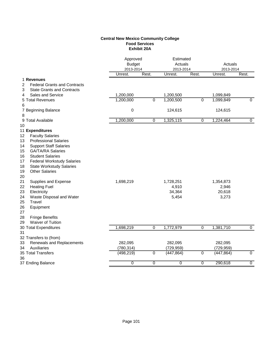## **Central New Mexico Community College Food Services Exhibit 20A**

|                                          | Estimated<br>Approved<br><b>Budget</b><br>Actuals<br>2013-2014<br>2013-2014 |                |            | Actuals<br>2013-2014 |            |                |
|------------------------------------------|-----------------------------------------------------------------------------|----------------|------------|----------------------|------------|----------------|
|                                          | Unrest.                                                                     | Rest.          | Unrest.    | Rest.                | Unrest.    | Rest.          |
| 1 Revenues                               |                                                                             |                |            |                      |            |                |
| 2<br><b>Federal Grants and Contracts</b> |                                                                             |                |            |                      |            |                |
| <b>State Grants and Contracts</b><br>3   |                                                                             |                |            |                      |            |                |
| <b>Sales and Service</b><br>4            | 1,200,000                                                                   |                | 1,200,500  |                      | 1,099,849  |                |
| 5 Total Revenues                         | 1,200,000                                                                   | $\overline{0}$ | 1,200,500  | $\overline{0}$       | 1,099,849  | $\mathbf 0$    |
| 6                                        |                                                                             |                |            |                      |            |                |
| 7 Beginning Balance                      | $\pmb{0}$                                                                   |                | 124,615    |                      | 124,615    |                |
| 8                                        |                                                                             | $\overline{0}$ |            | $\overline{0}$       |            | $\overline{0}$ |
| 9 Total Available                        | 1,200,000                                                                   |                | 1,325,115  |                      | 1,224,464  |                |
| 10<br>11 Expenditures                    |                                                                             |                |            |                      |            |                |
| <b>Faculty Salaries</b><br>12            |                                                                             |                |            |                      |            |                |
| 13<br><b>Professional Salaries</b>       |                                                                             |                |            |                      |            |                |
| <b>Support Staff Salaries</b><br>14      |                                                                             |                |            |                      |            |                |
| <b>GA/TA/RA Salaries</b><br>15           |                                                                             |                |            |                      |            |                |
| 16<br><b>Student Salaries</b>            |                                                                             |                |            |                      |            |                |
| <b>Federal Workstudy Salaries</b><br>17  |                                                                             |                |            |                      |            |                |
| 18<br><b>State Workstudy Salaries</b>    |                                                                             |                |            |                      |            |                |
| <b>Other Salaries</b><br>19              |                                                                             |                |            |                      |            |                |
| 20                                       |                                                                             |                |            |                      |            |                |
| 21<br>Supplies and Expense               | 1,698,219                                                                   |                | 1,728,251  |                      | 1,354,873  |                |
| 22<br><b>Heating Fuel</b>                |                                                                             |                | 4,910      |                      | 2,946      |                |
| 23<br>Electricity                        |                                                                             |                | 34,364     |                      | 20,618     |                |
| 24<br>Waste Disposal and Water           |                                                                             |                | 5,454      |                      | 3,273      |                |
| 25<br>Travel                             |                                                                             |                |            |                      |            |                |
| 26<br>Equipment                          |                                                                             |                |            |                      |            |                |
| 27                                       |                                                                             |                |            |                      |            |                |
| 28<br><b>Fringe Benefits</b>             |                                                                             |                |            |                      |            |                |
| 29<br>Waiver of Tuition                  |                                                                             |                |            |                      |            |                |
| 30 Total Expenditures                    | 1,698,219                                                                   | 0              | 1,772,979  | $\overline{0}$       | 1,381,710  | $\mathbf 0$    |
| 31                                       |                                                                             |                |            |                      |            |                |
| 32 Transfers to (from)                   |                                                                             |                |            |                      |            |                |
| Renewals and Replacements<br>33          | 282,095                                                                     |                | 282,095    |                      | 282,095    |                |
| Auxiliaries<br>34                        | (780, 314)                                                                  |                | (729, 959) |                      | (729, 959) |                |
| 35 Total Transfers                       | (498, 219)                                                                  | 0              | (447, 864) | 0                    | (447, 864) | 0              |
| 36                                       |                                                                             |                |            |                      |            |                |
| 37 Ending Balance                        | 0                                                                           | 0              | 0          | 0                    | 290,618    | $\mathbf 0$    |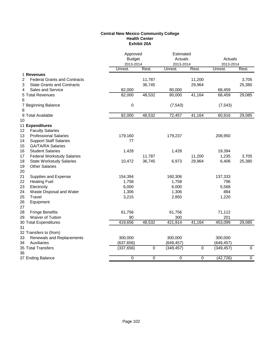#### **Central New Mexico Community College Health Center Exhibit 20A**

|                                          | Approved<br><b>Budget</b><br>2013-2014 |           | Estimated<br>Actuals<br>2013-2014 |           | Actuals<br>2013-2014 |                |
|------------------------------------------|----------------------------------------|-----------|-----------------------------------|-----------|----------------------|----------------|
|                                          | Unrest.                                | Rest.     | Unrest.                           | Rest.     | Unrest.              | Rest.          |
| 1 Revenues                               |                                        |           |                                   |           |                      |                |
| <b>Federal Grants and Contracts</b><br>2 |                                        | 11,787    |                                   | 11,200    |                      | 3,705          |
| <b>State Grants and Contracts</b><br>3   |                                        | 36,745    |                                   | 29,964    |                      | 25,380         |
| Sales and Service<br>4                   | 82,000                                 |           | 80,000                            |           | 68,459               |                |
| 5 Total Revenues                         | 82,000                                 | 48,532    | 80,000                            | 41,164    | 68,459               | 29,085         |
| 6                                        |                                        |           |                                   |           |                      |                |
| 7 Beginning Balance                      | $\mathbf 0$                            |           | (7, 543)                          |           | (7, 543)             |                |
| 8                                        |                                        |           |                                   |           |                      |                |
| 9 Total Available                        | 82,000                                 | 48,532    | 72,457                            | 41,164    | 60,916               | 29,085         |
| 10                                       |                                        |           |                                   |           |                      |                |
| 11 Expenditures                          |                                        |           |                                   |           |                      |                |
| <b>Faculty Salaries</b><br>12            |                                        |           |                                   |           |                      |                |
| <b>Professional Salaries</b><br>13       | 179,160                                |           | 179,237                           |           | 208,950              |                |
| <b>Support Staff Salaries</b><br>14      | 77                                     |           |                                   |           |                      |                |
| 15<br><b>GA/TA/RA Salaries</b>           |                                        |           |                                   |           |                      |                |
| 16<br><b>Student Salaries</b>            | 1,428                                  |           | 1,428                             |           | 19,394               |                |
| 17<br><b>Federal Workstudy Salaries</b>  |                                        | 11,787    |                                   | 11,200    | 1,235                | 3,705          |
| 18<br><b>State Workstudy Salaries</b>    | 10,472                                 | 36,745    | 6,973                             | 29,964    | 6,406                | 25,380         |
| 19<br><b>Other Salaries</b>              |                                        |           |                                   |           |                      |                |
| 20                                       |                                        |           |                                   |           |                      |                |
| 21<br>Supplies and Expense               | 154,394                                |           | 160,306                           |           | 137,333              |                |
| 22<br><b>Heating Fuel</b>                | 1,758                                  |           | 1,758                             |           | 796                  |                |
| 23<br>Electricity                        | 6,000                                  |           | 6,000                             |           | 5,568                |                |
| 24<br>Waste Disposal and Water           | 1,306                                  |           | 1,306                             |           | 884                  |                |
| 25<br>Travel                             | 3,215                                  |           | 2,850                             |           | 1,220                |                |
| 26<br>Equipment                          |                                        |           |                                   |           |                      |                |
| 27                                       |                                        |           |                                   |           |                      |                |
| 28<br><b>Fringe Benefits</b>             | 61,756                                 |           | 61,756                            |           | 71,112               |                |
| Waiver of Tuition<br>29                  | 90                                     |           | 300                               |           | 201                  |                |
| 30 Total Expenditures                    | 419,656                                | 48,532    | 421,914                           | 41,164    | 453,099              | 29,085         |
| 31                                       |                                        |           |                                   |           |                      |                |
| 32 Transfers to (from)                   |                                        |           |                                   |           |                      |                |
| Renewals and Replacements<br>33          | 300,000                                |           | 300,000                           |           | 300,000              |                |
| 34<br>Auxiliaries                        | (637, 656)                             |           | (649, 457)                        |           | (649, 457)           |                |
| 35 Total Transfers                       | (337, 656)                             | $\pmb{0}$ | (349, 457)                        | $\pmb{0}$ | (349, 457)           | $\mathbf 0$    |
| 36                                       |                                        |           |                                   |           |                      |                |
| 37 Ending Balance                        | 0                                      | 0         | 0                                 | 0         | (42, 726)            | $\overline{0}$ |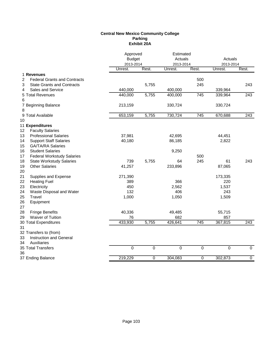## **Central New Mexico Community College Parking Exhibit 20A**

|                                                                      | Approved<br><b>Budget</b><br>2013-2014 |           | Estimated<br>Actuals<br>2013-2014 |           | Actuals<br>2013-2014 |                  |
|----------------------------------------------------------------------|----------------------------------------|-----------|-----------------------------------|-----------|----------------------|------------------|
|                                                                      | Unrest.                                | Rest.     | Unrest.                           | Rest.     | Unrest.              | Rest.            |
| 1 Revenues                                                           |                                        |           |                                   |           |                      |                  |
| <b>Federal Grants and Contracts</b><br>2                             |                                        |           |                                   | 500       |                      |                  |
| <b>State Grants and Contracts</b><br>3                               |                                        | 5,755     |                                   | 245       |                      | 243              |
| Sales and Service<br>4                                               | 440,000                                |           | 400,000                           |           | 339,964              |                  |
| 5 Total Revenues                                                     | 440,000                                | 5,755     | 400,000                           | 745       | 339,964              | 243              |
| 6                                                                    |                                        |           |                                   |           |                      |                  |
| 7 Beginning Balance                                                  | 213,159                                |           | 330,724                           |           | 330,724              |                  |
| 8                                                                    |                                        |           |                                   |           |                      |                  |
| 9 Total Available                                                    | 653,159                                | 5,755     | 730,724                           | 745       | 670,688              | 243              |
| 10                                                                   |                                        |           |                                   |           |                      |                  |
| 11 Expenditures                                                      |                                        |           |                                   |           |                      |                  |
| <b>Faculty Salaries</b><br>12                                        |                                        |           |                                   |           |                      |                  |
| <b>Professional Salaries</b><br>13                                   | 37,981                                 |           | 42,695                            |           | 44,451               |                  |
| 14<br><b>Support Staff Salaries</b>                                  | 40,180                                 |           | 86,185                            |           | 2,822                |                  |
| 15<br><b>GA/TA/RA Salaries</b>                                       |                                        |           |                                   |           |                      |                  |
| <b>Student Salaries</b><br>16                                        |                                        |           | 9,250                             | 500       |                      |                  |
| 17<br><b>Federal Workstudy Salaries</b>                              |                                        |           |                                   |           |                      |                  |
| 18<br><b>State Workstudy Salaries</b><br>19<br><b>Other Salaries</b> | 739                                    | 5,755     | 64                                | 245       | 61                   | 243              |
|                                                                      | 41,257                                 |           | 233,896                           |           | 87,065               |                  |
| 20<br>21<br>Supplies and Expense                                     | 271,390                                |           |                                   |           | 173,335              |                  |
| 22<br><b>Heating Fuel</b>                                            | 389                                    |           | 366                               |           | 220                  |                  |
| 23<br>Electricity                                                    | 450                                    |           | 2,562                             |           | 1,537                |                  |
| 24<br>Waste Disposal and Water                                       | 132                                    |           | 406                               |           | 243                  |                  |
| 25<br>Travel                                                         | 1,000                                  |           | 1,050                             |           | 1,509                |                  |
| 26<br>Equipment                                                      |                                        |           |                                   |           |                      |                  |
| 27                                                                   |                                        |           |                                   |           |                      |                  |
| 28<br><b>Fringe Benefits</b>                                         | 40,336                                 |           | 49,485                            |           | 55,715               |                  |
| <b>Waiver of Tuition</b><br>29                                       | 76                                     |           | 682                               |           | 857                  |                  |
| 30 Total Expenditures                                                | 433,930                                | 5,755     | 426,641                           | 745       | 367,815              | $\overline{243}$ |
| 31                                                                   |                                        |           |                                   |           |                      |                  |
| 32 Transfers to (from)                                               |                                        |           |                                   |           |                      |                  |
| 33<br>Instruction and General                                        |                                        |           |                                   |           |                      |                  |
| Auxiliaries<br>34                                                    |                                        |           |                                   |           |                      |                  |
| 35 Total Transfers                                                   | $\overline{0}$                         | $\pmb{0}$ | 0                                 | $\pmb{0}$ | 0                    | $\mathbf 0$      |
| 36                                                                   |                                        |           |                                   |           |                      |                  |
| 37 Ending Balance                                                    | 219,229                                | 0         | 304,083                           | 0         | 302,873              | 0                |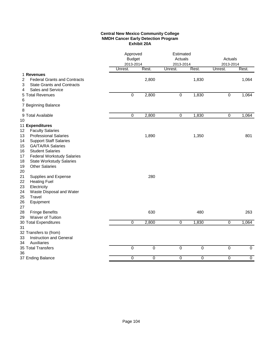## **Central New Mexico Community College NMDH Cancer Early Detection Program Exhibit 20A**

|                                                                                                                                                                                                                                 | Approved<br><b>Budget</b><br>2013-2014 |             | Estimated<br>Actuals<br>2013-2014 |       | Actuals<br>2013-2014 |                |
|---------------------------------------------------------------------------------------------------------------------------------------------------------------------------------------------------------------------------------|----------------------------------------|-------------|-----------------------------------|-------|----------------------|----------------|
|                                                                                                                                                                                                                                 | Unrest.                                | Rest.       | Unrest.                           | Rest. | Unrest.              | Rest.          |
| 1 Revenues<br><b>Federal Grants and Contracts</b><br>2<br><b>State Grants and Contracts</b><br>3                                                                                                                                |                                        | 2,800       |                                   | 1,830 |                      | 1,064          |
| Sales and Service<br>4<br>5 Total Revenues<br>6                                                                                                                                                                                 | $\mathbf 0$                            | 2,800       | $\mathbf 0$                       | 1,830 | 0                    | 1,064          |
| 7 Beginning Balance<br>8                                                                                                                                                                                                        |                                        |             |                                   |       |                      |                |
| 9 Total Available<br>10                                                                                                                                                                                                         | $\mathbf 0$                            | 2,800       | $\mathbf 0$                       | 1,830 | 0                    | 1,064          |
| 11 Expenditures<br>12<br><b>Faculty Salaries</b><br><b>Professional Salaries</b><br>13                                                                                                                                          |                                        | 1,890       |                                   | 1,350 |                      | 801            |
| 14<br><b>Support Staff Salaries</b><br>15<br><b>GA/TA/RA Salaries</b><br><b>Student Salaries</b><br>16<br><b>Federal Workstudy Salaries</b><br>17<br>18<br><b>State Workstudy Salaries</b><br><b>Other Salaries</b><br>19<br>20 |                                        |             |                                   |       |                      |                |
| 21<br>Supplies and Expense<br>22<br><b>Heating Fuel</b><br>23<br>Electricity<br>24<br>Waste Disposal and Water<br>25<br>Travel<br>26<br>Equipment<br>27                                                                         |                                        | 280         |                                   |       |                      |                |
| 28<br><b>Fringe Benefits</b>                                                                                                                                                                                                    |                                        | 630         |                                   | 480   |                      | 263            |
| Waiver of Tuition<br>29<br>30 Total Expenditures<br>31                                                                                                                                                                          | $\Omega$                               | 2,800       | $\overline{0}$                    | 1,830 | $\overline{0}$       | 1,064          |
| 32 Transfers to (from)<br>Instruction and General<br>33<br>Auxiliaries<br>34                                                                                                                                                    |                                        |             |                                   |       |                      |                |
| 35 Total Transfers                                                                                                                                                                                                              | $\mathbf 0$                            | $\mathbf 0$ | $\mathbf 0$                       | 0     | 0                    | 0              |
| 36<br>37 Ending Balance                                                                                                                                                                                                         | 0                                      | 0           | 0                                 | 0     | 0                    | $\overline{0}$ |
|                                                                                                                                                                                                                                 |                                        |             |                                   |       |                      |                |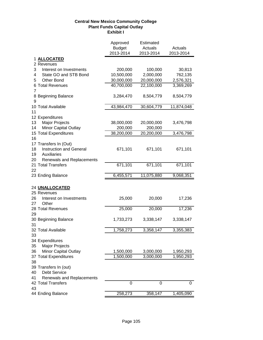# **Central New Mexico Community College Plant Funds Capital Outlay Exhibit I**

|                                              | Approved<br><b>Budget</b> | Estimated<br>Actuals | Actuals    |
|----------------------------------------------|---------------------------|----------------------|------------|
|                                              | 2013-2014                 | 2013-2014            | 2013-2014  |
| 1 ALLOCATED                                  |                           |                      |            |
| 2 Revenues                                   |                           |                      |            |
| 3<br>Interest on Investments                 | 200,000                   | 100,000              | 30,813     |
| 4<br>State GO and STB Bond                   | 10,500,000                | 2,000,000            | 762,135    |
| 5<br>Other Bond                              | 30,000,000                | 20,000,000           | 2,576,321  |
| 6 Total Revenues<br>$\overline{7}$           | 40,700,000                | 22,100,000           | 3,369,269  |
| 8 Beginning Balance<br>9                     | 3,284,470                 | 8,504,779            | 8,504,779  |
| 10 Total Available                           | 43,984,470                | 30,604,779           | 11,874,048 |
| 11                                           |                           |                      |            |
| 12 Expenditures                              |                           |                      |            |
| Major Projects<br>13                         | 38,000,000                | 20,000,000           | 3,476,798  |
| 14<br><b>Minor Capital Outlay</b>            | 200,000                   | 200,000              |            |
| 15 Total Expenditures                        | 38,200,000                | 20,200,000           | 3,476,798  |
| 16                                           |                           |                      |            |
| 17 Transfers In (Out)                        |                           |                      |            |
| 18<br><b>Instruction and General</b>         | 671,101                   | 671,101              | 671,101    |
| 19<br>Auxiliaries                            |                           |                      |            |
| 20<br>Renewals and Replacements              |                           |                      |            |
| 21 Total Transfers                           | 671,101                   | 671,101              | 671,101    |
| 22                                           |                           |                      |            |
| 23 Ending Balance                            | 6,455,571                 | 11,075,880           | 9,068,351  |
| 24 UNALLOCATED                               |                           |                      |            |
| 25 Revenues                                  |                           |                      |            |
| 26<br>Interest on Investments<br>Other<br>27 | 25,000                    | 20,000               | 17,236     |
| 28 Total Revenues                            | 25,000                    | 20,000               | 17,236     |
| 29                                           |                           |                      |            |
| 30 Beginning Balance                         | 1,733,273                 | 3,338,147            | 3,338,147  |
| 31                                           |                           |                      |            |
| 32 Total Available                           | 1,758,273                 | 3,358,147            | 3,355,383  |
| 33                                           |                           |                      |            |
| 34 Expenditures                              |                           |                      |            |
| 35<br><b>Major Projects</b>                  |                           |                      |            |
| Minor Capital Outlay<br>36                   | 1,500,000                 | 3,000,000            | 1,950,293  |
| 37 Total Expenditures                        | 1,500,000                 | 3,000,000            | 1,950,293  |
| 38                                           |                           |                      |            |
| 39 Transfers In (out)                        |                           |                      |            |
| Debt Service<br>40                           |                           |                      |            |
| 41<br>Renewals and Replacements              |                           |                      |            |
| 42 Total Transfers<br>43                     | 0                         | 0                    | 0          |
| 44 Ending Balance                            | 258,273                   | 358,147              | 1,405,090  |
|                                              |                           |                      |            |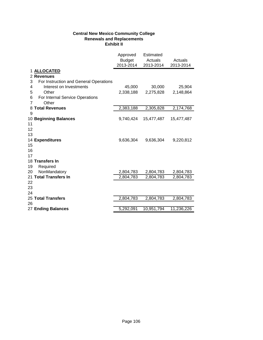# **Central New Mexico Community College Renewals and Replacements Exhibit II**

|                                             | Approved<br>Budget<br>2013-2014 | Estimated<br>Actuals<br>2013-2014 | Actuals<br>2013-2014 |
|---------------------------------------------|---------------------------------|-----------------------------------|----------------------|
| 1 ALLOCATED                                 |                                 |                                   |                      |
| 2 Revenues                                  |                                 |                                   |                      |
| 3<br>For Instruction and General Operations |                                 |                                   |                      |
| Interest on Investments<br>4                | 45,000                          | 30,000                            | 25,904               |
| 5<br>Other                                  | 2,338,188                       | 2,275,828                         | 2,148,864            |
| 6<br>For Internal Service Operations        |                                 |                                   |                      |
| $\overline{7}$<br>Other                     |                                 |                                   |                      |
| 8 Total Revenues                            | 2,383,188                       | 2,305,828                         | 2,174,768            |
| 9                                           |                                 |                                   |                      |
| 10 Beginning Balances                       | 9,740,424                       | 15,477,487                        | 15,477,487           |
| 11                                          |                                 |                                   |                      |
| 12                                          |                                 |                                   |                      |
| 13<br>14 Expenditures                       | 9,636,304                       | 9,636,304                         | 9,220,812            |
| 15                                          |                                 |                                   |                      |
| 16                                          |                                 |                                   |                      |
| 17                                          |                                 |                                   |                      |
| 18 Transfers In                             |                                 |                                   |                      |
| 19<br>Required                              |                                 |                                   |                      |
| 20<br>NonMandatory                          | 2,804,783                       | 2,804,783                         | 2,804,783            |
| 21 Total Transfers In                       | 2,804,783                       | 2,804,783                         | 2,804,783            |
| 22                                          |                                 |                                   |                      |
| 23                                          |                                 |                                   |                      |
| 24                                          |                                 |                                   |                      |
| 25 Total Transfers                          | 2,804,783                       | 2,804,783                         | 2,804,783            |
| 26                                          |                                 |                                   |                      |
| 27 Ending Balances                          | 5,292,091                       | 10,951,794                        | 11,236,226           |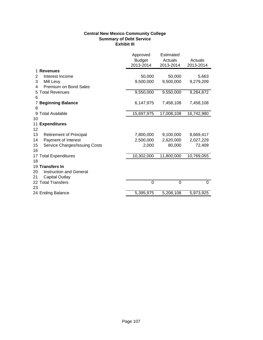# **Central New Mexico Community College Summary of Debt Service Exhibit III**

|                                      | Approved<br><b>Budget</b><br>2013-2014 | Estimated<br>Actuals<br>2013-2014 | Actuals<br>2013-2014 |
|--------------------------------------|----------------------------------------|-----------------------------------|----------------------|
| <b>Revenues</b>                      |                                        |                                   |                      |
| Interest Income<br>2                 | 50,000                                 | 50,000                            | 5,663                |
| 3<br>Mill Levy                       | 9,500,000                              | 9,500,000                         | 9,279,209            |
| Premium on Bond Sales<br>4           |                                        |                                   |                      |
| <b>Total Revenues</b><br>5           | 9,550,000                              | 9,550,000                         | 9,284,872            |
| 6                                    |                                        |                                   |                      |
| <b>Beginning Balance</b>             | 6,147,975                              | 7,458,108                         | 7,458,108            |
| 8                                    |                                        |                                   |                      |
| 9 Total Available                    | 15,697,975                             | 17,008,108                        | 16,742,980           |
| 10                                   |                                        |                                   |                      |
| 11<br><b>Expenditures</b>            |                                        |                                   |                      |
| 12                                   |                                        |                                   |                      |
| 13<br><b>Retirement of Principal</b> | 7,800,000                              | 9,100,000                         | 8,669,417            |
| Payment of Interest<br>14            | 2,500,000                              | 2,620,000                         | 2,027,229            |
| 15<br>Service Charges/Issuing Costs  | 2,000                                  | 80,000                            | 72,409               |
| 16                                   |                                        |                                   |                      |
| 17 Total Expenditures                | 10,302,000                             | 11,800,000                        | 10,769,055           |
| 18                                   |                                        |                                   |                      |
| 19 Transfers In                      |                                        |                                   |                      |
| <b>Instruction and General</b><br>20 |                                        |                                   |                      |
| <b>Capital Outlay</b><br>21          |                                        |                                   |                      |
| 22 Total Transfers                   | $\mathbf 0$                            | $\mathbf 0$                       | $\mathbf 0$          |
| 23                                   |                                        |                                   |                      |
| 24 Ending Balance                    | 5,395,975                              | 5,208,108                         | 5,973,925            |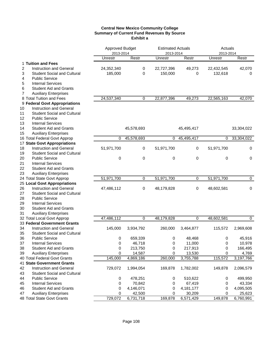## **Central New Mexico Community College Summary of Current Fund Revenues By Source Exhibit a**

|    |                                    | Approved Budget      |            | <b>Estimated Actuals</b> |             | Actuals              |             |
|----|------------------------------------|----------------------|------------|--------------------------|-------------|----------------------|-------------|
|    |                                    | 2013-2014<br>Unrestr | Restr      | 2013-2014<br>Unrestr     | Restr       | 2013-2014<br>Unrestr | Restr       |
|    | 1 Tuition and Fees                 |                      |            |                          |             |                      |             |
| 2  | <b>Instruction and General</b>     | 24,352,340           | 0          | 22,727,396               | 49,273      | 22,432,545           | 42,070      |
| 3  | <b>Student Social and Cultural</b> | 185,000              | 0          | 150,000                  | 0           | 132,618              | 0           |
| 4  | <b>Public Service</b>              |                      |            |                          |             |                      |             |
| 5  | <b>Internal Services</b>           |                      |            |                          |             |                      |             |
| 6  | <b>Student Aid and Grants</b>      |                      |            |                          |             |                      |             |
| 7  | <b>Auxiliary Enterprises</b>       |                      |            |                          |             |                      |             |
|    | 8 Total Tuition and Fees           | 24,537,340           | 0          | 22,877,396               | 49,273      | 22,565,163           | 42,070      |
|    | 9 Federal Govt Appropriations      |                      |            |                          |             |                      |             |
| 10 | <b>Instruction and General</b>     |                      |            |                          |             |                      |             |
| 11 | <b>Student Social and Cultural</b> |                      |            |                          |             |                      |             |
| 12 | <b>Public Service</b>              |                      |            |                          |             |                      |             |
| 13 | <b>Internal Services</b>           |                      |            |                          |             |                      |             |
| 14 | <b>Student Aid and Grants</b>      |                      | 45,578,693 |                          | 45,495,417  |                      | 33,304,022  |
| 15 | <b>Auxiliary Enterprises</b>       |                      |            |                          |             |                      |             |
|    | 16 Total Federal Govt Approp       | 0                    | 45,578,693 | $\mathbf 0$              | 45,495,417  | 0                    | 33,304,022  |
|    | 17 State Govt Appropriations       |                      |            |                          |             |                      |             |
| 18 | <b>Instruction and General</b>     | 51,971,700           | 0          | 51,971,700               | 0           | 51,971,700           | 0           |
| 19 | <b>Student Social and Cultural</b> |                      |            |                          |             |                      |             |
| 20 | <b>Public Service</b>              | 0                    | 0          | 0                        | 0           | 0                    | 0           |
| 21 | <b>Internal Services</b>           |                      |            |                          |             |                      |             |
| 22 | <b>Student Aid and Grants</b>      |                      |            |                          |             |                      |             |
| 23 | <b>Auxiliary Enterprises</b>       |                      |            |                          |             |                      |             |
|    | 24 Total State Govt Approp         | 51,971,700           | 0          | 51,971,700               | 0           | 51,971,700           | 0           |
|    | 25 Local Govt Appropriations       |                      |            |                          |             |                      |             |
| 26 | <b>Instruction and General</b>     | 47,486,112           | 0          | 48,179,828               | 0           | 48,602,581           | $\pmb{0}$   |
| 27 | <b>Student Social and Cultural</b> |                      |            |                          |             |                      |             |
| 28 | <b>Public Service</b>              |                      |            |                          |             |                      |             |
| 29 | <b>Internal Services</b>           |                      |            |                          |             |                      |             |
| 30 | <b>Student Aid and Grants</b>      |                      |            |                          |             |                      |             |
| 31 | <b>Auxiliary Enterprises</b>       |                      |            |                          |             |                      |             |
|    | 32 Total Local Govt Approp         | 47,486,112           | 0          | 48,179,828               | 0           | 48,602,581           | $\mathbf 0$ |
|    | 33 Federal Government Grants       |                      |            |                          |             |                      |             |
| 34 | Instruction and General            | 145,000              | 3,934,792  | 260,000                  | 3,464,877   | 115,572              | 2,969,608   |
| 35 | <b>Student Social and Cultural</b> |                      |            |                          |             |                      |             |
| 36 | <b>Public Service</b>              | 0                    | 659,339    | 0                        | 48,468      | 0                    | 45,916      |
| 37 | <b>Internal Services</b>           | 0                    | 46,718     | 0                        | 11,000      | 0                    | 10,978      |
| 38 | <b>Student Aid and Grants</b>      | 0                    | 213,750    | 0                        | 217,913     | 0                    | 166,495     |
| 39 | <b>Auxiliary Enterprises</b>       | 0                    | 14,587     | 0                        | 13,530      | 0                    | 4,769       |
|    | 40 Total Federal Govt Grants       | 145,000              | 4,869,186  | 260,000                  | 3,755,788   | 115,572              | 3,197,766   |
|    | <b>41 State Government Grants</b>  |                      |            |                          |             |                      |             |
| 42 | <b>Instruction and General</b>     | 729,072              | 1,994,054  | 169,878                  | 1,782,002   | 149,878              | 2,096,579   |
| 43 | <b>Student Social and Cultural</b> |                      |            |                          |             |                      |             |
| 44 | <b>Public Service</b>              | 0                    | 478,251    | 0                        | 510,622     | 0                    | 499,950     |
| 45 | <b>Internal Services</b>           | 0                    | 70,842     | 0                        | 67,419      | 0                    | 43,334      |
| 46 | <b>Student Aid and Grants</b>      | 0                    | 4,146,071  | 0                        | 4, 181, 177 | 0                    | 4,095,505   |
| 47 | <b>Auxiliary Enterprises</b>       | 0                    | 42,500     | 0                        | 30,209      | 0                    | 25,623      |
|    | 48 Total State Govt Grants         | 729,072              | 6,731,718  | 169,878                  | 6,571,429   | 149,878              | 6,760,991   |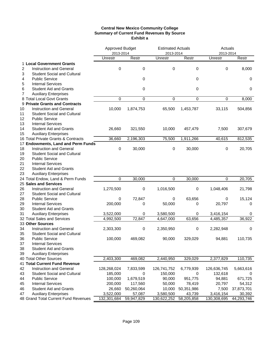## **Central New Mexico Community College Summary of Current Fund Revenues By Source Exhibit a**

|                |                                      |             | <b>Approved Budget</b> |             | <b>Estimated Actuals</b> | Actuals     |            |  |
|----------------|--------------------------------------|-------------|------------------------|-------------|--------------------------|-------------|------------|--|
|                |                                      | 2013-2014   |                        | 2013-2014   |                          | 2013-2014   |            |  |
|                |                                      | Unrestr     | Restr                  | Unrestr     | Restr                    | Unrestr     | Restr      |  |
|                | 1 Local Government Grants            |             |                        |             |                          |             |            |  |
| 2              | <b>Instruction and General</b>       | $\Omega$    | $\mathbf 0$            | 0           | 0                        | 0           | 8,000      |  |
| 3              | <b>Student Social and Cultural</b>   |             |                        |             |                          |             |            |  |
| 4              | <b>Public Service</b>                |             | 0                      |             | 0                        |             | 0          |  |
| 5              | <b>Internal Services</b>             |             |                        |             |                          |             |            |  |
| 6              | <b>Student Aid and Grants</b>        |             | 0                      |             | 0                        |             | 0          |  |
| $\overline{7}$ | <b>Auxiliary Enterprises</b>         |             |                        |             |                          |             |            |  |
|                | 8 Total Local Govt Grants            | $\mathbf 0$ | $\mathbf 0$            | 0           | 0                        | $\pmb{0}$   | 8,000      |  |
|                | 9 Private Grants and Contracts       |             |                        |             |                          |             |            |  |
| 10             | <b>Instruction and General</b>       | 10,000      | 1,874,753              | 65,500      | 1,453,787                | 33,115      | 504,856    |  |
| 11             | <b>Student Social and Cultural</b>   |             |                        |             |                          |             |            |  |
| 12             | <b>Public Service</b>                |             |                        |             |                          |             |            |  |
| 13             | <b>Internal Services</b>             |             |                        |             |                          |             |            |  |
| 14             | <b>Student Aid and Grants</b>        | 26,660      | 321,550                | 10,000      | 457,479                  | 7,500       | 307,679    |  |
| 15             | <b>Auxiliary Enterprises</b>         |             |                        |             |                          |             |            |  |
|                | 16 Total Private Grants & Contracts  | 36,660      | 2,196,303              | 75,500      | 1,911,266                | 40,615      | 812,535    |  |
|                | 17 Endowments, Land and Perm Funds   |             |                        |             |                          |             |            |  |
| 18             | Instruction and General              | $\mathbf 0$ | 30,000                 | 0           | 30,000                   | 0           | 20,705     |  |
| 19             | <b>Student Social and Cultural</b>   |             |                        |             |                          |             |            |  |
| 20             | <b>Public Service</b>                |             |                        |             |                          |             |            |  |
| 21             | <b>Internal Services</b>             |             |                        |             |                          |             |            |  |
| 22             | <b>Student Aid and Grants</b>        |             |                        |             |                          |             |            |  |
| 23             | <b>Auxiliary Enterprises</b>         |             |                        |             |                          |             |            |  |
|                | 24 Total Endow, Land & Perm Funds    | $\mathbf 0$ | 30,000                 | 0           | 30,000                   | 0           | 20,705     |  |
|                | 25 Sales and Services                |             |                        |             |                          |             |            |  |
| 26             | Instruction and General              | 1,270,500   | 0                      | 1,016,500   | $\pmb{0}$                | 1,048,406   | 21,798     |  |
| 27             | <b>Student Social and Cultural</b>   |             |                        |             |                          |             |            |  |
| 28             | <b>Public Service</b>                | 0           | 72,847                 | 0           | 63,656                   | 0           | 15,124     |  |
|                |                                      |             |                        |             |                          |             |            |  |
| 29             | <b>Internal Services</b>             | 200,000     | 0                      | 50,000      | 0                        | 20,797      | 0          |  |
| 30             | <b>Student Aid and Grants</b>        |             |                        |             |                          |             |            |  |
| 31             | <b>Auxiliary Enterprises</b>         | 3,522,000   | 0                      | 3,580,500   | 0                        | 3,416,154   | 0          |  |
|                | 32 Total Sales and Services          | 4,992,500   | 72,847                 | 4,647,000   | 63,656                   | 4,485,357   | 36,922     |  |
|                | 33 Other Sources                     |             |                        |             |                          |             |            |  |
| 34             | <b>Instruction and General</b>       | 2,303,300   | 0                      | 2,350,950   | 0                        | 2,282,948   | 0          |  |
| 35             | <b>Student Social and Cultural</b>   |             |                        |             |                          |             |            |  |
| 36             | <b>Public Service</b>                | 100,000     | 469,082                | 90,000      | 329,029                  | 94,881      | 110,735    |  |
| 37             | <b>Internal Services</b>             |             |                        |             |                          |             |            |  |
| 38             | <b>Student Aid and Grants</b>        |             |                        |             |                          |             |            |  |
| 39             | <b>Auxiliary Enterprises</b>         |             |                        |             |                          |             |            |  |
|                | 40 Total Other Sources               | 2,403,300   | 469,082                | 2,440,950   | 329,029                  | 2,377,829   | 110,735    |  |
|                | 41 Total Current Fund Revenue        |             |                        |             |                          |             |            |  |
| 42             | Instruction and General              | 128,268,024 | 7,833,599              | 126,741,752 | 6,779,939                | 126,636,745 | 5,663,616  |  |
| 43             | <b>Student Social and Cultural</b>   | 185,000     | 0                      | 150,000     | 0                        | 132,618     | 0          |  |
| 44             | <b>Public Service</b>                | 100,000     | 1,679,519              | 90,000      | 951,775                  | 94,881      | 671,725    |  |
| 45             | <b>Internal Services</b>             | 200,000     | 117,560                | 50,000      | 78,419                   | 20,797      | 54,312     |  |
| 46             | <b>Student Aid and Grants</b>        | 26,660      | 50,260,064             | 10,000      | 50,351,986               | 7,500       | 37,873,701 |  |
| 47             | <b>Auxiliary Enterprises</b>         | 3,522,000   | 57,087                 | 3,580,500   | 43,739                   | 3,416,154   | 30,392     |  |
|                | 48 Grand Total Current Fund Revenues | 132,301,684 | 59,947,829             | 130,622,252 | 58,205,858               | 130,308,695 | 44,293,746 |  |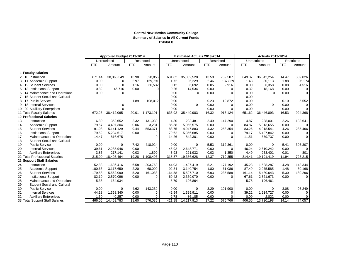### **Central New Mexico Community College Summary of Salaries in All Current Funds Exhibit b**

|                                           |            | Approved Budget 2013-2014 |            |            | <b>Estimated Actuals 2013-2014</b> |              |            |            | <b>Actuals 2013-2014</b> |              |            |             |
|-------------------------------------------|------------|---------------------------|------------|------------|------------------------------------|--------------|------------|------------|--------------------------|--------------|------------|-------------|
|                                           |            | Unrestricted              |            | Restricted |                                    | Unrestricted |            | Restricted |                          | Unrestricted |            | Restricted  |
|                                           | <b>FTE</b> | Amount                    | <b>FTE</b> | Amount     | <b>FTE</b>                         | Amount       | <b>FTE</b> | Amount     | <b>FTE</b>               | Amount       | <b>FTE</b> | Amount      |
| <b>Faculty salaries</b>                   |            |                           |            |            |                                    |              |            |            |                          |              |            |             |
| 2 10 Instruction                          | 671.44     | 38,365,349                | 13.98      | 828,856    | 631.82                             | 35,332,528   | 13.58      | 759,507    | 649.87                   | 36,342,254   | 14.47      | 809,026     |
| 11 Academic Support<br>3                  | 0.00       | $\Omega$                  | 2.97       | 169,791    | 1.72                               | 96,229       | 2.46       | 137,829    | 1.43                     | 80,113       | 1.88       | 105,274     |
| 12 Student Services<br>4                  | 0.00       | $\Omega$                  | 1.16       | 66,532     | 0.12                               | 6,692        | 0.05       | 2,916      | 0.00                     | 6,358        | 0.08       | 4,516       |
| 13 Institutional Support<br>5             | 0.82       | 46,716                    | 0.00       | $\Omega$   | 0.26                               | 14,534       | 0.00       | $\Omega$   | 0.32                     | 18,168       | 0.00       | 0           |
| 14 Maintenance and Operations<br>6        | 0.00       | $\Omega$                  |            |            | 0.00                               | $\mathbf 0$  | 0.00       | $\Omega$   | 0.00                     | $\Omega$     | 0.00       | $\mathbf 0$ |
| 15 Student Social and Cultural            |            |                           |            |            | 0.00                               |              |            |            | 0.00                     |              |            |             |
| 17 Public Service<br>8                    |            |                           | 1.89       | 108,012    | 0.00                               |              | 0.23       | 12,872     | 0.00                     |              | 0.10       | 5,552       |
| <b>Internal Services</b><br>18<br>9       |            | 0                         |            |            | 0.00                               | $\Omega$     | 0.00       | $\Omega$   | 0.00                     | $\mathbf 0$  | 0.00       | $\Omega$    |
| <b>Auxiliary Enterprises</b><br>-20<br>10 |            | $\Omega$                  |            |            | 0.00                               |              | 0.00       | $\Omega$   | 0.00                     |              | 0.00       | $\Omega$    |
| 11 Total Faculty Salaries                 | 672.26     | 38,412,065                | 20.01      | 1,173,191  | 633.92                             | 35,449,983   | 16.32      | 913,124    | 651.62                   | 36,446,893   | 16.53      | 924,368     |
| 12 Professional Salaries                  |            |                           |            |            |                                    |              |            |            |                          |              |            |             |
| 13<br>Instruction                         | 6.80       | 352,652                   | 2.32       | 131,030    | 4.80                               | 283,481      | 2.49       | 147,290    | 4.87                     | 288,001      | 2.26       | 133,641     |
| 14<br>Academic Support                    | 79.67      | 4,497,304                 | 0.06       | 3,281      | 85.58                              | 5,055,575    | 0.00       | $\Omega$   | 84.87                    | 5,013,655    | 0.00       | $\Omega$    |
| 15<br><b>Student Services</b>             | 91.08      | 5,141,129                 | 9.44       | 553,371    | 83.75                              | 4,947,883    | 4.32       | 258,354    | 83.26                    | 4,918,541    | 4.26       | 285,466     |
| 16<br><b>Institutional Support</b>        | 79.52      | 5,234,617                 | 0.00       | 0          | 79.62                              | 5.356.685    | 0.00       | 0          | 79.17                    | 5,427,842    | 0.00       | $\mathbf 0$ |
| 17<br>Maintenance and Operations          | 14.47      | 816,675                   |            | 0          | 14.26                              | 842,301      | 0.00       | $\Omega$   | 11.51                    | 679,737      | 0.00       | $\Omega$    |
| 18<br><b>Student Social and Cultural</b>  |            |                           |            |            |                                    |              |            |            |                          |              |            |             |
| 19<br><b>Public Service</b>               | 0.00       | $\Omega$                  | 7.42       | 418,924    | 0.00                               | $\mathbf 0$  | 5.53       | 312,361    | 0.00                     | $\mathbf 0$  | 5.41       | 305,307     |
| 20<br><b>Internal Services</b>            | 39.61      | 2,235,946                 | 0.00       | $\Omega$   | 46.92                              | 2.648.771    | 0.00       | 0          | 46.24                    | 2,610,242    | 0.00       | $\Omega$    |
| 21<br><b>Auxiliary Enterprises</b>        | 3.85       | 217.141                   | 0.03       | 1,890      | 3.93                               | 221.932      | 0.02       | 1,350      | 4.49                     | 253,401      | 0.01       | 801         |
| 22 Total Professional Salaries            | 315.00     | 18,495,464                | 19.28      | 1,108,496  | 318.87                             | 19,356,628   | 12.37      | 719,355    | 314.41                   | 19,191,419   | 11.94      | 725,215     |
| 23 Support Staff Salaries                 |            |                           |            |            |                                    |              |            |            |                          |              |            |             |
| 24<br>Instruction                         | 52.83      | 1,636,416                 | 6.58       | 203,763    | 44.03                              | 1,497,419    | 5.21       | 177,192    | 45.23                    | 1,538,287    | 4.28       | 148,344     |
| 25<br>Academic Support                    | 100.66     | 3,117,650                 | 2.20       | 68.000     | 92.34                              | 3.140.754    | 1.80       | 61,086     | 87.49                    | 2,975,585    | 1.48       | 50,168      |
| 26<br><b>Student Services</b>             | 179.58     | 5,562,090                 | 5.20       | 161,033    | 164.58                             | 5,597,710    | 6.93       | 235,588    | 161.14                   | 5,480,643    | 5.30       | 180,296     |
| 27<br><b>Institutional Support</b>        | 82.19      | 2,570,096                 | 0.00       | $\Omega$   | 69.42                              | 2,369,070    | 0.00       | $\Omega$   | 67.61                    | 2,321,673    | 0.00       | $\Omega$    |
| 28<br>Maintenance and Operations          | 5.33       | 164,934                   |            |            | 5.79                               | 196,864      |            |            | 5.78                     | 196,461      |            |             |
| 29<br><b>Student Social and Cultural</b>  |            |                           |            |            |                                    |              |            |            |                          |              |            |             |
| 30<br><b>Public Service</b>               | 0.00       | $\Omega$                  | 4.62       | 143,239    | 0.00                               | $\Omega$     | 3.29       | 101,900    | 0.00                     | $\Omega$     | 3.08       | 95,249      |
| 31<br><b>Internal Services</b>            | 44.18      | 1,368,340                 | 0.00       | 0          | 42.94                              | 1,329,911    | 0.00       | $\Omega$   | 39.22                    | 1,214,727    | 0.00       | 0           |
| 32<br><b>Auxiliary Enterprises</b>        | 1.30       | 40.257                    | 0.00       | 0          | 2.78                               | 86,185       | 0.00       | $\Omega$   | 0.09                     | 2,822        | 0.00       | $\Omega$    |
| 33 Total Support Staff Salaries           | 466.06     | 14,459,783                | 18.60      | 576,035    | 421.88                             | 14,217,913   | 17.22      | 575,766    | 406.56                   | 13,730,198   | 14.14      | 474,057     |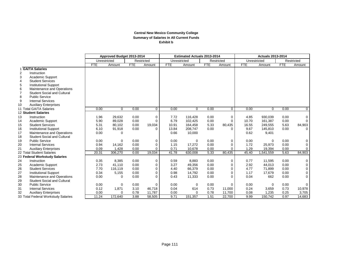### **Central New Mexico Community College Summary of Salaries in All Current Funds Exhibit b**

|                |                                     | Approved Budget 2013-2014 |             |            |                | <b>Estimated Actuals 2013-2014</b> |                |            | <b>Actuals 2013-2014</b> |              |                |            |                |
|----------------|-------------------------------------|---------------------------|-------------|------------|----------------|------------------------------------|----------------|------------|--------------------------|--------------|----------------|------------|----------------|
|                |                                     | Unrestricted              |             |            | Restricted     | Unrestricted                       |                |            | Restricted               | Unrestricted |                |            | Restricted     |
|                |                                     | <b>FTE</b>                | Amount      | <b>FTE</b> | Amount         | <b>FTE</b>                         | Amount         | <b>FTE</b> | Amount                   | <b>FTE</b>   | Amount         | <b>FTE</b> | Amount         |
|                | <b>GA/TA Salaries</b>               |                           |             |            |                |                                    |                |            |                          |              |                |            |                |
| 2              | Instruction                         |                           |             |            |                |                                    |                |            |                          |              |                |            |                |
| 3              | Academic Support                    |                           |             |            |                |                                    |                |            |                          |              |                |            |                |
| $\overline{4}$ | <b>Student Services</b>             |                           |             |            |                |                                    |                |            |                          |              |                |            |                |
| 5              | <b>Institutional Support</b>        |                           |             |            |                |                                    |                |            |                          |              |                |            |                |
| 6              | Maintenance and Operations          |                           |             |            |                |                                    |                |            |                          |              |                |            |                |
|                | <b>Student Social and Cultural</b>  |                           |             |            |                |                                    |                |            |                          |              |                |            |                |
| 8              | <b>Public Service</b>               |                           |             |            |                |                                    |                |            |                          |              |                |            |                |
| 9              | <b>Internal Services</b>            |                           |             |            |                |                                    |                |            |                          |              |                |            |                |
| 10             | <b>Auxiliary Enterprises</b>        |                           |             |            |                |                                    |                |            |                          |              |                |            |                |
|                | 11 Total GA/TA Salaries             | 0.00                      | $\Omega$    | 0.00       | $\overline{0}$ | 0.00                               | $\overline{0}$ | 0.00       | $\overline{0}$           | 0.00         | $\overline{0}$ | 0.00       | $\overline{0}$ |
|                | 12 Student Salaries                 |                           |             |            |                |                                    |                |            |                          |              |                |            |                |
| 13             | Instruction                         | 1.96                      | 29,632      | 0.00       | $\mathbf 0$    | 7.72                               | 116,428        | 0.00       | $\mathbf 0$              | 4.85         | 930,039        | 0.00       | 0              |
| 14             | Academic Support                    | 5.90                      | 89,028      | 0.00       | $\Omega$       | 6.79                               | 102,425        | 0.00       | $\Omega$                 | 10.70        | 161,387        | 0.00       | 0              |
| 15             | <b>Student Services</b>             | 5.31                      | 80,102      | 0.00       | 19,034         | 10.91                              | 164,458        | 5.33       | 80,435                   | 16.55        | 249,555        | 5.63       | 84,903         |
| 16             | <b>Institutional Support</b>        | 6.10                      | 91,918      | 0.00       | $\Omega$       | 13.84                              | 208,747        | 0.00       | $\Omega$                 | 9.67         | 145,810        | 0.00       | $\Omega$       |
| 17             | Maintenance and Operations          | 0.00                      | 0           |            |                | 0.66                               | 10,000         |            |                          | 0.62         | 9,401          |            |                |
| 18             | <b>Student Social and Cultural</b>  |                           |             |            |                |                                    |                |            |                          |              |                |            |                |
| 19             | <b>Public Service</b>               | 0.00                      | $\Omega$    | 0.00       | $\mathbf 0$    | 0.00                               | $\Omega$       | 0.00       | $\mathbf 0$              | 0.00         | $\Omega$       | 0.00       | 0              |
| 20             | <b>Internal Services</b>            | 0.94                      | 14,162      | 0.00       | $\mathbf 0$    | 1.15                               | 17,272         | 0.00       | $\mathbf{0}$             | 1.72         | 25,973         | 0.00       | 0              |
| 21             | <b>Auxiliary Enterprises</b>        | 0.09                      | 1,428       | 0.00       | $\Omega$       | 0.71                               | 10,678         | 0.00       | $\Omega$                 | 1.29         | 19,394         | 0.00       | 0              |
|                | 22 Total Student Salaries           | 20.31                     | 306,270     | 0.00       | 19,034         | 41.78                              | 630,008        | 5.33       | 80,435                   | 45.40        | 1,541,559      | 5.63       | 84,903         |
|                | 23 Federal Workstudy Salaries       |                           |             |            |                |                                    |                |            |                          |              |                |            |                |
| 24             | Instruction                         | 0.35                      | 8,385       | 0.00       | $\mathbf 0$    | 0.59                               | 8,883          | 0.00       | $\mathbf 0$              | 0.77         | 11,595         | 0.00       | 0              |
| 25             | <b>Academic Support</b>             | 2.73                      | 41,110      | 0.00       | $\Omega$       | 3.27                               | 49,356         | 0.00       | $\mathbf 0$              | 2.92         | 44,013         | 0.00       | 0              |
| 26             | <b>Student Services</b>             | 7.70                      | 116,119     | 0.00       | $\Omega$       | 4.40                               | 66,379         | 0.00       | $\Omega$                 | 4.77         | 71,899         | 0.00       | 0              |
| 27             | <b>Institutional Support</b>        | 0.34                      | 5,155       | 0.00       | $\mathbf 0$    | 0.98                               | 14.792         | 0.00       | $\mathbf 0$              | 1.17         | 17,679         | 0.00       | 0              |
| 28             | Maintenance and Operations          | 0.00                      | $\Omega$    | 0.00       | $\Omega$       | 0.43                               | 11,333         | 0.00       | $\Omega$                 | 0.04         | 662            | 0.00       | 0              |
| 29             | <b>Student Social and Cultural</b>  |                           |             |            |                |                                    |                |            |                          |              |                |            |                |
| 30             | <b>Public Service</b>               | 0.00                      | $\mathbf 0$ | 0.00       | $\Omega$       | 0.00                               | $\Omega$       | 0.00       | $\Omega$                 | 0.00         | $\mathbf 0$    | 0.00       | $\Omega$       |
| 31             | <b>Internal Services</b>            | 0.12                      | 1,871       | 3.10       | 46,718         | 0.04                               | 614            | 0.73       | 11,000                   | 0.24         | 3,659          | 0.73       | 10,978         |
| 32             | <b>Auxiliary Enterprises</b>        | 0.00                      | $\Omega$    | 0.78       | 11,787         | 0.00                               | $\Omega$       | 0.78       | 11,700                   | 0.08         | 1,235          | 0.25       | 3,705          |
|                | 33 Total Federal Workstudy Salaries | 11.24                     | 172,640     | 3.88       | 58,505         | 9.71                               | 151,357        | 1.51       | 22,700                   | 9.99         | 150,742        | 0.97       | 14,683         |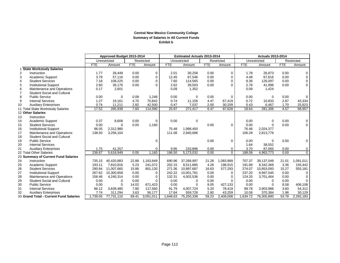#### **Central New Mexico Community College Summary of Salaries in All Current Funds Exhibit b**

|    |                                        |            | Approved Budget 2013-2014 |            |             |            | <b>Estimated Actuals 2013-2014</b> |            |             |            |              |       |                |
|----|----------------------------------------|------------|---------------------------|------------|-------------|------------|------------------------------------|------------|-------------|------------|--------------|-------|----------------|
|    |                                        |            | Unrestricted              |            | Restricted  |            | Unrestricted                       |            | Restricted  |            | Unrestricted |       | Restricted     |
|    |                                        | <b>FTE</b> | Amount                    | <b>FTE</b> | Amount      | <b>FTE</b> | Amount                             | <b>FTE</b> | Amount      | <b>FTE</b> | Amount       | FTE   | Amount         |
|    | <b>State Workstudy Salaries</b>        |            |                           |            |             |            |                                    |            |             |            |              |       |                |
| 2  | Instruction                            | 1.77       | 28,449                    | 0.00       | $\mathbf 0$ | 2.01       | 30,258                             | 0.00       | $\mathbf 0$ | 1.78       | 26.873       | 0.00  | 0              |
| 3  | Academic Support                       | 3.79       | 57,116                    | 0.00       | $\mathbf 0$ | 12.45      | 67,546                             | 0.00       | $\Omega$    | 4.48       | 67,616       | 0.00  | 0              |
| 4  | <b>Student Services</b>                | 7.18       | 108,225                   | 0.00       | $\Omega$    | 7.60       | 114,565                            | 0.00       | $\Omega$    | 8.36       | 126,097      | 0.00  | $\mathbf 0$    |
| 5  | <b>Institutional Support</b>           | 2.60       | 39,176                    | 0.00       | $\Omega$    | 2.62       | 39,503                             | 0.00       | $\Omega$    | 2.78       | 41,996       | 0.00  | $\overline{0}$ |
| 6  | Maintenance and Operations             | 0.17       | 2,601                     |            |             | 0.09       | 1,352                              |            |             | 0.09       | 1,424        |       |                |
|    | <b>Student Social and Cultural</b>     |            |                           |            |             |            |                                    |            |             |            |              |       |                |
| 8  | <b>Public Service</b>                  | 0.00       | $\mathbf 0$               | 0.08       | 1,248       | 0.00       | $\Omega$                           | 0.00       | $\Omega$    | 0.00       | 0            | 0.00  | 0              |
| 9  | <b>Internal Services</b>               | 1.27       | 19,161                    | 4.70       | 70,842      | 0.74       | 11,156                             | 4.47       | 67,419      | 0.72       | 10,833       | 2.87  | 43,334         |
| 10 | <b>Auxiliary Enterprises</b>           | 0.74       | 11,211                    | 2.82       | 42,500      | 0.47       | 7,037                              | 2.00       | 30,209      | 0.43       | 6,467        | 1.70  | 25,623         |
|    | 11 Total State Workstudy Salaries      | 17.52      | 265,939                   | 7.60       | 114,590     | 25.97      | 271,417                            | 6.47       | 97,628      | 18.64      | 281,306      | 4.57  | 68,957         |
|    | 12 Other Salaries                      |            |                           |            |             |            |                                    |            |             |            |              |       |                |
| 13 | Instruction                            |            |                           |            |             |            |                                    |            |             |            |              |       |                |
| 14 | Academic Support                       | 0.37       | 8,608                     | 0.00       | 0           | 0.00       | $\Omega$                           |            |             | 0.00       | 0            | 0.00  | 0              |
| 15 | <b>Student Services</b>                | 0.00       | $\Omega$                  | 0.05       | 1,160       |            |                                    | 0.00       | $\Omega$    | 0.00       | $\mathbf{0}$ | 0.00  | $\mathbf{0}$   |
| 16 | <b>Institutional Support</b>           | 96.05      | 2,312,980                 |            |             | 75.48      | 1,998,450                          |            |             | 76.46      | 2,024,377    |       |                |
| 17 | Maintenance and Operations             | 138.50     | 3,256,104                 |            |             | 111.08     | 2,940,686                          |            |             | 106.28     | 2,813,779    |       |                |
| 18 | <b>Student Social and Cultural</b>     |            |                           |            |             |            |                                    |            |             |            |              |       |                |
| 19 | <b>Public Service</b>                  |            |                           |            | $\Omega$    |            |                                    | 0.00       | $\Omega$    | 0.00       | $\mathbf 0$  | 0.00  | 0              |
| 20 | <b>Internal Services</b>               |            |                           |            |             |            |                                    |            |             | 1.64       | 38,552       |       |                |
| 21 | <b>Auxiliary Enterprises</b>           | 1.75       | 41,257                    |            | $\mathbf 0$ | 9.95       | 233,896                            | 0.00       | 0           | 3.70       | 87,065       | 0.00  | 0              |
|    | 22 Total Other Salaries                | 236.67     | 5,618,949                 | 0.05       | 1,160       | 196.50     | 5,173,032                          | 0.00       | $\Omega$    | 188.08     | 4,963,773    | 0.00  | $\mathbf 0$    |
|    | 23 Summary of Current Fund Salaries    |            |                           |            |             |            |                                    |            |             |            |              |       |                |
| 24 | Instruction                            | 735.15     | 40,420,883                | 22.88      | 1,163,649   | 690.96     | 37,268,997                         | 21.28      | 1,083,989   | 707.37     | 39,137,049   | 21.01 | 1,091,011      |
| 25 | Academic Support                       | 193.11     | 7,810,816                 | 5.23       | 241.072     | 202.15     | 8,511,885                          | 4.26       | 198,915     | 191.89     | 8,342,369    | 3.36  | 155,442        |
| 26 | <b>Student Services</b>                | 290.84     | 11.007.665                | 15.86      | 801,130     | 271.36     | 10,897,687                         | 16.63      | 577,293     | 274.07     | 10,853,093   | 15.27 | 555,181        |
| 27 | <b>Institutional Support</b>           | 267.62     | 10,300,658                | 0.00       | $\Omega$    | 242.22     | 10,001,781                         | 0.00       | $\Omega$    | 237.20     | 9,997,545    | 0.00  | 0              |
| 28 | Maintenance and Operations             | 158.46     | 4,240,314                 | 0.00       | $\mathbf 0$ | 132.31     | 4,002,536                          | 0.00       | $\mathbf 0$ | 124.33     | 3.701.464    | 0.00  | 0              |
| 29 | <b>Student Social and Cultural</b>     | 0.00       | $\Omega$                  | 0.00       | $\Omega$    | 0.00       | $\Omega$                           | 0.00       | $\Omega$    | 0.00       | $\Omega$     | 0.00  | 0              |
| 30 | <b>Public Service</b>                  | 0.00       | $\Omega$                  | 14.02      | 671,423     | 0.00       | $\Omega$                           | 9.05       | 427,133     | 0.00       | $\Omega$     | 8.58  | 406,108        |
| 31 | <b>Internal Services</b>               | 86.12      | 3,639,480                 | 7.80       | 117,560     | 91.79      | 4.007.724                          | 5.20       | 78,419      | 89.78      | 3,903,986    | 3.60  | 54,312         |
| 32 | <b>Auxiliary Enterprises</b>           | 7.74       | 311,294                   | 3.63       | 56,177      | 17.84      | 559.728                            | 2.80       | 43,259      | 10.08      | 370,384      | 1.96  | 30,129         |
|    | 33 Grand Total - Current Fund Salaries | 1,739.05   | 77,731,110                | 69.41      | 3,051,011   | 1,648.63   | 75,250,338                         | 59.23      | 2,409,008   | 1,634.72   | 76,305,890   | 53.78 | 2,292,183      |